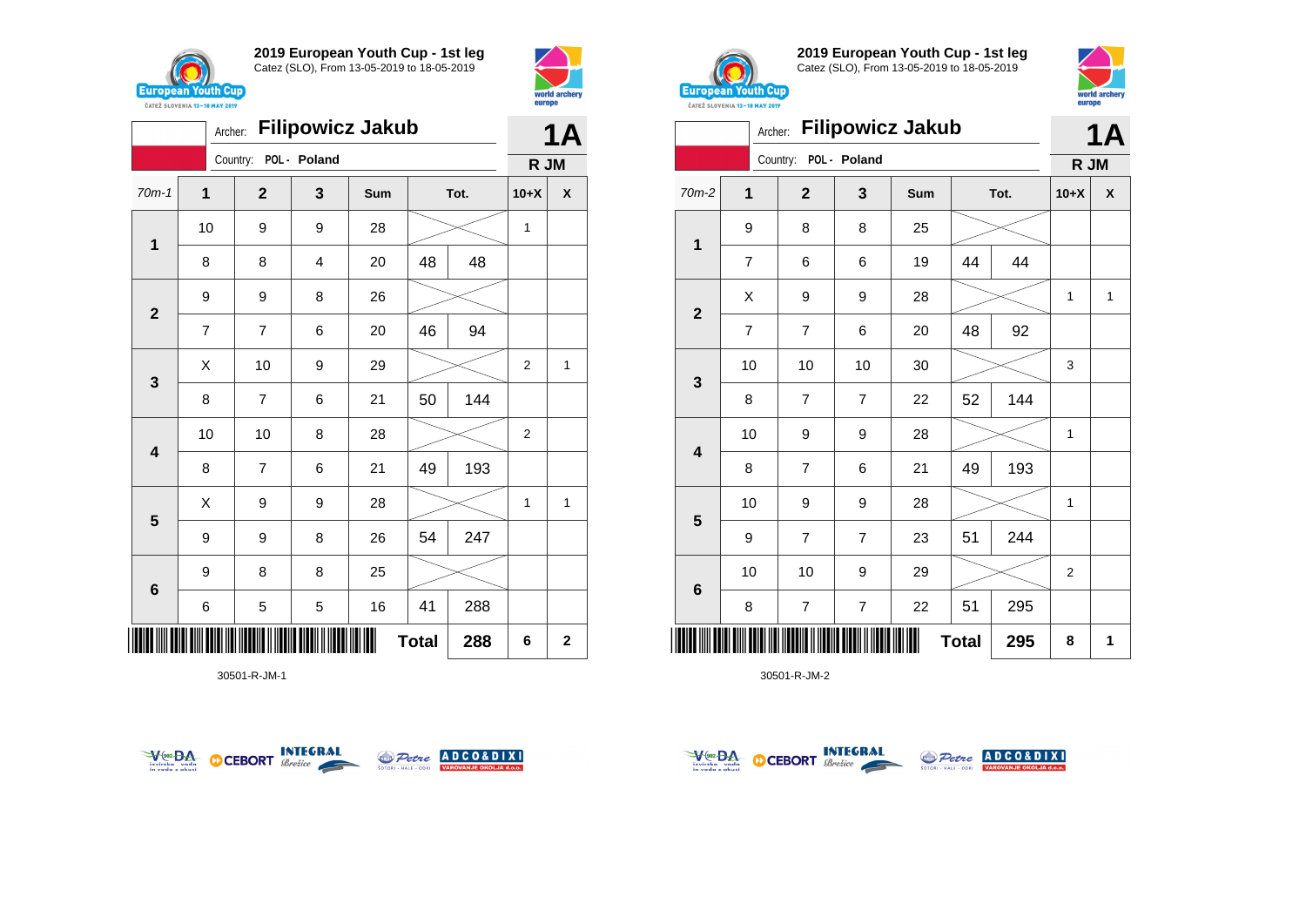



|                           |                | 1Α             |              |     |    |      |                |             |
|---------------------------|----------------|----------------|--------------|-----|----|------|----------------|-------------|
|                           |                | Country:       | POL - Poland |     |    |      | R JM           |             |
| $70m-1$                   | 1              | $\mathbf 2$    | 3            | Sum |    | Tot. | $10+X$         | X           |
| 1                         | 10             | 9              | 9            | 28  |    |      | 1              |             |
|                           | 8              | 8              | 4            | 20  | 48 | 48   |                |             |
| $\mathbf{2}$              | 9              | 9              | 8            | 26  |    |      |                |             |
|                           | $\overline{7}$ | $\overline{7}$ | 6            | 20  | 46 | 94   |                |             |
| $\mathbf{3}$              | Χ              | 10             | 9            | 29  |    |      | $\overline{2}$ | 1           |
|                           | 8              | $\overline{7}$ | 6            | 21  | 50 | 144  |                |             |
| $\overline{\mathbf{4}}$   | 10             | 10             | 8            | 28  |    |      | 2              |             |
|                           | 8              | $\overline{7}$ | 6            | 21  | 49 | 193  |                |             |
| $5\phantom{1}$            | X              | 9              | 9            | 28  |    |      | 1              | 1           |
|                           | 9              | 9              | 8            | 26  | 54 | 247  |                |             |
| 6                         | 9              | 8              | 8            | 25  |    |      |                |             |
|                           | 6              | 5              | 5            | 16  | 41 | 288  |                |             |
| ∭∭<br><b>Total</b><br>288 |                |                |              |     |    |      | 6              | $\mathbf 2$ |

30501-R-JM-1





**2019 European Youth Cup - 1st leg** Catez (SLO), From 13-05-2019 to 18-05-2019



|                         |                | <b>1A</b>                |                |     |           |      |                |              |  |
|-------------------------|----------------|--------------------------|----------------|-----|-----------|------|----------------|--------------|--|
|                         |                | Country: POL - Poland    |                |     |           |      | R JM           |              |  |
| $70m-2$                 | $\overline{1}$ | $\mathbf{2}$             | 3              | Sum |           | Tot. | $10+X$         | X            |  |
| 1                       | 9              | 8                        | 8              | 25  |           |      |                |              |  |
|                         | $\overline{7}$ | 6                        | 6              | 19  | 44        | 44   |                |              |  |
| $\mathbf{2}$            | X              | 9                        | 9              | 28  |           |      | $\mathbf{1}$   | $\mathbf{1}$ |  |
|                         | $\overline{7}$ | $\overline{7}$           | 6              | 20  | 48        | 92   |                |              |  |
|                         | 10             | 10                       | 10             | 30  |           |      | 3              |              |  |
| $\mathbf{3}$            | 8              | 7                        | $\overline{7}$ | 22  | 52        | 144  |                |              |  |
| $\overline{\mathbf{4}}$ | 10             | 9                        | 9              | 28  |           |      | 1              |              |  |
|                         | 8              | $\overline{7}$           | 6              | 21  | 49        | 193  |                |              |  |
| 5                       | 10             | 9                        | 9              | 28  |           |      | 1              |              |  |
|                         | 9              | $\overline{7}$           | $\overline{7}$ | 23  | 51        | 244  |                |              |  |
| $6\phantom{1}6$         | 10             | 10                       | 9              | 29  |           |      | $\overline{2}$ |              |  |
|                         | 8              | $\overline{\mathcal{I}}$ | $\overline{7}$ | 22  | 295<br>51 |      |                |              |  |
| <b>Total</b><br>295     |                |                          |                |     |           | 8    | 1              |              |  |



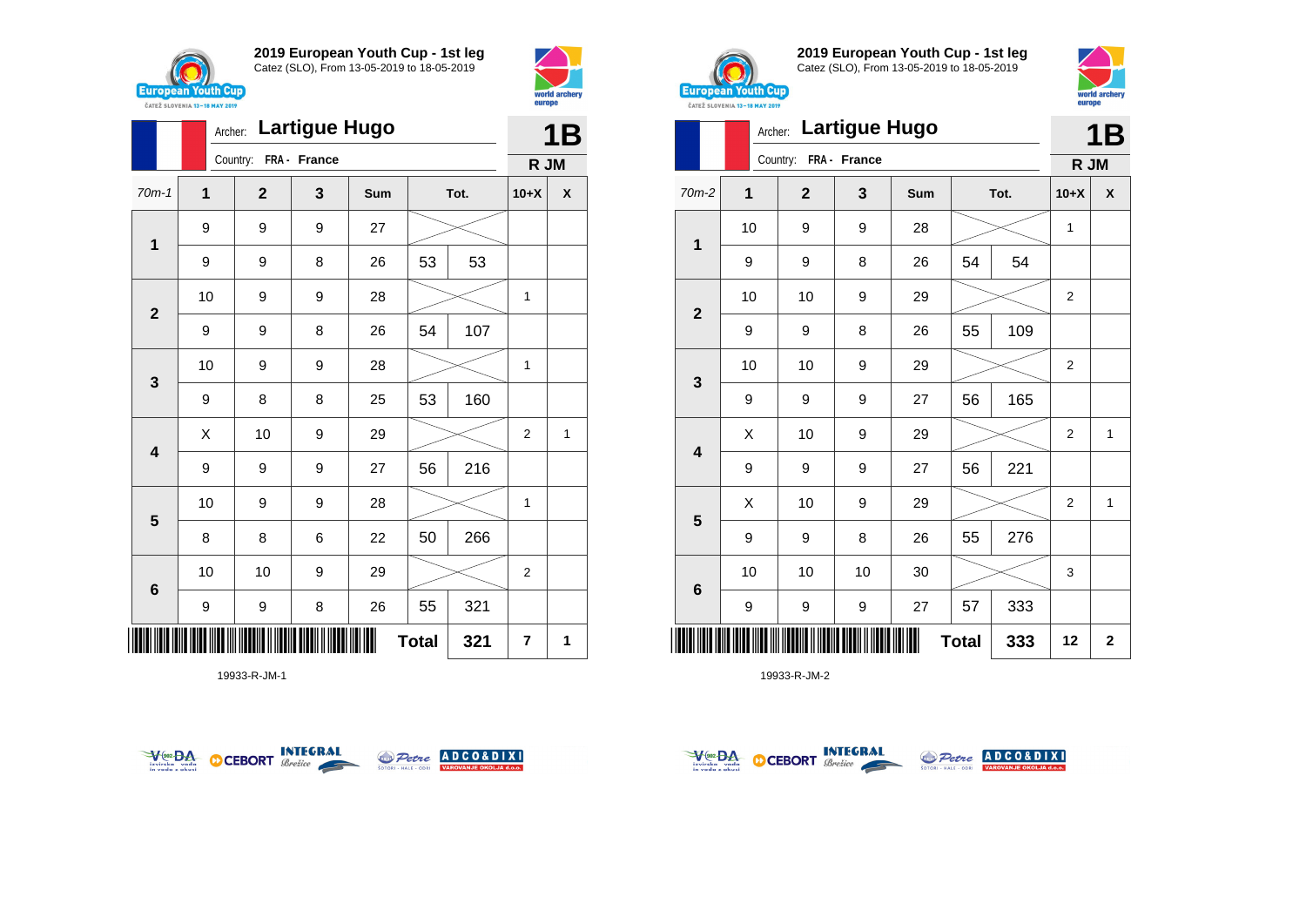



|                              |              | Archer: |              | 1B           |     |    |      |                |   |
|------------------------------|--------------|---------|--------------|--------------|-----|----|------|----------------|---|
|                              |              |         | Country:     | FRA - France |     |    |      | R JM           |   |
| $70m-1$                      | $\mathbf{1}$ |         | $\mathbf{2}$ | 3            | Sum |    | Tot. | $10+X$         | X |
| $\mathbf 1$                  | 9            |         | 9            | 9            | 27  |    |      |                |   |
|                              | 9            |         | 9            | 8            | 26  | 53 | 53   |                |   |
| $\mathbf{2}$                 | 10           |         | 9            | 9            | 28  |    |      | 1              |   |
|                              | 9            |         | 9            | 8            | 26  | 54 | 107  |                |   |
| $\mathbf{3}$                 |              | 10      | 9            | 9            | 28  |    |      | 1              |   |
|                              | 9            |         | 8            | 8            | 25  | 53 | 160  |                |   |
| $\overline{\mathbf{4}}$      | X            |         | 10           | 9            | 29  |    |      | $\overline{c}$ | 1 |
|                              | 9            |         | 9            | 9            | 27  | 56 | 216  |                |   |
| 5                            | 10           |         | 9            | 9            | 28  |    |      | 1              |   |
|                              | 8            |         | 8            | 6            | 22  | 50 | 266  |                |   |
| $6\phantom{1}6$              | 10           |         | 10           | 9            | 29  |    |      | 2              |   |
|                              | 9            |         | 9            | 8            | 26  | 55 | 321  |                |   |
| IIIII<br><b>Total</b><br>321 |              |         |              |              |     |    |      | 7              | 1 |

19933-R-JM-1





**2019 European Youth Cup - 1st leg** Catez (SLO), From 13-05-2019 to 18-05-2019



|                          | <b>Lartigue Hugo</b><br>Archer: |              |              |     |    |      |                |             |  |  |
|--------------------------|---------------------------------|--------------|--------------|-----|----|------|----------------|-------------|--|--|
|                          |                                 | Country:     | FRA - France |     |    |      | R JM           | 1B          |  |  |
| $70m-2$                  | 1                               | $\mathbf{2}$ | 3            | Sum |    | Tot. | $10+X$         | X           |  |  |
| 1                        | 10                              | 9            | 9            | 28  |    |      | $\mathbf{1}$   |             |  |  |
|                          | 9                               | 9            | 8            | 26  | 54 | 54   |                |             |  |  |
| $\mathbf{2}$             | 10                              | 10           | 9            | 29  |    |      | $\overline{2}$ |             |  |  |
|                          | 9                               | 9            | 8            | 26  | 55 | 109  |                |             |  |  |
| 3                        | 10                              | 10           | 9            | 29  |    |      | $\mathbf 2$    |             |  |  |
|                          | 9                               | 9            | 9            | 27  | 56 | 165  |                |             |  |  |
| $\overline{\mathbf{4}}$  | X                               | 10           | 9            | 29  |    |      | $\overline{2}$ | 1           |  |  |
|                          | 9                               | 9            | 9            | 27  | 56 | 221  |                |             |  |  |
| 5                        | Χ                               | 10           | 9            | 29  |    |      | $\overline{2}$ | 1           |  |  |
|                          | 9                               | 9            | 8            | 26  | 55 | 276  |                |             |  |  |
| 6                        | 10                              | 10           | 10           | 30  |    |      | 3              |             |  |  |
|                          | 9                               | 9            | 9            | 27  | 57 | 333  |                |             |  |  |
| <b>Total</b><br>333<br>Ш |                                 |              |              |     |    |      | 12             | $\mathbf 2$ |  |  |



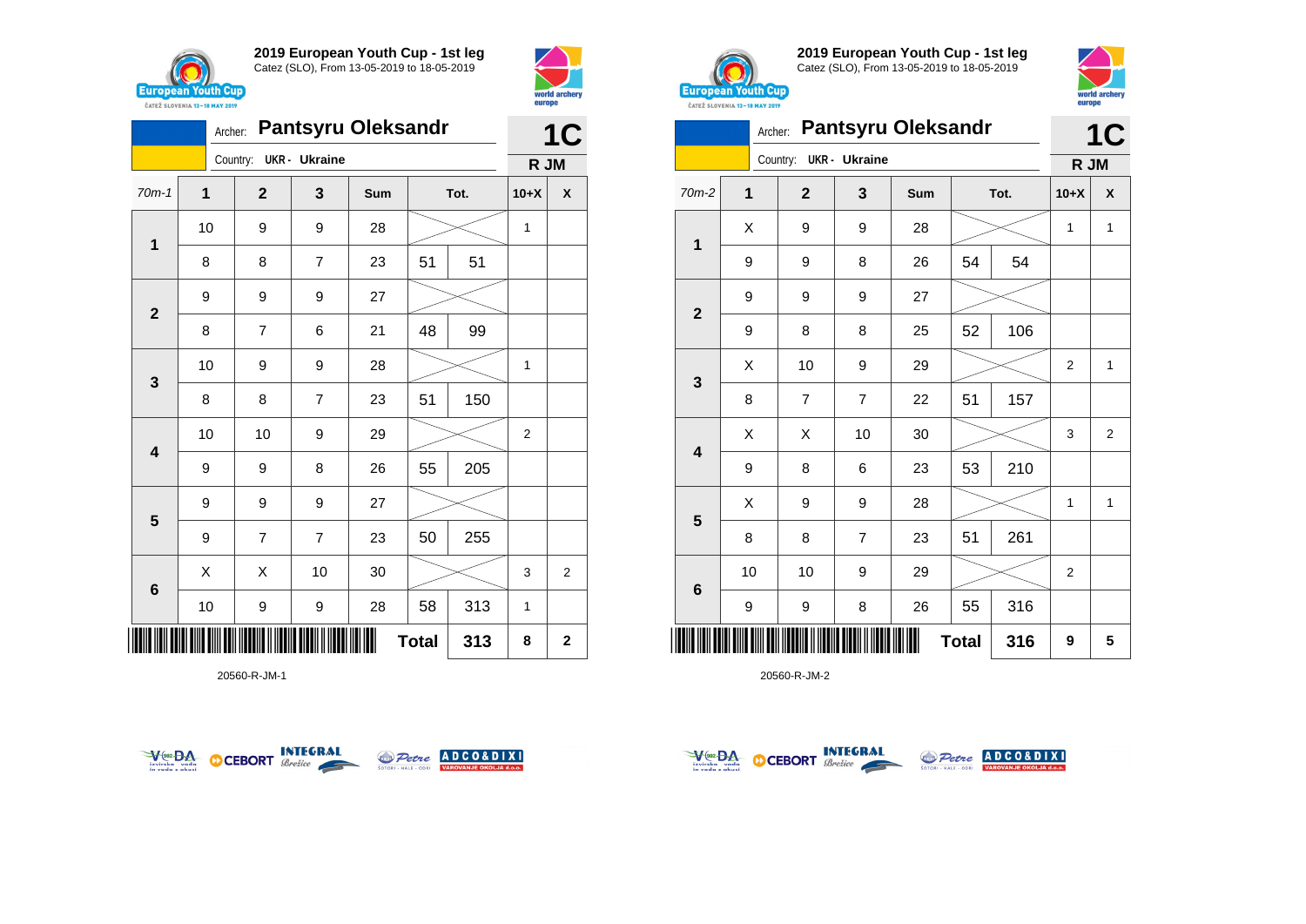





20560-R-JM-1





**2019 European Youth Cup - 1st leg** Catez (SLO), From 13-05-2019 to 18-05-2019



|                            | Archer:      |                |                      | <b>Pantsyru Oleksandr</b> |           |      | 1C             |                    |  |
|----------------------------|--------------|----------------|----------------------|---------------------------|-----------|------|----------------|--------------------|--|
|                            |              | Country:       | <b>UKR</b> - Ukraine |                           |           |      | R JM           |                    |  |
| $70m-2$                    | $\mathbf{1}$ | $\mathbf{2}$   | 3                    | Sum                       |           | Tot. | $10+X$         | $\pmb{\mathsf{X}}$ |  |
| 1                          | Χ            | 9              | 9                    | 28                        |           |      | 1              | $\mathbf{1}$       |  |
|                            | 9            | 9              | 8                    | 26                        | 54        | 54   |                |                    |  |
| $\mathbf{2}$               | 9            | 9              | 9                    | 27                        |           |      |                |                    |  |
|                            | 9            | 8              | 8                    | 25                        | 52        | 106  |                |                    |  |
|                            | X            | 10             | 9                    | 29                        |           |      | $\overline{2}$ | $\mathbf{1}$       |  |
| 3                          | 8            | $\overline{7}$ | $\overline{7}$       | 22                        | 51        | 157  |                |                    |  |
| $\overline{\mathbf{4}}$    | Χ            | Χ              | 10                   | 30                        |           |      | 3              | $\overline{2}$     |  |
|                            | 9            | 8              | 6                    | 23                        | 53        | 210  |                |                    |  |
|                            | Χ            | 9              | 9                    | 28                        |           |      | $\mathbf{1}$   | $\mathbf{1}$       |  |
| $\overline{\mathbf{5}}$    | 8            | 8              | $\overline{7}$       | 23                        | 51        | 261  |                |                    |  |
| $6\phantom{1}6$            | 10           | 10             | 9                    | 29                        |           |      | 2              |                    |  |
|                            | 9            | 9              | 8                    | 26                        | 316<br>55 |      |                |                    |  |
| <b>Total</b><br>316<br>║║║ |              |                |                      |                           |           | 9    | 5              |                    |  |



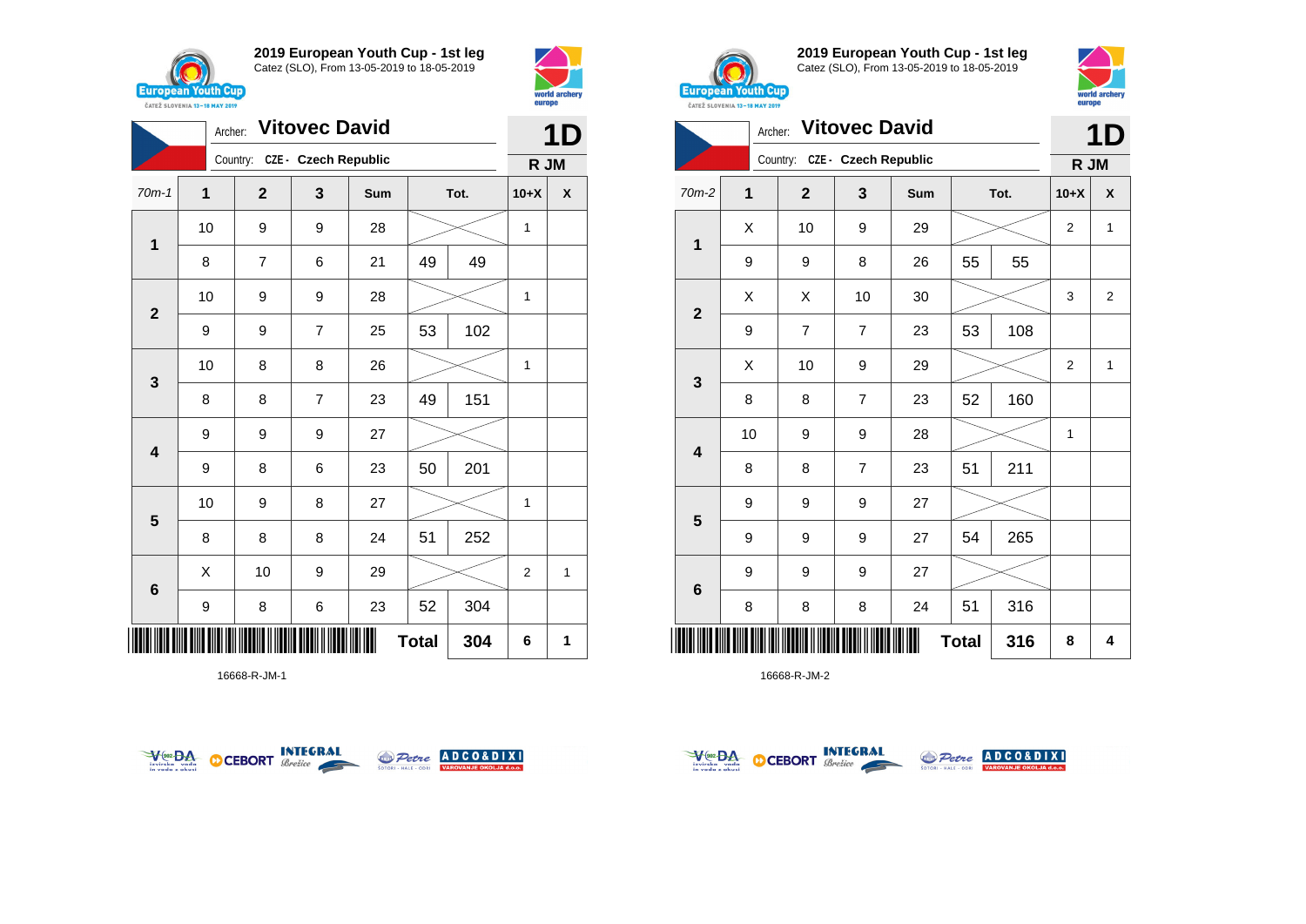



|                            | Archer: |                               | 11             |     |    |      |        |   |
|----------------------------|---------|-------------------------------|----------------|-----|----|------|--------|---|
|                            |         | Country: CZE - Czech Republic |                |     |    |      | R JM   |   |
| $70m-1$                    | 1       | $\mathbf{2}$                  | 3              | Sum |    | Tot. | $10+X$ | X |
|                            | 10      | 9                             | 9              | 28  |    |      | 1      |   |
| 1                          | 8       | $\overline{7}$                | 6              | 21  | 49 | 49   |        |   |
| $\overline{\mathbf{2}}$    | 10      | 9                             | 9              | 28  |    |      | 1      |   |
|                            | 9       | 9                             | $\overline{7}$ | 25  | 53 | 102  |        |   |
| $\mathbf{3}$               | 10      | 8                             | 8              | 26  |    |      | 1      |   |
|                            | 8       | 8                             | $\overline{7}$ | 23  | 49 | 151  |        |   |
| $\overline{\mathbf{4}}$    | 9       | 9                             | 9              | 27  |    |      |        |   |
|                            | 9       | 8                             | 6              | 23  | 50 | 201  |        |   |
| $5\phantom{1}$             | 10      | 9                             | 8              | 27  |    |      | 1      |   |
|                            | 8       | 8                             | 8              | 24  | 51 | 252  |        |   |
| $6\phantom{1}$             | X       | 10                            | 9              | 29  |    |      | 2      | 1 |
|                            | 9       | 8                             | 6              | 23  | 52 | 304  |        |   |
| ║║║<br><b>Total</b><br>304 |         |                               |                |     |    |      | 6      | 1 |

16668-R-JM-1





**2019 European Youth Cup - 1st leg** Catez (SLO), From 13-05-2019 to 18-05-2019



|                            |                | 1D                            |                |     |    |      |                |                |  |
|----------------------------|----------------|-------------------------------|----------------|-----|----|------|----------------|----------------|--|
|                            |                | Country: CZE - Czech Republic |                |     |    |      | R JM           |                |  |
| 70m-2                      | $\overline{1}$ | $\overline{\mathbf{2}}$       | 3              | Sum |    | Tot. | $10+X$         | X              |  |
| $\mathbf 1$                | X              | 10                            | 9              | 29  |    |      | $\overline{2}$ | 1              |  |
|                            | 9              | 9                             | 8              | 26  | 55 | 55   |                |                |  |
| $\overline{2}$             | X              | Χ                             | 10             | 30  |    |      | 3              | $\overline{2}$ |  |
|                            | 9              | $\overline{7}$                | $\overline{7}$ | 23  | 53 | 108  |                |                |  |
|                            | X              | 10                            | 9              | 29  |    |      | $\overline{2}$ | $\mathbf{1}$   |  |
| 3                          | 8              | 8                             | 7              | 23  | 52 | 160  |                |                |  |
| $\overline{\mathbf{4}}$    | 10             | 9                             | 9              | 28  |    |      | 1              |                |  |
|                            | 8              | 8                             | $\overline{7}$ | 23  | 51 | 211  |                |                |  |
|                            | 9              | 9                             | 9              | 27  |    |      |                |                |  |
| 5                          | 9              | 9                             | 9              | 27  | 54 | 265  |                |                |  |
| $6\phantom{1}$             | 9              | 9                             | 9              | 27  |    |      |                |                |  |
|                            | 8              | 8                             | 8              | 24  | 51 | 316  |                |                |  |
| <b>Total</b><br>316<br>║║║ |                |                               |                |     |    |      | 8              | 4              |  |



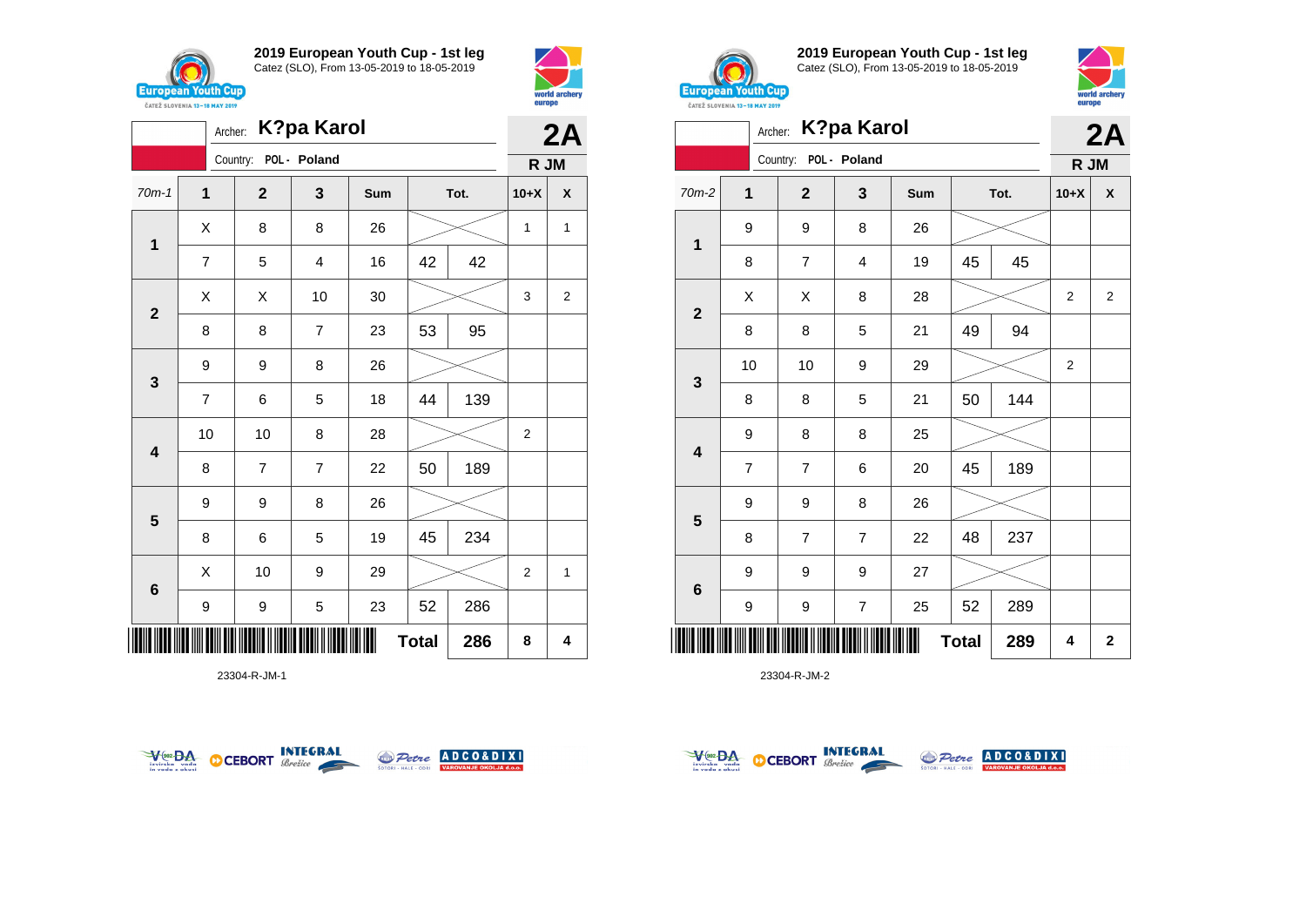

Archer: **K?pa Karol**





**2019 European Youth Cup - 1st leg** Catez (SLO), From 13-05-2019 to 18-05-2019



|                         | Archer:        |                       | <b>K?pa Karol</b> |     |              |      |                | 2A                      |
|-------------------------|----------------|-----------------------|-------------------|-----|--------------|------|----------------|-------------------------|
|                         |                | Country: POL - Poland |                   |     |              |      | R JM           |                         |
| $70m-2$                 | $\mathbf{1}$   | $\mathbf{2}$          | 3                 | Sum |              | Tot. | $10+X$         | X                       |
|                         | 9              | 9                     | 8                 | 26  |              |      |                |                         |
| 1                       | 8              | 7                     | 4                 | 19  | 45           | 45   |                |                         |
| $\mathbf{2}$            | Χ              | X                     | 8                 | 28  |              |      | 2              | $\overline{2}$          |
|                         | 8              | 8                     | 5                 | 21  | 49           | 94   |                |                         |
| $\mathbf{3}$            | 10             | 10                    | 9                 | 29  |              |      | $\overline{2}$ |                         |
|                         | 8              | 8                     | 5                 | 21  | 50           | 144  |                |                         |
| $\overline{\mathbf{4}}$ | 9              | 8                     | 8                 | 25  |              |      |                |                         |
|                         | $\overline{7}$ | $\overline{7}$        | 6                 | 20  | 45           | 189  |                |                         |
| $\overline{\mathbf{5}}$ | 9              | 9                     | 8                 | 26  |              |      |                |                         |
|                         | 8              | $\overline{7}$        | $\overline{7}$    | 22  | 48           | 237  |                |                         |
| $\bf 6$                 | 9              | 9                     | 9                 | 27  |              |      |                |                         |
|                         | 9              | 9                     | $\overline{7}$    | 25  | 52           | 289  |                |                         |
|                         |                |                       |                   |     | <b>Total</b> | 289  | 4              | $\overline{\mathbf{2}}$ |

23304-R-JM-2

|                         | 2A             |                       |                |     |           |      |                |                |
|-------------------------|----------------|-----------------------|----------------|-----|-----------|------|----------------|----------------|
|                         |                | Country: POL - Poland |                |     |           |      | R JM           |                |
| $70m-1$                 | $\mathbf{1}$   | $\mathbf{2}$          | 3              | Sum |           | Tot. | $10+X$         | X              |
| $\mathbf{1}$            | Χ              | 8                     | 8              | 26  |           |      | $\mathbf{1}$   | $\mathbf{1}$   |
|                         | $\overline{7}$ | 5                     | 4              | 16  | 42        | 42   |                |                |
|                         | X              | X                     | 10             | 30  |           |      | 3              | $\overline{2}$ |
| $\mathbf{2}$            | 8              | 8                     | 7              | 23  | 53        | 95   |                |                |
| 3                       | 9              | 9                     | 8              | 26  |           |      |                |                |
|                         | $\overline{7}$ | 6                     | 5              | 18  | 44        | 139  |                |                |
| $\overline{\mathbf{4}}$ | 10             | 10                    | 8              | 28  |           |      | 2              |                |
|                         | 8              | 7                     | $\overline{7}$ | 22  | 50        | 189  |                |                |
|                         | 9              | 9                     | 8              | 26  |           |      |                |                |
| $\overline{\mathbf{5}}$ | 8              | 6                     | 5              | 19  | 45        | 234  |                |                |
| $6\phantom{1}6$         | X              | 10                    | 9              | 29  |           |      | $\overline{2}$ | 1              |
|                         | 9              | 9                     | 5              | 23  | 52<br>286 |      |                |                |
|                         | 8              | 4                     |                |     |           |      |                |                |





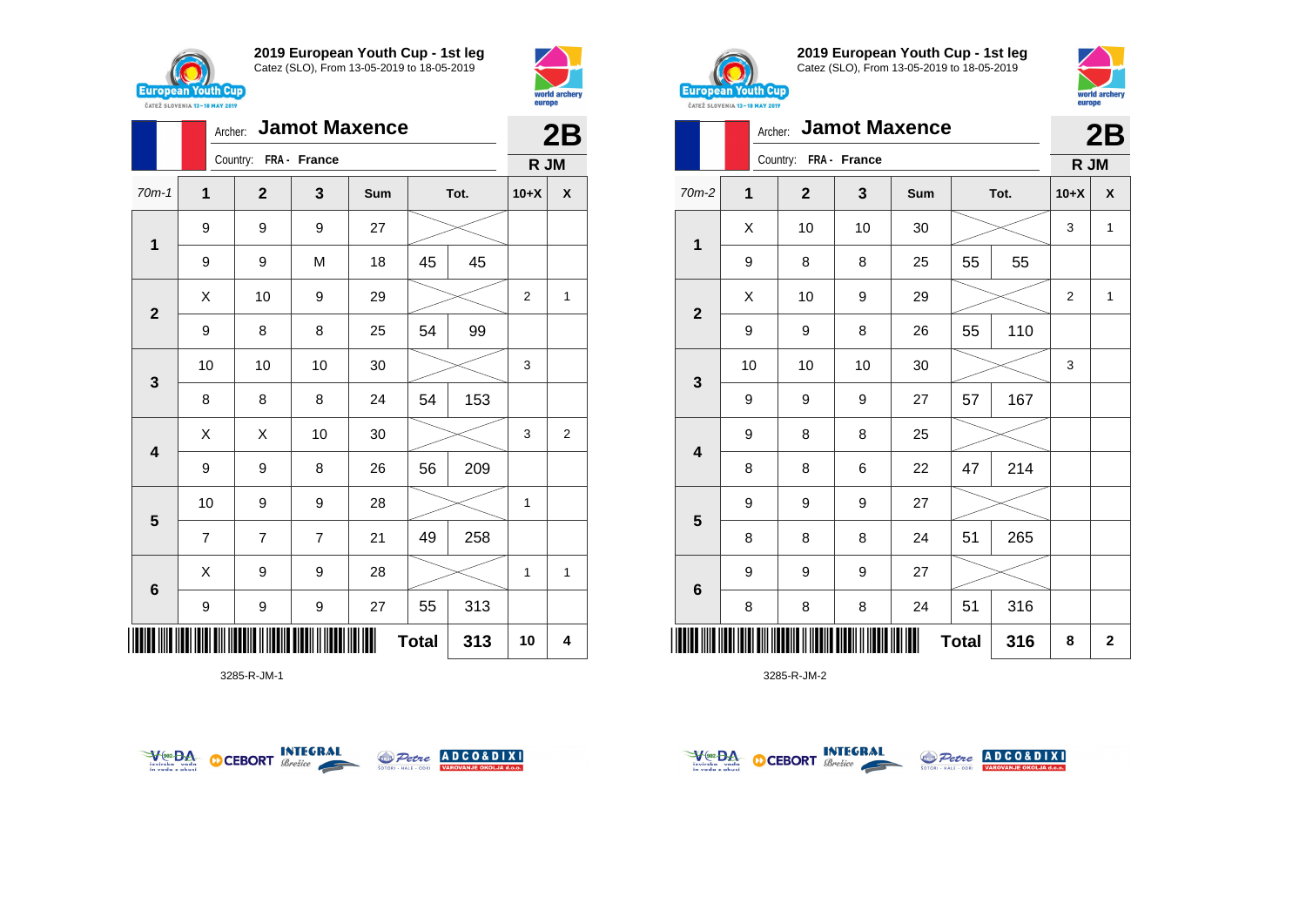



|                         |                | <b>Jamot Maxence</b><br>Archer: |                |     |              |      |                |                    |  |  |
|-------------------------|----------------|---------------------------------|----------------|-----|--------------|------|----------------|--------------------|--|--|
|                         |                | Country: FRA - France           |                |     |              |      | R JM           |                    |  |  |
| $70m-1$                 | $\overline{1}$ | $\mathbf 2$                     | 3              | Sum |              | Tot. | $10+X$         | $\pmb{\mathsf{X}}$ |  |  |
| $\mathbf 1$             | 9              | 9                               | 9              | 27  |              |      |                |                    |  |  |
|                         | 9              | 9                               | M              | 18  | 45           | 45   |                |                    |  |  |
| $\mathbf{2}$            | X              | 10                              | 9              | 29  |              |      | $\overline{2}$ | 1                  |  |  |
|                         | 9              | 8                               | 8              | 25  | 54           | 99   |                |                    |  |  |
| 3                       | 10             | 10                              | 10             | 30  |              |      | 3              |                    |  |  |
|                         | 8              | 8                               | 8              | 24  | 54           | 153  |                |                    |  |  |
| 4                       | Χ              | X                               | 10             | 30  |              |      | 3              | $\overline{c}$     |  |  |
|                         | 9              | 9                               | 8              | 26  | 56           | 209  |                |                    |  |  |
| $\overline{\mathbf{5}}$ | 10             | 9                               | 9              | 28  |              |      | $\mathbf{1}$   |                    |  |  |
|                         | $\overline{7}$ | 7                               | $\overline{7}$ | 21  | 49           | 258  |                |                    |  |  |
| 6                       | Χ              | 9                               | 9              | 28  |              |      | 1              | 1                  |  |  |
|                         | 9              | 9                               | 9              | 27  | 55           | 313  |                |                    |  |  |
| ∭                       |                |                                 |                |     | <b>Total</b> | 313  | 10             | 4                  |  |  |

3285-R-JM-1





**2019 European Youth Cup - 1st leg** Catez (SLO), From 13-05-2019 to 18-05-2019



|              |    |                       |    | Archer: Jamot Maxence |           |      |        |   |  |  |  |  |  |
|--------------|----|-----------------------|----|-----------------------|-----------|------|--------|---|--|--|--|--|--|
|              |    | Country: FRA - France |    |                       |           |      | R JM   |   |  |  |  |  |  |
| 70m-2        | 1  | $\mathbf{2}$          | 3  | Sum                   |           | Tot. | $10+X$ | X |  |  |  |  |  |
| 1            | X  | 10                    | 10 | 30                    |           |      | 3      | 1 |  |  |  |  |  |
|              | 9  | 8                     | 8  | 25                    | 55        | 55   |        |   |  |  |  |  |  |
| $\mathbf{2}$ | Χ  | 10                    | 9  | 29                    |           |      | 2      | 1 |  |  |  |  |  |
|              | 9  | 9                     | 8  | 26                    | 55        | 110  |        |   |  |  |  |  |  |
| 3            | 10 | 10                    | 10 | 30                    |           |      | 3      |   |  |  |  |  |  |
|              | 9  | 9                     | 9  | 27                    | 57        | 167  |        |   |  |  |  |  |  |
| 4            | 9  | 8                     | 8  | 25                    |           |      |        |   |  |  |  |  |  |
|              | 8  | 8                     | 6  | 22                    | 47        | 214  |        |   |  |  |  |  |  |
|              | 9  | 9                     | 9  | 27                    |           |      |        |   |  |  |  |  |  |
| 5            | 8  | 8                     | 8  | 24                    | 51        | 265  |        |   |  |  |  |  |  |
|              | 9  | 9                     | 9  | 27                    |           |      |        |   |  |  |  |  |  |
| 6            | 8  | 8                     | 8  | 24                    | 51<br>316 |      |        |   |  |  |  |  |  |
|              |    | 316                   | 8  | $\mathbf 2$           |           |      |        |   |  |  |  |  |  |



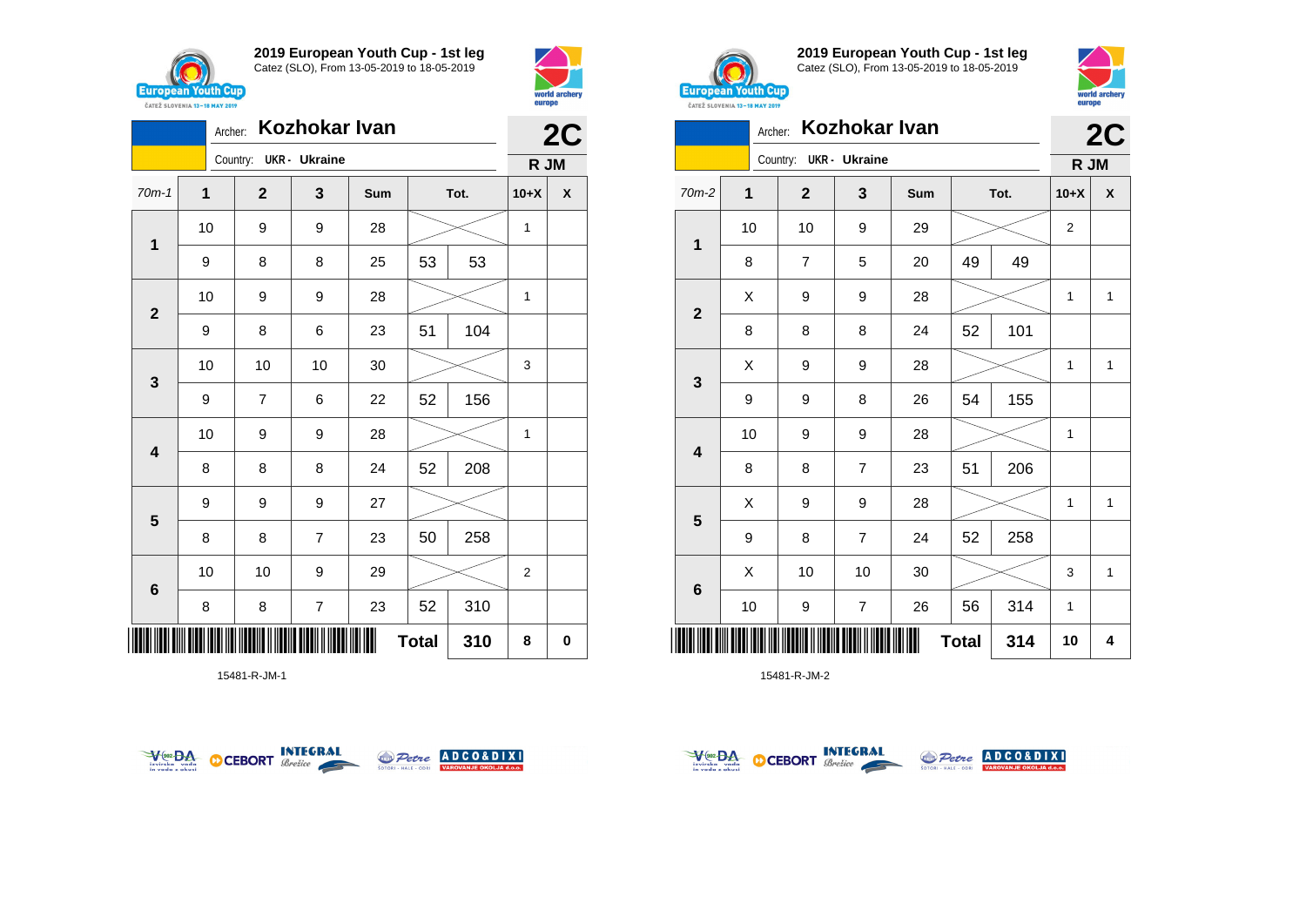

**1**

**2**

**3**

**4**

**5**

**6**

**2019 European Youth Cup - 1st leg** Catez (SLO), From 13-05-2019 to 18-05-2019

70m-1 **1 2 3 Sum Tot. 10+X X**

9 | 8 | 8 | 25 | 53 | 53

9 | 8 | 6 | 23 | 51 | 104

9 | 7 | 6 | 22 | 52 | 156

8 8 8 24 52 208

8 | 8 | 7 | 23 | 50 | 258

8 | 8 | 7 | 23 | 52 | 310

10 | 10 | 9 | 29 |  $>$  | 2

9 9 9 27

10 9 9 28 1

10 | 9 | 9 | 28 |  $\times$  | 1

10 10 10 30 3

10 | 9 | 9 | 28 |  $>$  | 1

Archer: **Kozhokar Ivan**

Country: **UKR - Ukraine**



**2C**

**R JM**



**2019 European Youth Cup - 1st leg** Catez (SLO), From 13-05-2019 to 18-05-2019



|                         | <b>Kozhokar Ivan</b><br>Archer: |                        |                |     |    |      |              |              |  |  |
|-------------------------|---------------------------------|------------------------|----------------|-----|----|------|--------------|--------------|--|--|
|                         |                                 | Country: UKR - Ukraine |                |     |    |      | R JM         | 2C           |  |  |
| $70m-2$                 | 1                               | $\mathbf{2}$           | 3              | Sum |    | Tot. | $10+X$       | X            |  |  |
|                         | 10                              | 10                     | 9              | 29  |    |      | 2            |              |  |  |
| 1                       | 8                               | $\overline{7}$         | 5              | 20  | 49 | 49   |              |              |  |  |
| $\mathbf{2}$            | X                               | 9                      | 9              | 28  |    |      | $\mathbf{1}$ | $\mathbf{1}$ |  |  |
|                         | 8                               | 8                      | 8              | 24  | 52 | 101  |              |              |  |  |
| $\mathbf{3}$            | X                               | 9                      | 9              | 28  |    |      | 1            | $\mathbf{1}$ |  |  |
|                         | 9                               | 9                      | 8              | 26  | 54 | 155  |              |              |  |  |
| $\overline{\mathbf{4}}$ | 10                              | 9                      | 9              | 28  |    |      | 1            |              |  |  |
|                         | 8                               | 8                      | 7              | 23  | 51 | 206  |              |              |  |  |
| 5                       | X                               | 9                      | 9              | 28  |    |      | 1            | $\mathbf{1}$ |  |  |
|                         | 9                               | 8                      | $\overline{7}$ | 24  | 52 | 258  |              |              |  |  |
| 6                       | Χ                               | 10                     | 10             | 30  |    |      | 3            | $\mathbf{1}$ |  |  |
|                         |                                 |                        |                |     |    |      |              |              |  |  |

10 | 9 | 7 | 26 | 56 | 314 | 1

\*15481-R-JM-1\* 15481-R-JM-1  $Total | 310 | 8 | 0$ 





\*15481-R-JM-2\*

15481-R-JM-2



**Total 314 10 4**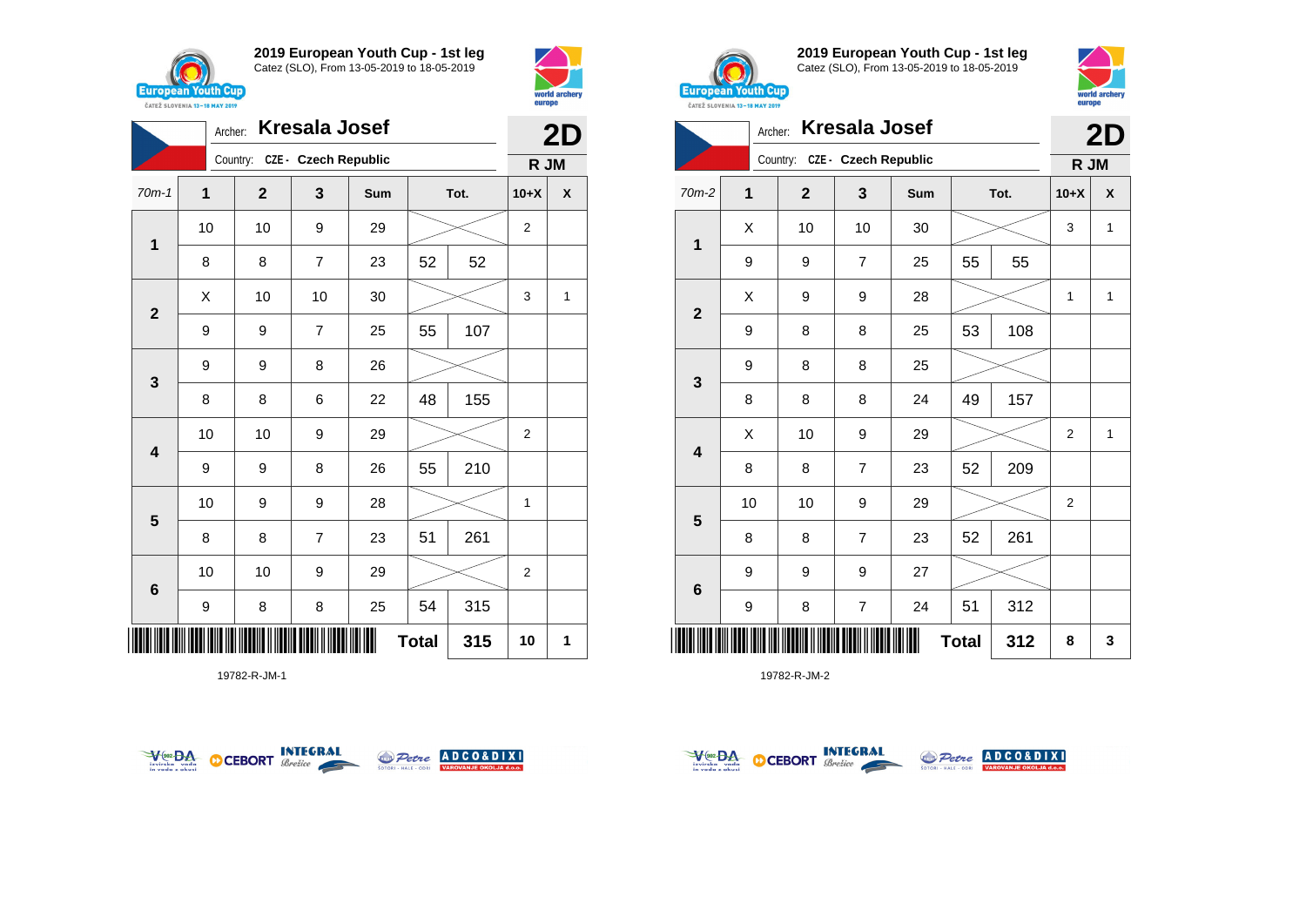



|                         | Archer: |                               | <b>Kresala Josef</b> |     |              |      |                | 2D                 |
|-------------------------|---------|-------------------------------|----------------------|-----|--------------|------|----------------|--------------------|
|                         |         | Country: CZE - Czech Republic |                      |     |              |      | R JM           |                    |
| $70m-1$                 | 1       | $\mathbf{2}$                  | 3                    | Sum |              | Tot. | $10+X$         | $\pmb{\mathsf{X}}$ |
|                         | 10      | 10                            | 9                    | 29  |              |      | $\overline{2}$ |                    |
| 1                       | 8       | 8                             | $\overline{7}$       | 23  | 52           | 52   |                |                    |
| $\mathbf{2}$            | Χ       | 10                            | 10                   | 30  |              |      | 3              | 1                  |
|                         | 9       | 9                             | $\overline{7}$       | 25  | 55           | 107  |                |                    |
| $\mathbf{3}$            | 9       | 9                             | 8                    | 26  |              |      |                |                    |
|                         | 8       | 8                             | 6                    | 22  | 48           | 155  |                |                    |
| $\overline{\mathbf{4}}$ | 10      | 10                            | 9                    | 29  |              |      | $\overline{2}$ |                    |
|                         | 9       | 9                             | 8                    | 26  | 55           | 210  |                |                    |
|                         | 10      | 9                             | 9                    | 28  |              |      | 1              |                    |
| 5                       | 8       | 8                             | $\overline{7}$       | 23  | 51           | 261  |                |                    |
| $\bf 6$                 | 10      | 10                            | 9                    | 29  |              |      | $\overline{2}$ |                    |
|                         | 9       | 8                             | 8                    | 25  | 54           | 315  |                |                    |
|                         |         |                               |                      |     | <b>Total</b> | 315  | 10             | 1                  |

19782-R-JM-1





**2019 European Youth Cup - 1st leg** Catez (SLO), From 13-05-2019 to 18-05-2019



|              | Archer: |                               | <b>Kresala Josef</b> |     |              |      | 2D             |              |
|--------------|---------|-------------------------------|----------------------|-----|--------------|------|----------------|--------------|
|              |         | Country: CZE - Czech Republic |                      |     |              |      | R JM           |              |
| $70m-2$      | 1       | $\mathbf{2}$                  | 3                    | Sum |              | Tot. | $10+X$         | X            |
| $\mathbf{1}$ | X       | 10                            | 10                   | 30  |              |      | 3              | 1            |
|              | 9       | 9                             | $\overline{7}$       | 25  | 55           | 55   |                |              |
| $\mathbf{2}$ | Χ       | 9                             | 9                    | 28  |              |      | 1              | 1            |
|              | 9       | 8                             | 8                    | 25  | 53           | 108  |                |              |
| 3            | 9       | 8                             | 8                    | 25  |              |      |                |              |
|              | 8       | 8                             | 8                    | 24  | 49           | 157  |                |              |
| 4            | Χ       | 10                            | $\boldsymbol{9}$     | 29  |              |      | $\overline{2}$ | $\mathbf{1}$ |
|              | 8       | 8                             | $\overline{7}$       | 23  | 52           | 209  |                |              |
| 5            | 10      | 10                            | $\boldsymbol{9}$     | 29  |              |      | $\overline{2}$ |              |
|              | 8       | 8                             | $\overline{7}$       | 23  | 52           | 261  |                |              |
|              | 9       | 9                             | 9                    | 27  |              |      |                |              |
| 6            | 9       | 8                             | $\overline{7}$       | 24  | 51           | 312  |                |              |
|              |         |                               |                      |     | <b>Total</b> | 312  | 8              | 3            |



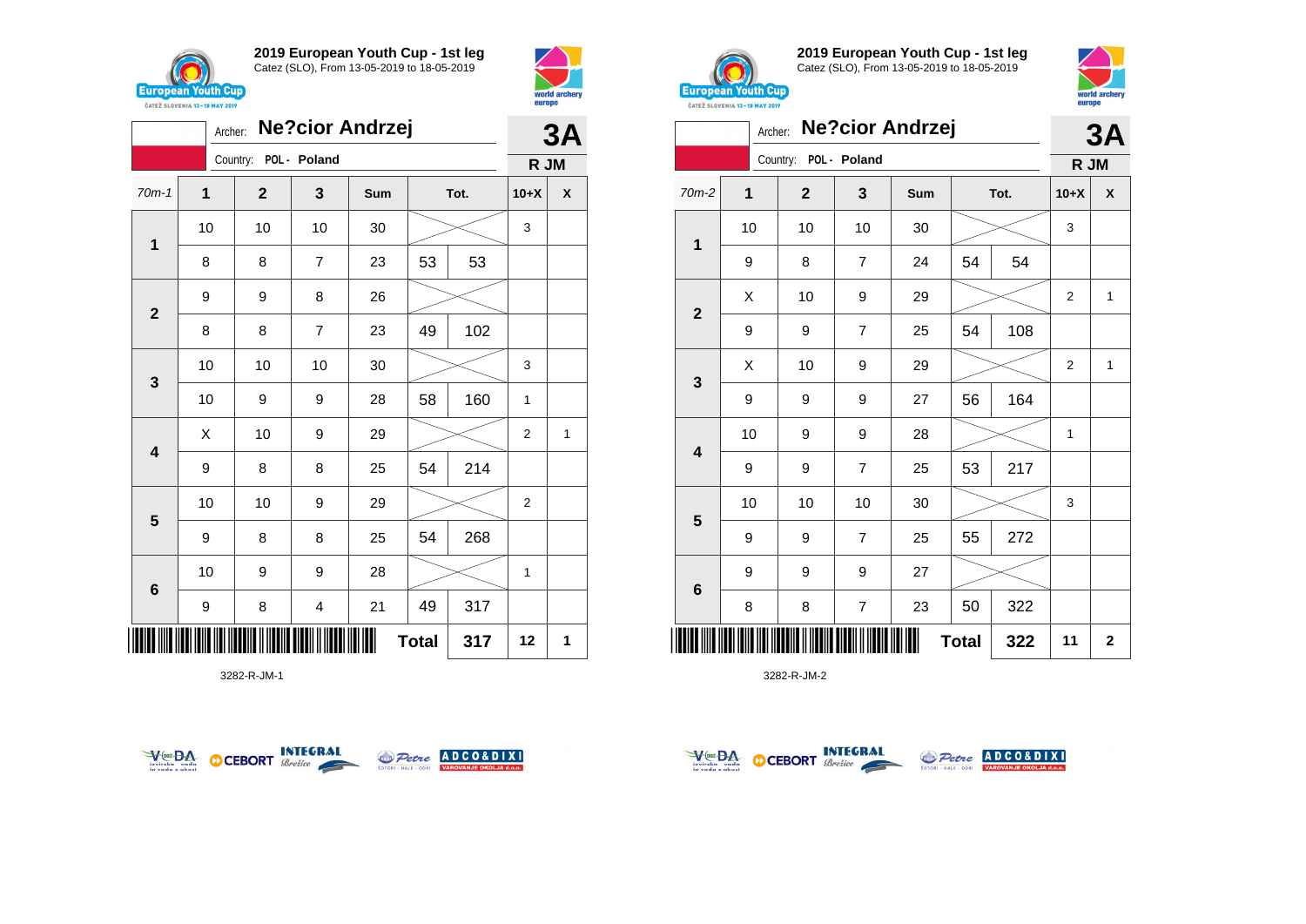

**1**

**2**

**3**

**4**

**5**

**6**

**2019 European Youth Cup - 1st leg** Catez (SLO), From 13-05-2019 to 18-05-2019

70m-1 **1 2 3 Sum Tot. 10+X X**

8 | 8 | 7 | 23 | 53 | 53

8 | 8 | 7 | 23 | 49 | 102

9 | 8 | 8 | 25 | 54 | 214

9 | 8 | 8 | 25 | 54 | 268

9 | 8 | 4 | 21 | 49 | 317

10 10 10 30 3

10 | 9 | 9 | 28 | 58 | 160 | 1

10 | 10 | 9 | 29 |  $>$  | 2

10 | 9 | 9 | 28 |  $\!\!\!\!\!\!\!\!\times$  | 1

 $\textbf{Total}$  317 12 1

 $\begin{array}{|c|c|c|c|c|}\hline \hspace{.1cm}X & \hspace{.1cm} \text{10} & \hspace{.1cm} \text{9} & \hspace{.1cm} \text{29} & \hspace{.1cm} \text{20} & \hspace{.1cm} \text{\large $\times$} & \hspace{.1cm} \text{2} & \hspace{.1cm} \text{1} \end{array}$ 

10 10 10 30 3

Archer: **Ne?cior Andrzej**

Country: **POL - Poland**

9 9 8 26



**3A**

**R JM**



**2019 European Youth Cup - 1st leg** Catez (SLO), From 13-05-2019 to 18-05-2019



|                         | Archer: |              |                | <b>Ne?cior Andrzej</b> |              |      | 3A             |              |
|-------------------------|---------|--------------|----------------|------------------------|--------------|------|----------------|--------------|
|                         |         | Country:     | POL - Poland   |                        |              |      | R JM           |              |
| $70m-2$                 | 1       | $\mathbf{2}$ | 3              | Sum                    |              | Tot. | $10+X$         | X            |
|                         | 10      | 10           | 10             | 30                     |              |      | 3              |              |
| 1                       | 9       | 8            | $\overline{7}$ | 24                     | 54           | 54   |                |              |
| $\mathbf{2}$            | X       | 10           | 9              | 29                     |              |      | $\overline{2}$ | $\mathbf{1}$ |
|                         | 9       | 9            | $\overline{7}$ | 25                     | 54           | 108  |                |              |
|                         | X       | 10           | 9              | 29                     |              |      | $\overline{2}$ | $\mathbf{1}$ |
| 3                       | 9       | 9            | 9              | 27                     | 56           | 164  |                |              |
| 4                       | 10      | 9            | 9              | 28                     |              |      | $\mathbf{1}$   |              |
|                         | 9       | 9            | $\overline{7}$ | 25                     | 53           | 217  |                |              |
|                         | 10      | 10           | 10             | 30                     |              |      | 3              |              |
| $\overline{\mathbf{5}}$ | 9       | 9            | $\overline{7}$ | 25                     | 55           | 272  |                |              |
|                         | 9       | 9            | 9              | 27                     |              |      |                |              |
| $\bf 6$                 | 8       | 8            | $\overline{7}$ | 23                     | 50           | 322  |                |              |
|                         |         |              |                |                        | <b>Total</b> | 322  | 11             | $\mathbf{2}$ |

3282-R-JM-2



\*3282-R-JM-1\*



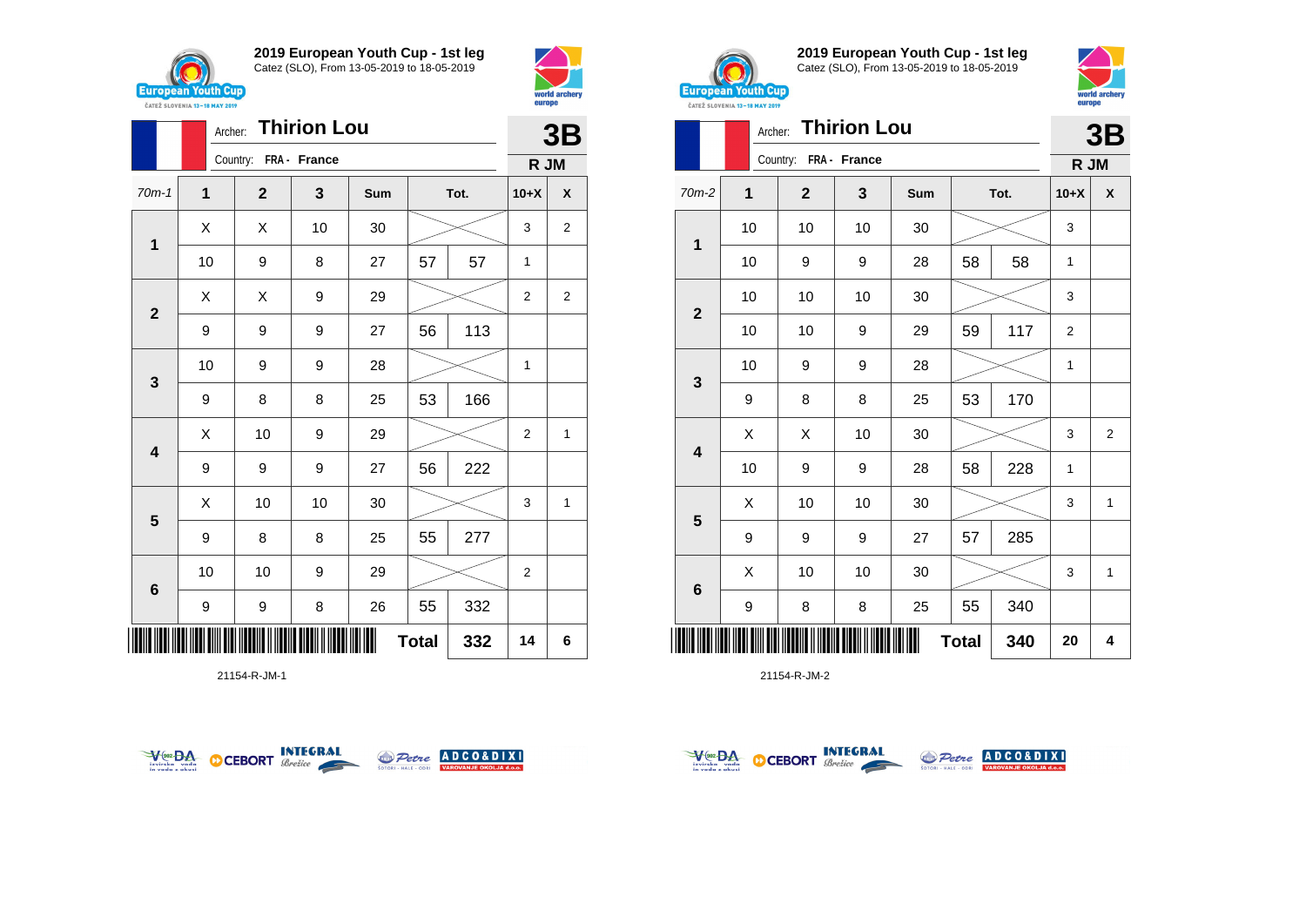

**1**

**2**

**3**

**4**

**5**

**6**

**2019 European Youth Cup - 1st leg** Catez (SLO), From 13-05-2019 to 18-05-2019

70m-1 **1 2 3 Sum Tot. 10+X X**

10 | 9 | 8 | 27 | 57 | 57 | 1

10 | 9 | 9 | 28 |  $\!\!\!\!\!\!\times$  | 1

9 9 9 27 56 113

9 | 8 | 8 | 25 | 53 | 166

9 | 9 | 9 | 27 | 56 | 222

9 | 8 | 8 | 25 | 55 | 277

9 | 9 | 8 | 26 | 55 | 332

10 | 10 | 9 | 29 |  $>$  | 2

 $\begin{array}{|c|c|c|c|c|}\hline \hspace{0.8cm}X & X & 10 & 30 & \nearrow & \ \hline \end{array} \hspace{0.2cm} \begin{array}{|c|c|c|c|c|}\hline \hspace{0.8cm}3 & 3 & 2 \end{array}$ 

 $X \quad | \quad X \quad | \quad 9 \quad | \quad 29 \quad | \quad \textcolor{red}{\textbf{2}} \textcolor{red}{\textbf{2}} \quad | \quad 2 \quad | \quad 2$ 

 $\begin{array}{|c|c|c|c|c|}\hline \hspace{.1cm}X & \hspace{.1cm} \text{10} & \hspace{.1cm} \text{9} & \hspace{.1cm} \text{29} & \hspace{.1cm} \text{20} & \hspace{.1cm} \text{\large $\times$} & \hspace{.1cm} \text{2} & \hspace{.1cm} \text{1} \end{array}$ 

 $\begin{array}{|c|c|c|c|c|}\hline \text{X} & \text{10} & \text{10} & \text{30} & \text{\hspace{1em}}\hline \end{array} \hspace{.2cm} \begin{array}{|c|c|c|c|c|}\hline \text{3} & \text{15} & \text{36} & \text{17} & \text{28} & \text{28} & \text{28} & \text{28} & \text{28} & \text{28} & \text{28} & \text{28} & \text{28} & \text{28} & \text{28} & \text{28} & \text{28} & \text{28} & \text{28$ 

**Total 332 14 6**

Archer: **Thirion Lou**

Country: **FRA - France**



**3B**

**R JM**



**2019 European Youth Cup - 1st leg** Catez (SLO), From 13-05-2019 to 18-05-2019



|                 |                     | Archer:               | <b>Thirion Lou</b> |     |    |      |                | 3B             |
|-----------------|---------------------|-----------------------|--------------------|-----|----|------|----------------|----------------|
|                 |                     | Country: FRA - France |                    |     |    |      | R JM           |                |
| $70m-2$         | 1                   | $\overline{2}$        | 3                  | Sum |    | Tot. | $10+X$         | X              |
|                 | 10                  | 10                    | 10                 | 30  |    |      | 3              |                |
| 1               | 10                  | 9                     | 9                  | 28  | 58 | 58   | 1              |                |
|                 | 10                  | 10                    | 10                 | 30  |    |      | 3              |                |
| $\mathbf{2}$    | 10                  | 10                    | 9                  | 29  | 59 | 117  | $\overline{2}$ |                |
|                 | 10                  | 9                     | 9                  | 28  |    |      | 1              |                |
| $\mathbf{3}$    | 9                   | 8                     | 8                  | 25  | 53 | 170  |                |                |
|                 | X                   | X                     | 10                 | 30  |    |      | 3              | $\overline{2}$ |
| 4               | 10                  | 9                     | 9                  | 28  | 58 | 228  | 1              |                |
|                 | X                   | 10                    | 10                 | 30  |    |      | 3              | $\mathbf{1}$   |
| $5\phantom{1}$  | 9                   | 9                     | 9                  | 27  | 57 | 285  |                |                |
|                 | X                   | 10                    | 10                 | 30  |    |      | 3              | 1              |
| $6\phantom{1}6$ | 9                   | 8                     | 8                  | 25  | 55 | 340  |                |                |
|                 | <b>Total</b><br>340 |                       |                    |     |    |      | 20             | 4              |

21154-R-JM-2

| VeozBA<br>izvirska<br>voda<br>in voda z okusi | <b>CEBORT</b> | INTEGRAL<br>Brežice | <b>SOTORI - HALE - ODRI</b> | Petre ADCO&DIXI<br><b>VAROVANJE OKOLJA d.o.o.</b> |
|-----------------------------------------------|---------------|---------------------|-----------------------------|---------------------------------------------------|

\*21154-R-JM-1\*



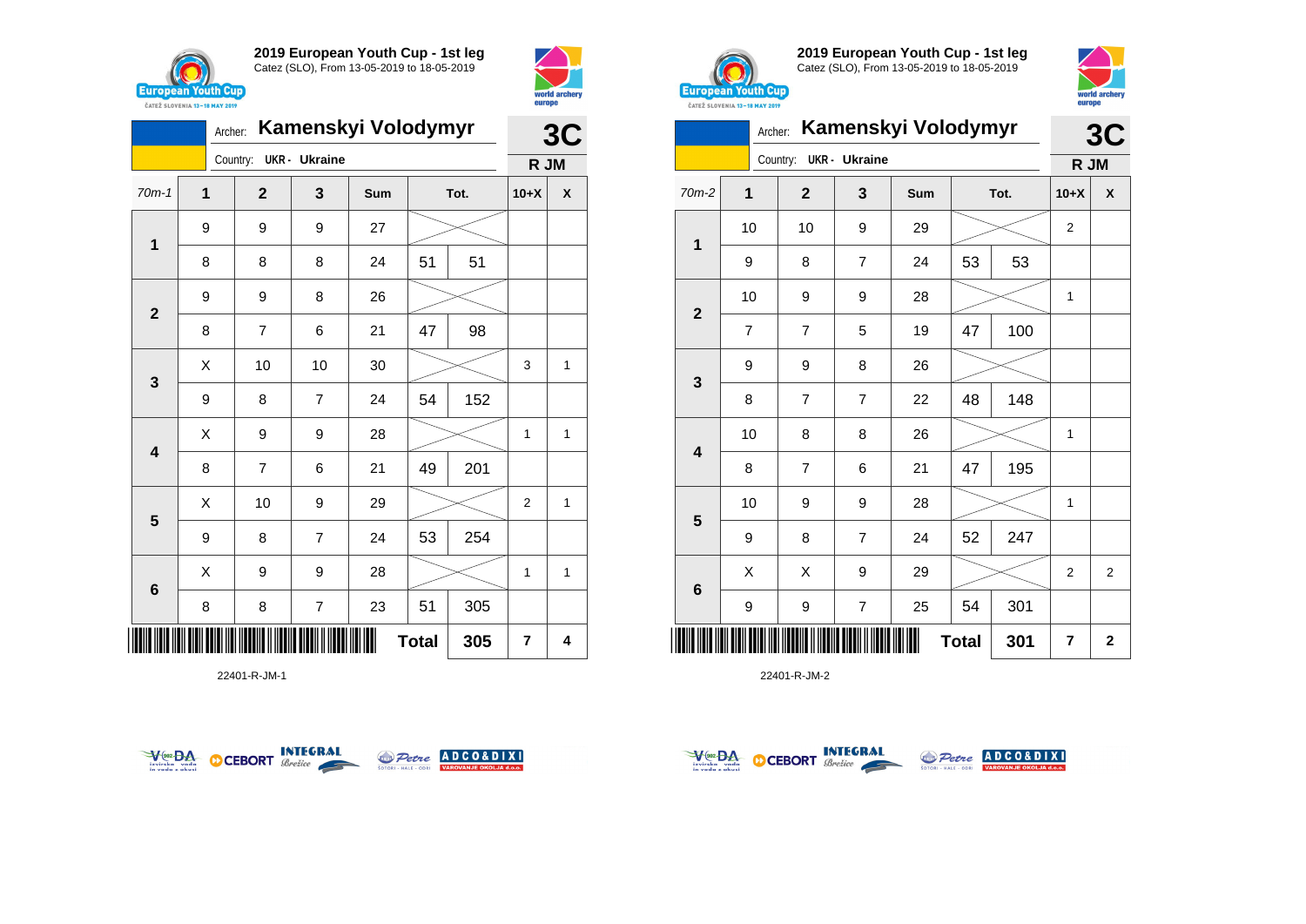



|                         |              | Archer: |                |                         | Kamenskyi Volodymyr |              |      |                | 3C |
|-------------------------|--------------|---------|----------------|-------------------------|---------------------|--------------|------|----------------|----|
|                         |              |         | Country:       | <b>UKR</b> - Ukraine    |                     |              |      | R JM           |    |
| $70m-1$                 | $\mathbf{1}$ |         | $\mathbf{2}$   | 3                       | Sum                 |              | Tot. | $10+X$         | X  |
| 1                       | 9            |         | 9              | 9                       | 27                  |              |      |                |    |
|                         | 8            |         | 8              | 8                       | 24                  | 51           | 51   |                |    |
| $\mathbf{2}$            | 9            |         | 9              | 8                       | 26                  |              |      |                |    |
|                         | 8            |         | 7              | 6                       | 21                  | 47           | 98   |                |    |
| $\mathbf{3}$            | X            |         | 10             | 10                      | 30                  |              |      | 3              | 1  |
|                         | 9            |         | 8              | $\overline{7}$          | 24                  | 54           | 152  |                |    |
| $\overline{\mathbf{4}}$ | X            |         | 9              | 9                       | 28                  |              |      | $\mathbf{1}$   | 1  |
|                         | 8            |         | $\overline{7}$ | 6                       | 21                  | 49           | 201  |                |    |
| 5                       | X            |         | 10             | 9                       | 29                  |              |      | 2              | 1  |
|                         | 9            |         | 8              | $\overline{7}$          | 24                  | 53           | 254  |                |    |
| $6\phantom{1}6$         | Χ            |         | 9              | 9                       | 28                  |              |      | 1              | 1  |
|                         | 8            |         | 8              | $\overline{\mathbf{7}}$ | 23                  | 51           | 305  |                |    |
| ║║║                     |              |         |                |                         |                     | <b>Total</b> | 305  | $\overline{7}$ | 4  |

22401-R-JM-1





**2019 European Youth Cup - 1st leg** Catez (SLO), From 13-05-2019 to 18-05-2019



|                         | Archer:        |                |                      | <b>Kamenskyi Volodymyr</b> |              |      | 3C             |                |
|-------------------------|----------------|----------------|----------------------|----------------------------|--------------|------|----------------|----------------|
|                         |                | Country:       | <b>UKR</b> - Ukraine |                            |              |      | R JM           |                |
| 70m-2                   | 1              | $\overline{2}$ | 3                    | Sum                        |              | Tot. | $10+X$         | X              |
| 1                       | 10             | 10             | 9                    | 29                         |              |      | $\overline{2}$ |                |
|                         | 9              | 8              | 7                    | 24                         | 53           | 53   |                |                |
| $\mathbf{2}$            | 10             | 9              | 9                    | 28                         |              |      | 1              |                |
|                         | $\overline{7}$ | $\overline{7}$ | 5                    | 19                         | 47           | 100  |                |                |
|                         | 9              | 9              | 8                    | 26                         |              |      |                |                |
| $\mathbf{3}$            | 8              | 7              | 7                    | 22                         | 48           | 148  |                |                |
| $\overline{\mathbf{4}}$ | 10             | 8              | 8                    | 26                         |              |      | 1              |                |
|                         | 8              | $\overline{7}$ | 6                    | 21                         | 47           | 195  |                |                |
| $\overline{\mathbf{5}}$ | 10             | 9              | 9                    | 28                         |              |      | 1              |                |
|                         | 9              | 8              | 7                    | 24                         | 52           | 247  |                |                |
|                         | Χ              | X              | 9                    | 29                         |              |      | $\overline{2}$ | $\overline{2}$ |
| $\bf 6$                 | 9              | 9              | $\overline{7}$       | 25                         | 54           | 301  |                |                |
| Ш                       |                |                |                      |                            | <b>Total</b> | 301  | 7              | $\mathbf 2$    |



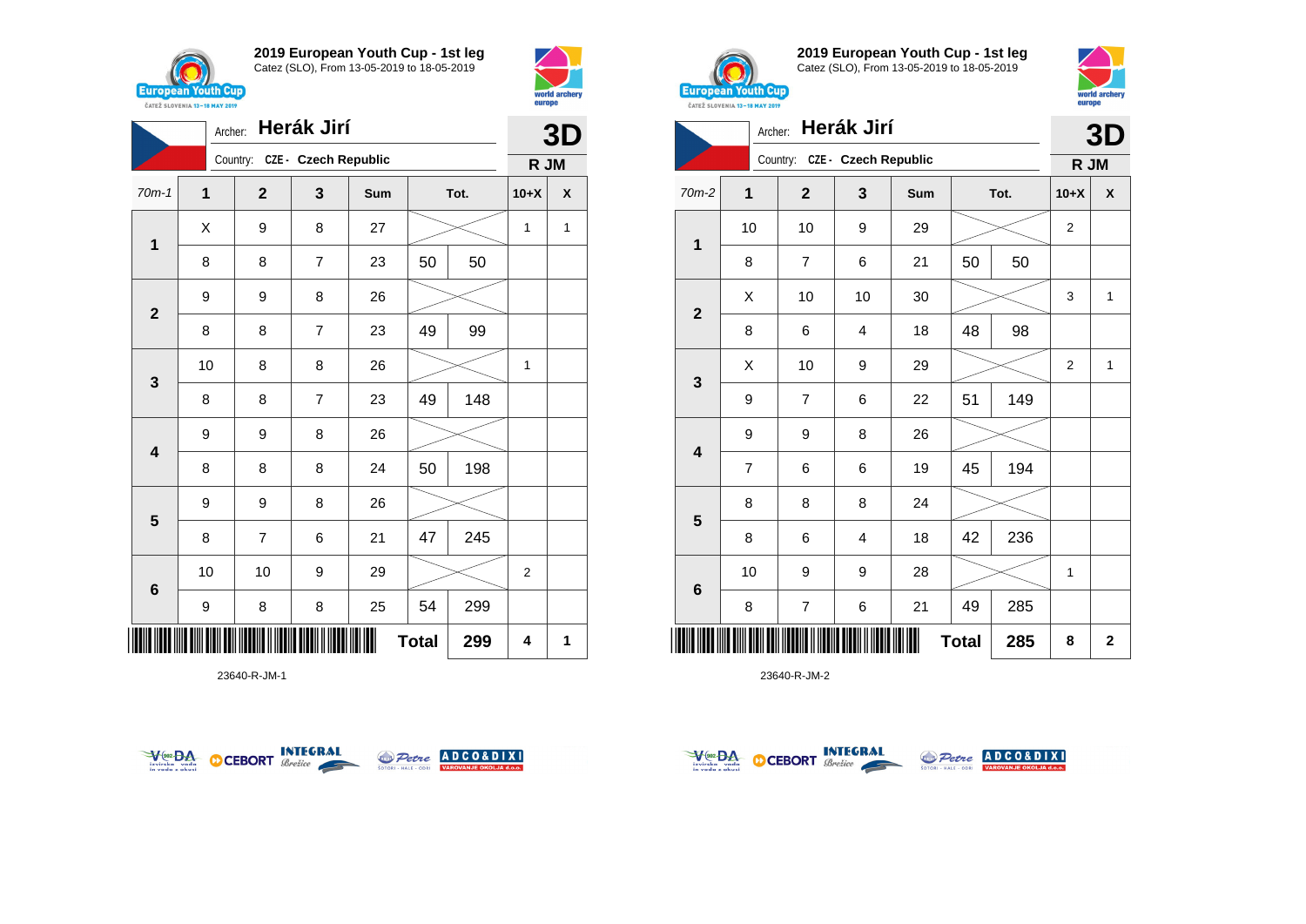

**1**

**2**

**3**

**4**

**5**

**6**

**2019 European Youth Cup - 1st leg** Catez (SLO), From 13-05-2019 to 18-05-2019

70m-1 **1 2 3 Sum Tot. 10+X X**

8 | 8 | 7 | 23 | 50 | 50

8 8 7 23 49 99

8 | 8 | 7 | 23 | 49 | 148

8 | 8 | 8 | 24 | 50 | 198

8 | 7 | 6 | 21 | 47 | 245

9 | 8 | 8 | 25 | 54 | 299

10 | 10 | 9 | 29 |  $>$  | 2

10 | 8 | 8 | 26 |  $\!\!\!\!\!\!\times$  | 1

 $X$  | 9 | 8 | 27 |  $\cancel{\sim}$  | 1 | 1



Country: **CZE - Czech Republic**

9 9 8 26

9 9 8 26

9 9 8 26



**3D**

**R JM**



**2019 European Youth Cup - 1st leg** Catez (SLO), From 13-05-2019 to 18-05-2019



|                         | Archer:        |                         | Herák Jirí                    |     |              |      |                | 3D           |
|-------------------------|----------------|-------------------------|-------------------------------|-----|--------------|------|----------------|--------------|
|                         |                |                         | Country: CZE - Czech Republic |     |              |      | R JM           |              |
| 70m-2                   | 1              | $\overline{2}$          | 3                             | Sum |              | Tot. | $10+X$         | X            |
| 1                       | 10             | 10                      | 9                             | 29  |              |      | $\overline{2}$ |              |
|                         | 8              | $\overline{7}$          | 6                             | 21  | 50           | 50   |                |              |
| $\overline{\mathbf{2}}$ | X              | 10                      | 10                            | 30  |              |      | 3              | 1            |
|                         | 8              | 6                       | $\overline{4}$                | 18  | 48           | 98   |                |              |
| $\mathbf{3}$            | X              | 10                      | 9                             | 29  |              |      | 2              | 1            |
|                         | 9              | $\overline{7}$          | 6                             | 22  | 51           | 149  |                |              |
| $\overline{\mathbf{4}}$ | 9              | 9                       | 8                             | 26  |              |      |                |              |
|                         | $\overline{7}$ | 6                       | 6                             | 19  | 45           | 194  |                |              |
| 5                       | 8              | 8                       | 8                             | 24  |              |      |                |              |
|                         | 8              | 6                       | 4                             | 18  | 42           | 236  |                |              |
|                         | 10             | 9                       | 9                             | 28  |              |      | 1              |              |
| 6                       | 8              | $\overline{\mathbf{7}}$ | 6                             | 21  | 49           | 285  |                |              |
|                         |                |                         |                               |     | <b>Total</b> | 285  | 8              | $\mathbf{2}$ |

23640-R-JM-2



\*23640-R-JM-1\*

23640-R-JM-1



**Total** 299  $\begin{array}{|c|c|c|c|c|} 4 & 1 \end{array}$ 



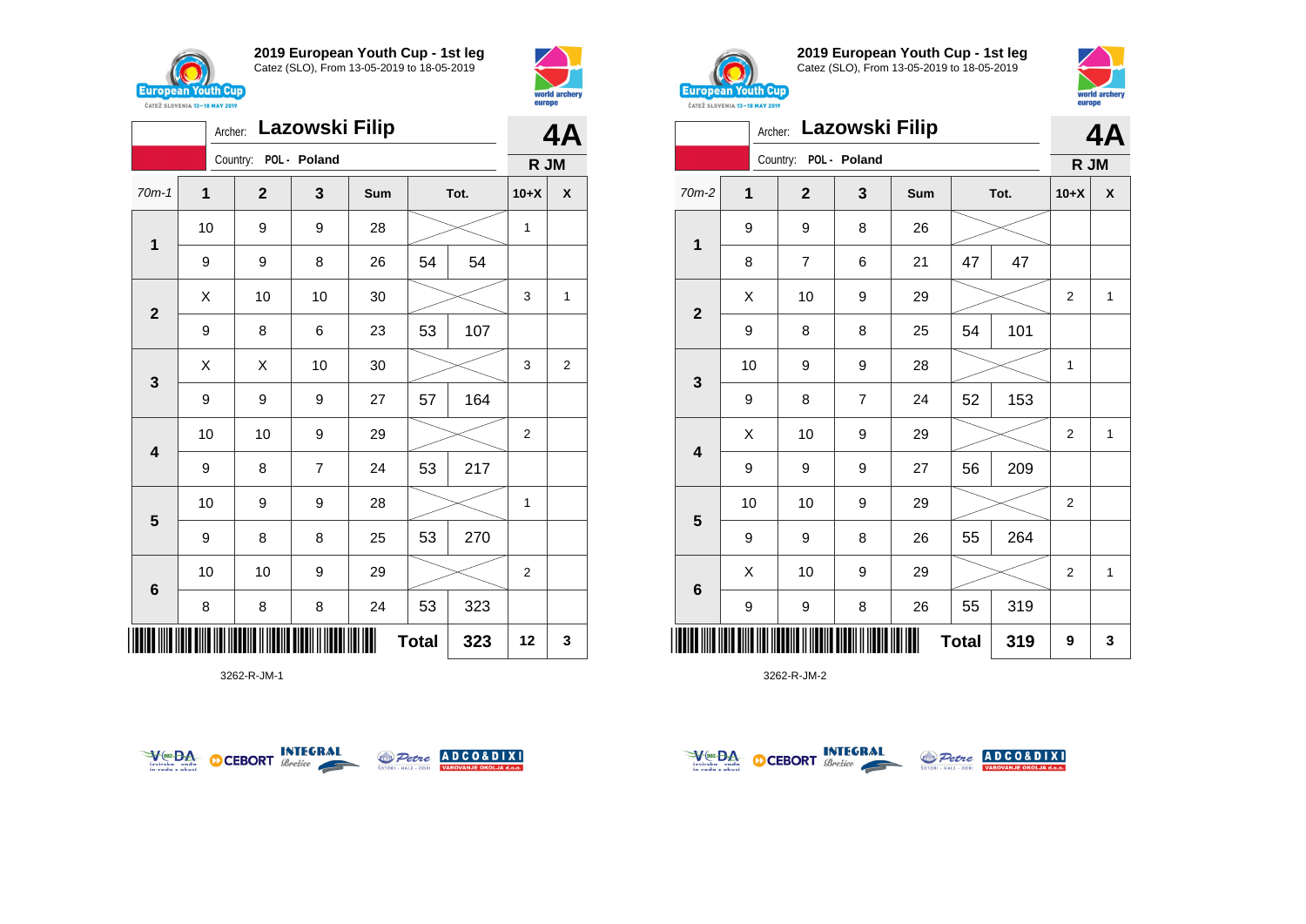



|                         | Archer: |                       | Lazowski Filip |     |              |      |                | 4A             |
|-------------------------|---------|-----------------------|----------------|-----|--------------|------|----------------|----------------|
|                         |         | Country: POL - Poland |                |     |              |      | R JM           |                |
| $70m-1$                 | 1       | $\overline{2}$        | 3              | Sum |              | Tot. | $10+X$         | X              |
| 1                       | 10      | 9                     | 9              | 28  |              |      | 1              |                |
|                         | 9       | 9                     | 8              | 26  | 54           | 54   |                |                |
|                         | X       | 10                    | 10             | 30  |              |      | 3              | 1              |
| $\mathbf{2}$            | 9       | 8                     | 6              | 23  | 53           | 107  |                |                |
| $\mathbf{3}$            | X       | X                     | 10             | 30  |              |      | 3              | $\overline{2}$ |
|                         | 9       | 9                     | 9              | 27  | 57           | 164  |                |                |
| $\overline{\mathbf{4}}$ | 10      | 10                    | 9              | 29  |              |      | $\overline{2}$ |                |
|                         | 9       | 8                     | $\overline{7}$ | 24  | 53           | 217  |                |                |
|                         | 10      | 9                     | 9              | 28  |              |      | 1              |                |
| 5                       | 9       | 8                     | 8              | 25  | 53           | 270  |                |                |
| $6\phantom{1}6$         | 10      | 10                    | 9              | 29  |              |      | $\overline{2}$ |                |
|                         | 8       | 8                     | 8              | 24  | 53           | 323  |                |                |
| IIIII                   |         |                       |                |     | <b>Total</b> | 323  | 12             | 3              |

3262-R-JM-1





**2019 European Youth Cup - 1st leg** Catez (SLO), From 13-05-2019 to 18-05-2019



|              | Archer:        |                | Lazowski Filip |     |              |      |                | 4A           |
|--------------|----------------|----------------|----------------|-----|--------------|------|----------------|--------------|
|              |                | Country:       | POL - Poland   |     |              |      | R JM           |              |
| 70m-2        | $\overline{1}$ | $\mathbf{2}$   | 3              | Sum |              | Tot. | $10+X$         | X            |
| $\mathbf 1$  | 9              | 9              | 8              | 26  |              |      |                |              |
|              | 8              | $\overline{7}$ | 6              | 21  | 47           | 47   |                |              |
| $\mathbf{2}$ | Χ              | 10             | 9              | 29  |              |      | 2              | $\mathbf{1}$ |
|              | 9              | 8              | 8              | 25  | 54           | 101  |                |              |
|              | 10             | 9              | 9              | 28  |              |      | 1              |              |
| 3            | 9              | 8              | $\overline{7}$ | 24  | 52           | 153  |                |              |
| 4            | Χ              | 10             | 9              | 29  |              |      | $\overline{2}$ | $\mathbf{1}$ |
|              | 9              | 9              | 9              | 27  | 56           | 209  |                |              |
|              | 10             | 10             | 9              | 29  |              |      | $\overline{2}$ |              |
| 5            | 9              | 9              | 8              | 26  | 55           | 264  |                |              |
|              | Χ              | 10             | 9              | 29  |              |      | 2              | 1            |
| 6            | 9              | 9              | 8              | 26  | 55           | 319  |                |              |
|              |                |                |                |     | <b>Total</b> | 319  | 9              | 3            |



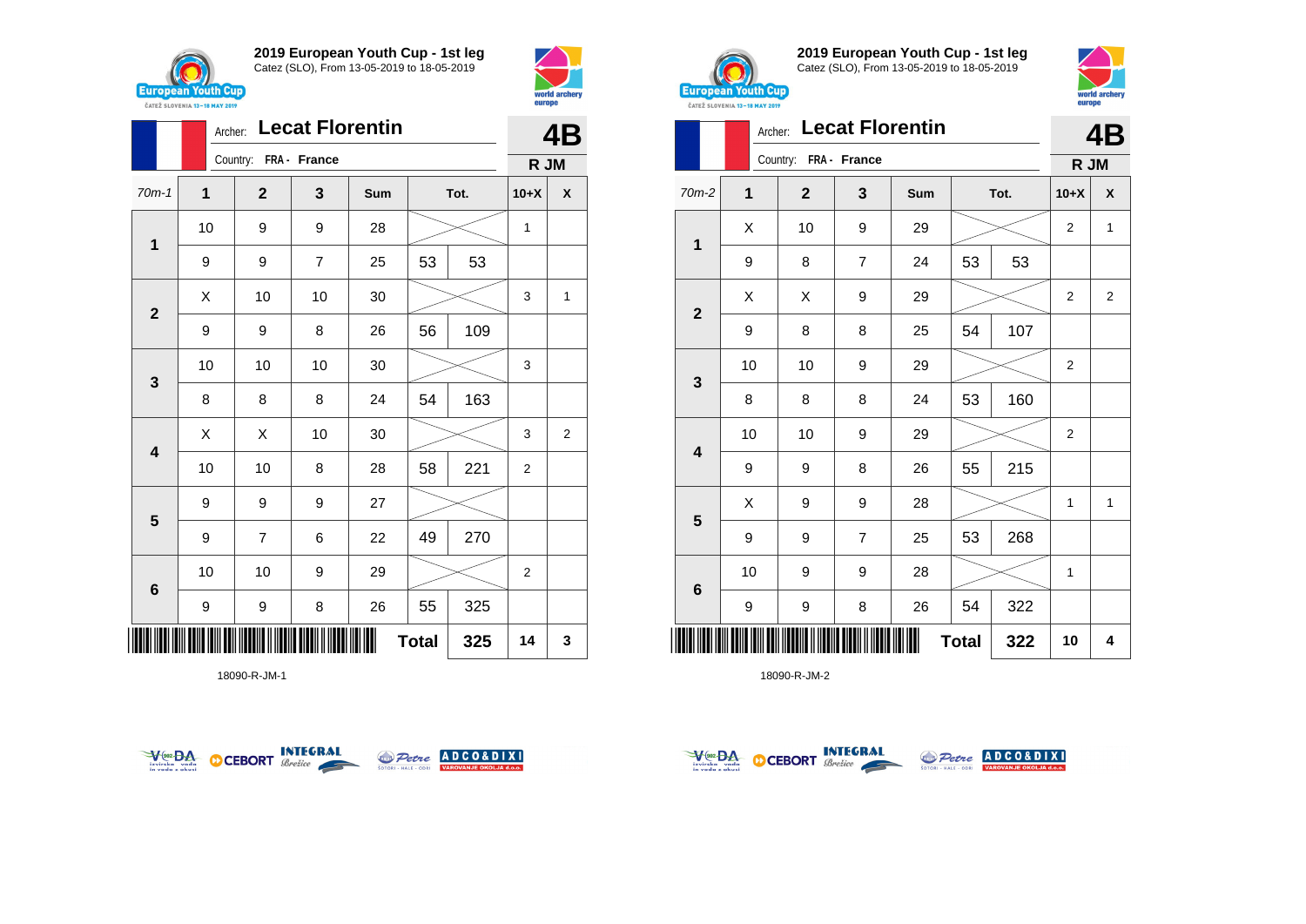



|                         |    | Archer: |                       | <b>Lecat Florentin</b> |     |              |      |                | <b>4B</b> |
|-------------------------|----|---------|-----------------------|------------------------|-----|--------------|------|----------------|-----------|
|                         |    |         | Country: FRA - France |                        |     |              |      | R JM           |           |
| $70m-1$                 | 1  |         | $\mathbf{2}$          | 3                      | Sum |              | Tot. | $10+X$         | χ         |
| $\mathbf 1$             | 10 |         | 9                     | 9                      | 28  |              |      | 1              |           |
|                         | 9  |         | 9                     | $\overline{7}$         | 25  | 53           | 53   |                |           |
| $\mathbf{2}$            | Χ  |         | 10                    | 10                     | 30  |              |      | 3              | 1         |
|                         | 9  |         | 9                     | 8                      | 26  | 56           | 109  |                |           |
| $\mathbf{3}$            | 10 |         | 10                    | 10                     | 30  |              |      | 3              |           |
|                         | 8  |         | 8                     | 8                      | 24  | 54           | 163  |                |           |
| $\overline{\mathbf{4}}$ | X  |         | X                     | 10                     | 30  |              |      | 3              | 2         |
|                         | 10 |         | 10                    | 8                      | 28  | 58           | 221  | $\overline{2}$ |           |
| $\overline{\mathbf{5}}$ | 9  |         | 9                     | 9                      | 27  |              |      |                |           |
|                         | 9  |         | $\overline{7}$        | 6                      | 22  | 49           | 270  |                |           |
| $\bf 6$                 | 10 |         | 10                    | 9                      | 29  |              |      | $\overline{2}$ |           |
|                         | 9  |         | 9                     | 8                      | 26  | 55           | 325  |                |           |
| IIII                    |    |         |                       |                        |     | <b>Total</b> | 325  | 14             | 3         |

18090-R-JM-1





**2019 European Youth Cup - 1st leg** Catez (SLO), From 13-05-2019 to 18-05-2019



|              | Archer:      |                       |                | <b>Lecat Florentin</b> |              |      |              | 4B             |
|--------------|--------------|-----------------------|----------------|------------------------|--------------|------|--------------|----------------|
|              |              | Country: FRA - France |                |                        |              |      | R JM         |                |
| 70m-2        | $\mathbf{1}$ | $\overline{2}$        | 3              | Sum                    |              | Tot. | $10+X$       | X              |
|              | X            | 10                    | 9              | 29                     |              |      | 2            | 1              |
| 1            | 9            | 8                     | 7              | 24                     | 53           | 53   |              |                |
|              | X            | X                     | 9              | 29                     |              |      | 2            | $\overline{2}$ |
| $\mathbf{2}$ | 9            | 8                     | 8              | 25                     | 54           | 107  |              |                |
|              | 10           | 10                    | 9              | 29                     |              |      | 2            |                |
| 3            | 8            | 8                     | 8              | 24                     | 53           | 160  |              |                |
|              | 10           | 10                    | 9              | 29                     |              |      | 2            |                |
| 4            | 9            | 9                     | 8              | 26                     | 55           | 215  |              |                |
|              | Χ            | 9                     | 9              | 28                     |              |      | $\mathbf{1}$ | 1              |
| 5            | 9            | 9                     | $\overline{7}$ | 25                     | 53           | 268  |              |                |
|              | 10           | 9                     | 9              | 28                     |              |      | 1            |                |
| 6            | 9            | 9                     | 8              | 26                     | 54           | 322  |              |                |
|              |              |                       |                |                        | <b>Total</b> | 322  | 10           | 4              |



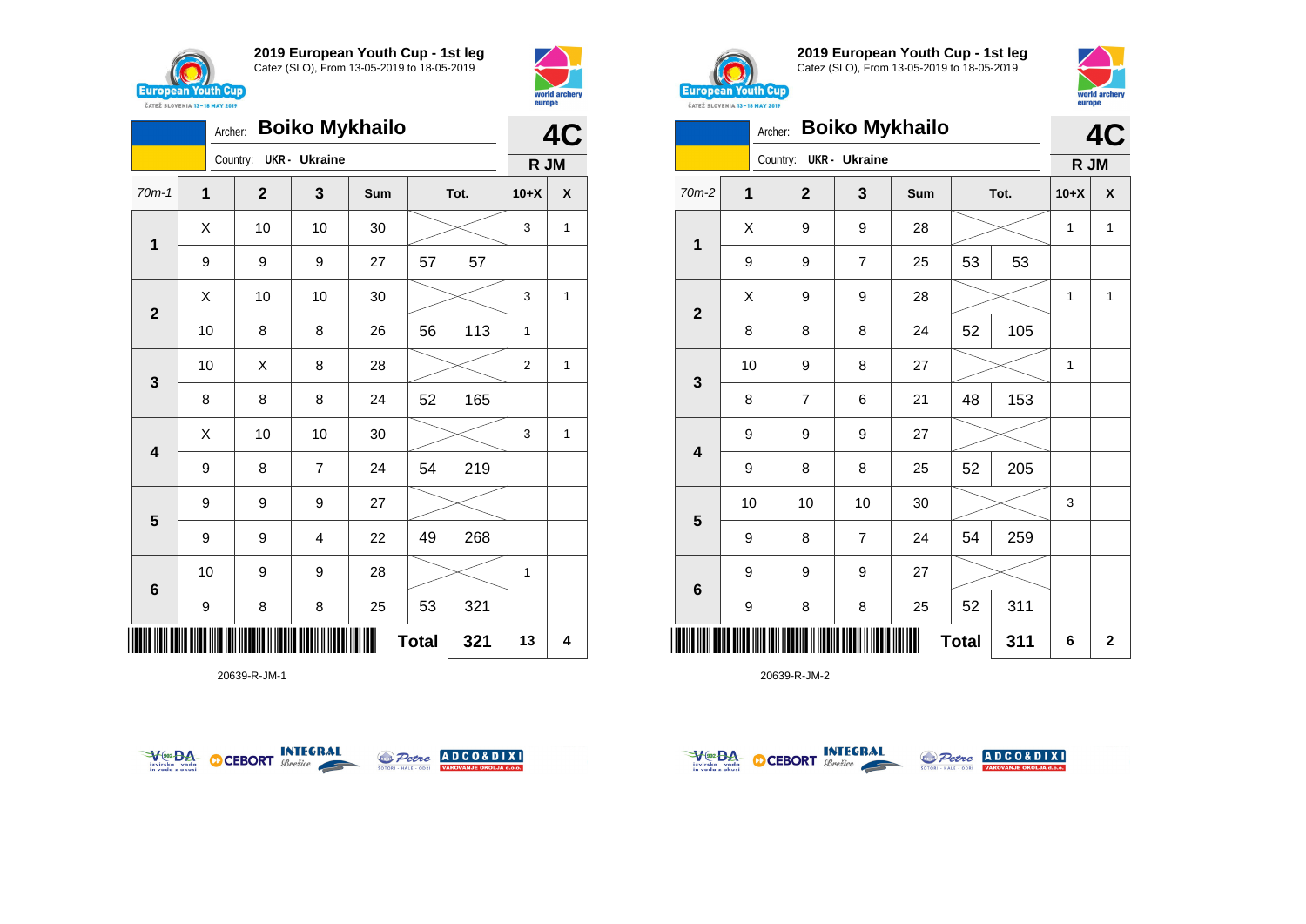



|                         |             |              |                      | 4C  |              |      |                |   |
|-------------------------|-------------|--------------|----------------------|-----|--------------|------|----------------|---|
|                         |             | Country:     | <b>UKR</b> - Ukraine |     |              |      | R JM           |   |
| $70m-1$                 | $\mathbf 1$ | $\mathbf{2}$ | 3                    | Sum |              | Tot. | $10+X$         | X |
| $\mathbf 1$             | X           | 10           | 10                   | 30  |              |      | 3              | 1 |
|                         | 9           | 9            | 9                    | 27  | 57           | 57   |                |   |
| $\overline{2}$          | X           | 10           | 10                   | 30  |              |      | 3              | 1 |
|                         | 10          | 8            | 8                    | 26  | 56           | 113  | 1              |   |
| $\mathbf{3}$            | 10          | Χ            | 8                    | 28  |              |      | $\overline{2}$ | 1 |
|                         | 8           | 8            | 8                    | 24  | 52           | 165  |                |   |
| $\overline{\mathbf{4}}$ | Χ           | 10           | 10                   | 30  |              |      | 3              | 1 |
|                         | 9           | 8            | $\overline{7}$       | 24  | 54           | 219  |                |   |
| 5                       | 9           | 9            | 9                    | 27  |              |      |                |   |
|                         | 9           | 9            | 4                    | 22  | 49           | 268  |                |   |
| $6\phantom{1}6$         | 10          | 9            | 9                    | 28  |              |      | 1              |   |
|                         | 9           | 8            | 8                    | 25  | 53           | 321  |                |   |
| IIIII                   |             |              |                      |     | <b>Total</b> | 321  | 13             | 4 |

20639-R-JM-1





**2019 European Youth Cup - 1st leg** Catez (SLO), From 13-05-2019 to 18-05-2019



|              | Archer:     |              |                      | <b>Boiko Mykhailo</b> |              |      |        | 4C                      |
|--------------|-------------|--------------|----------------------|-----------------------|--------------|------|--------|-------------------------|
|              |             | Country:     | <b>UKR</b> - Ukraine |                       |              |      | R JM   |                         |
| 70m-2        | $\mathbf 1$ | $\mathbf{2}$ | 3                    | Sum                   |              | Tot. | $10+X$ | X                       |
| 1            | X           | 9            | 9                    | 28                    |              |      | 1      | 1                       |
|              | 9           | 9            | $\overline{7}$       | 25                    | 53           | 53   |        |                         |
| $\mathbf{2}$ | X           | 9            | 9                    | 28                    |              |      | 1      | $\mathbf{1}$            |
|              | 8           | 8            | 8                    | 24                    | 52           | 105  |        |                         |
| 3            | 10          | 9            | 8                    | 27                    |              |      | 1      |                         |
|              | 8           | 7            | 6                    | 21                    | 48           | 153  |        |                         |
| 4            | 9           | 9            | 9                    | 27                    |              |      |        |                         |
|              | 9           | 8            | 8                    | 25                    | 52           | 205  |        |                         |
| 5            | 10          | 10           | 10                   | 30                    |              |      | 3      |                         |
|              | 9           | 8            | $\overline{7}$       | 24                    | 54           | 259  |        |                         |
| 6            | 9           | 9            | 9                    | 27                    |              |      |        |                         |
|              | 9           | 8            | 8                    | 25                    | 52           | 311  |        |                         |
| II           |             |              |                      |                       | <b>Total</b> | 311  | 6      | $\overline{\mathbf{2}}$ |



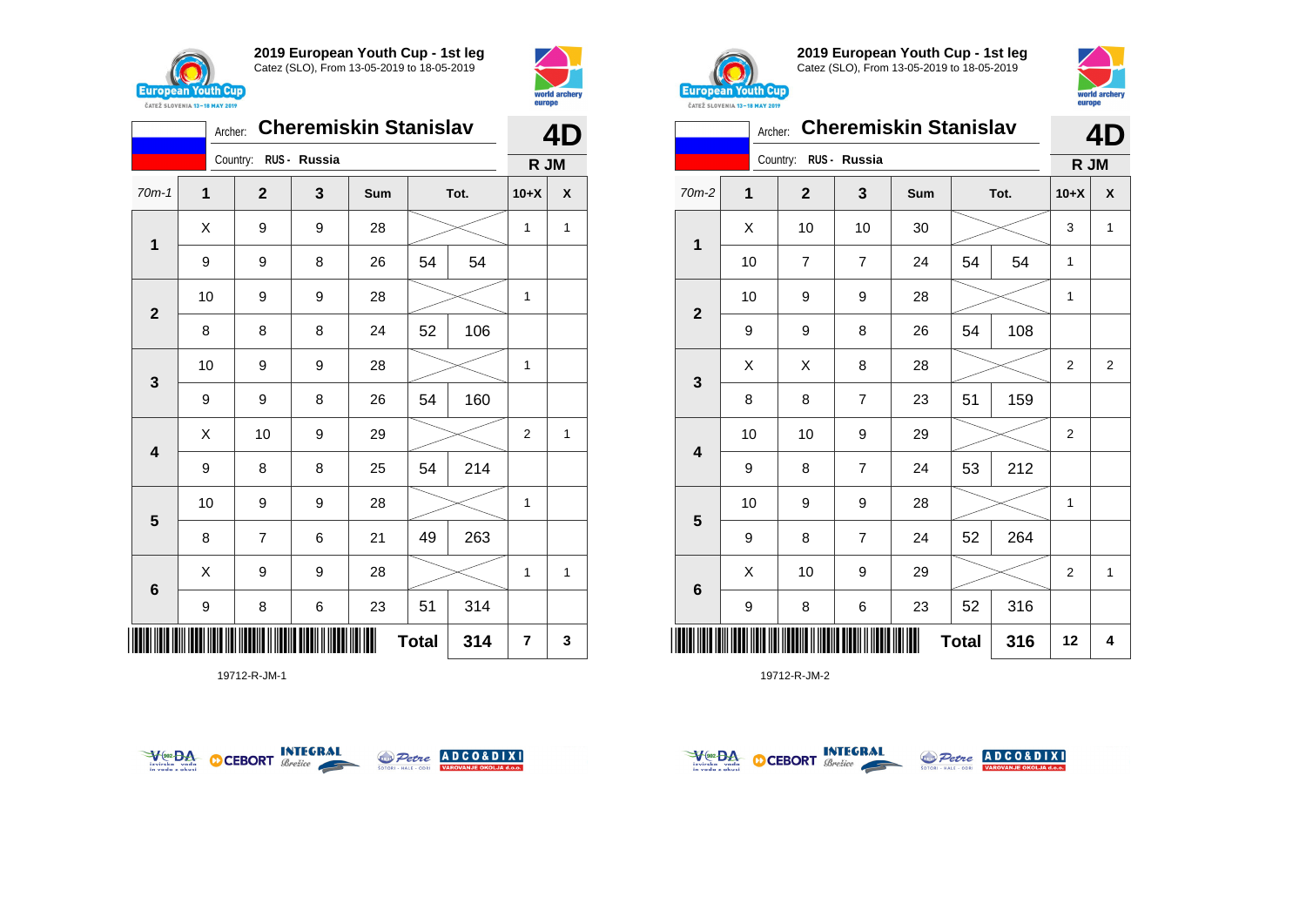



|                         | Archer: |                |              | <b>Cheremiskin Stanislav</b> |              |      | 4              |   |  |
|-------------------------|---------|----------------|--------------|------------------------------|--------------|------|----------------|---|--|
|                         |         | Country:       | RUS - Russia |                              |              |      | R JM           |   |  |
| $70m-1$                 | 1       | $\mathbf{2}$   | 3            | Sum                          |              | Tot. | $10+X$         | X |  |
| 1                       | X       | 9              | 9            | 28                           |              |      | 1              | 1 |  |
|                         | 9       | 9              | 8            | 26                           | 54           | 54   |                |   |  |
| $\overline{\mathbf{2}}$ | 10      | 9              | 9            | 28                           |              |      | 1              |   |  |
|                         | 8       | 8              | 8            | 24                           | 52           | 106  |                |   |  |
| 3                       | 10      | 9              | 9            | 28                           |              |      | 1              |   |  |
|                         | 9       | 9              | 8            | 26                           | 54           | 160  |                |   |  |
| $\overline{\mathbf{4}}$ | X       | 10             | 9            | 29                           |              |      | $\overline{2}$ | 1 |  |
|                         | 9       | 8              | 8            | 25                           | 54           | 214  |                |   |  |
| 5                       | 10      | 9              | 9            | 28                           |              |      | 1              |   |  |
|                         | 8       | $\overline{7}$ | 6            | 21                           | 49           | 263  |                |   |  |
| 6                       | X       | 9              | 9            | 28                           |              |      | 1              | 1 |  |
|                         | 9       | 8              | 6            | 23                           | 51           | 314  |                |   |  |
|                         |         |                |              |                              | <b>Total</b> | 314  | $\overline{7}$ | 3 |  |

19712-R-JM-1





**2019 European Youth Cup - 1st leg** Catez (SLO), From 13-05-2019 to 18-05-2019



|                | Archer: |                |                | <b>Cheremiskin Stanislav</b> |              |      |                | 4D             |  |
|----------------|---------|----------------|----------------|------------------------------|--------------|------|----------------|----------------|--|
|                |         | Country:       | RUS - Russia   |                              |              |      | R JM           |                |  |
| 70m-2          | 1       | $\overline{2}$ | 3              | Sum                          |              | Tot. | $10+X$         | X              |  |
| 1              | X       | 10             | 10             | 30                           |              |      | 3              | 1              |  |
|                | 10      | $\overline{7}$ | $\overline{7}$ | 24                           | 54           | 54   | 1              |                |  |
| $\overline{2}$ | 10      | 9              | 9              | 28                           |              |      | 1              |                |  |
|                | 9       | 9              | 8              | 26                           | 54           | 108  |                |                |  |
|                | Χ       | Χ              | 8              | 28                           |              |      | 2              | $\overline{2}$ |  |
| 3              | 8       | 8              | $\overline{7}$ | 23                           | 51           | 159  |                |                |  |
|                | 10      | 10             | 9              | 29                           |              |      | $\overline{2}$ |                |  |
| 4              | 9       | 8              | $\overline{7}$ | 24                           | 53           | 212  |                |                |  |
|                | 10      | 9              | 9              | 28                           |              |      | 1              |                |  |
| 5              | 9       | 8              | $\overline{7}$ | 24                           | 52           | 264  |                |                |  |
|                | X       | 10             | 9              | 29                           |              |      | $\overline{2}$ | $\mathbf{1}$   |  |
| $\bf 6$        | 9       | 8              | 6              | 23                           | 52           | 316  |                |                |  |
|                |         |                |                |                              | <b>Total</b> | 316  | 12             | 4              |  |



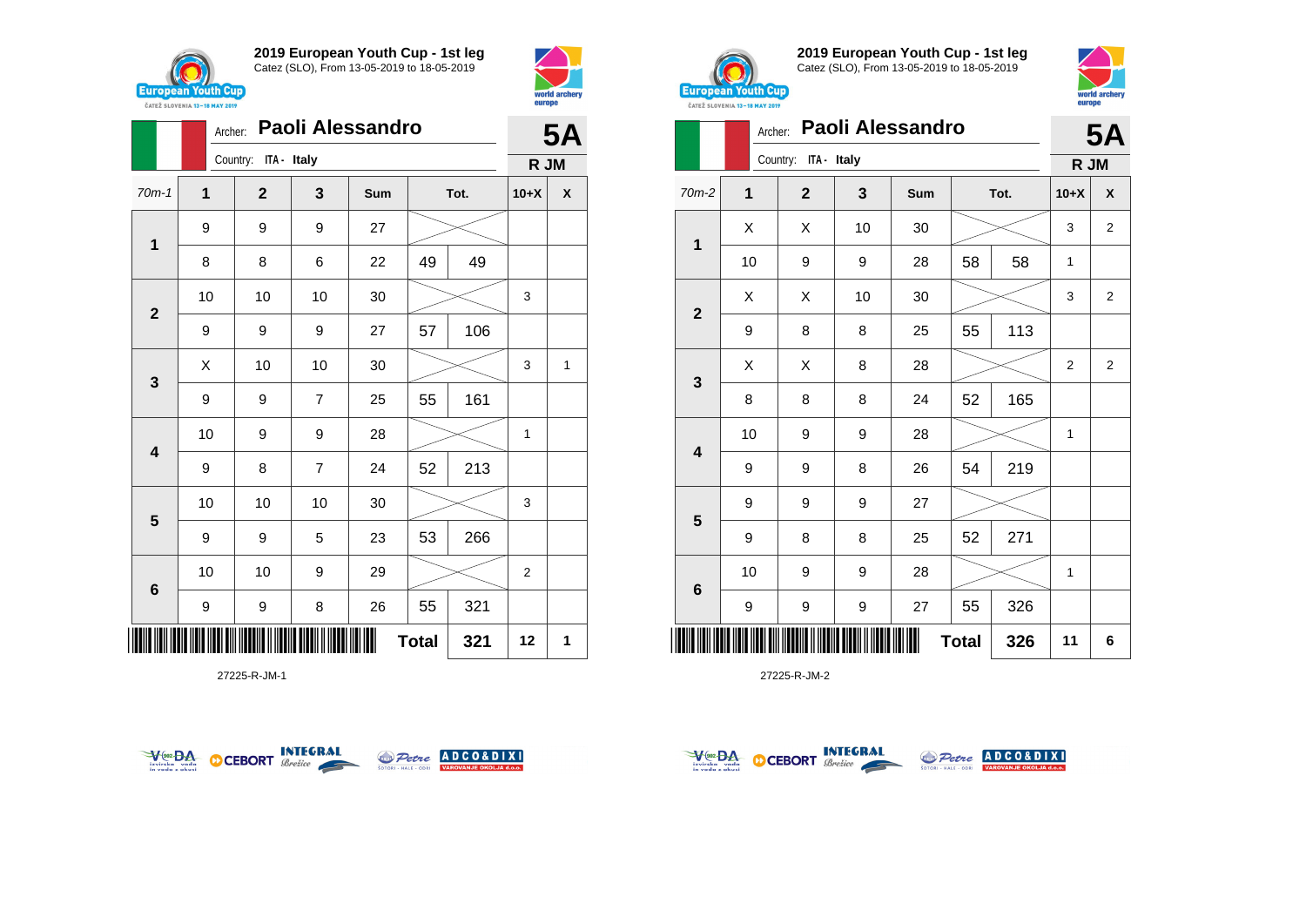





27225-R-JM-1





**2019 European Youth Cup - 1st leg** Catez (SLO), From 13-05-2019 to 18-05-2019



|                         |    | Paoli Alessandro<br>Archer: |    |     |              |      |                |                |  |  |
|-------------------------|----|-----------------------------|----|-----|--------------|------|----------------|----------------|--|--|
|                         |    | Country: ITA - Italy        |    |     |              |      | R JM           |                |  |  |
| 70m-2                   | 1  | $\mathbf{2}$                | 3  | Sum |              | Tot. | $10+X$         | X              |  |  |
| 1                       | X  | X                           | 10 | 30  |              |      | 3              | $\overline{2}$ |  |  |
|                         | 10 | 9                           | 9  | 28  | 58           | 58   | 1              |                |  |  |
| $\mathbf{2}$            | Χ  | X                           | 10 | 30  |              |      | 3              | $\overline{2}$ |  |  |
|                         | 9  | 8                           | 8  | 25  | 55           | 113  |                |                |  |  |
|                         | X  | X                           | 8  | 28  |              |      | $\overline{2}$ | $\overline{2}$ |  |  |
| 3                       | 8  | 8                           | 8  | 24  | 52           | 165  |                |                |  |  |
| $\overline{\mathbf{4}}$ | 10 | 9                           | 9  | 28  |              |      | 1              |                |  |  |
|                         | 9  | 9                           | 8  | 26  | 54           | 219  |                |                |  |  |
|                         | 9  | 9                           | 9  | 27  |              |      |                |                |  |  |
| 5                       | 9  | 8                           | 8  | 25  | 52           | 271  |                |                |  |  |
|                         | 10 | 9                           | 9  | 28  |              |      | 1              |                |  |  |
| $6\phantom{1}$          | 9  | 9                           | 9  | 27  | 55           | 326  |                |                |  |  |
|                         |    |                             |    |     | <b>Total</b> | 326  | 11             | 6              |  |  |



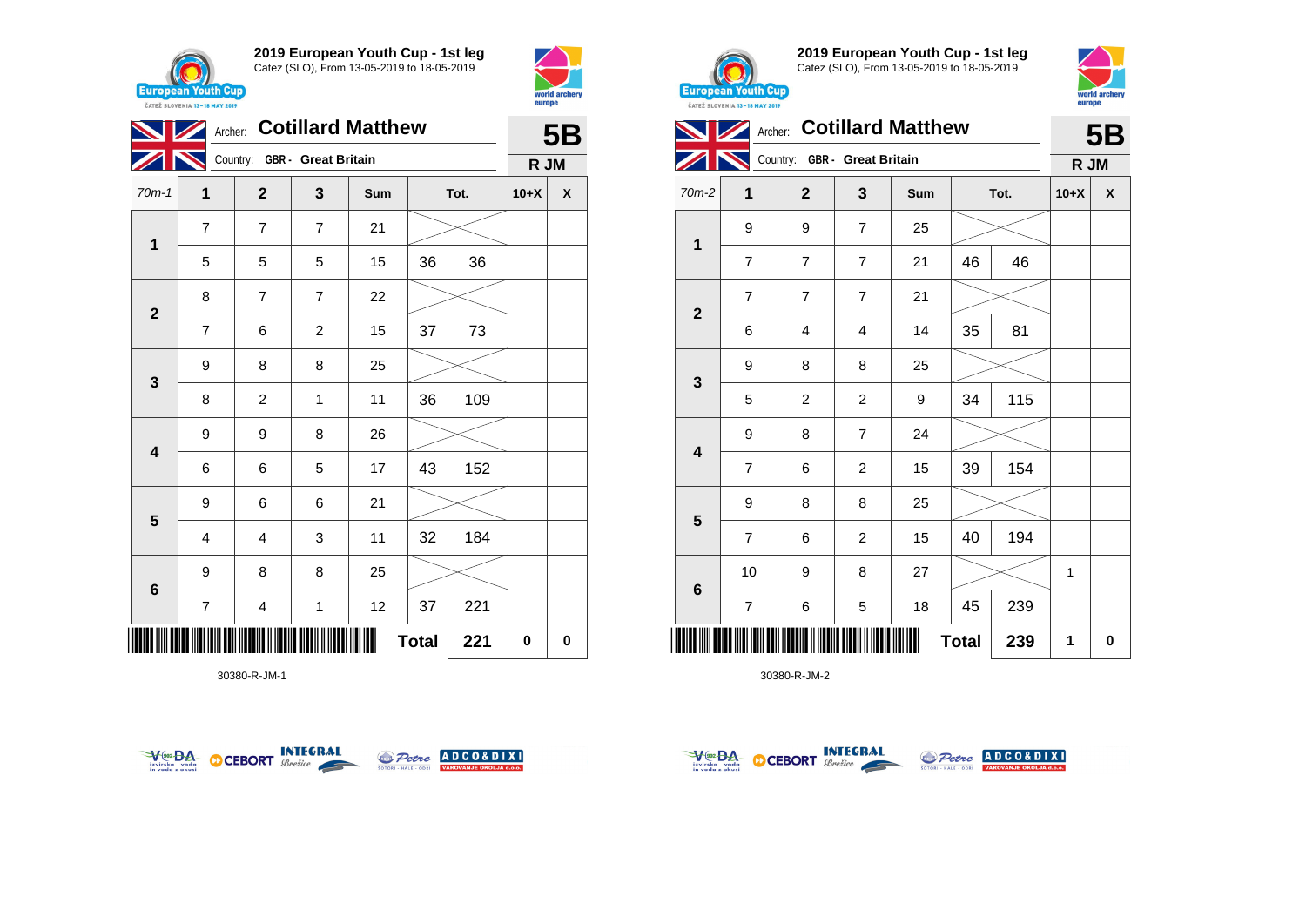





30380-R-JM-1





**2019 European Youth Cup - 1st leg** Catez (SLO), From 13-05-2019 to 18-05-2019



|                         |                 | Archer: Cotillard Matthew<br>Country: GBR - Great Britain |                |     |              |      |        |             |  |
|-------------------------|-----------------|-----------------------------------------------------------|----------------|-----|--------------|------|--------|-------------|--|
|                         |                 |                                                           |                |     |              |      | R JM   |             |  |
| 70m-2                   | 1               | $\mathbf{2}$                                              | 3              | Sum |              | Tot. | $10+X$ | X           |  |
| $\mathbf{1}$            | 9               | 9                                                         | $\overline{7}$ | 25  |              |      |        |             |  |
|                         | $\overline{7}$  | $\overline{7}$                                            | $\overline{7}$ | 21  | 46           | 46   |        |             |  |
| $\mathbf{2}$            | $\overline{7}$  | $\overline{7}$                                            | $\overline{7}$ | 21  |              |      |        |             |  |
|                         | $6\phantom{1}6$ | $\overline{\mathbf{4}}$                                   | 4              | 14  | 35           | 81   |        |             |  |
| 3                       | 9               | 8                                                         | 8              | 25  |              |      |        |             |  |
|                         | 5               | $\overline{c}$                                            | $\overline{2}$ | 9   | 34           | 115  |        |             |  |
| $\overline{\mathbf{4}}$ | 9               | 8                                                         | $\overline{7}$ | 24  |              |      |        |             |  |
|                         | $\overline{7}$  | 6                                                         | $\overline{c}$ | 15  | 39           | 154  |        |             |  |
| $5\phantom{1}$          | 9               | 8                                                         | 8              | 25  |              |      |        |             |  |
|                         | $\overline{7}$  | 6                                                         | $\overline{2}$ | 15  | 40           | 194  |        |             |  |
|                         | 10              | 9                                                         | 8              | 27  |              |      | 1      |             |  |
| 6                       | $\overline{7}$  | 6                                                         | 5              | 18  | 45           | 239  |        |             |  |
| Ш                       |                 |                                                           |                |     | <b>Total</b> | 239  | 1      | $\mathbf 0$ |  |



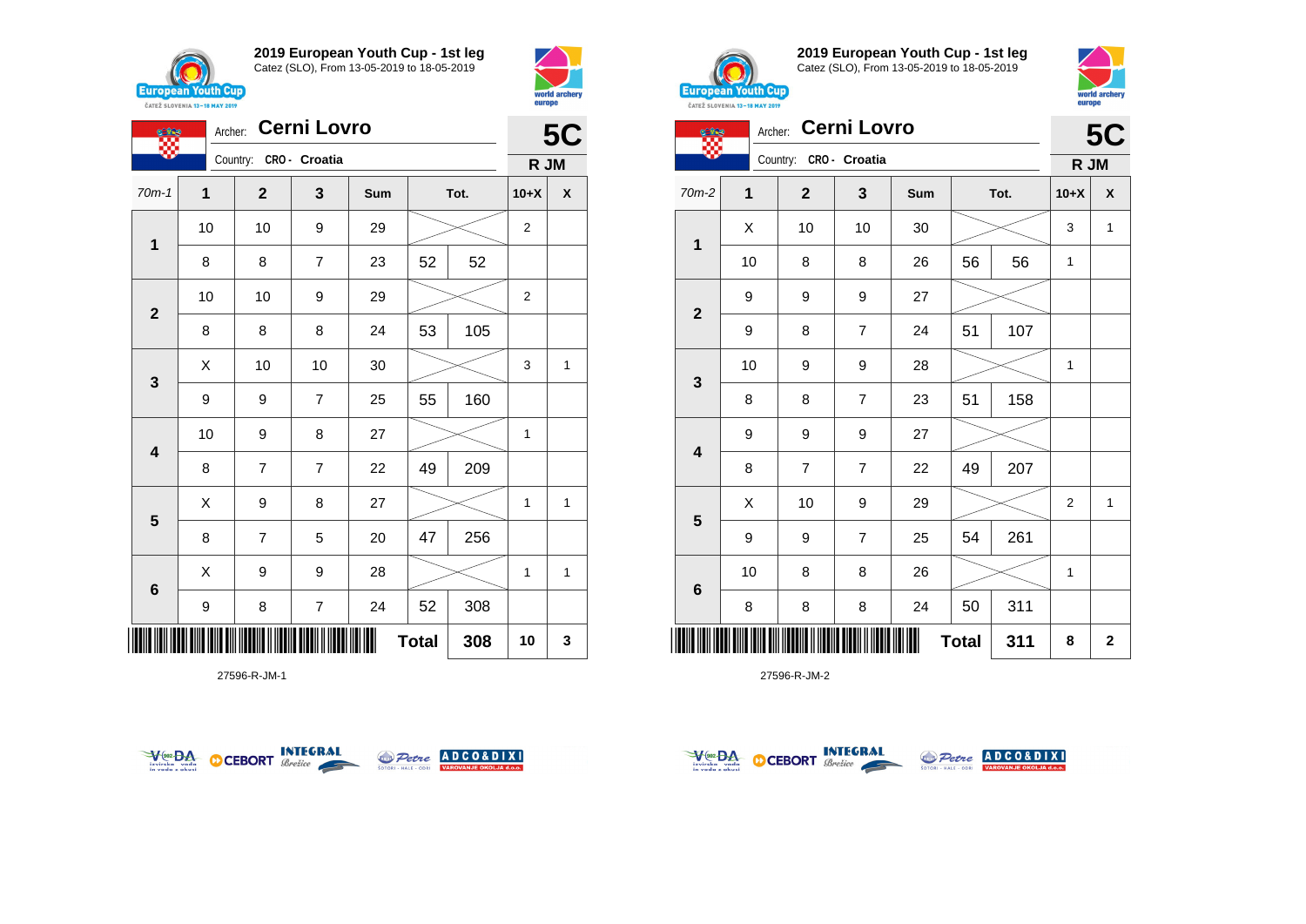





27596-R-JM-1





**2019 European Youth Cup - 1st leg** Catez (SLO), From 13-05-2019 to 18-05-2019



| Œ            |              | Archer: Cerni Lovro    |                |     |              |      |                | <b>5C</b>   |
|--------------|--------------|------------------------|----------------|-----|--------------|------|----------------|-------------|
|              |              | Country: CRO - Croatia |                |     |              |      | R JM           |             |
| 70m-2        | $\mathbf{1}$ | $\overline{2}$         | 3              | Sum |              | Tot. | $10+X$         | X           |
| 1            | Χ            | 10                     | 10             | 30  |              |      | 3              | 1           |
|              | 10           | 8                      | 8              | 26  | 56           | 56   | $\mathbf{1}$   |             |
|              | 9            | 9                      | 9              | 27  |              |      |                |             |
| $\mathbf{2}$ | 9            | 8                      | $\overline{7}$ | 24  | 51           | 107  |                |             |
|              | 10           | 9                      | 9              | 28  |              |      | $\mathbf{1}$   |             |
| 3            | 8            | 8                      | 7              | 23  | 51           | 158  |                |             |
|              | 9            | 9                      | 9              | 27  |              |      |                |             |
| 4            | 8            | 7                      | 7              | 22  | 49           | 207  |                |             |
|              | X            | 10                     | 9              | 29  |              |      | $\overline{2}$ | 1           |
| 5            | 9            | 9                      | 7              | 25  | 54           | 261  |                |             |
|              | 10           | 8                      | 8              | 26  |              |      | 1              |             |
| 6            | 8            | 8                      | 8              | 24  | 50           | 311  |                |             |
| II           |              |                        |                |     | <b>Total</b> | 311  | 8              | $\mathbf 2$ |



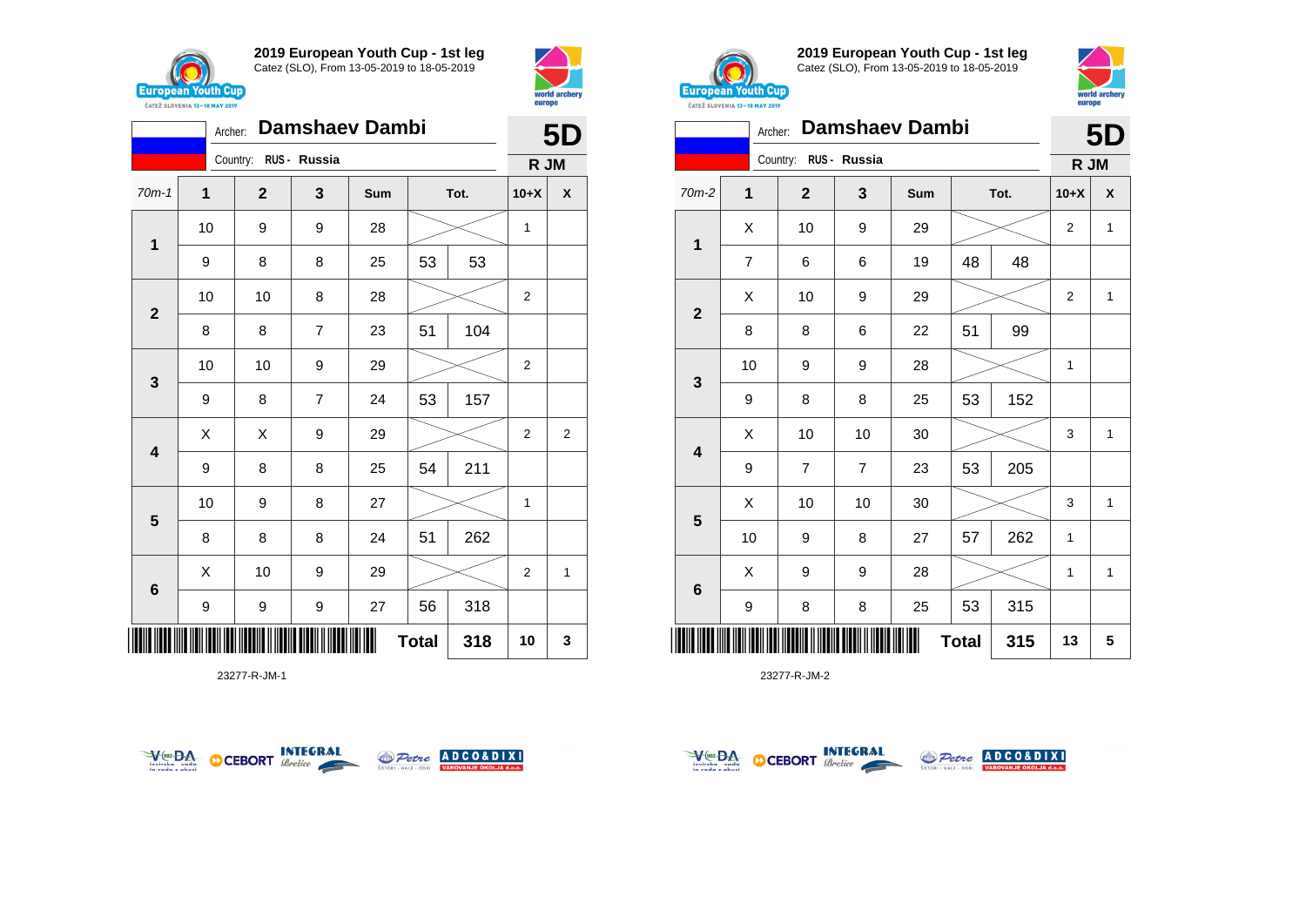





23277-R-JM-1





**2019 European Youth Cup - 1st leg** Catez (SLO), From 13-05-2019 to 18-05-2019



|                | Archer:        |                |              | <b>Damshaev Dambi</b> |              |      |              | <b>5D</b> |
|----------------|----------------|----------------|--------------|-----------------------|--------------|------|--------------|-----------|
|                |                | Country:       | RUS - Russia |                       |              |      | R JM         |           |
| 70m-2          | 1              | $\overline{2}$ | 3            | Sum                   |              | Tot. | $10+X$       | X         |
| 1              | X              | 10             | 9            | 29                    |              |      | 2            | 1         |
|                | $\overline{7}$ | 6              | 6            | 19                    | 48           | 48   |              |           |
| $\overline{2}$ | Χ              | 10             | 9            | 29                    |              |      | 2            | 1         |
|                | 8              | 8              | 6            | 22                    | 51           | 99   |              |           |
| 3              | 10             | 9              | 9            | 28                    |              |      | $\mathbf{1}$ |           |
|                | 9              | 8              | 8            | 25                    | 53           | 152  |              |           |
| 4              | Χ              | 10             | 10           | 30                    |              |      | 3            | 1         |
|                | 9              | $\overline{7}$ | 7            | 23                    | 53           | 205  |              |           |
|                | X              | 10             | 10           | 30                    |              |      | 3            | 1         |
| 5              | 10             | 9              | 8            | 27                    | 57           | 262  | $\mathbf{1}$ |           |
| 6              | Χ              | 9              | 9            | 28                    |              |      | $\mathbf{1}$ | 1         |
|                | 9              | 8              | 8            | 25                    | 53           | 315  |              |           |
| Ш              |                |                |              |                       | <b>Total</b> | 315  | 13           | 5         |



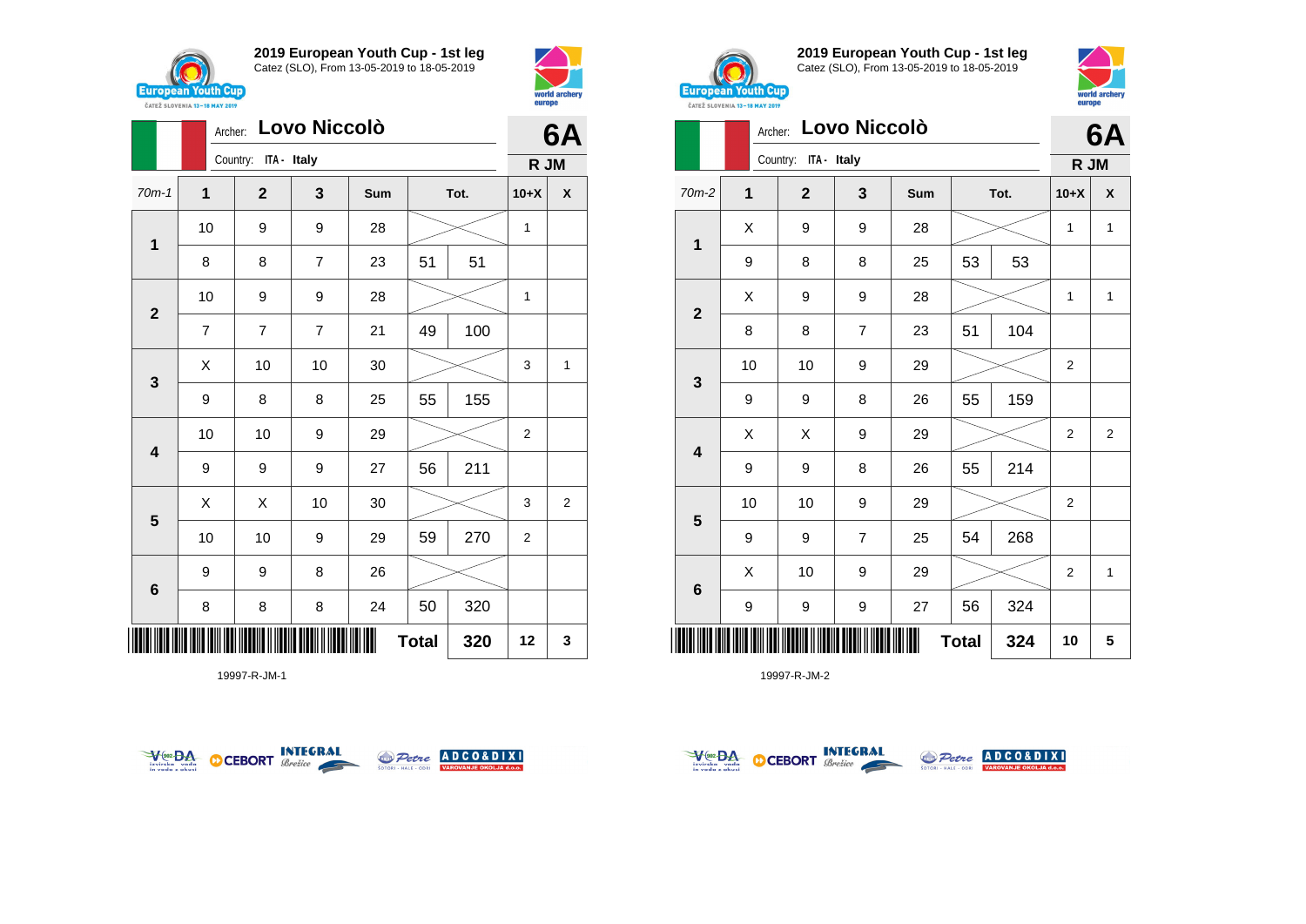





19997-R-JM-1





**2019 European Youth Cup - 1st leg** Catez (SLO), From 13-05-2019 to 18-05-2019



**6A**

| Archer: Lovo Niccolò |  |
|----------------------|--|
| Country: ITA - Italy |  |

|                         |    | Country: ITA - Italy |                         |     |              |     |                |              |
|-------------------------|----|----------------------|-------------------------|-----|--------------|-----|----------------|--------------|
| 70m-2                   | 1  | $\mathbf{2}$         | 3                       | Sum | Tot.         |     | $10+X$         | X            |
| $\mathbf 1$             | X  | 9                    | 9                       | 28  |              |     | 1              | $\mathbf{1}$ |
|                         | 9  | 8                    | 8                       | 25  | 53           | 53  |                |              |
| $\mathbf{2}$            | Χ  | 9                    | 9                       | 28  |              |     | $\mathbf{1}$   | 1            |
|                         | 8  | 8                    | $\overline{\mathbf{7}}$ | 23  | 51           | 104 |                |              |
|                         | 10 | 10                   | 9                       | 29  |              |     | 2              |              |
| $\mathbf 3$             | 9  | 9                    | 8                       | 26  | 55           | 159 |                |              |
| $\overline{\mathbf{4}}$ | Χ  | Χ                    | 9                       | 29  |              |     | 2              | 2            |
|                         | 9  | 9                    | 8                       | 26  | 55           | 214 |                |              |
|                         | 10 | 10                   | 9                       | 29  |              |     | $\overline{2}$ |              |
| $\overline{\mathbf{5}}$ | 9  | 9                    | $\overline{7}$          | 25  | 54           | 268 |                |              |
|                         | X  | 10                   | 9                       | 29  |              |     | $\overline{2}$ | $\mathbf{1}$ |
| $\bf 6$                 | 9  | 9                    | 9                       | 27  | 56           | 324 |                |              |
| ║║║                     |    |                      |                         |     | <b>Total</b> | 324 | 10             | 5            |



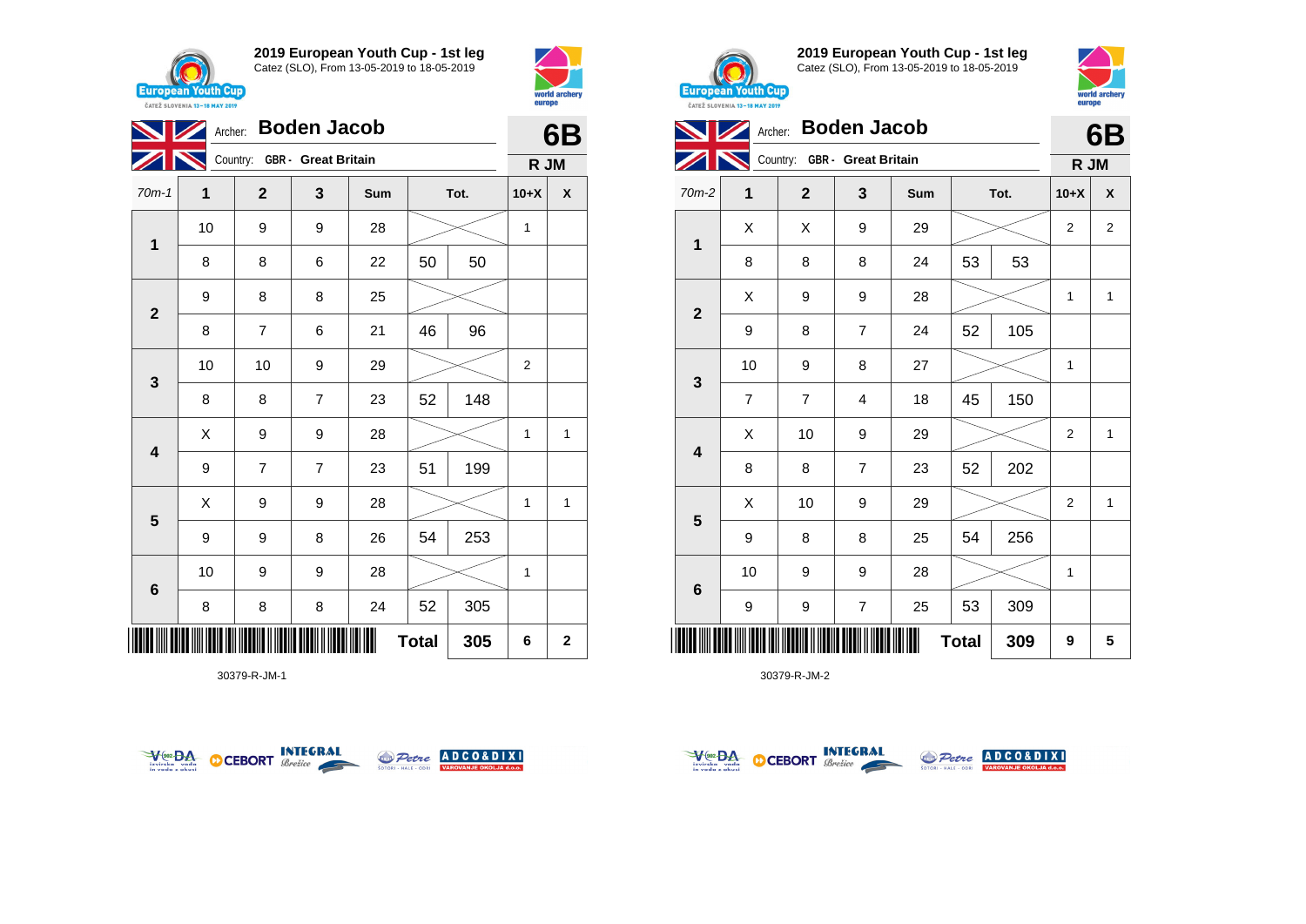





30379-R-JM-1





**2019 European Youth Cup - 1st leg** Catez (SLO), From 13-05-2019 to 18-05-2019



|                         |                | Archer: Boden Jacob          |                |     |              |      |                |                |  |
|-------------------------|----------------|------------------------------|----------------|-----|--------------|------|----------------|----------------|--|
|                         |                | Country: GBR - Great Britain |                |     |              |      | R JM           |                |  |
| 70m-2                   | 1              | $\mathbf{2}$                 | 3              | Sum |              | Tot. | $10+X$         | X              |  |
| 1                       | X              | X                            | 9              | 29  |              |      | $\overline{2}$ | $\overline{2}$ |  |
|                         | 8              | 8                            | 8              | 24  | 53           | 53   |                |                |  |
| $\overline{2}$          | X              | 9                            | 9              | 28  |              |      | $\mathbf{1}$   | $\mathbf{1}$   |  |
|                         | 9              | 8                            | $\overline{7}$ | 24  | 52           | 105  |                |                |  |
| 3                       | 10             | 9                            | 8              | 27  |              |      | 1              |                |  |
|                         | $\overline{7}$ | $\overline{7}$               | 4              | 18  | 45           | 150  |                |                |  |
| $\overline{\mathbf{4}}$ | X              | 10                           | 9              | 29  |              |      | $\overline{2}$ | $\mathbf{1}$   |  |
|                         | 8              | 8                            | $\overline{7}$ | 23  | 52           | 202  |                |                |  |
| 5                       | X              | 10                           | 9              | 29  |              |      | $\overline{2}$ | $\mathbf{1}$   |  |
|                         | 9              | 8                            | 8              | 25  | 54           | 256  |                |                |  |
| $6\phantom{1}6$         | 10             | 9                            | 9              | 28  |              |      | 1              |                |  |
|                         | 9              | 9                            | $\overline{7}$ | 25  | 53           | 309  |                |                |  |
|                         |                |                              |                |     | <b>Total</b> | 309  | 9              | 5              |  |



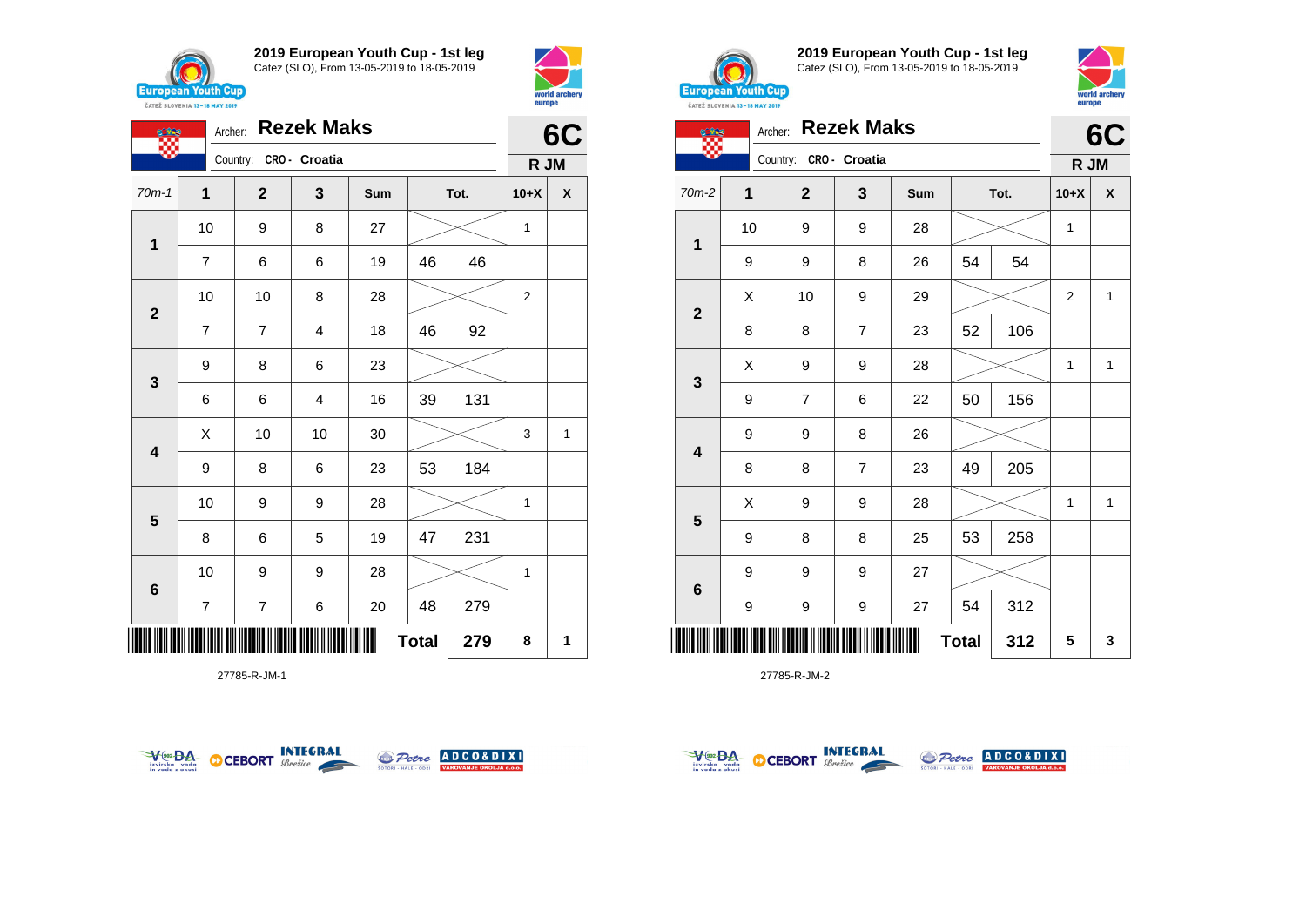



| <b>CERE</b>             |                | <b>Rezek Maks</b><br>Archer: |               |     |              |      |                |   |  |  |  |
|-------------------------|----------------|------------------------------|---------------|-----|--------------|------|----------------|---|--|--|--|
|                         |                | Country:                     | CRO - Croatia |     |              |      | R JM           |   |  |  |  |
| $70m-1$                 | 1              | $\mathbf{2}$                 | 3             | Sum |              | Tot. | $10+X$         | χ |  |  |  |
| $\overline{\mathbf{1}}$ | 10             | 9                            | 8             | 27  |              |      | 1              |   |  |  |  |
|                         | 7              | 6                            | 6             | 19  | 46           | 46   |                |   |  |  |  |
| $\mathbf{2}$            | 10             | 10                           | 8             | 28  |              |      | $\overline{2}$ |   |  |  |  |
|                         | 7              | $\overline{7}$               | 4             | 18  | 46           | 92   |                |   |  |  |  |
| $\mathbf{3}$            | 9              | 8                            | 6             | 23  |              |      |                |   |  |  |  |
|                         | 6              | 6                            | 4             | 16  | 39           | 131  |                |   |  |  |  |
| $\overline{\mathbf{4}}$ | X              | 10                           | 10            | 30  |              |      | 3              | 1 |  |  |  |
|                         | 9              | 8                            | 6             | 23  | 53           | 184  |                |   |  |  |  |
| 5                       | 10             | 9                            | 9             | 28  |              |      | 1              |   |  |  |  |
|                         | 8              | 6                            | 5             | 19  | 47           | 231  |                |   |  |  |  |
| $6\phantom{1}6$         | 10             | 9                            | 9             | 28  |              |      | 1              |   |  |  |  |
|                         | $\overline{7}$ | $\overline{\mathcal{I}}$     | 6             | 20  | 48           | 279  |                |   |  |  |  |
|                         |                |                              |               |     | <b>Total</b> | 279  | 8              | 1 |  |  |  |

27785-R-JM-1





**2019 European Youth Cup - 1st leg** Catez (SLO), From 13-05-2019 to 18-05-2019



|                 | <b>Rezek Maks</b><br>Archer: |  |                |                  |     |              |      |                | 6C           |
|-----------------|------------------------------|--|----------------|------------------|-----|--------------|------|----------------|--------------|
|                 |                              |  | Country:       | CRO - Croatia    |     |              |      | R JM           |              |
| $70m-2$         | 1                            |  | $\mathbf{2}$   | 3                | Sum |              | Tot. | $10+X$         | X            |
| 1               | 10                           |  | 9              | 9                | 28  |              |      | $\mathbf{1}$   |              |
|                 | 9                            |  | 9              | 8                | 26  | 54           | 54   |                |              |
|                 | X                            |  | 10             | $\boldsymbol{9}$ | 29  |              |      | $\overline{2}$ | $\mathbf 1$  |
| $\mathbf 2$     | 8                            |  | 8              | $\overline{7}$   | 23  | 52           | 106  |                |              |
|                 | Χ                            |  | 9              | 9                | 28  |              |      | $\mathbf{1}$   | $\mathbf{1}$ |
| 3               | 9                            |  | $\overline{7}$ | 6                | 22  | 50           | 156  |                |              |
|                 | 9                            |  | 9              | 8                | 26  |              |      |                |              |
| 4               | 8                            |  | 8              | $\overline{7}$   | 23  | 49           | 205  |                |              |
|                 | X                            |  | 9              | 9                | 28  |              |      | $\mathbf{1}$   | $\mathbf{1}$ |
| 5               | 9                            |  | 8              | 8                | 25  | 53           | 258  |                |              |
|                 | 9                            |  | 9              | 9                | 27  |              |      |                |              |
| $6\phantom{1}6$ | 9                            |  | 9              | 9                | 27  | 54           | 312  |                |              |
|                 |                              |  |                |                  |     | <b>Total</b> | 312  | 5              | 3            |



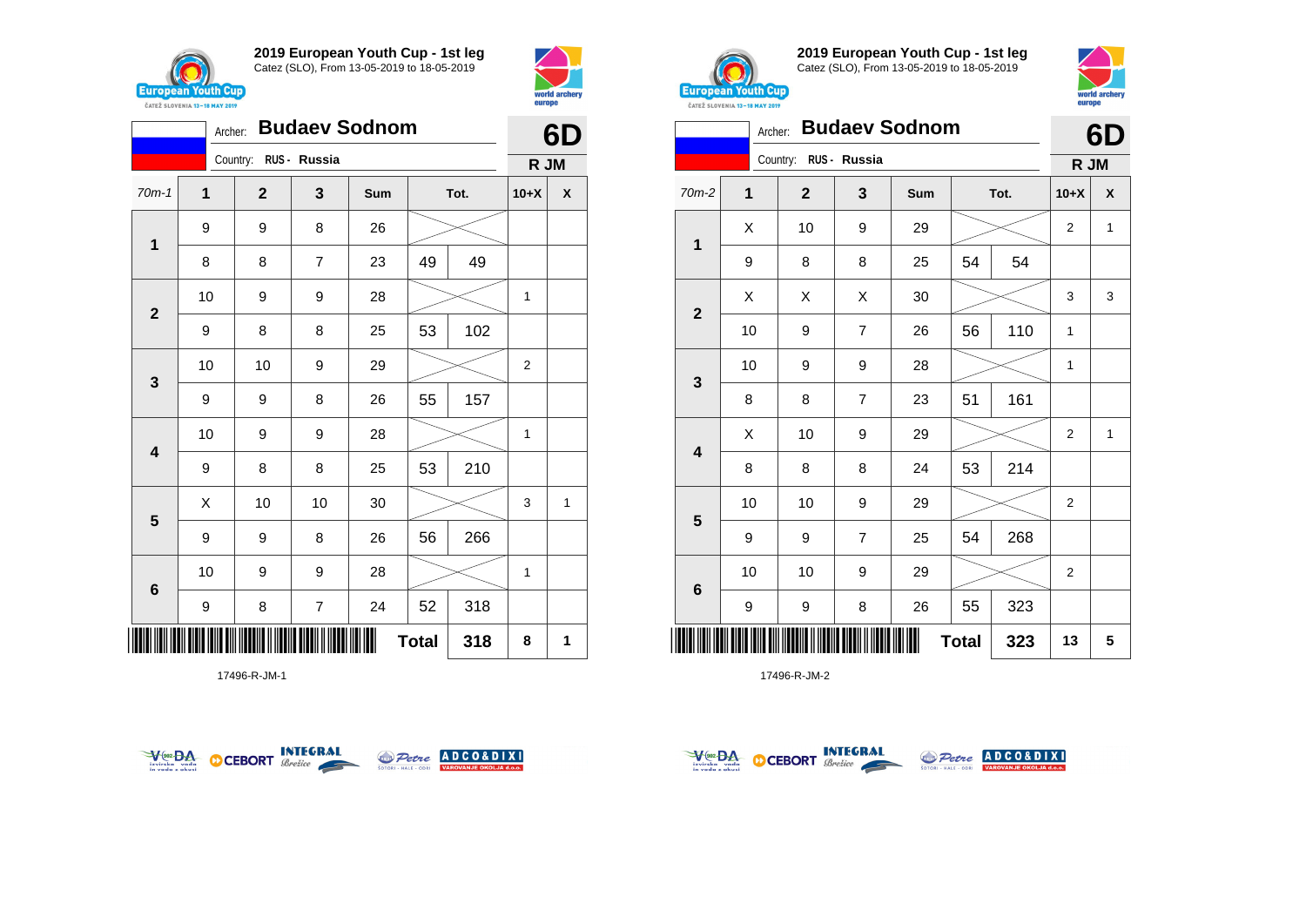



|                         | Archer:     |                       |                         | 6D  |              |     |                |   |
|-------------------------|-------------|-----------------------|-------------------------|-----|--------------|-----|----------------|---|
|                         |             | Country: RUS - Russia |                         |     |              |     | R JM           |   |
| $70m-1$                 | $\mathbf 1$ | $\mathbf 2$           | 3                       | Sum | Tot.         |     | $10+X$         | χ |
| $\mathbf 1$             | 9           | 9                     | 8                       | 26  |              |     |                |   |
|                         | 8           | 8                     | $\overline{7}$          | 23  | 49           | 49  |                |   |
| $\mathbf{2}$            | 10          | 9                     | 9                       | 28  |              |     | 1              |   |
|                         | 9           | 8                     | 8                       | 25  | 53           | 102 |                |   |
| $\mathbf{3}$            | 10          | 10                    | 9                       | 29  |              |     | $\overline{2}$ |   |
|                         | 9           | 9                     | 8                       | 26  | 55           | 157 |                |   |
| $\overline{\mathbf{4}}$ | 10          | 9                     | 9                       | 28  |              |     | 1              |   |
|                         | 9           | 8                     | 8                       | 25  | 53           | 210 |                |   |
| $5\phantom{1}$          | X           | 10                    | 10                      | 30  |              |     | 3              | 1 |
|                         | 9           | 9                     | 8                       | 26  | 56           | 266 |                |   |
| $\bf 6$                 | 10          | 9                     | 9                       | 28  |              |     | 1              |   |
|                         | 9           | 8                     | $\overline{\mathbf{7}}$ | 24  | 52           | 318 |                |   |
|                         |             |                       |                         |     | <b>Total</b> | 318 | 8              | 1 |

17496-R-JM-1





**2019 European Youth Cup - 1st leg** Catez (SLO), From 13-05-2019 to 18-05-2019



|              | <b>Budaev Sodnom</b><br>Archer: |                       |                |     |              |      |                |              |  |  |
|--------------|---------------------------------|-----------------------|----------------|-----|--------------|------|----------------|--------------|--|--|
|              |                                 | Country: RUS - Russia |                |     |              |      | R JM           |              |  |  |
| $70m-2$      | 1                               | $\mathbf{2}$          | 3              | Sum |              | Tot. | $10+X$         | X            |  |  |
|              | X                               | 10                    | 9              | 29  |              |      | 2              | 1            |  |  |
| 1            | 9                               | 8                     | 8              | 25  | 54           | 54   |                |              |  |  |
| $\mathbf{2}$ | X                               | X                     | X              | 30  |              |      | 3              | 3            |  |  |
|              | 10                              | 9                     | 7              | 26  | 56           | 110  | $\mathbf{1}$   |              |  |  |
|              | 10                              | 9                     | 9              | 28  |              |      | 1              |              |  |  |
| 3            | 8                               | 8                     | $\overline{7}$ | 23  | 51           | 161  |                |              |  |  |
| 4            | X                               | 10                    | 9              | 29  |              |      | $\overline{2}$ | $\mathbf{1}$ |  |  |
|              | 8                               | 8                     | 8              | 24  | 53           | 214  |                |              |  |  |
| 5            | 10                              | 10                    | 9              | 29  |              |      | 2              |              |  |  |
|              | 9                               | 9                     | $\overline{7}$ | 25  | 54           | 268  |                |              |  |  |
| 6            | 10                              | 10                    | 9              | 29  |              |      | 2              |              |  |  |
|              | 9                               | 9                     | 8              | 26  | 55           | 323  |                |              |  |  |
|              |                                 |                       |                |     | <b>Total</b> | 323  | 13             | 5            |  |  |



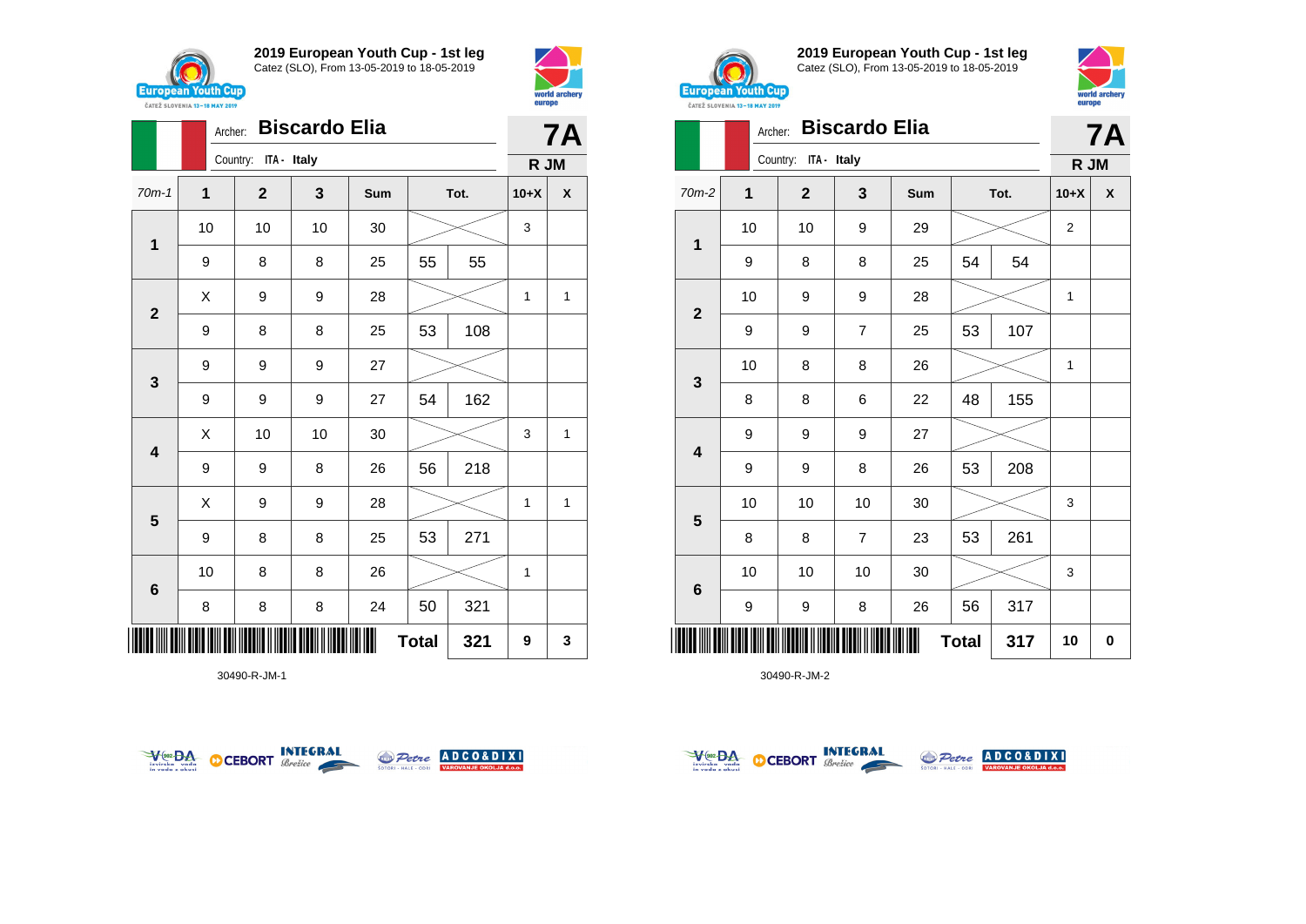



|                         |    | <b>Biscardo Elia</b><br>Archer: |    |     |              |     |        |              |  |  |
|-------------------------|----|---------------------------------|----|-----|--------------|-----|--------|--------------|--|--|
|                         |    | Country: ITA - Italy            |    |     |              |     | R JM   |              |  |  |
| $70m-1$                 | 1  | $\mathbf{2}$                    | 3  | Sum | Tot.         |     | $10+X$ | X            |  |  |
| $\mathbf 1$             | 10 | 10                              | 10 | 30  |              |     | 3      |              |  |  |
|                         | 9  | 8                               | 8  | 25  | 55           | 55  |        |              |  |  |
| $\mathbf{2}$            | X  | 9                               | 9  | 28  |              |     | 1      | 1            |  |  |
|                         | 9  | 8                               | 8  | 25  | 53           | 108 |        |              |  |  |
| $\mathbf{3}$            | 9  | 9                               | 9  | 27  |              |     |        |              |  |  |
|                         | 9  | 9                               | 9  | 27  | 54           | 162 |        |              |  |  |
| $\overline{\mathbf{4}}$ | X  | 10                              | 10 | 30  |              |     | 3      | 1            |  |  |
|                         | 9  | 9                               | 8  | 26  | 56           | 218 |        |              |  |  |
| $\overline{\mathbf{5}}$ | X  | 9                               | 9  | 28  |              |     | 1      | $\mathbf{1}$ |  |  |
|                         | 9  | 8                               | 8  | 25  | 53           | 271 |        |              |  |  |
| $\bf 6$                 | 10 | 8                               | 8  | 26  |              |     | 1      |              |  |  |
|                         | 8  | 8                               | 8  | 24  | 50           | 321 |        |              |  |  |
|                         |    |                                 |    |     | <b>Total</b> | 321 | 9      | 3            |  |  |

30490-R-JM-1





**2019 European Youth Cup - 1st leg** Catez (SLO), From 13-05-2019 to 18-05-2019



| <b>UNILL JLUVENIA 13-10 MMI 4017</b> | <b>Biscardo Elia</b><br>Archer: |                      |                |     |              |      |                |           |  |
|--------------------------------------|---------------------------------|----------------------|----------------|-----|--------------|------|----------------|-----------|--|
|                                      |                                 | Country: ITA - Italy |                |     |              |      | R JM           | <b>7A</b> |  |
| 70m-2                                | 1                               | $\mathbf{2}$         | 3              | Sum |              | Tot. | $10+X$         | X         |  |
|                                      | 10                              | 10                   | 9              | 29  |              |      | $\overline{c}$ |           |  |
| $\mathbf{1}$                         | 9                               | 8                    | 8              | 25  | 54           | 54   |                |           |  |
|                                      | 10                              | 9                    | 9              | 28  |              |      | 1              |           |  |
| $\mathbf{2}$                         | 9                               | 9                    | $\overline{7}$ | 25  | 53           | 107  |                |           |  |
|                                      | 10                              | 8                    | 8              | 26  |              |      | 1              |           |  |
| $\mathbf{3}$                         | 8                               | 8                    | 6              | 22  | 48           | 155  |                |           |  |
|                                      | 9                               | 9                    | 9              | 27  |              |      |                |           |  |
| $\overline{\mathbf{4}}$              | 9                               | 9                    | 8              | 26  | 53           | 208  |                |           |  |
|                                      | 10                              | 10                   | 10             | 30  |              |      | 3              |           |  |
| 5                                    | 8                               | 8                    | $\overline{7}$ | 23  | 53           | 261  |                |           |  |
|                                      | 10                              | 10                   | 10             | 30  |              |      | 3              |           |  |
| $6\phantom{1}$                       | 9                               | 9                    | 8              | 26  | 56           | 317  |                |           |  |
|                                      |                                 |                      |                |     | <b>Total</b> | 317  | 10             | $\bf{0}$  |  |



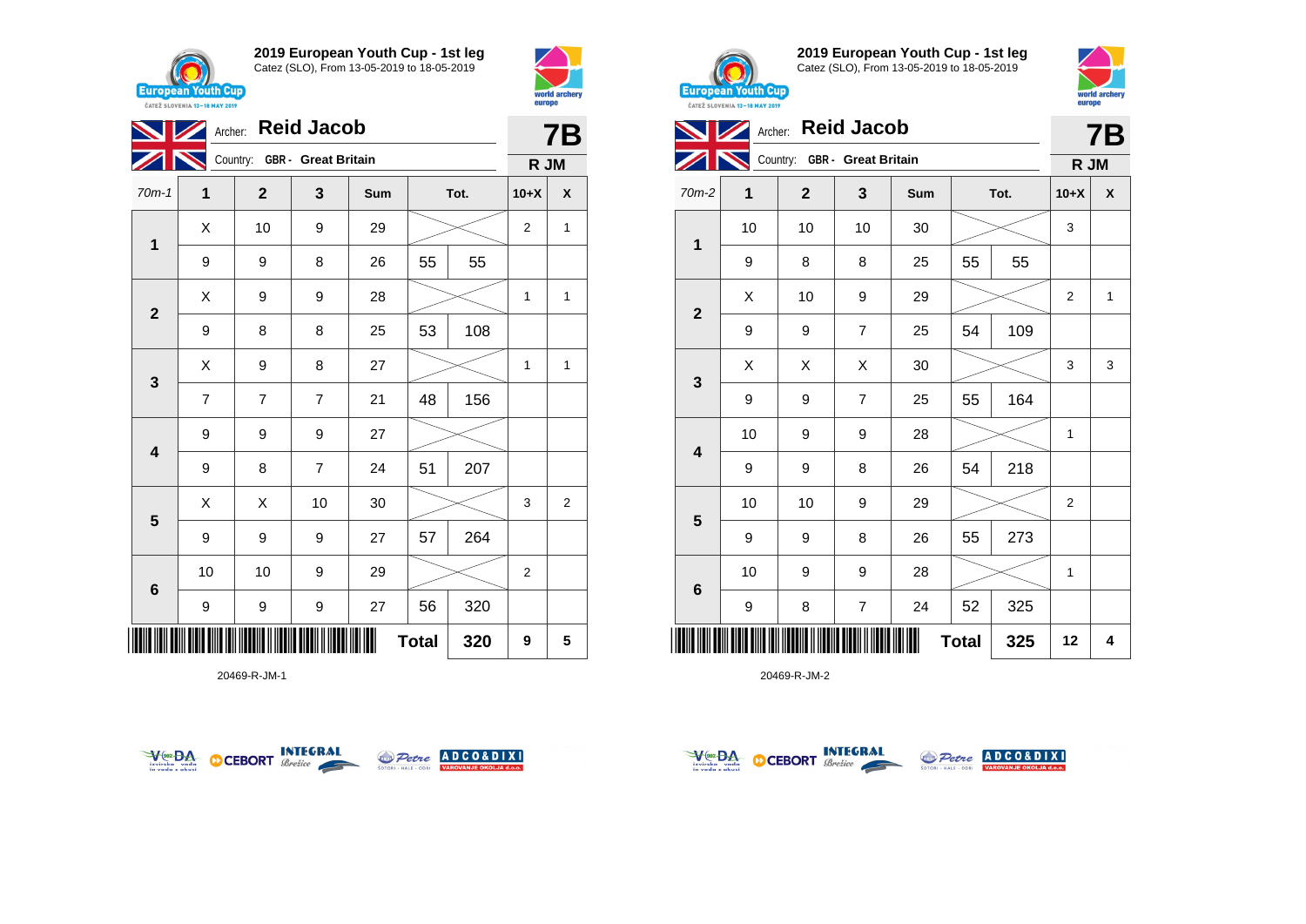





20469-R-JM-1





**2019 European Youth Cup - 1st leg** Catez (SLO), From 13-05-2019 to 18-05-2019



|                         | Archer: |                              |                | <b>7B</b> |              |      |                |   |
|-------------------------|---------|------------------------------|----------------|-----------|--------------|------|----------------|---|
|                         |         | Country: GBR - Great Britain |                |           |              |      | R JM           |   |
| 70m-2                   | 1       | $\mathbf{2}$                 | 3              | Sum       |              | Tot. | $10+X$         | X |
| 1                       | 10      | 10                           | 10             | 30        |              |      | 3              |   |
|                         | 9       | 8                            | 8              | 25        | 55           | 55   |                |   |
| $\mathbf{2}$            | X       | 10                           | 9              | 29        |              |      | $\overline{2}$ | 1 |
|                         | 9       | 9                            | $\overline{7}$ | 25        | 54           | 109  |                |   |
| 3                       | Χ       | X                            | X              | 30        |              |      | 3              | 3 |
|                         | 9       | 9                            | $\overline{7}$ | 25        | 55           | 164  |                |   |
| $\overline{\mathbf{4}}$ | 10      | 9                            | 9              | 28        |              |      | 1              |   |
|                         | 9       | 9                            | 8              | 26        | 54           | 218  |                |   |
|                         | 10      | 10                           | 9              | 29        |              |      | 2              |   |
| $\overline{\mathbf{5}}$ | 9       | 9                            | 8              | 26        | 55           | 273  |                |   |
| $6\phantom{1}$          | 10      | 9                            | 9              | 28        |              |      | 1              |   |
|                         | 9       | 8                            | $\overline{7}$ | 24        | 52           | 325  |                |   |
| ║║║                     |         |                              |                |           | <b>Total</b> | 325  | 12             | 4 |





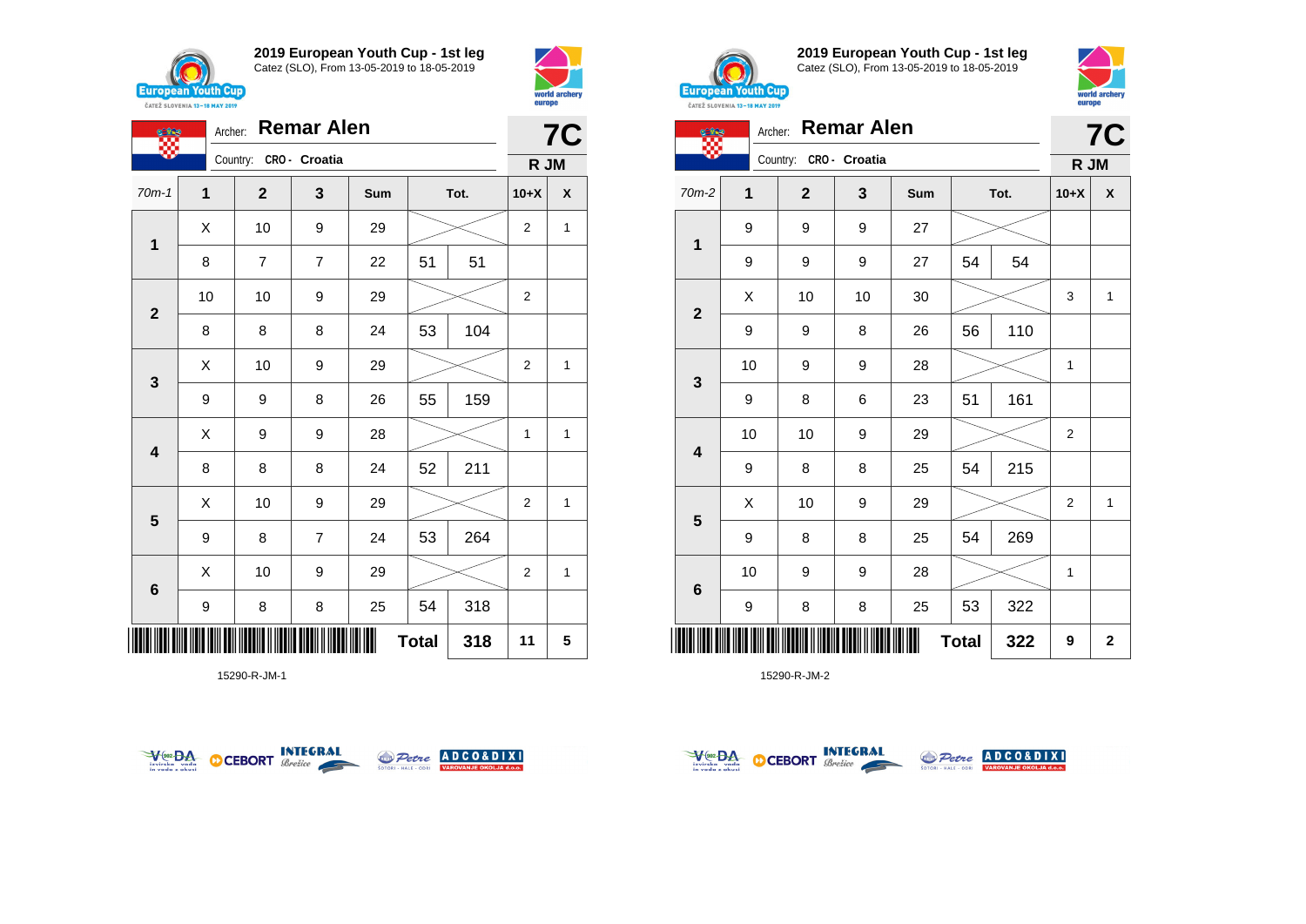

**競** 

**1**

**2**

**3**

**4**

**5**

**6**

**2019 European Youth Cup - 1st leg** Catez (SLO), From 13-05-2019 to 18-05-2019

70m-1 **1 2 3 Sum Tot. 10+X X**

8 | 7 | 7 | 22 | 51 | 51

8 | 8 | 8 | 24 | 53 | 104

9 | 9 | 8 | 26 | 55 | 159

8 | 8 | 8 | 24 | 52 | 211

9 | 8 | 7 | 24 | 53 | 264

9 | 8 | 8 | 25 | 54 | 318

10 | 10 | 9 | 29 |  $>$  | 2

 $\begin{array}{|c|c|c|c|c|}\hline \hspace{.1cm}X & \hspace{.1cm} \text{10} & \hspace{.1cm} \text{9} & \hspace{.1cm} \text{29} & \hspace{.1cm} \text{20} & \hspace{.1cm} \text{\large $\times$} & \hspace{.1cm} \text{2} & \hspace{.1cm} \text{1} \end{array}$ 

 $\begin{array}{|c|c|c|c|c|}\hline \hspace{.1cm}X & \hspace{.1cm} \text{10} & \hspace{.1cm} \text{9} & \hspace{.1cm} \text{29} & \hspace{.1cm} \hline \end{array} \hspace{.2cm} \begin{array}{|c|c|c|c|c|c|}\hline \hspace{.1cm}X & \hspace{.1cm} \text{2} & \hspace{.1cm} \text{2} & \hspace{.1cm} \text{1} & \hspace{.1cm} \hline \end{array}$ 

 $X$  | 9 | 9 | 28 |  $>$  | 1 | 1

 $\begin{array}{|c|c|c|c|c|}\hline \hspace{.1cm}X & \hspace{.1cm} \text{10} & \hspace{.1cm} \text{9} & \hspace{.1cm} \text{29} & \hspace{.1cm} \hline \end{array} \hspace{.2cm} \begin{array}{|c|c|c|c|c|c|}\hline \hspace{.1cm}X & \hspace{.1cm} \text{2} & \hspace{.1cm} \text{2} & \hspace{.1cm} \text{1} & \hspace{.1cm} \hline \end{array}$ 

 $\begin{array}{|c|c|c|c|c|}\hline \hspace{.1cm}X & \hspace{.1cm} \text{10} & \hspace{.1cm} \text{9} & \hspace{.1cm} \text{29} & \hspace{.1cm} \text{20} & \hspace{.1cm} \text{\large $\times$} & \hspace{.1cm} \text{2} & \hspace{.1cm} \text{1} \end{array}$ 

Archer: **Remar Alen**

Country: **CRO - Croatia**



**7C**

**R JM**



**2019 European Youth Cup - 1st leg** Catez (SLO), From 13-05-2019 to 18-05-2019



| <b>Cine</b>             | Archer: |                        | <b>Remar Alen</b> |    |              |     |                | <b>7C</b>   |
|-------------------------|---------|------------------------|-------------------|----|--------------|-----|----------------|-------------|
|                         |         | Country: CRO - Croatia |                   |    |              |     | R JM           |             |
| 70m-2                   | 1       | $\overline{2}$         | 3<br>Tot.<br>Sum  |    |              |     | $10+X$         | X           |
|                         | 9       | 9                      | 9                 | 27 |              |     |                |             |
| $\mathbf{1}$            | 9       | 9                      | 9                 | 27 | 54           | 54  |                |             |
|                         | X       | 10                     | 10                | 30 |              |     | 3              | 1           |
| $\overline{\mathbf{2}}$ | 9       | 9                      | 8                 | 26 | 56           | 110 |                |             |
|                         | 10      | 9                      | 9                 | 28 |              |     | 1              |             |
| 3                       | 9       | 8                      | 6                 | 23 | 51           | 161 |                |             |
|                         | 10      | 10                     | 9                 | 29 |              |     | $\overline{2}$ |             |
| $\overline{\mathbf{4}}$ | 9       | 8                      | 8                 | 25 | 54           | 215 |                |             |
|                         | X       | 10                     | 9                 | 29 |              |     | 2              | 1           |
| 5                       | 9       | 8                      | 8                 | 25 | 54           | 269 |                |             |
|                         | 10      | 9                      | 9                 | 28 |              |     | 1              |             |
| $\bf 6$                 | 9       | 8                      | 8                 | 25 | 53           | 322 |                |             |
|                         |         |                        |                   | Π  | <b>Total</b> | 322 | 9              | $\mathbf 2$ |

15290-R-JM-2



\*15290-R-JM-1\*

15290-R-JM-1



**Total 318 11 5**



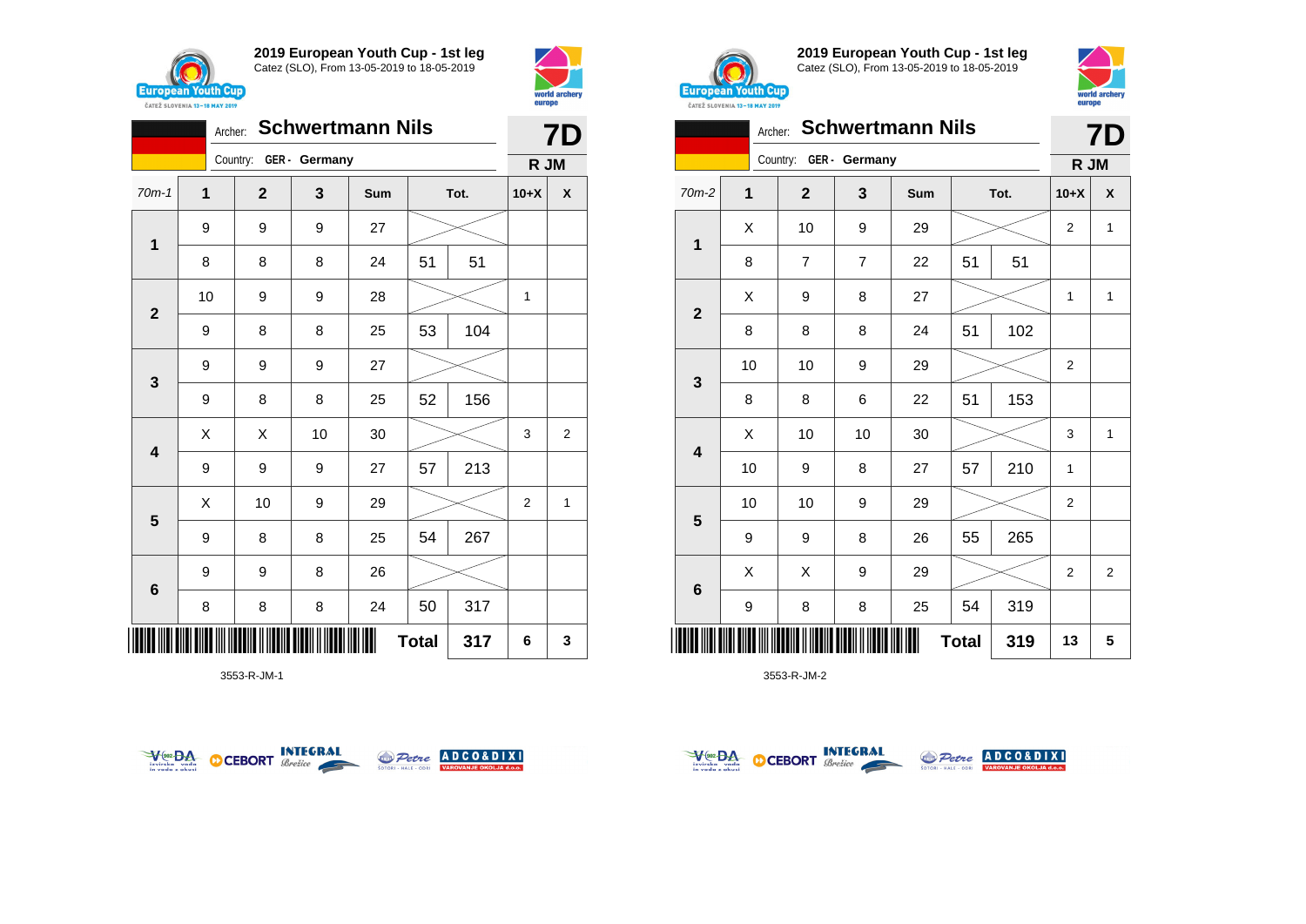



|                         |                         | 7D           |               |     |              |      |                |                    |
|-------------------------|-------------------------|--------------|---------------|-----|--------------|------|----------------|--------------------|
|                         |                         | Country:     | GER - Germany |     |              |      | R JM           |                    |
| $70m-1$                 | $\overline{\mathbf{1}}$ | $\mathbf{2}$ | 3             | Sum |              | Tot. | $10+X$         | $\pmb{\mathsf{X}}$ |
| $\mathbf{1}$            | 9                       | 9            | 9             | 27  |              |      |                |                    |
|                         | 8                       | 8            | 8             | 24  | 51           | 51   |                |                    |
| $\overline{2}$          | 10                      | 9            | 9             | 28  |              |      | 1              |                    |
|                         | 9                       | 8            | 8             | 25  | 53           | 104  |                |                    |
| 3                       | 9                       | 9            | 9             | 27  |              |      |                |                    |
|                         | 9                       | 8            | 8             | 25  | 52           | 156  |                |                    |
| $\overline{\mathbf{4}}$ | Χ                       | X            | 10            | 30  |              |      | 3              | $\overline{c}$     |
|                         | 9                       | 9            | 9             | 27  | 57           | 213  |                |                    |
| 5                       | X                       | 10           | 9             | 29  |              |      | $\overline{2}$ | $\mathbf{1}$       |
|                         | 9                       | 8            | 8             | 25  | 54           | 267  |                |                    |
| 6                       | 9                       | 9            | 8             | 26  |              |      |                |                    |
|                         | 8                       | 8            | 8             | 24  | 50           | 317  |                |                    |
| ║                       |                         |              |               |     | <b>Total</b> | 317  | 6              | 3                  |

3553-R-JM-1





**2019 European Youth Cup - 1st leg** Catez (SLO), From 13-05-2019 to 18-05-2019



|  |  | <b>Archer. Schwertmann Nils</b> |  |
|--|--|---------------------------------|--|
|--|--|---------------------------------|--|

|                         |    | 7D                     |                |     |              |      |                |                |
|-------------------------|----|------------------------|----------------|-----|--------------|------|----------------|----------------|
|                         |    | Country: GER - Germany |                |     |              |      | R JM           |                |
| $70m-2$                 | 1  | $\mathbf{2}$           | 3              | Sum |              | Tot. | $10+X$         | $\pmb{\chi}$   |
| 1                       | X  | 10                     | 9              | 29  |              |      | $\overline{2}$ | $\mathbf{1}$   |
|                         | 8  | 7                      | $\overline{7}$ | 22  | 51           | 51   |                |                |
| $\mathbf{2}$            | X  | 9                      | 8              | 27  |              |      | 1              | 1              |
|                         | 8  | 8                      | 8              | 24  | 51           | 102  |                |                |
| $\mathbf 3$             | 10 | 10                     | 9              | 29  |              |      | $\overline{2}$ |                |
|                         | 8  | 8                      | 6              | 22  | 51           | 153  |                |                |
| $\overline{\mathbf{4}}$ | Χ  | 10                     | 10             | 30  |              |      | 3              | $\mathbf{1}$   |
|                         | 10 | 9                      | 8              | 27  | 57           | 210  | 1              |                |
| $\overline{\mathbf{5}}$ | 10 | 10                     | 9              | 29  |              |      | 2              |                |
|                         | 9  | 9                      | 8              | 26  | 55           | 265  |                |                |
| $6\phantom{1}$          | X  | X                      | 9              | 29  |              |      | $\overline{2}$ | $\overline{2}$ |
|                         | 9  | 8                      | 8              | 25  | 54           | 319  |                |                |
|                         |    |                        |                | Ш   | <b>Total</b> | 319  | 13             | 5              |



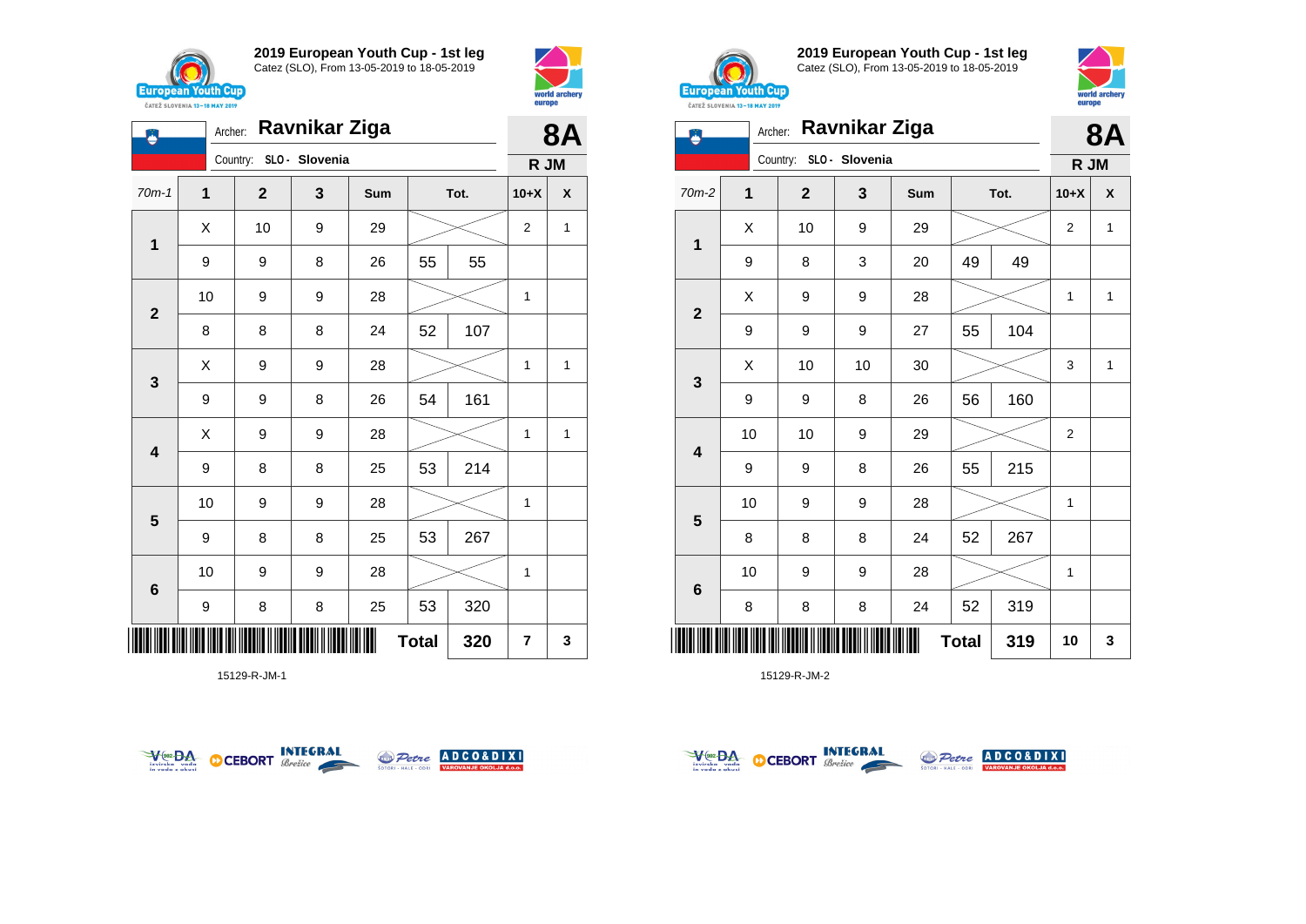

**1**

♦

**2**

**3**

**4**

**5**

**6**

**2019 European Youth Cup - 1st leg** Catez (SLO), From 13-05-2019 to 18-05-2019

70m-1 **1 2 3 Sum Tot. 10+X X**

9 | 9 | 8 | 26 | 55 | 55

8 8 8 24 52 107

9 | 9 | 8 | 26 | 54 | 161

9 | 8 | 8 | 25 | 53 | 214

9 | 8 | 8 | 25 | 53 | 267

9 | 8 | 8 | 25 | 53 | 320

10 | 9 | 9 | 28 |  $\!\!\!\!\!\!\times$  | 1

10 | 9 | 9 | 28 |  $\!\!\!\!\!\!\!\!\times$  | 1

10 | 9 | 9 | 28 |  $\times$  | 1

 $\begin{array}{|c|c|c|c|c|}\hline \hspace{.1cm}X & \hspace{.1cm} \text{10} & \hspace{.1cm} \text{9} & \hspace{.1cm} \text{29} & \hspace{.1cm} \text{20} & \hspace{.1cm} \text{\large $\times$} & \hspace{.1cm} \text{2} & \hspace{.1cm} \text{1} \end{array}$ 

 $X$  | 9 | 9 | 28 |  $>$  | 1 | 1

 $X$  | 9 | 9 | 28 |  $>$  | 1 | 1

Archer: **Ravnikar Ziga**

Country: **SLO - Slovenia**



**8A**

**R JM**



**2019 European Youth Cup - 1st leg** Catez (SLO), From 13-05-2019 to 18-05-2019



|              | <b>Ravnikar Ziga</b><br>Archer: |                         |                  |    |              |     |                |              |
|--------------|---------------------------------|-------------------------|------------------|----|--------------|-----|----------------|--------------|
|              |                                 | Country: SLO - Slovenia |                  |    |              |     | R JM           |              |
| $70m-2$      | $\mathbf{1}$                    | $\mathbf 2$             | Sum<br>Tot.<br>3 |    |              |     | $10+X$         | X            |
| 1            | X                               | 10                      | $\boldsymbol{9}$ | 29 |              |     | $\overline{2}$ | 1            |
|              | 9                               | 8                       | 3                | 20 | 49           | 49  |                |              |
| $\mathbf{2}$ | Χ                               | 9                       | $\boldsymbol{9}$ | 28 |              |     | 1              | $\mathbf{1}$ |
|              | 9                               | 9                       | 9                | 27 | 55           | 104 |                |              |
|              | X                               | 10                      | 10               | 30 |              |     | 3              | $\mathbf{1}$ |
| 3            | 9                               | 9                       | 8                | 26 | 56           | 160 |                |              |
| 4            | 10                              | 10                      | $\boldsymbol{9}$ | 29 |              |     | 2              |              |
|              | 9                               | 9                       | 8                | 26 | 55           | 215 |                |              |
|              | 10                              | 9                       | $\boldsymbol{9}$ | 28 |              |     | 1              |              |
| 5            | 8                               | 8                       | 8                | 24 | 52           | 267 |                |              |
| 6            | 10                              | 9                       | 9                | 28 |              |     | 1              |              |
|              | 8                               | 8                       | 8                | 24 | 52           | 319 |                |              |
|              |                                 |                         |                  |    | <b>Total</b> | 319 | 10             | 3            |

15129-R-JM-2



\*15129-R-JM-1\*

15129-R-JM-1



**Total**  $320$   $7$   $3$ 



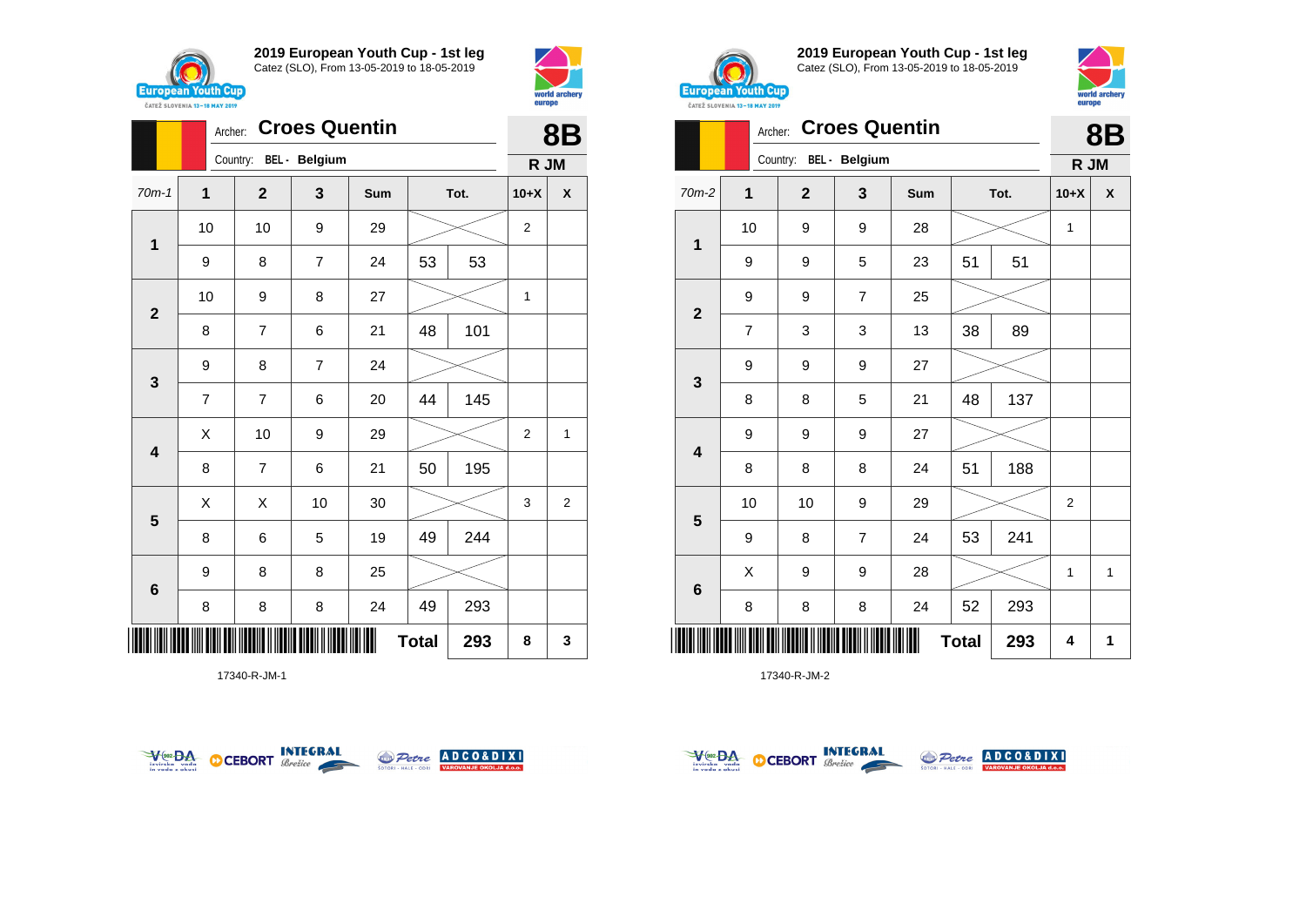



|                         |                | <b>Croes Quentin</b><br>Archer: |                |     |              |      |                |                    |  |  |
|-------------------------|----------------|---------------------------------|----------------|-----|--------------|------|----------------|--------------------|--|--|
|                         |                | Country: BEL - Belgium          |                |     |              |      | R JM           |                    |  |  |
| $70m-1$                 | $\mathbf 1$    | $\mathbf 2$                     | 3              | Sum |              | Tot. | $10+X$         | $\pmb{\mathsf{X}}$ |  |  |
| $\mathbf 1$             | 10             | 10                              | 9              | 29  |              |      | $\overline{2}$ |                    |  |  |
|                         | 9              | 8                               | $\overline{7}$ | 24  | 53           | 53   |                |                    |  |  |
| $\mathbf{2}$            | 10             | 9                               | 8              | 27  |              |      | 1              |                    |  |  |
|                         | 8              | $\overline{7}$                  | 6              | 21  | 48           | 101  |                |                    |  |  |
| $\mathbf{3}$            | 9              | 8                               | $\overline{7}$ | 24  |              |      |                |                    |  |  |
|                         | $\overline{7}$ | $\overline{7}$                  | 6              | 20  | 44           | 145  |                |                    |  |  |
| $\overline{\mathbf{4}}$ | Χ              | 10                              | 9              | 29  |              |      | 2              | 1                  |  |  |
|                         | 8              | $\overline{7}$                  | 6              | 21  | 50           | 195  |                |                    |  |  |
| 5                       | Χ              | X                               | 10             | 30  |              |      | 3              | $\overline{2}$     |  |  |
|                         | 8              | 6                               | 5              | 19  | 49           | 244  |                |                    |  |  |
| $\bf 6$                 | 9              | 8                               | 8              | 25  |              |      |                |                    |  |  |
|                         | 8              | 8                               | 8              | 24  | 49           | 293  |                |                    |  |  |
| ║║║                     |                |                                 |                |     | <b>Total</b> | 293  | 8              | 3                  |  |  |

17340-R-JM-1





**2019 European Youth Cup - 1st leg** Catez (SLO), From 13-05-2019 to 18-05-2019



|                         |                | Archer:      | <b>Croes Quentin</b> |     |              |     | <b>8B</b> |   |
|-------------------------|----------------|--------------|----------------------|-----|--------------|-----|-----------|---|
|                         |                | Country:     | BEL - Belgium        |     |              |     | R JM      |   |
| $70m-2$                 | 1              | $\mathbf{2}$ | 3                    | Sum | Tot.         |     | $10+X$    | X |
| 1                       | 10             | 9            | 9                    | 28  |              |     | 1         |   |
|                         | 9              | 9            | 5                    | 23  | 51           | 51  |           |   |
| $\overline{2}$          | 9              | 9            | $\overline{7}$       | 25  |              |     |           |   |
|                         | $\overline{7}$ | 3            | 3                    | 13  | 38           | 89  |           |   |
|                         | 9              | 9            | 9                    | 27  |              |     |           |   |
| 3                       | 8              | 8            | 5                    | 21  | 48           | 137 |           |   |
| $\overline{\mathbf{4}}$ | 9              | 9            | 9                    | 27  |              |     |           |   |
|                         | 8              | 8            | 8                    | 24  | 51           | 188 |           |   |
| $5\phantom{1}$          | 10             | 10           | 9                    | 29  |              |     | 2         |   |
|                         | 9              | 8            | $\overline{7}$       | 24  | 53           | 241 |           |   |
| 6                       | X              | 9            | 9                    | 28  |              |     | 1         | 1 |
|                         | 8              | 8            | 8                    | 24  | 52           | 293 |           |   |
|                         |                |              |                      |     | <b>Total</b> | 293 | 4         | 1 |



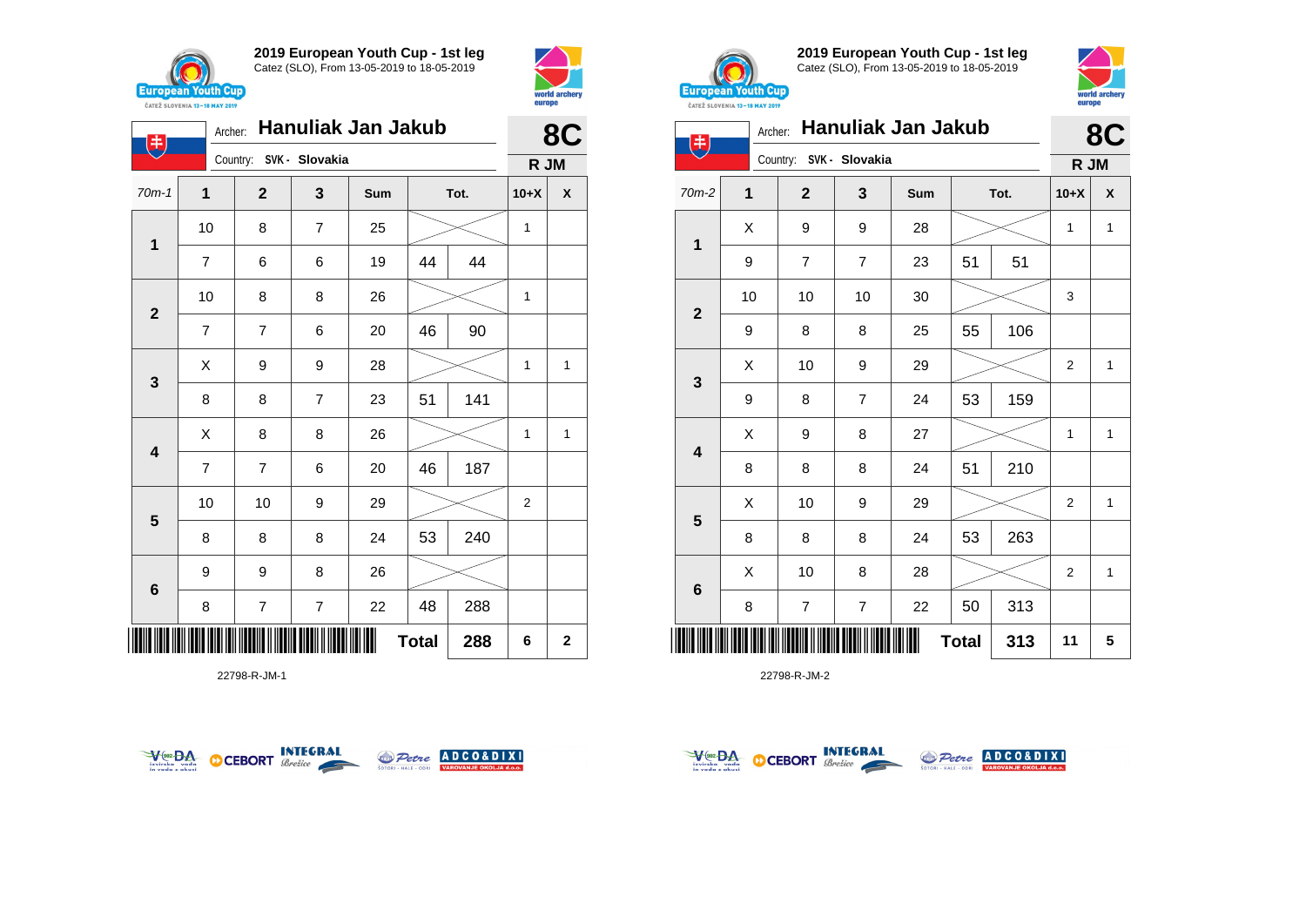

**1**

电

**2**

**3**

**4**

**5**

**6**

**2019 European Youth Cup - 1st leg** Catez (SLO), From 13-05-2019 to 18-05-2019

70m-1 **1 2 3 Sum Tot. 10+X X**

7 | 6 | 6 | 19 | 44 | 44

7 | 7 | 6 | 20 | 46 | 90

8 | 8 | 7 | 23 | 51 | 141

7 | 7 | 6 | 20 | 46 | 187

8 | 8 | 8 | 24 | 53 | 240

10 | 10 | 9 | 29 |  $>$  | 2

10 | 8 | 7 | 25 |  $\!\!\!\!\!\!\!\!\!\times$  | 1

10 | 8 | 8 | 26 |  $\times$  | 1

 $X$  | 9 | 9 | 28 |  $>$  | 1 | 1

 $X$  | 8 | 8 | 26 |  $\gg$  | 1 | 1

Country: **SVK - Slovakia**



**8C**

**R JM**



**2019 European Youth Cup - 1st leg** Catez (SLO), From 13-05-2019 to 18-05-2019



| 违                       | Archer:     |                |                         | <b>Hanuliak Jan Jakub</b> |              |     |                | 8C                 |
|-------------------------|-------------|----------------|-------------------------|---------------------------|--------------|-----|----------------|--------------------|
|                         |             |                | Country: SVK - Slovakia |                           |              |     | R JM           |                    |
| 70m-2                   | $\mathbf 1$ | $\mathbf{2}$   | 3                       | Sum                       | Tot.         |     | $10+X$         | $\pmb{\mathsf{X}}$ |
| 1                       | X           | 9              | 9                       | 28                        |              |     | 1              | $\mathbf{1}$       |
|                         | 9           | 7              | $\overline{7}$          | 23                        | 51           | 51  |                |                    |
| $\overline{\mathbf{2}}$ | 10          | 10             | 10                      | 30                        |              |     | 3              |                    |
|                         | 9           | 8              | 8                       | 25                        | 55           | 106 |                |                    |
| $\mathbf{3}$            | X           | 10             | 9                       | 29                        |              |     | $\overline{2}$ | $\mathbf{1}$       |
|                         | 9           | 8              | 7                       | 24                        | 53           | 159 |                |                    |
| 4                       | X           | 9              | 8                       | 27                        |              |     | 1              | $\mathbf{1}$       |
|                         | 8           | 8              | 8                       | 24                        | 51           | 210 |                |                    |
|                         | X           | 10             | 9                       | 29                        |              |     | $\overline{2}$ | $\mathbf{1}$       |
| 5                       | 8           | 8              | 8                       | 24                        | 53           | 263 |                |                    |
|                         | X           | 10             | 8                       | 28                        |              |     | $\overline{2}$ | $\mathbf{1}$       |
| $\bf 6$                 | 8           | $\overline{7}$ | $\overline{7}$          | 22                        | 50           | 313 |                |                    |
|                         |             |                |                         |                           | <b>Total</b> | 313 | 11             | 5                  |

22798-R-JM-2



9 9 8 26





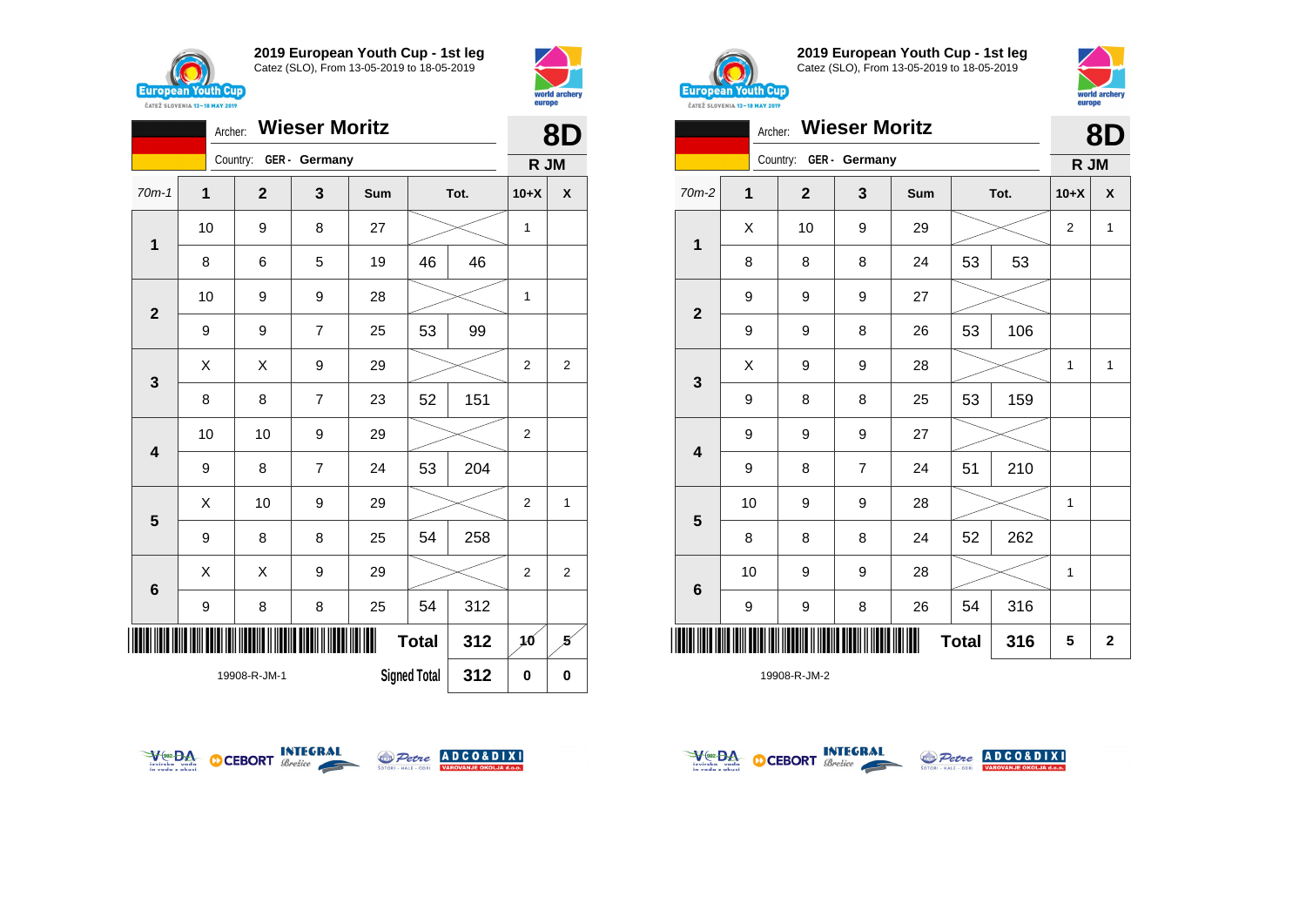



|                         | Archer:                                    |              | <b>Wieser Moritz</b> |     |              |          | 8D             |                |
|-------------------------|--------------------------------------------|--------------|----------------------|-----|--------------|----------|----------------|----------------|
|                         |                                            | Country:     | GER - Germany        |     |              |          | R JM           |                |
| $70m-1$                 | 1                                          | $\mathbf{2}$ | 3                    | Sum |              | Tot.     | $10+X$         | X              |
| $\mathbf 1$             | 10                                         | 9            | 8                    | 27  |              |          | 1              |                |
|                         | 8                                          | 6            | 5                    | 19  | 46           | 46       |                |                |
| $\mathbf 2$             | 10                                         | 9            | 9                    | 28  |              |          | 1              |                |
|                         | 9                                          | 9            | 7                    | 25  | 53           | 99       |                |                |
| 3                       | X                                          | X            | 9                    | 29  |              |          | $\overline{2}$ | $\overline{2}$ |
|                         | 8                                          | 8            | $\overline{7}$       | 23  | 52           | 151      |                |                |
| $\overline{\mathbf{4}}$ | 10                                         | 10           | 9                    | 29  |              |          |                |                |
|                         | 9                                          | 8            | $\overline{7}$       | 24  | 53           | 204      |                |                |
| 5                       | X                                          | 10           | 9                    | 29  |              |          | $\overline{2}$ | 1              |
|                         | 9                                          | 8            | 8                    | 25  | 54           | 258      |                |                |
| 6                       | X                                          | X            | 9                    | 29  |              |          | $\overline{2}$ | 2              |
|                         | 9                                          | 8            | 8                    | 25  | 54           | 312      |                |                |
| ║║║                     |                                            |              |                      |     | <b>Total</b> | 312      | 10             | 5              |
|                         | 312<br><b>Signed Total</b><br>19908-R-JM-1 |              |                      |     | 0            | $\bf{0}$ |                |                |



**2019 European Youth Cup - 1st leg** Catez (SLO), From 13-05-2019 to 18-05-2019



|                         | Archer:        |              | <b>Wieser Moritz</b> |     |              |      | 8D             |              |  |
|-------------------------|----------------|--------------|----------------------|-----|--------------|------|----------------|--------------|--|
|                         |                | Country:     | GER - Germany        |     |              |      | R JM           |              |  |
| $70m-2$                 | $\overline{1}$ | $\mathbf{2}$ | 3                    | Sum |              | Tot. | $10+X$         | X            |  |
|                         | X              | 10           | 9                    | 29  |              |      | $\overline{2}$ | $\mathbf{1}$ |  |
| 1                       | 8              | 8            | 8                    | 24  | 53           | 53   |                |              |  |
| $\overline{\mathbf{2}}$ | 9              | 9            | 9                    | 27  |              |      |                |              |  |
|                         | 9              | 9            | 8                    | 26  | 53           | 106  |                |              |  |
| 3                       | Χ              | 9            | 9                    | 28  |              |      | 1              | $\mathbf{1}$ |  |
|                         | 9              | 8            | 8                    | 25  | 53           | 159  |                |              |  |
| 4                       | 9              | 9            | 9                    | 27  |              |      |                |              |  |
|                         | 9              | 8            | $\overline{7}$       | 24  | 51           | 210  |                |              |  |
| $5\phantom{1}$          | 10             | 9            | 9                    | 28  |              |      | 1              |              |  |
|                         | 8              | 8            | 8                    | 24  | 52           | 262  |                |              |  |
| $6\phantom{1}$          | 10             | 9            | 9                    | 28  |              |      | $\mathbf{1}$   |              |  |
|                         | 9              | 9            | 8                    | 26  | 54           | 316  |                |              |  |
| ║║║                     |                |              |                      |     | <b>Total</b> | 316  | 5              | $\mathbf 2$  |  |







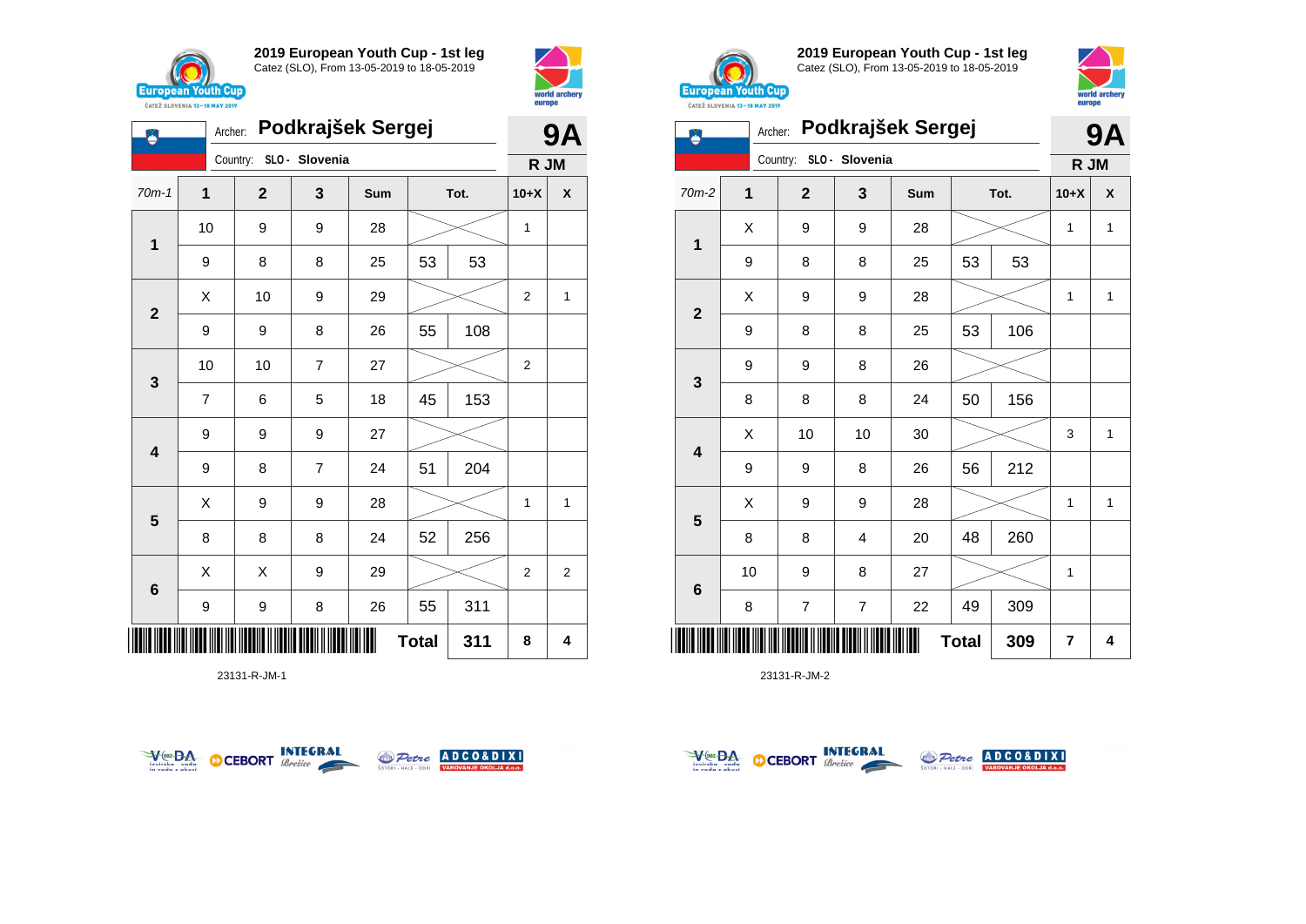



|                         |    | <b>9A</b>    |                |     |              |     |                |                |
|-------------------------|----|--------------|----------------|-----|--------------|-----|----------------|----------------|
|                         |    | Country:     | SLO - Slovenia |     |              |     | R JM           |                |
| $70m-1$                 | 1  | $\mathbf{2}$ | 3              | Sum | Tot.         |     | $10+X$         | X              |
|                         | 10 | 9            | 9              | 28  |              |     | 1              |                |
| 1                       | 9  | 8            | 8              | 25  | 53           | 53  |                |                |
| $\mathbf{2}$            | X  | 10           | 9              | 29  |              |     | 2              | 1              |
|                         | 9  | 9            | 8              | 26  | 55           | 108 |                |                |
| 3                       | 10 | 10           | $\overline{7}$ | 27  |              |     | $\overline{2}$ |                |
|                         | 7  | 6            | 5              | 18  | 45           | 153 |                |                |
| $\overline{\mathbf{4}}$ | 9  | 9            | 9              | 27  |              |     |                |                |
|                         | 9  | 8            | $\overline{7}$ | 24  | 51           | 204 |                |                |
| 5                       | X  | 9            | 9              | 28  |              |     | 1              | 1              |
|                         | 8  | 8            | 8              | 24  | 52           | 256 |                |                |
| $6\phantom{1}6$         | X  | X            | 9              | 29  |              |     | 2              | $\overline{2}$ |
|                         | 9  | 9            | 8              | 26  | 55           | 311 |                |                |
| ║║║                     |    |              |                |     | <b>Total</b> | 311 | 8              | 4              |

23131-R-JM-1





**2019 European Youth Cup - 1st leg** Catez (SLO), From 13-05-2019 to 18-05-2019



|                         | Archer:        |                |                | Podkrajšek Sergej |              |      | 9Α             |   |
|-------------------------|----------------|----------------|----------------|-------------------|--------------|------|----------------|---|
|                         |                | Country:       | SLO - Slovenia |                   |              |      | R JM           |   |
| 70m-2                   | $\overline{1}$ | $\mathbf 2$    | 3              | Sum               |              | Tot. | $10+X$         | X |
| 1                       | X              | 9              | 9              | 28                |              |      | $\mathbf{1}$   | 1 |
|                         | 9              | 8              | 8              | 25                | 53           | 53   |                |   |
| $\mathbf{2}$            | X              | 9              | 9              | 28                |              |      | 1              | 1 |
|                         | 9              | 8              | 8              | 25                | 53           | 106  |                |   |
|                         | 9              | 9              | 8              | 26                |              |      |                |   |
| 3                       | 8              | 8              | 8              | 24                | 50           | 156  |                |   |
| $\overline{\mathbf{4}}$ | X              | 10             | 10             | 30                |              |      | 3              | 1 |
|                         | 9              | 9              | 8              | 26                | 56           | 212  |                |   |
|                         | X              | 9              | 9              | 28                |              |      | 1              | 1 |
| 5                       | 8              | 8              | 4              | 20                | 48           | 260  |                |   |
|                         | 10             | 9              | 8              | 27                |              |      | 1              |   |
| $\bf 6$                 | 8              | $\overline{7}$ | $\overline{7}$ | 22                | 49           | 309  |                |   |
|                         |                |                |                |                   | <b>Total</b> | 309  | $\overline{7}$ | 4 |



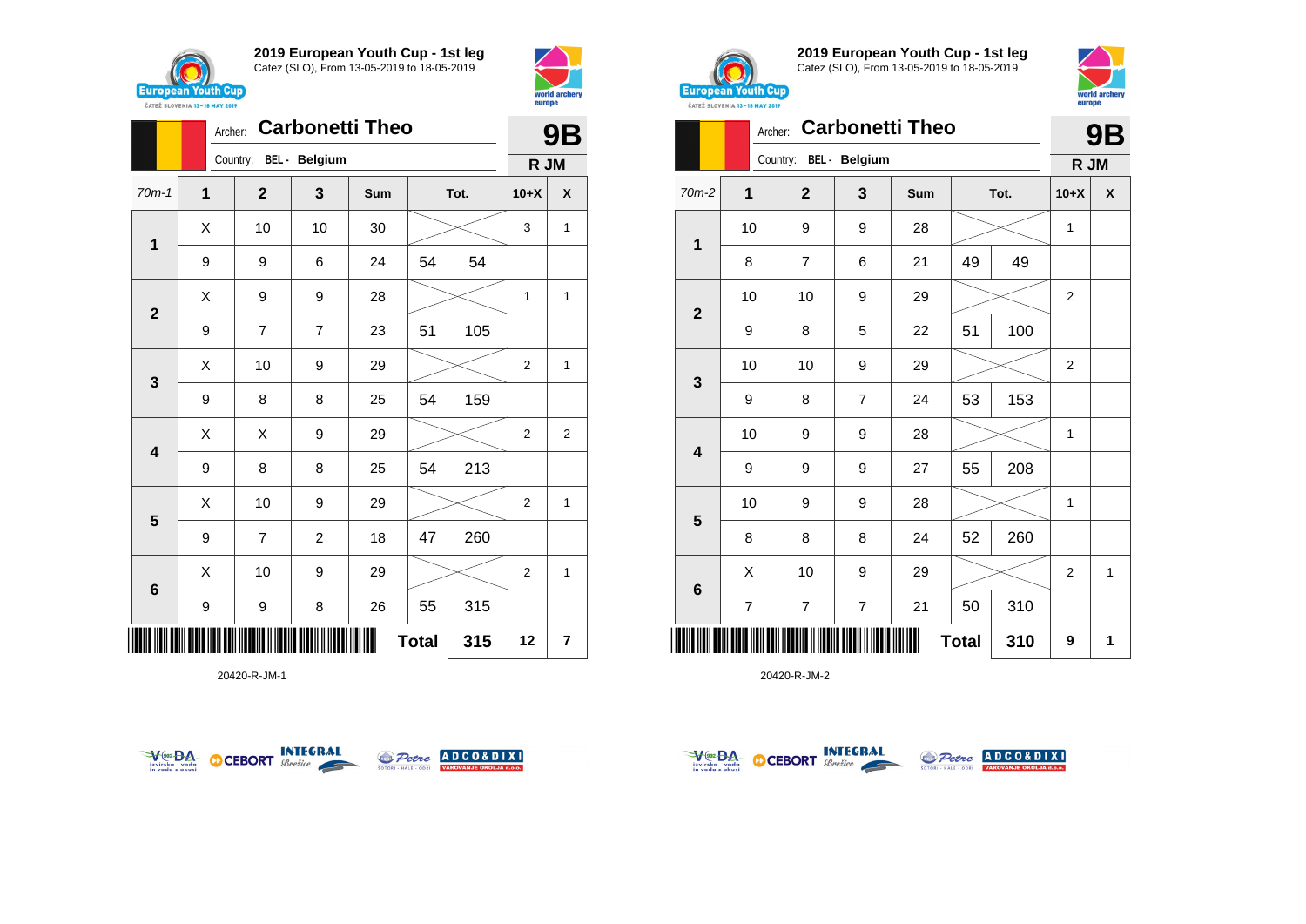





20420-R-JM-1





**2019 European Youth Cup - 1st leg** Catez (SLO), From 13-05-2019 to 18-05-2019



|              |    | <b>9B</b>      |                |     |              |     |                |   |
|--------------|----|----------------|----------------|-----|--------------|-----|----------------|---|
|              |    | Country:       | BEL - Belgium  |     |              |     | R JM           |   |
| $70m-2$      | 1  | $\mathbf{2}$   | 3              | Sum | Tot.         |     | $10+X$         | X |
| $\mathbf 1$  | 10 | 9              | 9              | 28  |              |     | 1              |   |
|              | 8  | $\overline{7}$ | 6              | 21  | 49           | 49  |                |   |
| $\mathbf{2}$ | 10 | 10             | 9              | 29  |              |     | 2              |   |
|              | 9  | 8              | 5              | 22  | 51           | 100 |                |   |
|              | 10 | 10             | 9              | 29  |              |     |                |   |
| 3            | 9  | 8              | $\overline{7}$ | 24  | 53           | 153 |                |   |
| 4            | 10 | 9              | 9              | 28  |              |     | $\mathbf{1}$   |   |
|              | 9  | 9              | 9              | 27  | 55           | 208 |                |   |
|              | 10 | 9              | 9              | 28  |              |     | 1              |   |
| 5            | 8  | 8              | 8              | 24  | 52           | 260 |                |   |
| 6            | X  | 10             | 9              | 29  |              |     | $\overline{2}$ | 1 |
|              | 7  | 7              | $\overline{7}$ | 21  | 50           | 310 |                |   |
| II           |    |                |                |     | <b>Total</b> | 310 | 9              | 1 |



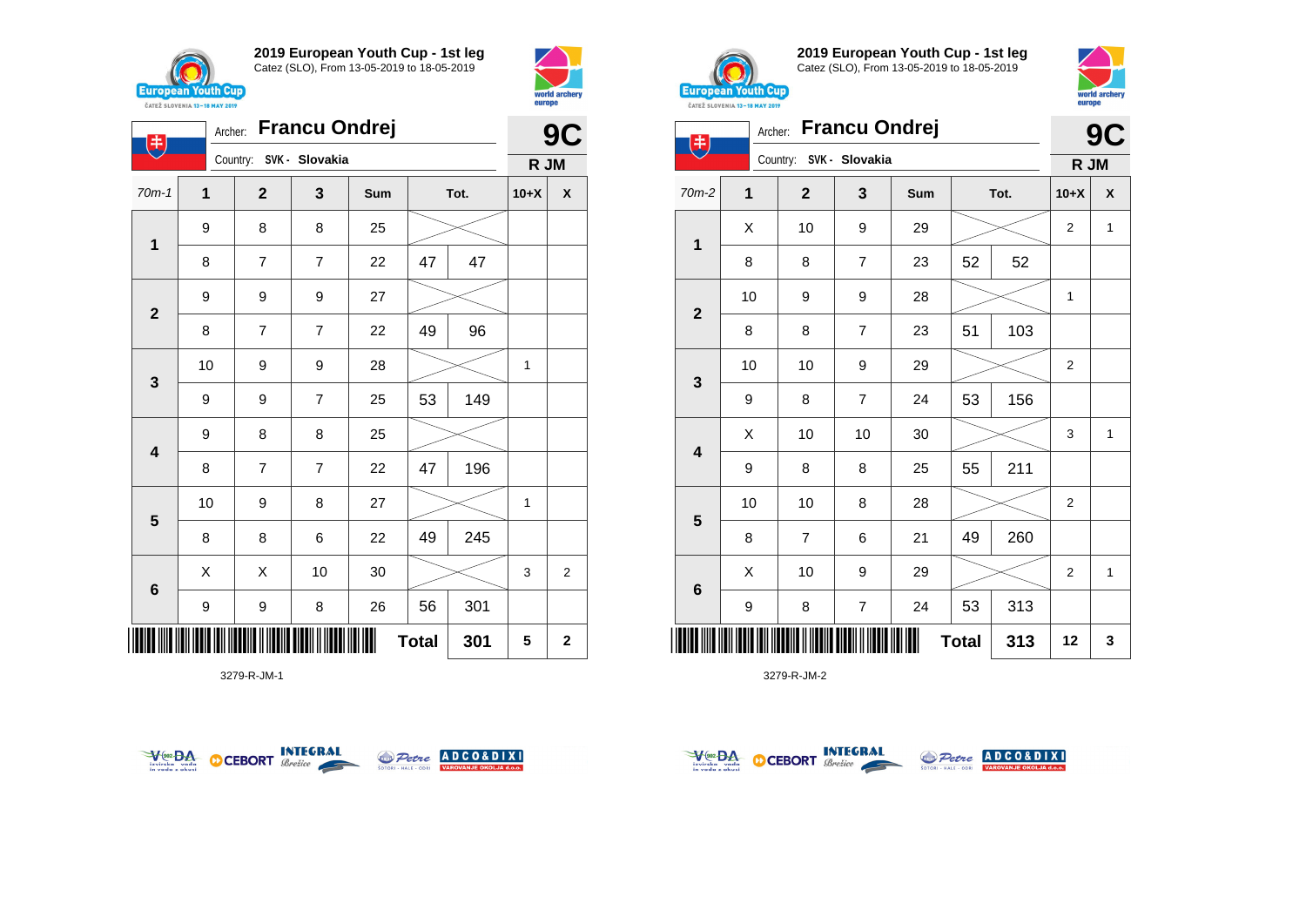





3279-R-JM-1





**2019 European Youth Cup - 1st leg** Catez (SLO), From 13-05-2019 to 18-05-2019



| $(\ddagger)$            |    | Archer: Francu Ondrej   |                |     |              |     | 9<br>C         |              |
|-------------------------|----|-------------------------|----------------|-----|--------------|-----|----------------|--------------|
|                         |    | Country: SVK - Slovakia |                |     |              |     | R JM           |              |
| 70m-2                   | 1  | $\mathbf{2}$            | 3              | Sum | Tot.         |     | $10+X$         | X            |
| $\mathbf 1$             | X  | 10                      | 9              | 29  |              |     | $\overline{2}$ | $\mathbf{1}$ |
|                         | 8  | 8                       | $\overline{7}$ | 23  | 52           | 52  |                |              |
| $\mathbf{2}$            | 10 | 9                       | 9              | 28  |              |     | 1              |              |
|                         | 8  | 8                       | $\overline{7}$ | 23  | 51           | 103 |                |              |
| 3                       | 10 | 10                      | 9              | 29  |              |     | $\mathbf 2$    |              |
|                         | 9  | 8                       | $\overline{7}$ | 24  | 53           | 156 |                |              |
| $\overline{\mathbf{4}}$ | X  | 10                      | 10             | 30  |              |     | 3              | $\mathbf{1}$ |
|                         | 9  | 8                       | 8              | 25  | 55           | 211 |                |              |
| $5\phantom{1}$          | 10 | 10                      | 8              | 28  |              |     | $\overline{2}$ |              |
|                         | 8  | $\overline{7}$          | 6              | 21  | 49           | 260 |                |              |
| $\bf 6$                 | X  | 10                      | 9              | 29  |              |     | $\overline{2}$ | $\mathbf{1}$ |
|                         | 9  | 8                       | $\overline{7}$ | 24  | 53           | 313 |                |              |
|                         |    |                         |                |     | <b>Total</b> | 313 | 12             | 3            |



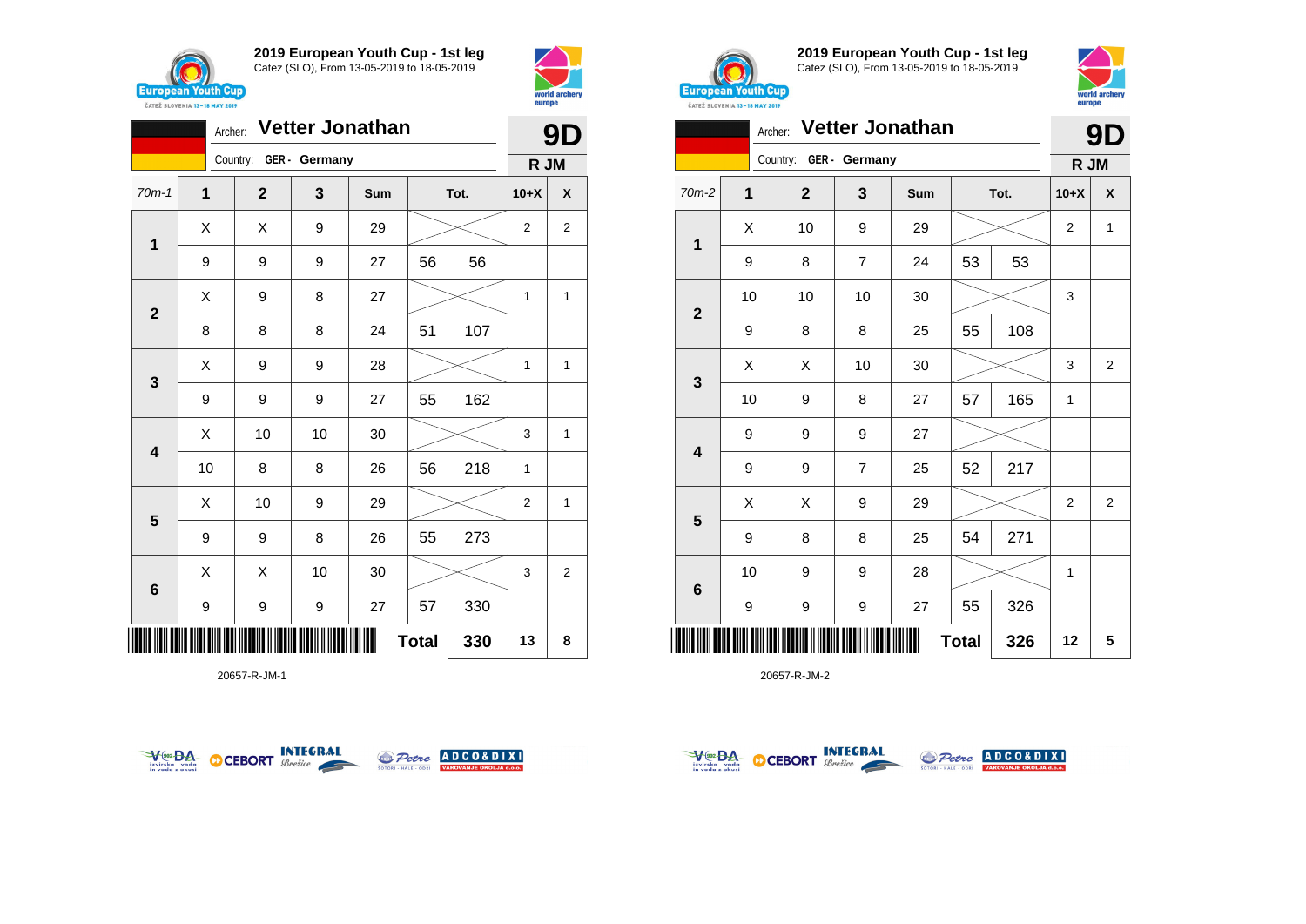



|                         | 9D          |             |               |     |              |      |                |                |
|-------------------------|-------------|-------------|---------------|-----|--------------|------|----------------|----------------|
|                         |             | Country:    | GER - Germany |     |              |      | R JM           |                |
| $70m-1$                 | $\mathbf 1$ | $\mathbf 2$ | 3             | Sum |              | Tot. | $10+X$         | X              |
| $\mathbf 1$             | X           | X           | 9             | 29  |              |      | $\overline{2}$ | $\overline{2}$ |
|                         | 9           | 9           | 9             | 27  | 56           | 56   |                |                |
| $\overline{\mathbf{2}}$ | X           | 9           | 8             | 27  |              |      | 1              | 1              |
|                         | 8           | 8           | 8             | 24  | 51           | 107  |                |                |
| 3                       | X           | 9           | 9             | 28  |              |      | $\mathbf{1}$   | 1              |
|                         | 9           | 9           | 9             | 27  | 55           | 162  |                |                |
| $\overline{\mathbf{4}}$ | Χ           | 10          | 10            | 30  |              |      | 3              | 1              |
|                         | 10          | 8           | 8             | 26  | 56           | 218  | 1              |                |
| $5\phantom{1}$          | X           | 10          | 9             | 29  |              |      | $\overline{2}$ | 1              |
|                         | 9           | 9           | 8             | 26  | 55           | 273  |                |                |
| 6                       | X           | X           | 10            | 30  |              |      | 3              | $\overline{2}$ |
|                         | 9           | 9           | 9             | 27  | 57           | 330  |                |                |
| I IIII                  |             |             |               |     | <b>Total</b> | 330  | 13             | 8              |

20657-R-JM-1





**2019 European Youth Cup - 1st leg** Catez (SLO), From 13-05-2019 to 18-05-2019



|              | Archer: |                        |                | <b>Vetter Jonathan</b> |              |      | 9D     |                |
|--------------|---------|------------------------|----------------|------------------------|--------------|------|--------|----------------|
|              |         | Country: GER - Germany |                |                        |              |      | R JM   |                |
| 70m-2        | 1       | $\mathbf{2}$           | 3              | Sum                    |              | Tot. | $10+X$ | X              |
|              | X       | 10                     | 9              | 29                     |              |      | 2      | 1              |
| 1            | 9       | 8                      | $\overline{7}$ | 24                     | 53           | 53   |        |                |
|              | 10      | 10                     | 10             | 30                     |              |      | 3      |                |
| $\mathbf{2}$ | 9       | 8                      | 8              | 25                     | 55           | 108  |        |                |
|              | X       | X                      | 10             | 30                     |              |      | 3      | $\overline{2}$ |
| 3            | 10      | 9                      | 8              | 27                     | 57           | 165  | 1      |                |
|              | 9       | 9                      | 9              | 27                     |              |      |        |                |
| 4            | 9       | 9                      | $\overline{7}$ | 25                     | 52           | 217  |        |                |
|              | Χ       | X                      | 9              | 29                     |              |      | 2      | $\overline{2}$ |
| 5            | 9       | 8                      | 8              | 25                     | 54           | 271  |        |                |
|              | 10      | 9                      | 9              | 28                     |              |      | 1      |                |
| 6            | 9       | 9                      | 9              | 27                     | 55           | 326  |        |                |
| Ⅲ            |         |                        |                |                        | <b>Total</b> | 326  | 12     | 5              |



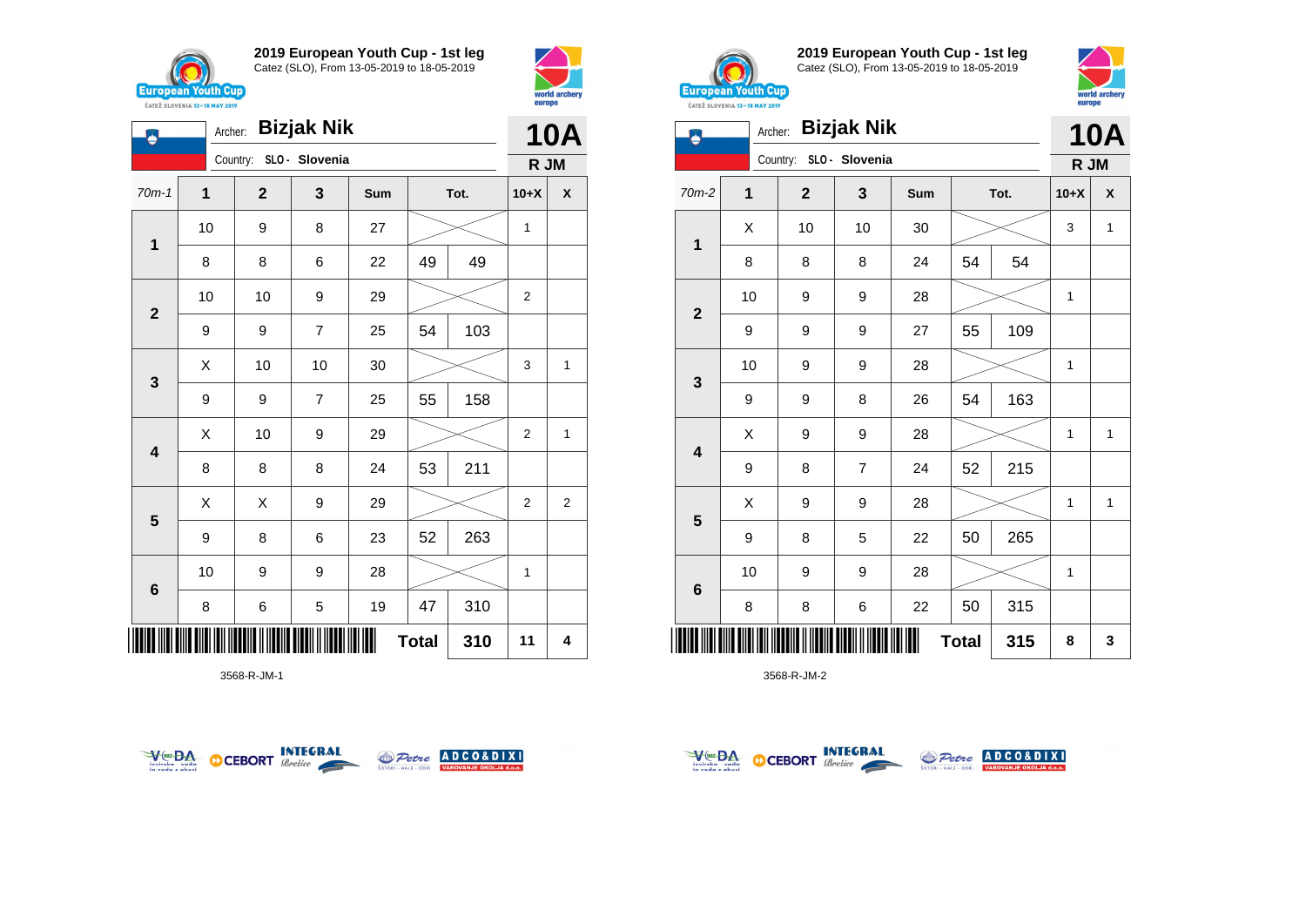

**1**

Ö

**2**

**3**

**4**

**5**

**6**

**2019 European Youth Cup - 1st leg** Catez (SLO), From 13-05-2019 to 18-05-2019

70m-1 **1 2 3 Sum Tot. 10+X X**

8 8 6 22 49 49

9 9 7 25 54 103

9 | 9 | 7 | 25 | 55 | 158

8 | 8 | 8 | 24 | 53 | 211

9 | 8 | 6 | 23 | 52 | 263

8 | 6 | 5 | 19 | 47 | 310

10 | 9 | 9 | 28 |  $\!\!\!\!\!\!\!\!\times$  | 1

10 | 9 | 8 | 27 |  $\!\!\!\!\!\times$  | 1

10 | 10 | 9 | 29 |  $>$  | 2

 $\begin{array}{|c|c|c|c|c|c|}\hline \hspace{.1cm}X & \hspace{.1cm} \text{ 10} & \hspace{.1cm} \text{ 10} & \hspace{.1cm} \text{ 30} & \hspace{.1cm} \end{array} \hspace{.2cm} \begin{array}{|c|c|c|c|c|c|}\hline \hspace{.1cm}X & \hspace{.1cm} \text{ 3} & \hspace{.1cm} \text{ 1} & \hspace{.1cm} \text{ 4} & \hspace{.1cm} \end{array}$ 

 $\begin{array}{|c|c|c|c|c|}\hline \hspace{.1cm}X & \hspace{.1cm} \text{10} & \hspace{.1cm} \text{9} & \hspace{.1cm} \text{29} & \hspace{.1cm} \text{20} & \hspace{.1cm} \text{\large $\times$} & \hspace{.1cm} \text{2} & \hspace{.1cm} \text{1} \end{array}$ 

 $\begin{array}{|c|c|c|c|c|}\hline \hspace{0.2cm}X & X & 9 & 29 & \nearrow \ \hline \end{array}$ 

Archer: **Bizjak Nik**

Country: **SLO - Slovenia**



**10A R JM**



**2019 European Youth Cup - 1st leg** Catez (SLO), From 13-05-2019 to 18-05-2019



| ő                       | Archer: |                         |                | <b>10A</b> |              |      |              |              |
|-------------------------|---------|-------------------------|----------------|------------|--------------|------|--------------|--------------|
|                         |         | Country: SLO - Slovenia |                |            |              |      | R JM         |              |
| $70m-2$                 | 1       | $\mathbf{2}$            | 3              | Sum        |              | Tot. | $10+X$       | X            |
| $\mathbf{1}$            | Χ       | 10                      | 10             | 30         |              |      | 3            | $\mathbf{1}$ |
|                         | 8       | 8                       | 8              | 24         | 54           | 54   |              |              |
| $\mathbf{2}$            | 10      | 9                       | 9              | 28         |              |      | 1            |              |
|                         | 9       | 9                       | 9              | 27         | 55           | 109  |              |              |
| $\mathbf{3}$            | 10      | 9                       | 9              | 28         |              |      | 1            |              |
|                         | 9       | 9                       | 8              | 26         | 54           | 163  |              |              |
| $\overline{\mathbf{4}}$ | X       | 9                       | 9              | 28         |              |      | 1            | $\mathbf{1}$ |
|                         | 9       | 8                       | $\overline{7}$ | 24         | 52           | 215  |              |              |
| 5                       | X       | 9                       | 9              | 28         |              |      | $\mathbf{1}$ | $\mathbf{1}$ |
|                         | 9       | 8                       | 5              | 22         | 50           | 265  |              |              |
| $6\phantom{1}6$         | 10      | 9                       | 9              | 28         |              |      | $\mathbf{1}$ |              |
|                         | 8       | 8                       | 6              | 22         | 50           | 315  |              |              |
|                         |         |                         |                |            | <b>Total</b> | 315  | 8            | 3            |

3568-R-JM-2



\*3568-R-JM-1\*

3568-R-JM-1



**Total 310 11 4**



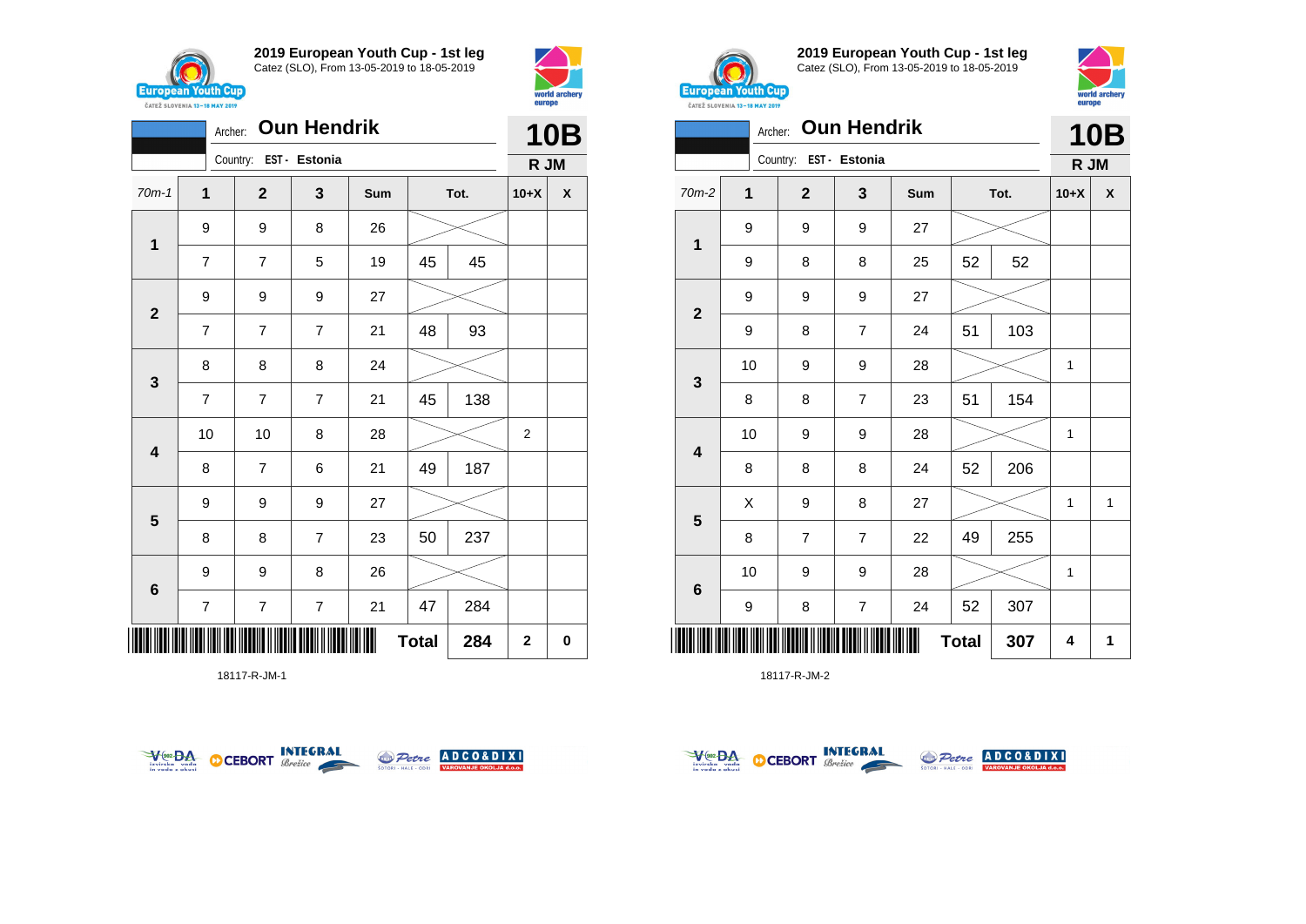



|                         | <b>Oun Hendrik</b><br>Archer: |  |                        |                |     |              |      |                | <b>10B</b> |  |  |
|-------------------------|-------------------------------|--|------------------------|----------------|-----|--------------|------|----------------|------------|--|--|
|                         |                               |  | Country: EST - Estonia |                |     |              |      | R JM           |            |  |  |
| $70m-1$                 | $\mathbf{1}$                  |  | $\mathbf{2}$           | 3              | Sum |              | Tot. | $10+X$         | X          |  |  |
| $\mathbf 1$             | 9                             |  | 9                      | 8              | 26  |              |      |                |            |  |  |
|                         | $\overline{7}$                |  | 7                      | 5              | 19  | 45           | 45   |                |            |  |  |
| $\mathbf{2}$            | 9                             |  | 9                      | 9              | 27  |              |      |                |            |  |  |
|                         | $\overline{7}$                |  | $\overline{7}$         | $\overline{7}$ | 21  | 48           | 93   |                |            |  |  |
| $\mathbf{3}$            | 8                             |  | 8                      | 8              | 24  |              |      |                |            |  |  |
|                         | $\overline{7}$                |  | $\overline{7}$         | $\overline{7}$ | 21  | 45           | 138  |                |            |  |  |
| $\overline{\mathbf{4}}$ | 10                            |  | 10                     | 8              | 28  |              |      | $\overline{2}$ |            |  |  |
|                         | 8                             |  | $\overline{7}$         | 6              | 21  | 49           | 187  |                |            |  |  |
| $\overline{\mathbf{5}}$ | 9                             |  | 9                      | 9              | 27  |              |      |                |            |  |  |
|                         | 8                             |  | 8                      | $\overline{7}$ | 23  | 50           | 237  |                |            |  |  |
| $\bf 6$                 | 9                             |  | 9                      | 8              | 26  |              |      |                |            |  |  |
|                         | $\overline{\mathbf{7}}$       |  | 7                      | 7              | 21  | 47           | 284  |                |            |  |  |
|                         |                               |  |                        |                |     | <b>Total</b> | 284  | $\overline{2}$ | 0          |  |  |

18117-R-JM-1





**2019 European Youth Cup - 1st leg** Catez (SLO), From 13-05-2019 to 18-05-2019



| <b>UNILL JLUVENIA 13-10 MMI 4017</b> | <b>Oun Hendrik</b><br>Archer: |              |                         |     |              |      |              |            |  |
|--------------------------------------|-------------------------------|--------------|-------------------------|-----|--------------|------|--------------|------------|--|
|                                      |                               | Country:     | EST - Estonia           |     |              |      | R JM         | <b>10B</b> |  |
| $70m-2$                              | 1                             | $\mathbf{2}$ | 3                       | Sum |              | Tot. | $10+X$       | X          |  |
|                                      | 9                             | 9            | 9                       | 27  |              |      |              |            |  |
| 1                                    | 9                             | 8            | 8                       | 25  | 52           | 52   |              |            |  |
|                                      | 9                             | 9            | 9                       | 27  |              |      |              |            |  |
| $\mathbf{2}$                         | 9                             | 8            | $\overline{7}$          | 24  | 51           | 103  |              |            |  |
| $\mathbf{3}$                         | 10                            | 9            | 9                       | 28  |              |      | 1            |            |  |
|                                      | 8                             | 8            | $\overline{7}$          | 23  | 51           | 154  |              |            |  |
| $\overline{\mathbf{4}}$              | 10                            | 9            | 9                       | 28  |              |      | $\mathbf{1}$ |            |  |
|                                      | 8                             | 8            | 8                       | 24  | 52           | 206  |              |            |  |
|                                      | X                             | 9            | 8                       | 27  |              |      | $\mathbf{1}$ | 1          |  |
| $\overline{\mathbf{5}}$              | 8                             | 7            | $\overline{7}$          | 22  | 49           | 255  |              |            |  |
|                                      | 10                            | 9            | 9                       | 28  |              |      | 1            |            |  |
| $\bf 6$                              | 9                             | 8            | $\overline{\mathbf{7}}$ | 24  | 52           | 307  |              |            |  |
|                                      |                               |              |                         |     | <b>Total</b> | 307  | 4            | 1          |  |

18117-R-JM-2



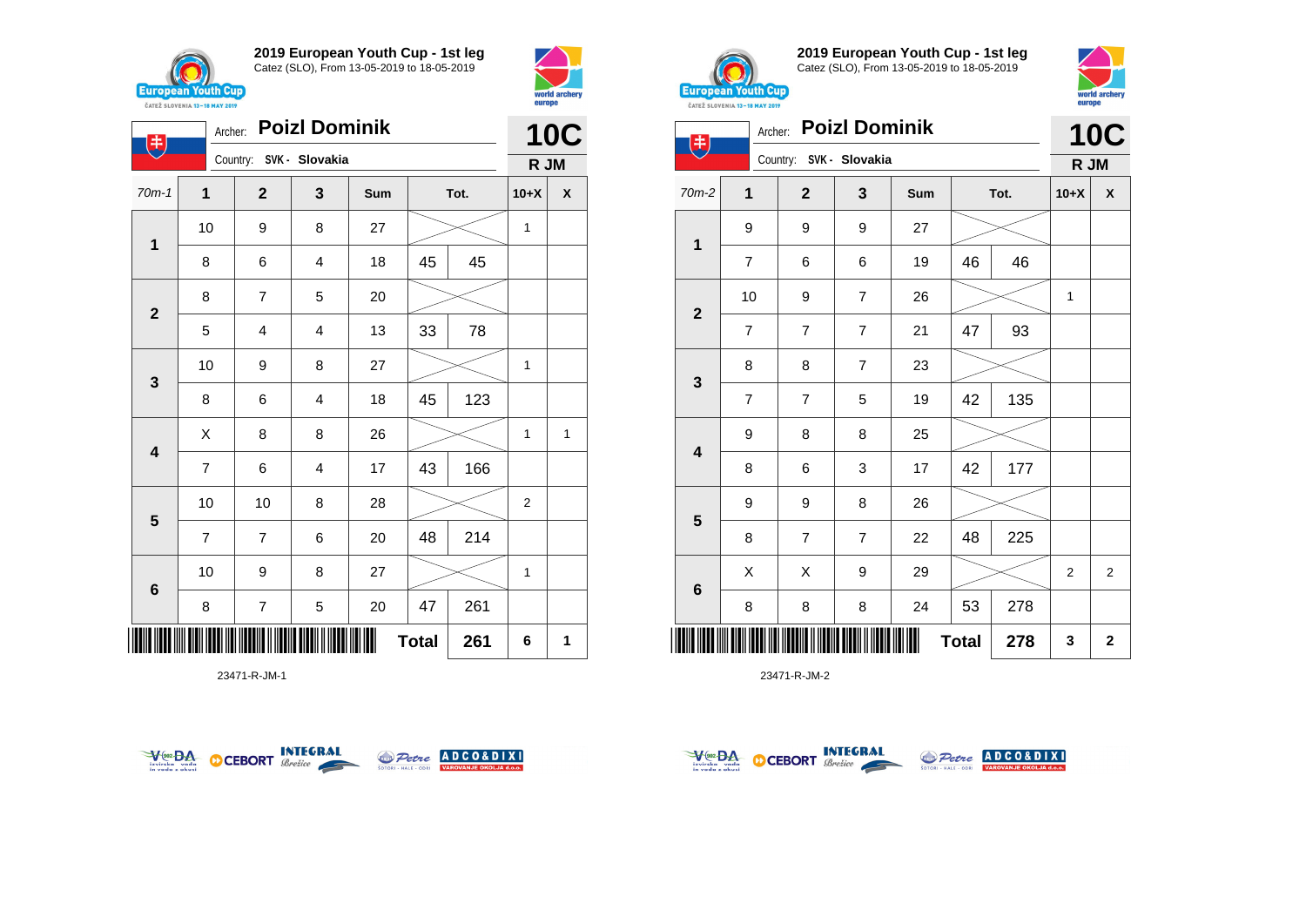

**1**

电

**2**

**3**

**4**

**5**

**6**

**2019 European Youth Cup - 1st leg** Catez (SLO), From 13-05-2019 to 18-05-2019

70m-1 **1 2 3 Sum Tot. 10+X X**

8 | 6 | 4 | 18 | 45 | 45

5 | 4 | 4 | 13 | 33 | 78

8 | 6 | 4 | 18 | 45 | 123

7 | 6 | 4 | 17 | 43 | 166

7 | 7 | 6 | 20 | 48 | 214

8 | 7 | 5 | 20 | 47 | 261

10 | 10 | 8 | 28 |  $\!\!\!\!\!\!\times$  | 2

10 | 9 | 8 | 27 |  $\!\!\!\!\!\!\times$  | 1

**Total 261 6 1**

10 | 9 | 8 | 27 |  $\!\!\!\!\!\times$  | 1

 $X$  | 8 | 8 | 26 |  $\gg$  | 1 | 1

10 | 9 | 8 | 27 |  $\!\!\!\!\!\times$  | 1

Country: **SVK - Slovakia**

8 | 7 | 5 | 20



**10C R JM**



**2019 European Youth Cup - 1st leg** Catez (SLO), From 13-05-2019 to 18-05-2019



|                         | <b>ČATEŽ SLOVENIA 13-18 MAY 2019</b> |                |                         |     |              |      | emohe        |                |  |
|-------------------------|--------------------------------------|----------------|-------------------------|-----|--------------|------|--------------|----------------|--|
| 书                       | Archer:                              |                | <b>Poizl Dominik</b>    |     |              |      |              | <b>10C</b>     |  |
|                         |                                      |                | Country: SVK - Slovakia |     |              |      | R JM         |                |  |
| 70m-2                   | $\mathbf{1}$                         | $\mathbf{2}$   | 3                       | Sum |              | Tot. | $10+X$       | X              |  |
|                         | 9                                    | 9              | 9                       | 27  |              |      |              |                |  |
| 1                       | $\overline{7}$                       | 6              | 6                       | 19  | 46           | 46   |              |                |  |
| $\mathbf{2}$            | 10                                   | 9              | 7                       | 26  |              |      | 1            |                |  |
|                         | $\overline{7}$                       | $\overline{7}$ | $\overline{7}$          | 21  | 47           | 93   |              |                |  |
|                         | 8                                    | 8              | $\overline{7}$          | 23  |              |      |              |                |  |
| $\mathbf{3}$            | $\overline{7}$                       | $\overline{7}$ | 5                       | 19  | 42           | 135  |              |                |  |
| $\overline{\mathbf{4}}$ | 9                                    | 8              | 8                       | 25  |              |      |              |                |  |
|                         | 8                                    | 6              | 3                       | 17  | 42           | 177  |              |                |  |
|                         | 9                                    | 9              | 8                       | 26  |              |      |              |                |  |
| $\overline{\mathbf{5}}$ | 8                                    | $\overline{7}$ | 7                       | 22  | 48           | 225  |              |                |  |
|                         | X                                    | X              | 9                       | 29  |              |      | $\mathbf{2}$ | $\overline{2}$ |  |
| 6                       | 8                                    | 8              | 8                       | 24  | 53           | 278  |              |                |  |
|                         |                                      |                |                         |     | <b>Total</b> | 278  | 3            | $\mathbf{2}$   |  |

23471-R-JM-2



\*23471-R-JM-1\*

23471-R-JM-1



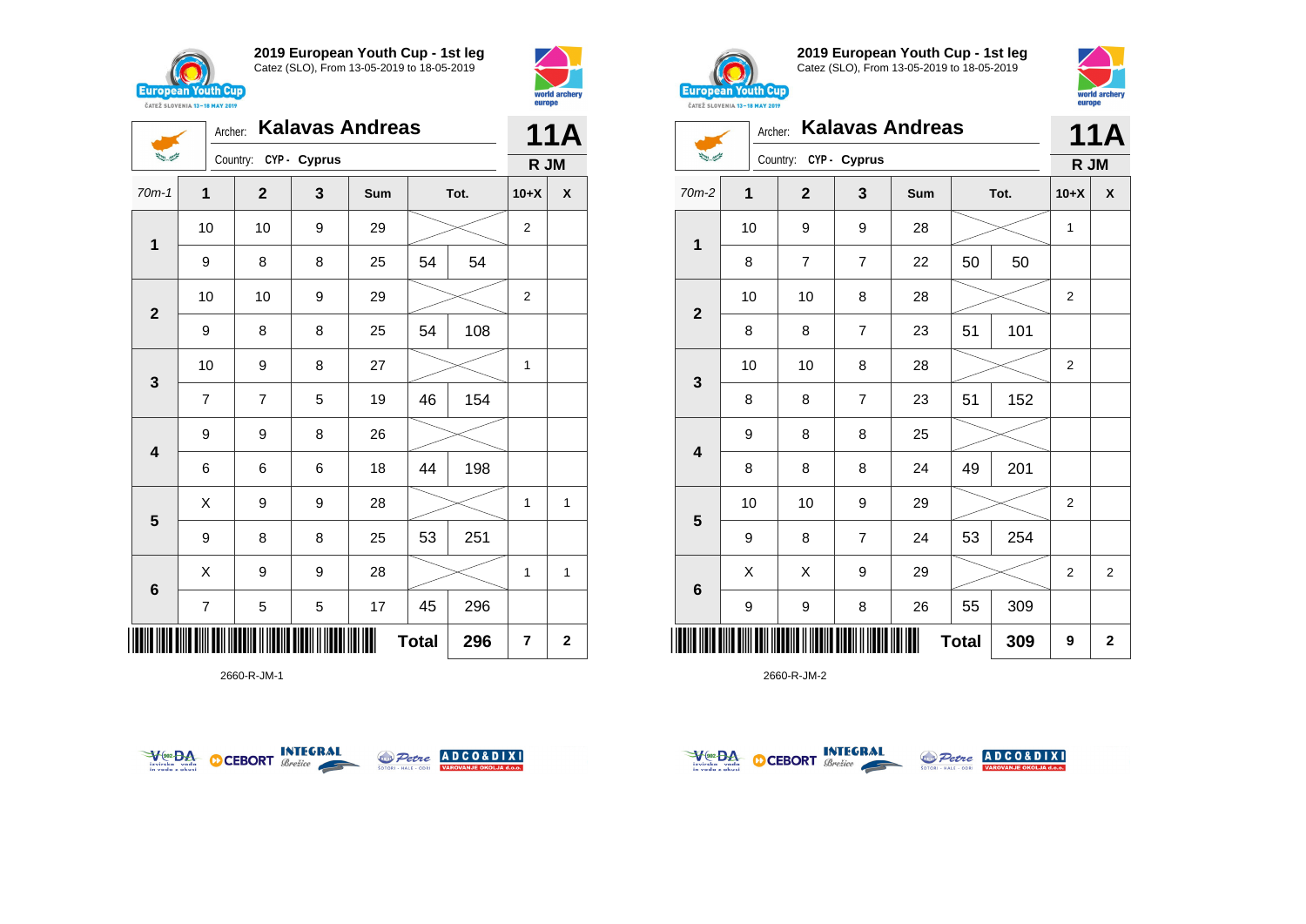

**1**

 $\sum_{i=1}^{n-1} \frac{1}{\sum_{j=1}^{n-1} \sum_{j=1}^{n-1} \frac{1}{\sum_{j=1}^{n-1} \sum_{j=1}^{n-1} \frac{1}{\sum_{j=1}^{n-1} \sum_{j=1}^{n-1} \frac{1}{\sum_{j=1}^{n-1} \sum_{j=1}^{n-1} \frac{1}{\sum_{j=1}^{n-1} \sum_{j=1}^{n-1} \frac{1}{\sum_{j=1}^{n-1} \sum_{j=1}^{n-1} \frac{1}{\sum_{j=1}^{n-1} \sum_{j=1}^{n-1} \frac{1}{$ 

**2**

**3**

**4**

**5**

**6**

Country: **CYP - Cyprus**

**2019 European Youth Cup - 1st leg** Catez (SLO), From 13-05-2019 to 18-05-2019

70m-1 **1 2 3 Sum Tot. 10+X X**

9 | 8 | 8 | 25 | 54 | 54

9 | 8 | 8 | 25 | 54 | 108

7 | 7 | 5 | 19 | 46 | 154

6 6 6 18 44 198

9 | 8 | 8 | 25 | 53 | 251

7 | 5 | 5 | 17 | 45 | 296

 $X$  | 9 | 9 | 28 |  $>$  | 1 | 1

 $X$  | 9 | 9 | 28 |  $>$  | 1 | 1

9 9 8 26

10 | 10 | 9 | 29 |  $>$  | 2

10 | 10 | 9 | 29 |  $>$  | 2

10 | 9 | 8 | 27 |  $\!\!\!\!\!\times$  | 1



**11A R JM**



**2019 European Youth Cup - 1st leg** Catez (SLO), From 13-05-2019 to 18-05-2019 **European Youth Cup** 

world archer eurone

|              | Archer: |                         |                | <b>11A</b> |              |      |                |                |
|--------------|---------|-------------------------|----------------|------------|--------------|------|----------------|----------------|
|              |         | Country: CYP - Cyprus   |                |            |              |      | R JM           |                |
| $70m-2$      | 1       | $\overline{\mathbf{2}}$ | 3              | Sum        |              | Tot. | $10+X$         | X              |
| 1            | 10      | 9                       | 9              | 28         |              |      | 1              |                |
|              | 8       | 7                       | $\overline{7}$ | 22         | 50           | 50   |                |                |
| $\mathbf{2}$ | 10      | 10                      | 8              | 28         |              |      | $\overline{2}$ |                |
|              | 8       | 8                       | 7              | 23         | 51           | 101  |                |                |
| $\mathbf{3}$ | 10      | 10                      | 8              | 28         |              |      | $\overline{2}$ |                |
|              | 8       | 8                       | $\overline{7}$ | 23         | 51           | 152  |                |                |
| 4            | 9       | 8                       | 8              | 25         |              |      |                |                |
|              | 8       | 8                       | 8              | 24         | 49           | 201  |                |                |
|              | 10      | 10                      | 9              | 29         |              |      | $\overline{c}$ |                |
| 5            | 9       | 8                       | $\overline{7}$ | 24         | 53           | 254  |                |                |
|              | X       | Χ                       | 9              | 29         |              |      | $\overline{2}$ | $\overline{2}$ |
| $\bf 6$      | 9       | 9                       | 8              | 26         | 55           | 309  |                |                |
| ║║║          |         |                         |                |            | <b>Total</b> | 309  | 9              | $\mathbf 2$    |

2660-R-JM-2



\*2660-R-JM-1\*

2660-R-JM-1



**Total** 296  $\vert$  7  $\vert$  2



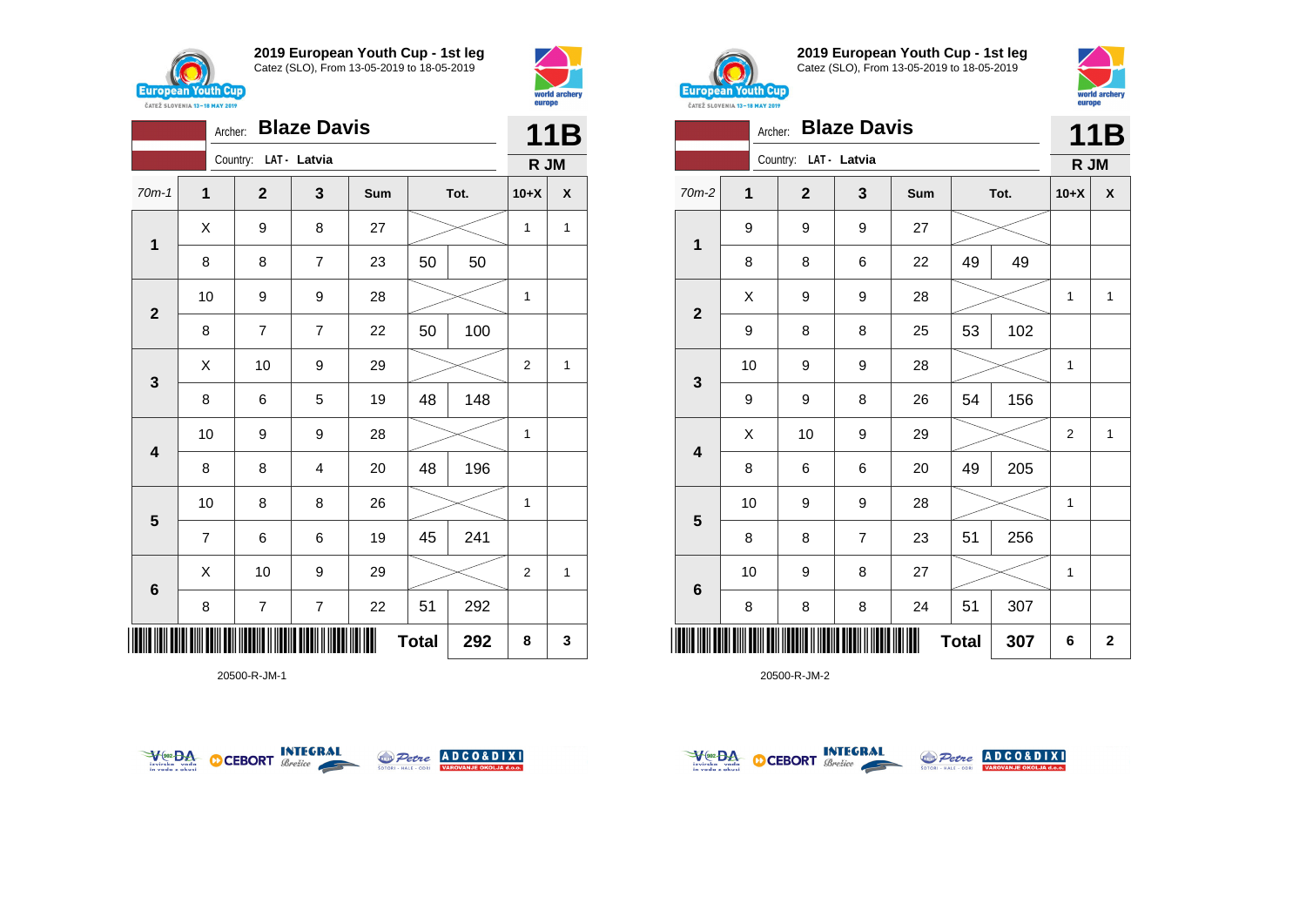



|                         | <b>Blaze Davis</b><br>Archer: |  |                       |                         |     |              |      | <b>11B</b>     |              |
|-------------------------|-------------------------------|--|-----------------------|-------------------------|-----|--------------|------|----------------|--------------|
|                         |                               |  | Country: LAT - Latvia |                         |     |              |      | R JM           |              |
| $70m-1$                 | $\overline{\mathbf{1}}$       |  | $\mathbf{2}$          | 3                       | Sum |              | Tot. | $10+X$         | X            |
| 1                       | X                             |  | 9                     | 8                       | 27  |              |      | $\mathbf{1}$   | $\mathbf{1}$ |
|                         | 8                             |  | 8                     | $\overline{7}$          | 23  | 50           | 50   |                |              |
| $\overline{2}$          | 10                            |  | 9                     | 9                       | 28  |              |      | 1              |              |
|                         | 8                             |  | 7                     | $\overline{7}$          | 22  | 50           | 100  |                |              |
| $\mathbf{3}$            | Χ                             |  | 10                    | 9                       | 29  |              |      | $\overline{2}$ | 1            |
|                         | 8                             |  | 6                     | 5                       | 19  | 48           | 148  |                |              |
| $\overline{\mathbf{4}}$ | 10                            |  | 9                     | 9                       | 28  |              |      | 1              |              |
|                         | 8                             |  | 8                     | $\overline{4}$          | 20  | 48           | 196  |                |              |
| $5\phantom{1}$          | 10                            |  | 8                     | 8                       | 26  |              |      | $\mathbf{1}$   |              |
|                         | $\overline{7}$                |  | 6                     | 6                       | 19  | 45           | 241  |                |              |
| $6\phantom{1}$          | Χ                             |  | 10                    | 9                       | 29  |              |      | 2              | 1            |
|                         | 8                             |  | $\boldsymbol{7}$      | $\overline{\mathbf{7}}$ | 22  | 51           | 292  |                |              |
| IIII                    |                               |  |                       |                         |     | <b>Total</b> | 292  | 8              | 3            |

20500-R-JM-1





**2019 European Youth Cup - 1st leg** Catez (SLO), From 13-05-2019 to 18-05-2019



|                         | Archer:      |                         | <b>Blaze Davis</b> |     |              |      |                | <b>11B</b>         |
|-------------------------|--------------|-------------------------|--------------------|-----|--------------|------|----------------|--------------------|
|                         |              | Country:                | LAT - Latvia       |     |              |      | R JM           |                    |
| $70m-2$                 | $\mathbf{1}$ | $\overline{\mathbf{2}}$ | 3                  | Sum |              | Tot. | $10+X$         | $\pmb{\mathsf{X}}$ |
| $\mathbf 1$             | 9            | 9                       | 9                  | 27  |              |      |                |                    |
|                         | 8            | 8                       | 6                  | 22  | 49           | 49   |                |                    |
| $\overline{\mathbf{2}}$ | Χ            | 9                       | 9                  | 28  |              |      | 1              | 1                  |
|                         | 9            | 8                       | 8                  | 25  | 53           | 102  |                |                    |
| 3                       | 10           | 9                       | 9                  | 28  |              |      | 1              |                    |
|                         | 9            | 9                       | 8                  | 26  | 54           | 156  |                |                    |
| 4                       | X            | 10                      | $\boldsymbol{9}$   | 29  |              |      | $\overline{2}$ | $\mathbf{1}$       |
|                         | 8            | 6                       | 6                  | 20  | 49           | 205  |                |                    |
|                         | 10           | 9                       | $\boldsymbol{9}$   | 28  |              |      | 1              |                    |
| 5                       | 8            | 8                       | $\overline{7}$     | 23  | 51           | 256  |                |                    |
|                         | 10           | 9                       | 8                  | 27  |              |      | $\mathbf{1}$   |                    |
| $\bf 6$                 | 8            | 8                       | 8                  | 24  | 51           | 307  |                |                    |
| ∭                       |              |                         |                    |     | <b>Total</b> | 307  | 6              | $\mathbf 2$        |

20500-R-JM-2



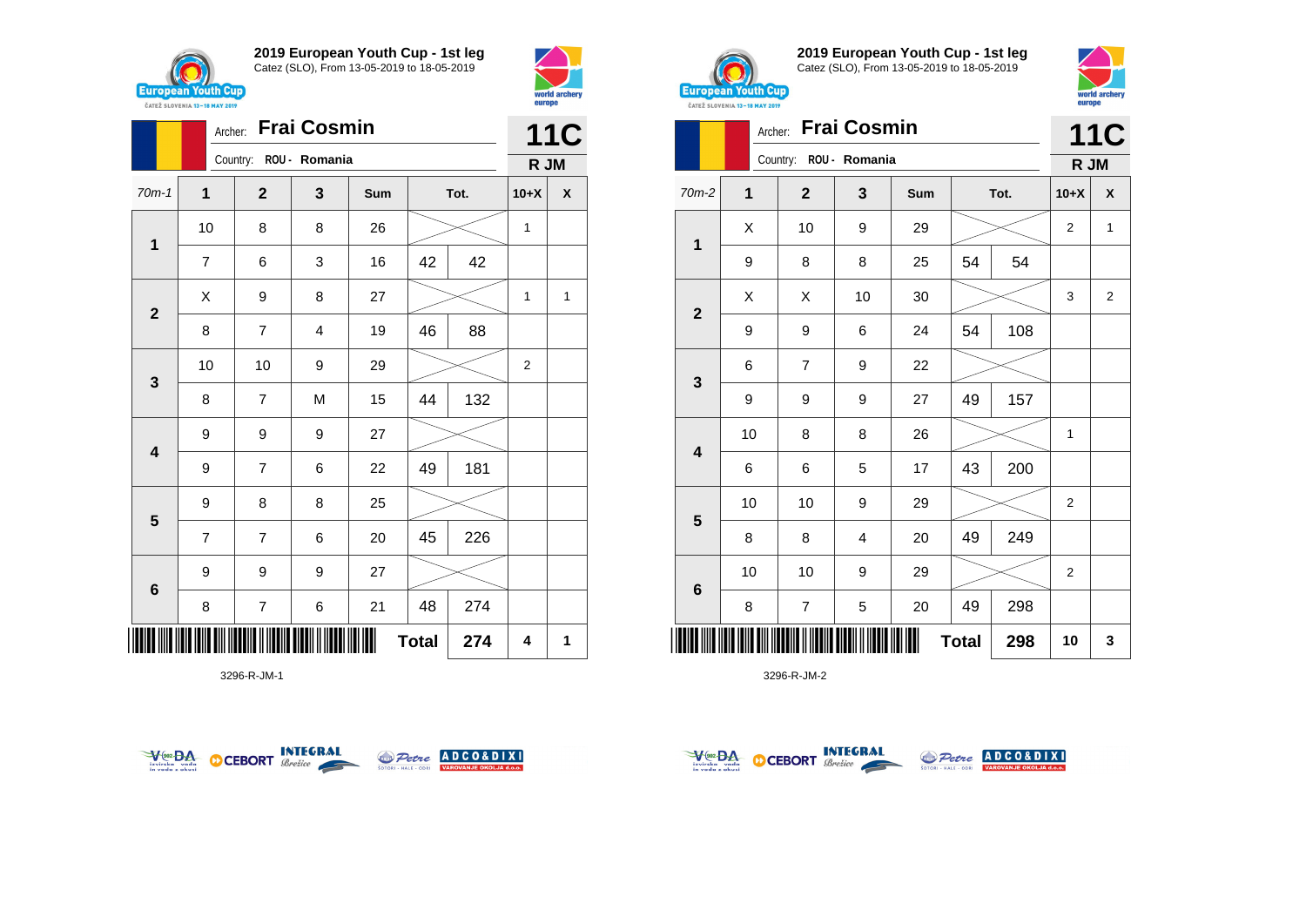



|              | Archer:        |                        |   | <b>11C</b> |              |      |        |                    |
|--------------|----------------|------------------------|---|------------|--------------|------|--------|--------------------|
|              |                | Country: ROU - Romania |   |            |              |      | R JM   |                    |
| $70m-1$      | $\mathbf{1}$   | $\mathbf{2}$           | 3 | Sum        |              | Tot. | $10+X$ | $\pmb{\mathsf{X}}$ |
| $\mathbf 1$  | 10             | 8                      | 8 | 26         |              |      | 1      |                    |
|              | $\overline{7}$ | 6                      | 3 | 16         | 42           | 42   |        |                    |
| $\mathbf{2}$ | Χ              | 9                      | 8 | 27         |              |      | 1      | 1                  |
|              | 8              | $\overline{7}$         | 4 | 19         | 46           | 88   |        |                    |
| 3            | 10             | 10                     | 9 | 29         |              |      | 2      |                    |
|              | 8              | $\overline{7}$         | M | 15         | 44           | 132  |        |                    |
| 4            | 9              | 9                      | 9 | 27         |              |      |        |                    |
|              | 9              | $\overline{7}$         | 6 | 22         | 49           | 181  |        |                    |
| 5            | 9              | 8                      | 8 | 25         |              |      |        |                    |
|              | $\overline{7}$ | 7                      | 6 | 20         | 45           | 226  |        |                    |
| $\bf 6$      | 9              | 9                      | 9 | 27         |              |      |        |                    |
|              | 8              | 7                      | 6 | 21         | 48           | 274  |        |                    |
| IIII         |                |                        |   |            | <b>Total</b> | 274  | 4      | 1                  |

3296-R-JM-1





**2019 European Youth Cup - 1st leg** Catez (SLO), From 13-05-2019 to 18-05-2019



| <b><i>UAILL SLUVENIA 13"10 MAI 4017</i></b> |         |                          |                    |     |              |      |                |            |
|---------------------------------------------|---------|--------------------------|--------------------|-----|--------------|------|----------------|------------|
|                                             | Archer: |                          | <b>Frai Cosmin</b> |     |              |      |                | <b>11C</b> |
|                                             |         | Country: ROU - Romania   |                    |     |              |      | R JM           |            |
| $70m-2$                                     | 1       | $\mathbf 2$              | 3                  | Sum |              | Tot. | $10+X$         | X          |
|                                             | X       | 10                       | 9                  | 29  |              |      | $\overline{2}$ | 1          |
| $\mathbf{1}$                                | 9       | 8                        | 8                  | 25  | 54           | 54   |                |            |
|                                             | X       | X                        | 10                 | 30  |              |      | 3              | 2          |
| $\mathbf{2}$                                | 9       | 9                        | 6                  | 24  | 54           | 108  |                |            |
|                                             | 6       | 7                        | 9                  | 22  |              |      |                |            |
| 3                                           | 9       | 9                        | 9                  | 27  | 49           | 157  |                |            |
|                                             | 10      | 8                        | 8                  | 26  |              |      | 1              |            |
| $\overline{\mathbf{4}}$                     | 6       | 6                        | 5                  | 17  | 43           | 200  |                |            |
|                                             | 10      | 10                       | 9                  | 29  |              |      | $\overline{2}$ |            |
| 5                                           | 8       | 8                        | $\overline{4}$     | 20  | 49           | 249  |                |            |
|                                             | 10      | 10                       | 9                  | 29  |              |      | $\overline{c}$ |            |
| $\bf 6$                                     | 8       | $\overline{\mathcal{I}}$ | 5                  | 20  | 49           | 298  |                |            |
|                                             |         |                          |                    |     | <b>Total</b> | 298  | 10             | 3          |

3296-R-JM-2



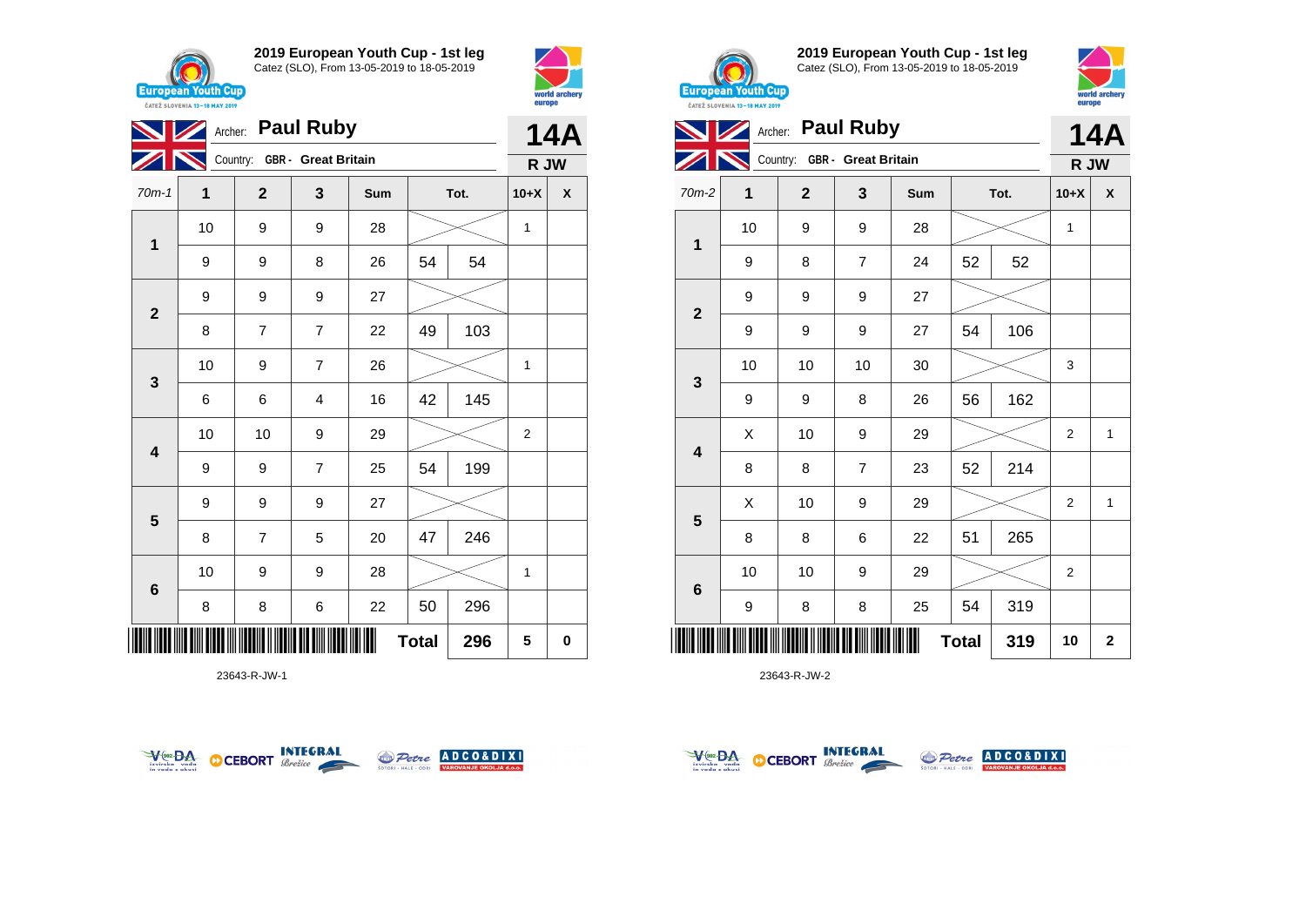



|                         | Archer: Paul Ruby |                              |                | <b>14A</b> |              |      |                |   |
|-------------------------|-------------------|------------------------------|----------------|------------|--------------|------|----------------|---|
|                         |                   | Country: GBR - Great Britain |                |            |              |      | R JW           |   |
| $70m-1$                 | 1                 | $\overline{2}$               | 3              | Sum        |              | Tot. | $10+X$         | X |
| $\mathbf{1}$            | 10                | 9                            | 9              | 28         |              |      | $\mathbf{1}$   |   |
|                         | 9                 | 9                            | 8              | 26         | 54           | 54   |                |   |
|                         | 9                 | 9                            | 9              | 27         |              |      |                |   |
| $\mathbf{2}$            | 8                 | $\overline{7}$               | $\overline{7}$ | 22         | 49           | 103  |                |   |
|                         | 10                | 9                            | $\overline{7}$ | 26         |              |      | 1              |   |
| $\mathbf{3}$            | 6                 | 6                            | 4              | 16         | 145<br>42    |      |                |   |
| $\overline{\mathbf{4}}$ | 10                | 10                           | 9              | 29         |              |      | $\overline{2}$ |   |
|                         | 9                 | 9                            | $\overline{7}$ | 25         | 54           | 199  |                |   |
|                         | 9                 | 9                            | 9              | 27         |              |      |                |   |
| 5                       | 8                 | $\overline{7}$               | 5              | 20         | 47           | 246  |                |   |
| $6\phantom{1}6$         | 10                | 9                            | 9              | 28         |              |      | 1              |   |
|                         | 8                 | 8                            | 6              | 22         | 50           | 296  |                |   |
|                         |                   |                              |                |            | <b>Total</b> | 296  | 5              | 0 |

23643-R-JW-1





**2019 European Youth Cup - 1st leg** Catez (SLO), From 13-05-2019 to 18-05-2019



|                         | Archer: Paul Ruby |                              |                | 14A |              |      |                |              |
|-------------------------|-------------------|------------------------------|----------------|-----|--------------|------|----------------|--------------|
|                         |                   | Country: GBR - Great Britain |                |     |              |      | R JW           |              |
| $70m-2$                 | 1                 | $\mathbf{2}$                 | 3              | Sum |              | Tot. | $10+X$         | X            |
|                         | 10                | 9                            | 9              | 28  |              |      | 1              |              |
| 1                       | 9                 | 8                            | $\overline{7}$ | 24  | 52           | 52   |                |              |
|                         | 9                 | 9                            | 9              | 27  |              |      |                |              |
| $\mathbf{2}$            | 9                 | 9                            | 9              | 27  | 54           | 106  |                |              |
|                         | 10                | 10                           | 10             | 30  |              |      | 3              |              |
| 3                       | 9                 | 9                            | 8              | 26  | 56           | 162  |                |              |
| $\overline{\mathbf{4}}$ | Χ                 | 10                           | 9              | 29  |              |      | $\overline{2}$ | $\mathbf{1}$ |
|                         | 8                 | 8                            | $\overline{7}$ | 23  | 52           | 214  |                |              |
|                         | X                 | 10                           | 9              | 29  |              |      | $\overline{2}$ | 1            |
| $\overline{\mathbf{5}}$ | 8                 | 8                            | 6              | 22  | 51           | 265  |                |              |
| $\bf 6$                 | 10                | 10                           | 9              | 29  |              |      | $\overline{2}$ |              |
|                         | 9                 | 8                            | 8              | 25  | 54           | 319  |                |              |
| ║║║                     |                   |                              |                |     | <b>Total</b> | 319  | 10             | $\bf{2}$     |



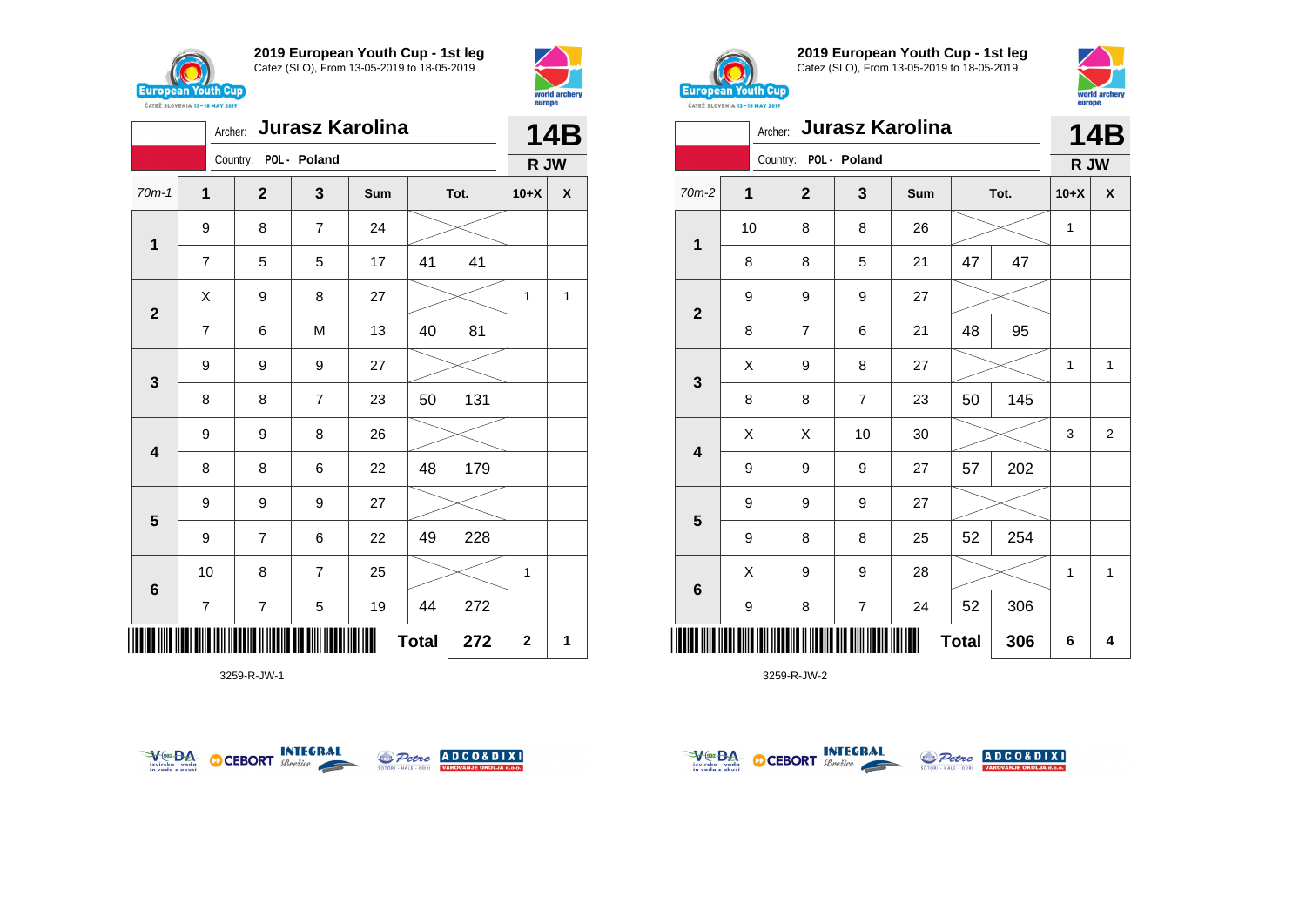



|                         |                          | <b>Jurasz Karolina</b><br>Archer: |                |     |              |      |                |                    |  |
|-------------------------|--------------------------|-----------------------------------|----------------|-----|--------------|------|----------------|--------------------|--|
|                         |                          | Country: POL - Poland             |                |     |              |      | R JW           |                    |  |
| $70m-1$                 | $\mathbf{1}$             | $\mathbf 2$                       | 3              | Sum |              | Tot. | $10+X$         | $\pmb{\mathsf{X}}$ |  |
| $\mathbf{1}$            | 9                        | 8                                 | $\overline{7}$ | 24  |              |      |                |                    |  |
|                         | $\overline{7}$           | 5                                 | 5              | 17  | 41           | 41   |                |                    |  |
| $\mathbf{2}$            | Χ                        | 9                                 | 8              | 27  |              |      | 1              | 1                  |  |
|                         | $\overline{7}$           | 6                                 | M              | 13  | 40           | 81   |                |                    |  |
| $\mathbf{3}$            | 9                        | 9                                 | 9              | 27  |              |      |                |                    |  |
|                         | 8                        | 8                                 | $\overline{7}$ | 23  | 50           | 131  |                |                    |  |
| $\overline{\mathbf{4}}$ | 9                        | 9                                 | 8              | 26  |              |      |                |                    |  |
|                         | 8                        | 8                                 | 6              | 22  | 48           | 179  |                |                    |  |
| $5\phantom{1}$          | 9                        | 9                                 | 9              | 27  |              |      |                |                    |  |
|                         | 9                        | 7                                 | 6              | 22  | 49           | 228  |                |                    |  |
| $\bf 6$                 | 10                       | 8                                 | $\overline{7}$ | 25  |              |      | 1              |                    |  |
|                         | $\overline{\mathcal{I}}$ | $\overline{\mathbf{7}}$           | 5              | 19  | 44           | 272  |                |                    |  |
| ║║║                     |                          |                                   |                |     | <b>Total</b> | 272  | $\overline{2}$ | 1                  |  |

3259-R-JW-1





**2019 European Youth Cup - 1st leg** Catez (SLO), From 13-05-2019 to 18-05-2019



|                | Jurasz Karolina<br>Archer: |                         |                |     |              |      |              |                |  |  |
|----------------|----------------------------|-------------------------|----------------|-----|--------------|------|--------------|----------------|--|--|
|                |                            | Country: POL - Poland   |                |     |              |      | R JW         |                |  |  |
| $70m-2$        | $\mathbf{1}$               | $\overline{\mathbf{2}}$ | 3              | Sum |              | Tot. | $10+X$       | X              |  |  |
|                | 10                         | 8                       | 8              | 26  |              |      | 1            |                |  |  |
| $\mathbf 1$    | 8                          | 8                       | 5              | 21  | 47           | 47   |              |                |  |  |
| $\overline{2}$ | 9                          | 9                       | 9              | 27  |              |      |              |                |  |  |
|                | 8                          | $\overline{7}$          | 6              | 21  | 48           | 95   |              |                |  |  |
|                | X                          | 9                       | 8              | 27  |              |      | 1            | $\mathbf{1}$   |  |  |
| 3              | 8                          | 8                       | 7              | 23  | 50           | 145  |              |                |  |  |
|                | X                          | X                       | 10             | 30  |              |      | 3            | $\overline{2}$ |  |  |
| 4              | 9                          | 9                       | 9              | 27  | 57           | 202  |              |                |  |  |
|                | 9                          | 9                       | 9              | 27  |              |      |              |                |  |  |
| 5              | 9                          | 8                       | 8              | 25  | 52           | 254  |              |                |  |  |
|                | X                          | 9                       | 9              | 28  |              |      | $\mathbf{1}$ | $\mathbf{1}$   |  |  |
| $\bf 6$        | 9                          | 8                       | $\overline{7}$ | 24  | 52           | 306  |              |                |  |  |
| ║║║            |                            |                         |                |     | <b>Total</b> | 306  | 6            | 4              |  |  |



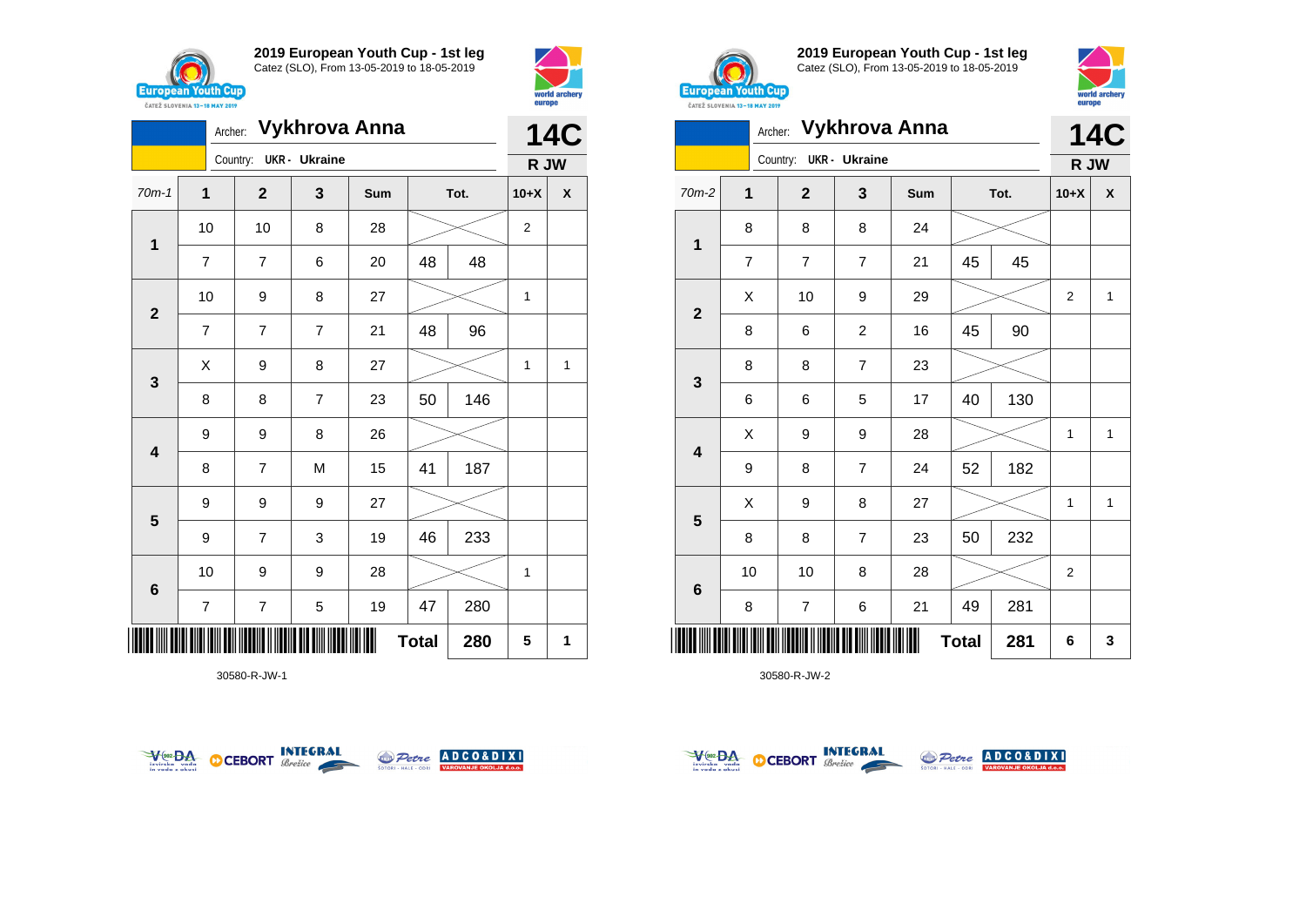





30580-R-JW-1





**2019 European Youth Cup - 1st leg** Catez (SLO), From 13-05-2019 to 18-05-2019



| <b>CAILL SLUVENIA 13-18 MAY 2019</b> |                | -----            |                      |               |              |      |                |              |
|--------------------------------------|----------------|------------------|----------------------|---------------|--------------|------|----------------|--------------|
|                                      | Archer:        |                  |                      | Vykhrova Anna |              |      |                | <b>14C</b>   |
|                                      |                | Country:         | <b>UKR</b> - Ukraine |               |              |      | R JW           |              |
| 70m-2                                | 1              | $\overline{2}$   | 3                    | Sum           |              | Tot. | $10+X$         | X            |
|                                      | 8              | 8                | 8                    | 24            |              |      |                |              |
| 1                                    | $\overline{7}$ | 7                | $\overline{7}$       | 21            | 45           | 45   |                |              |
|                                      | X              | 10               | 9                    | 29            |              |      | 2              | 1            |
| $\mathbf{2}$                         | 8              | 6                | $\overline{c}$       | 16            | 45           | 90   |                |              |
|                                      | 8              | 8                | $\overline{7}$       | 23            |              |      |                |              |
| 3                                    | 6              | 6                | 5                    | 17            | 40           | 130  |                |              |
|                                      | Χ              | 9                | 9                    | 28            |              |      | 1              | $\mathbf{1}$ |
| 4                                    | 9              | 8                | $\overline{7}$       | 24            | 52           | 182  |                |              |
|                                      | X              | 9                | 8                    | 27            |              |      | 1              | $\mathbf{1}$ |
| 5                                    | 8              | 8                | $\overline{7}$       | 23            | 50           | 232  |                |              |
|                                      | 10             | 10               | 8                    | 28            |              |      | $\overline{c}$ |              |
| 6                                    | 8              | $\boldsymbol{7}$ | 6                    | 21            | 49           | 281  |                |              |
| ║║║                                  |                |                  |                      |               | <b>Total</b> | 281  | 6              | 3            |



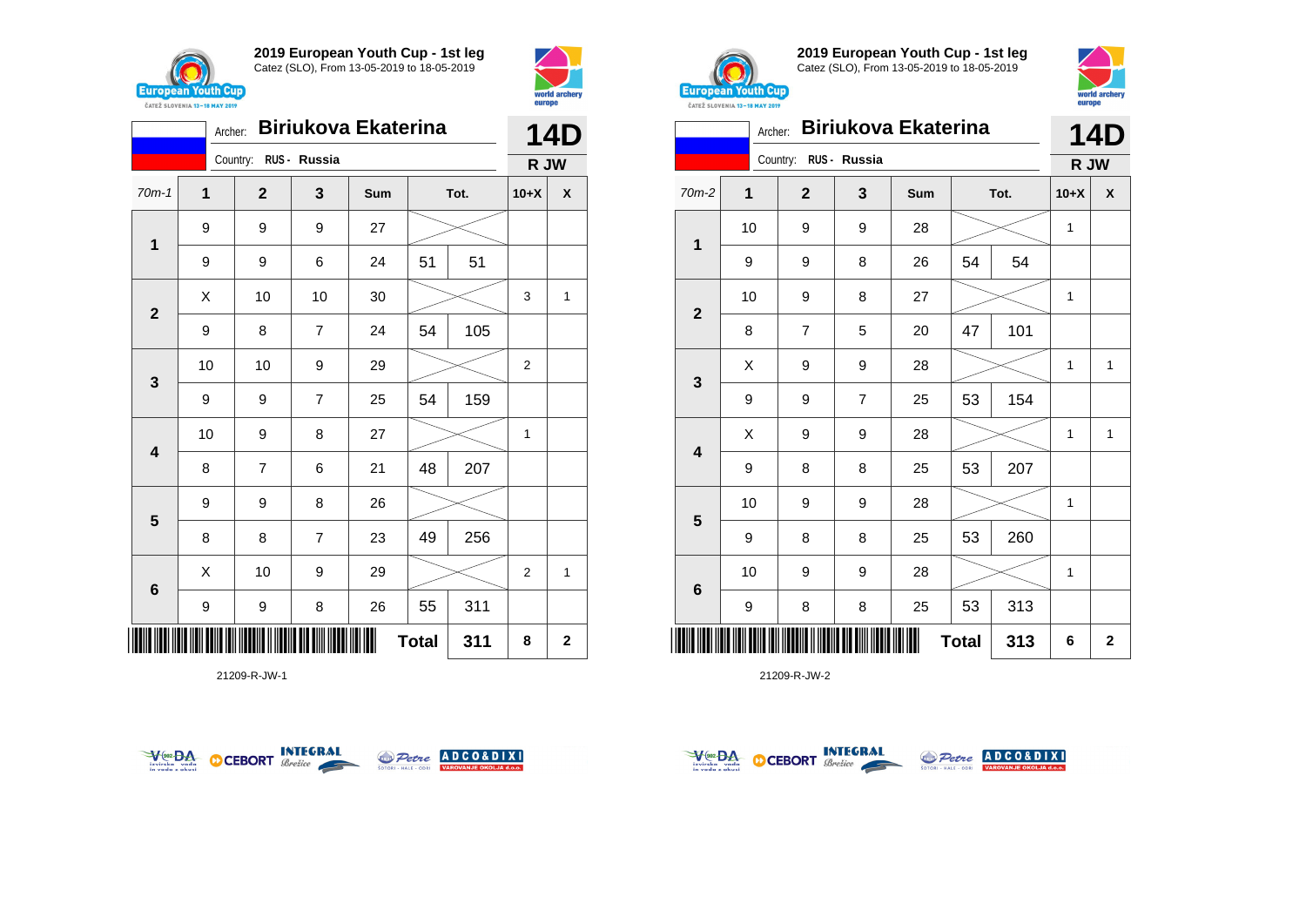

Country: **RUS - Russia**

**2019 European Youth Cup - 1st leg** Catez (SLO), From 13-05-2019 to 18-05-2019





| $\mathbf 1$             | 9    | 9                       | 9                       | 27 |    |     |                  |              |
|-------------------------|------|-------------------------|-------------------------|----|----|-----|------------------|--------------|
|                         | 9    | 9                       | 6                       | 24 | 51 | 51  |                  |              |
| $\overline{\mathbf{2}}$ | Χ    | 10                      | 10                      | 30 |    |     | 3                | $\mathbf{1}$ |
|                         | 9    | 8                       | $\overline{\mathbf{7}}$ | 24 | 54 | 105 |                  |              |
| $\mathbf{3}$            | $10$ | 10                      | 9                       | 29 |    |     | $\boldsymbol{2}$ |              |
|                         | 9    | 9                       | $\overline{\mathbf{7}}$ | 25 | 54 | 159 |                  |              |
| $\overline{\mathbf{4}}$ | 10   | 9                       | 8                       | 27 |    |     | 1                |              |
|                         | 8    | $\overline{\mathbf{7}}$ | 6                       | 21 | 48 | 207 |                  |              |
| $\overline{\mathbf{5}}$ | 9    | 9                       | 8                       | 26 |    |     |                  |              |
|                         | 8    | 8                       | $\overline{\mathbf{7}}$ | 23 | 49 | 256 |                  |              |
| $\bf 6$                 | Χ    | 10                      | 9                       | 29 |    |     | $\boldsymbol{2}$ | 1            |
|                         | 9    | 9                       | 8                       | 26 | 55 | 311 |                  |              |
| <b>Total</b><br>311     |      |                         |                         |    |    |     |                  |              |

21209-R-JW-1





**2019 European Youth Cup - 1st leg** Catez (SLO), From 13-05-2019 to 18-05-2019



| <b><i>UAILL SLUVERIA 13"10 MAT 4017</i></b> |         |                       |                |                            |              |      |        |              |
|---------------------------------------------|---------|-----------------------|----------------|----------------------------|--------------|------|--------|--------------|
|                                             | Archer: |                       |                | <b>Biriukova Ekaterina</b> |              |      |        | 14D          |
|                                             |         | Country: RUS - Russia |                |                            |              |      | R JW   |              |
| 70m-2                                       | 1       | $\mathbf{2}$          | 3              | Sum                        |              | Tot. | $10+X$ | X            |
| 1                                           | 10      | 9                     | 9              | 28                         |              |      | 1      |              |
|                                             | 9       | 9                     | 8              | 26                         | 54           | 54   |        |              |
| $\mathbf{2}$                                | 10      | 9                     | 8              | 27                         |              |      | 1      |              |
|                                             | 8       | 7                     | 5              | 20                         | 47           | 101  |        |              |
|                                             | Χ       | 9                     | 9              | 28                         |              |      | 1      | 1            |
| $\mathbf{3}$                                | 9       | 9                     | $\overline{7}$ | 25                         | 53           | 154  |        |              |
| 4                                           | X       | 9                     | 9              | 28                         |              |      | 1      | $\mathbf{1}$ |
|                                             | 9       | 8                     | 8              | 25                         | 53           | 207  |        |              |
|                                             | 10      | 9                     | 9              | 28                         |              |      | 1      |              |
| 5                                           | 9       | 8                     | 8              | 25                         | 53           | 260  |        |              |
|                                             | 10      | 9                     | 9              | 28                         |              |      | 1      |              |
| $\bf 6$                                     | 9       | 8                     | 8              | 25                         | 53           | 313  |        |              |
| Ш                                           |         |                       |                |                            | <b>Total</b> | 313  | 6      | $\mathbf{2}$ |



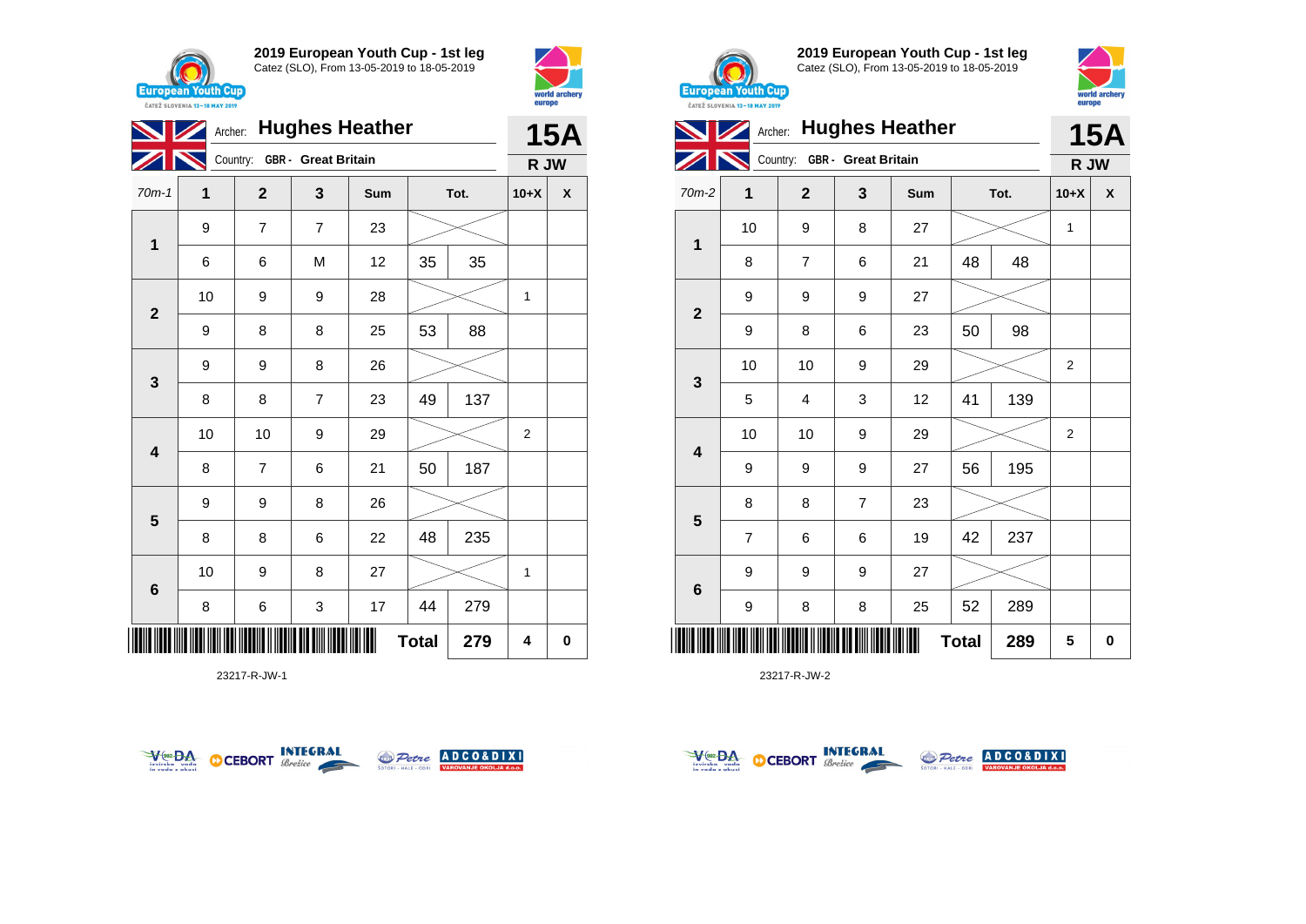





23217-R-JW-1





**2019 European Youth Cup - 1st leg** Catez (SLO), From 13-05-2019 to 18-05-2019



|                         | Archer: Hughes Heather |                              | <b>15A</b> |     |              |      |                |                    |
|-------------------------|------------------------|------------------------------|------------|-----|--------------|------|----------------|--------------------|
|                         |                        | Country: GBR - Great Britain |            |     |              |      | R JW           |                    |
| 70m-2                   | 1                      | $\overline{2}$               | 3          | Sum |              | Tot. | $10+X$         | $\pmb{\mathsf{X}}$ |
|                         | 10                     | 9                            | 8          | 27  |              |      | 1              |                    |
| 1                       | 8                      | $\overline{7}$               | 6          | 21  | 48           | 48   |                |                    |
| $\overline{2}$          | 9                      | 9                            | 9          | 27  |              |      |                |                    |
|                         | 9                      | 8                            | 6          | 23  | 50           | 98   |                |                    |
| 3                       | 10                     | 10                           | 9          | 29  |              |      | 2              |                    |
|                         | 5                      | 4                            | 3          | 12  | 41           | 139  |                |                    |
| $\overline{\mathbf{4}}$ | 10                     | 10                           | 9          | 29  |              |      | $\overline{2}$ |                    |
|                         | 9                      | 9                            | 9          | 27  | 56           | 195  |                |                    |
| $5\phantom{1}$          | 8                      | 8                            | 7          | 23  |              |      |                |                    |
|                         | $\overline{7}$         | 6                            | 6          | 19  | 42           | 237  |                |                    |
| $\bf 6$                 | 9                      | 9                            | 9          | 27  |              |      |                |                    |
|                         | 9                      | 8                            | 8          | 25  | 52           | 289  |                |                    |
| ║║║                     |                        |                              |            |     | <b>Total</b> | 289  | 5              | $\pmb{0}$          |



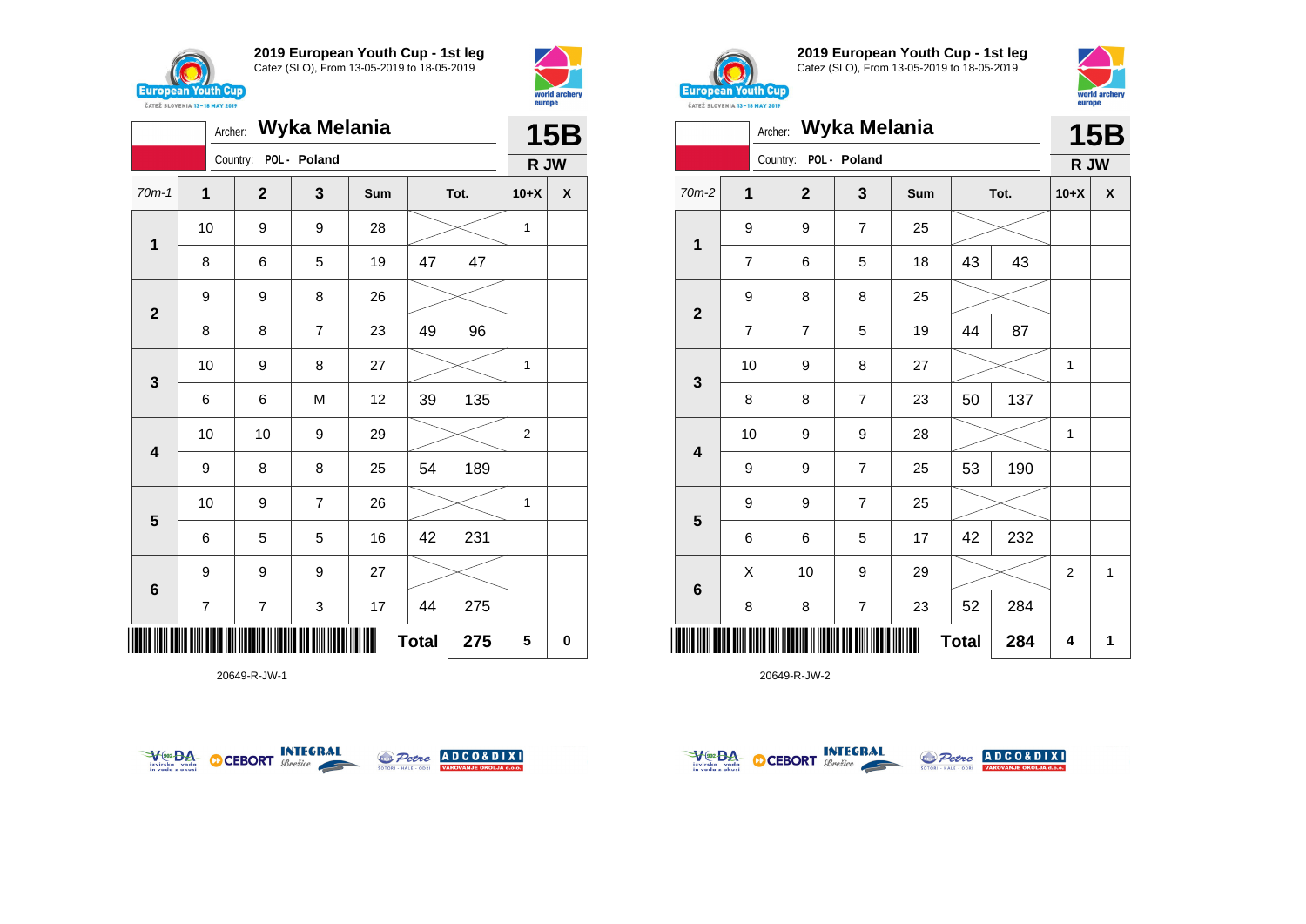



|                         | Wyka Melania<br>Archer: |          |              |                |     |              |      |        | <b>15B</b> |  |  |
|-------------------------|-------------------------|----------|--------------|----------------|-----|--------------|------|--------|------------|--|--|
|                         |                         | Country: |              | POL - Poland   |     |              |      | R JW   |            |  |  |
| $70m-1$                 | 1                       |          | $\mathbf{2}$ | 3              | Sum |              | Tot. | $10+X$ | X          |  |  |
| $\mathbf 1$             | 10                      |          | 9            | 9              | 28  |              |      | 1      |            |  |  |
|                         | 8                       |          | 6            | 5              | 19  | 47           | 47   |        |            |  |  |
| $\overline{\mathbf{2}}$ | 9                       |          | 9            | 8              | 26  |              |      |        |            |  |  |
|                         | 8                       |          | 8            | $\overline{7}$ | 23  | 49           | 96   |        |            |  |  |
| 3                       | 10                      |          | 9            | 8              | 27  |              |      | 1      |            |  |  |
|                         | 6                       |          | 6            | M              | 12  | 39           | 135  |        |            |  |  |
| 4                       | 10                      |          | 10           | 9              | 29  |              |      | 2      |            |  |  |
|                         | 9                       |          | 8            | 8              | 25  | 54           | 189  |        |            |  |  |
| 5                       | 10                      |          | 9            | $\overline{7}$ | 26  |              |      | 1      |            |  |  |
|                         | 6                       |          | 5            | 5              | 16  | 42           | 231  |        |            |  |  |
| $\bf 6$                 | 9                       |          | 9            | 9              | 27  |              |      |        |            |  |  |
|                         | $\overline{7}$          |          | 7            | 3              | 17  | 44           | 275  |        |            |  |  |
| IIII                    |                         |          |              |                |     | <b>Total</b> | 275  | 5      | 0          |  |  |

20649-R-JW-1





**2019 European Youth Cup - 1st leg** Catez (SLO), From 13-05-2019 to 18-05-2019



|                         |                | Archer:        | Wyka Melania   |     |              |      | <b>15B</b>     |              |
|-------------------------|----------------|----------------|----------------|-----|--------------|------|----------------|--------------|
|                         |                | Country:       | POL - Poland   |     |              |      | R JW           |              |
| 70m-2                   | 1              | $\overline{2}$ | 3              | Sum |              | Tot. | $10+X$         | X            |
| $\mathbf 1$             | 9              | 9              | 7              | 25  |              |      |                |              |
|                         | $\overline{7}$ | 6              | 5              | 18  | 43           | 43   |                |              |
| $\mathbf{2}$            | 9              | 8              | 8              | 25  |              |      |                |              |
|                         | $\overline{7}$ | $\overline{7}$ | 5              | 19  | 44           | 87   |                |              |
| $\mathbf{3}$            | 10             | 9              | 8              | 27  |              |      | 1              |              |
|                         | 8              | 8              | $\overline{7}$ | 23  | 50           | 137  |                |              |
| $\overline{\mathbf{4}}$ | 10             | 9              | 9              | 28  |              |      | 1              |              |
|                         | 9              | 9              | $\overline{7}$ | 25  | 53           | 190  |                |              |
| 5                       | 9              | 9              | 7              | 25  |              |      |                |              |
|                         | 6              | 6              | 5              | 17  | 42           | 232  |                |              |
| $6\phantom{1}6$         | Χ              | 10             | 9              | 29  |              |      | $\overline{2}$ | $\mathbf{1}$ |
|                         | 8              | 8              | 7              | 23  | 52           | 284  |                |              |
|                         |                |                |                |     | <b>Total</b> | 284  | 4              | 1            |



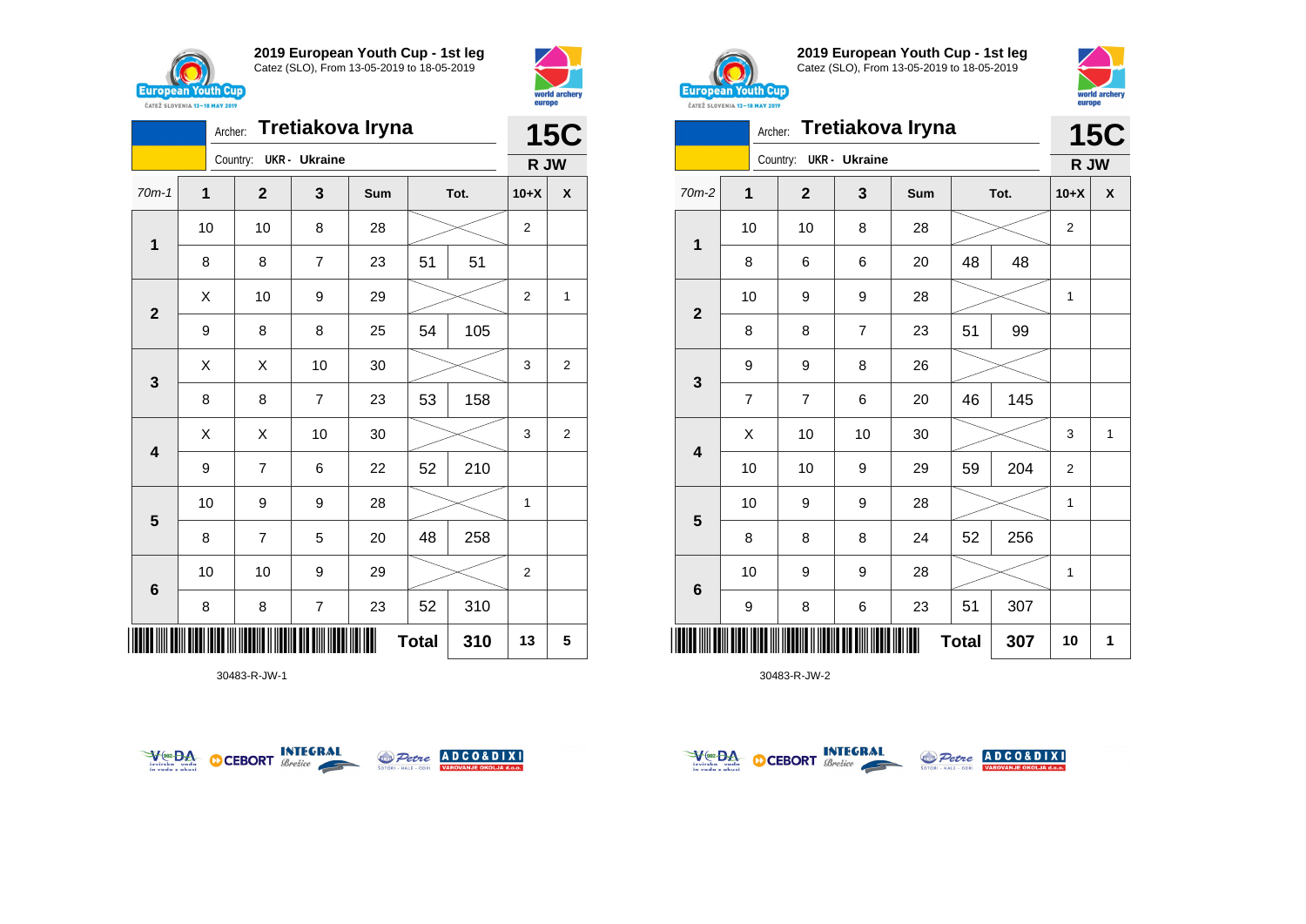





30483-R-JW-1





**2019 European Youth Cup - 1st leg** Catez (SLO), From 13-05-2019 to 18-05-2019



| <b><i>UAILL SLUVERIA 13"10 MAT 4017</i></b> |                |              |                      |                  |              |      |                |            |
|---------------------------------------------|----------------|--------------|----------------------|------------------|--------------|------|----------------|------------|
|                                             | Archer:        |              |                      | Tretiakova Iryna |              |      |                | <b>15C</b> |
|                                             |                | Country:     | <b>UKR</b> - Ukraine |                  |              |      | R JW           |            |
| 70m-2                                       | 1              | $\mathbf{2}$ | 3                    | Sum              |              | Tot. | $10+X$         | X          |
|                                             | 10             | 10           | 8                    | 28               |              |      | $\overline{2}$ |            |
| 1                                           | 8              | 6            | 6                    | 20               | 48           | 48   |                |            |
|                                             | 10             | 9            | 9                    | 28               |              |      | 1              |            |
| $\mathbf{2}$                                | 8              | 8            | $\overline{7}$       | 23               | 51           | 99   |                |            |
| 3                                           | 9              | 9            | 8                    | 26               |              |      |                |            |
|                                             | $\overline{7}$ | 7            | 6                    | 20               | 46           | 145  |                |            |
| 4                                           | Χ              | 10           | 10                   | 30               |              |      | 3              | 1          |
|                                             | 10             | 10           | 9                    | 29               | 59           | 204  | $\overline{2}$ |            |
| $5\phantom{1}$                              | 10             | 9            | 9                    | 28               |              |      | 1              |            |
|                                             | 8              | 8            | 8                    | 24               | 52           | 256  |                |            |
| 6                                           | 10             | 9            | 9                    | 28               |              |      | 1              |            |
|                                             | 9              | 8            | 6                    | 23               | 51           | 307  |                |            |
| ║║║                                         |                |              |                      |                  | <b>Total</b> | 307  | 10             | 1          |



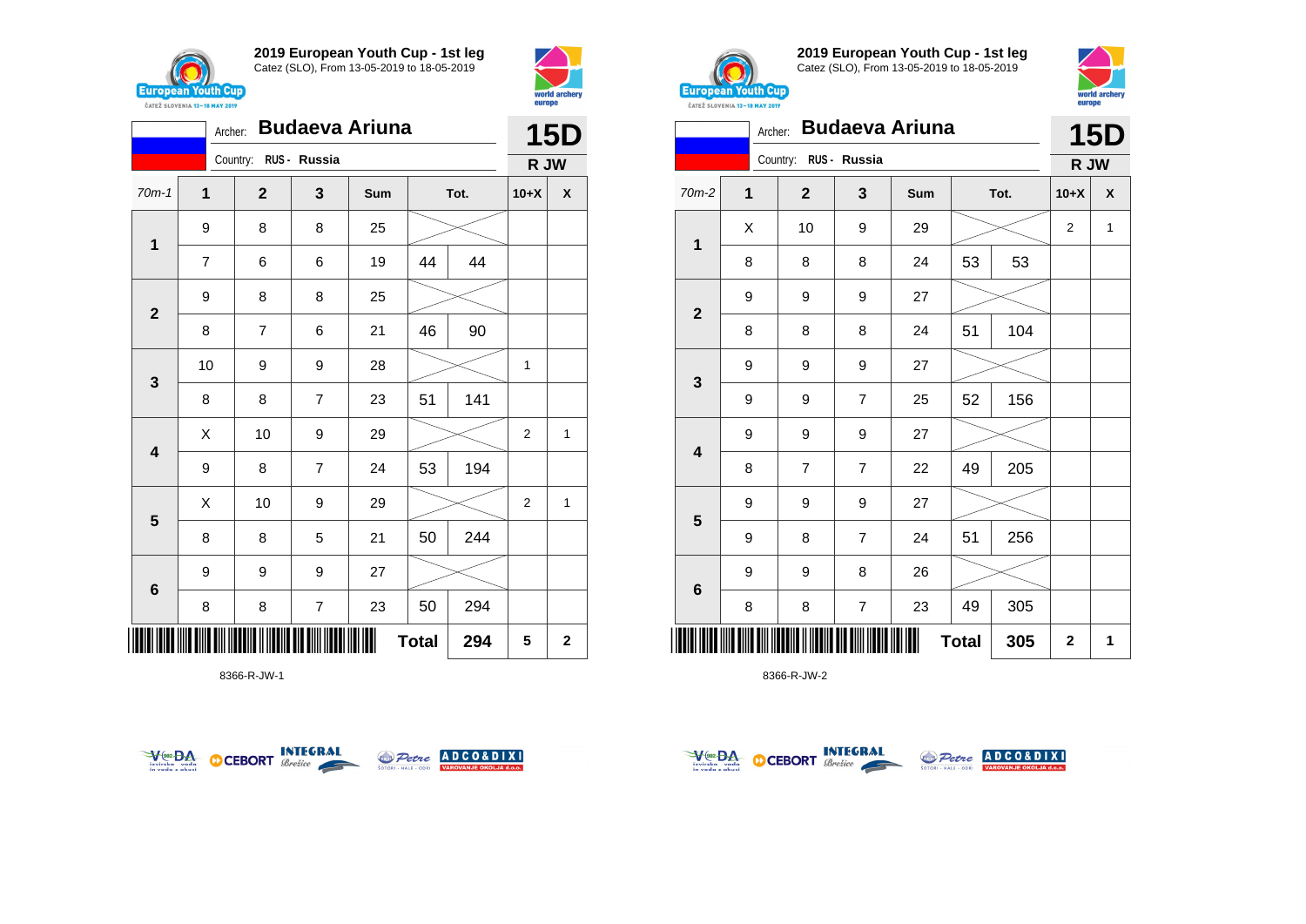



|                         | Archer:        |                       |                         | <b>15D</b> |              |      |                |              |
|-------------------------|----------------|-----------------------|-------------------------|------------|--------------|------|----------------|--------------|
|                         |                | Country: RUS - Russia |                         |            |              |      | R JW           |              |
| $70m-1$                 | $\mathbf{1}$   | $\mathbf 2$           | 3                       | Sum        |              | Tot. | $10+X$         | X            |
| $\mathbf{1}$            | 9              | 8                     | 8                       | 25         |              |      |                |              |
|                         | $\overline{7}$ | 6                     | 6                       | 19         | 44           | 44   |                |              |
| $\mathbf{2}$            | 9              | 8                     | 8                       | 25         |              |      |                |              |
|                         | 8              | 7                     | 6                       | 21         | 46           | 90   |                |              |
| $\mathbf{3}$            | 10             | 9                     | 9                       | 28         |              |      | 1              |              |
|                         | 8              | 8                     | $\overline{7}$          | 23         | 51           | 141  |                |              |
| $\overline{\mathbf{4}}$ | Χ              | 10                    | 9                       | 29         |              |      | 2              | 1            |
|                         | 9              | 8                     | $\overline{7}$          | 24         | 53           | 194  |                |              |
| $5\phantom{1}$          | X              | 10                    | 9                       | 29         |              |      | $\overline{2}$ | 1            |
|                         | 8              | 8                     | 5                       | 21         | 50           | 244  |                |              |
| $\bf 6$                 | 9              | 9                     | 9                       | 27         |              |      |                |              |
|                         | 8              | 8                     | $\overline{\mathbf{7}}$ | 23         | 50           | 294  |                |              |
|                         |                |                       |                         |            | <b>Total</b> | 294  | 5              | $\mathbf{2}$ |

8366-R-JW-1





**2019 European Youth Cup - 1st leg** Catez (SLO), From 13-05-2019 to 18-05-2019



|              | CATEZ SLOVENIA 13-18 MAY 2019<br>Archer: |                       |                | <b>Budaeva Ariuna</b> |              |      | <b>15D</b>              |              |
|--------------|------------------------------------------|-----------------------|----------------|-----------------------|--------------|------|-------------------------|--------------|
|              |                                          | Country: RUS - Russia |                |                       |              |      | R JW                    |              |
| $70m-2$      | 1                                        | $\overline{2}$<br>3   |                | Sum                   |              | Tot. | $10+X$                  | X            |
|              | Χ                                        | 10                    | 9              | 29                    |              |      | $\overline{\mathbf{c}}$ | $\mathbf{1}$ |
| $\mathbf 1$  | 8                                        | 8                     | 8              | 24                    | 53           | 53   |                         |              |
|              | 9                                        | 9                     | 9              | 27                    |              |      |                         |              |
| $\mathbf{2}$ | 8                                        | 8                     | 8              | 24                    | 51           | 104  |                         |              |
|              | 9                                        | 9                     | 9              | 27                    |              |      |                         |              |
| 3            | 9                                        | 9                     | $\overline{7}$ | 25                    | 52           | 156  |                         |              |
| 4            | 9                                        | 9                     | 9              | 27                    |              |      |                         |              |
|              | 8                                        | $\overline{7}$        | $\overline{7}$ | 22                    | 49           | 205  |                         |              |
|              | 9                                        | 9                     | 9              | 27                    |              |      |                         |              |
| 5            | 9                                        | 8                     | $\overline{7}$ | 24                    | 51           | 256  |                         |              |
|              | 9                                        | 9                     | 8              | 26                    |              |      |                         |              |
| 6            | 8                                        | 8                     | 7              | 23                    | 49           | 305  |                         |              |
| ║║║          |                                          |                       |                |                       | <b>Total</b> | 305  | 2                       | 1            |



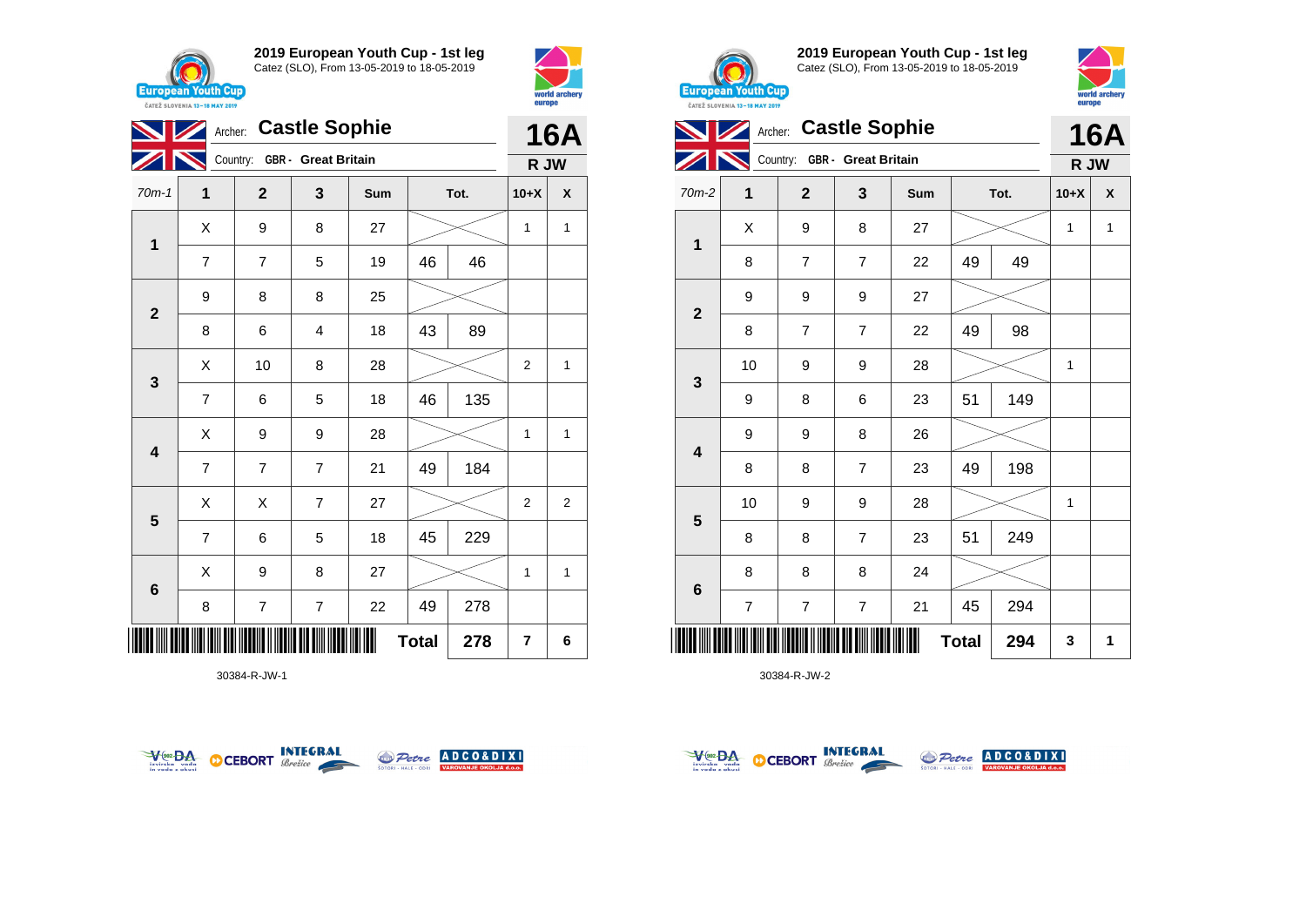



| <b>NZ</b>                     |                | <b>Castle Sophie</b><br>Archer: |                         |     |    |      |                |                |  |  |
|-------------------------------|----------------|---------------------------------|-------------------------|-----|----|------|----------------|----------------|--|--|
|                               |                | Country: GBR - Great Britain    |                         |     |    |      | R JW           |                |  |  |
| $70m-1$                       | 1              | $\mathbf 2$                     | 3                       | Sum |    | Tot. | $10+X$         | X              |  |  |
| $\mathbf{1}$                  | Χ              | 9                               | 8                       | 27  |    |      | 1              | 1              |  |  |
|                               | $\overline{7}$ | 7                               | 5                       | 19  | 46 | 46   |                |                |  |  |
| $\mathbf{2}$                  | 9              | 8                               | 8                       | 25  |    |      |                |                |  |  |
|                               | 8              | 6                               | 4                       | 18  | 43 | 89   |                |                |  |  |
| $\mathbf{3}$                  | Χ              | 10                              | 8                       | 28  |    |      | $\overline{2}$ | 1              |  |  |
|                               | $\overline{7}$ | 6                               | 5                       | 18  | 46 | 135  |                |                |  |  |
| $\overline{\mathbf{4}}$       | Χ              | 9                               | 9                       | 28  |    |      | $\mathbf{1}$   | 1              |  |  |
|                               | $\overline{7}$ | $\overline{7}$                  | $\overline{7}$          | 21  | 49 | 184  |                |                |  |  |
| $\overline{\mathbf{5}}$       | Χ              | X                               | $\overline{7}$          | 27  |    |      | $\overline{2}$ | $\overline{2}$ |  |  |
|                               | $\overline{7}$ | 6                               | 5                       | 18  | 45 | 229  |                |                |  |  |
| 6                             | X              | 9                               | 8                       | 27  |    |      | 1              | 1              |  |  |
|                               | 8              | 7                               | $\overline{\mathbf{7}}$ | 22  | 49 | 278  |                |                |  |  |
| ∭<br>Ш<br><b>Total</b><br>278 |                |                                 |                         |     |    |      | 7              | 6              |  |  |

30384-R-JW-1





**2019 European Youth Cup - 1st leg** Catez (SLO), From 13-05-2019 to 18-05-2019



|                         | Archer:        |                              |                | 16A |              |      |        |              |
|-------------------------|----------------|------------------------------|----------------|-----|--------------|------|--------|--------------|
|                         |                | Country: GBR - Great Britain |                |     |              |      | R JW   |              |
| 70m-2                   | 1              | $\mathbf{2}$                 | 3              | Sum |              | Tot. | $10+X$ | X            |
| 1                       | X              | 9                            | 8              | 27  |              |      | 1      | $\mathbf{1}$ |
|                         | 8              | $\overline{7}$               | 7              | 22  | 49           | 49   |        |              |
| $\mathbf{2}$            | 9              | 9                            | 9              | 27  |              |      |        |              |
|                         | 8              | $\overline{7}$               | 7              | 22  | 49           | 98   |        |              |
| 3                       | 10             | 9                            | 9              | 28  |              |      | 1      |              |
|                         | 9              | 8                            | 6              | 23  | 51           | 149  |        |              |
| $\overline{\mathbf{4}}$ | 9              | 9                            | 8              | 26  |              |      |        |              |
|                         | 8              | 8                            | $\overline{7}$ | 23  | 49           | 198  |        |              |
| $5\phantom{1}$          | 10             | 9                            | 9              | 28  |              |      | 1      |              |
|                         | 8              | 8                            | 7              | 23  | 51           | 249  |        |              |
| $\bf 6$                 | 8              | 8                            | 8              | 24  |              |      |        |              |
|                         | $\overline{7}$ | $\overline{7}$               | $\overline{7}$ | 21  | 45           | 294  |        |              |
| Ш                       |                |                              |                |     | <b>Total</b> | 294  | 3      | 1            |



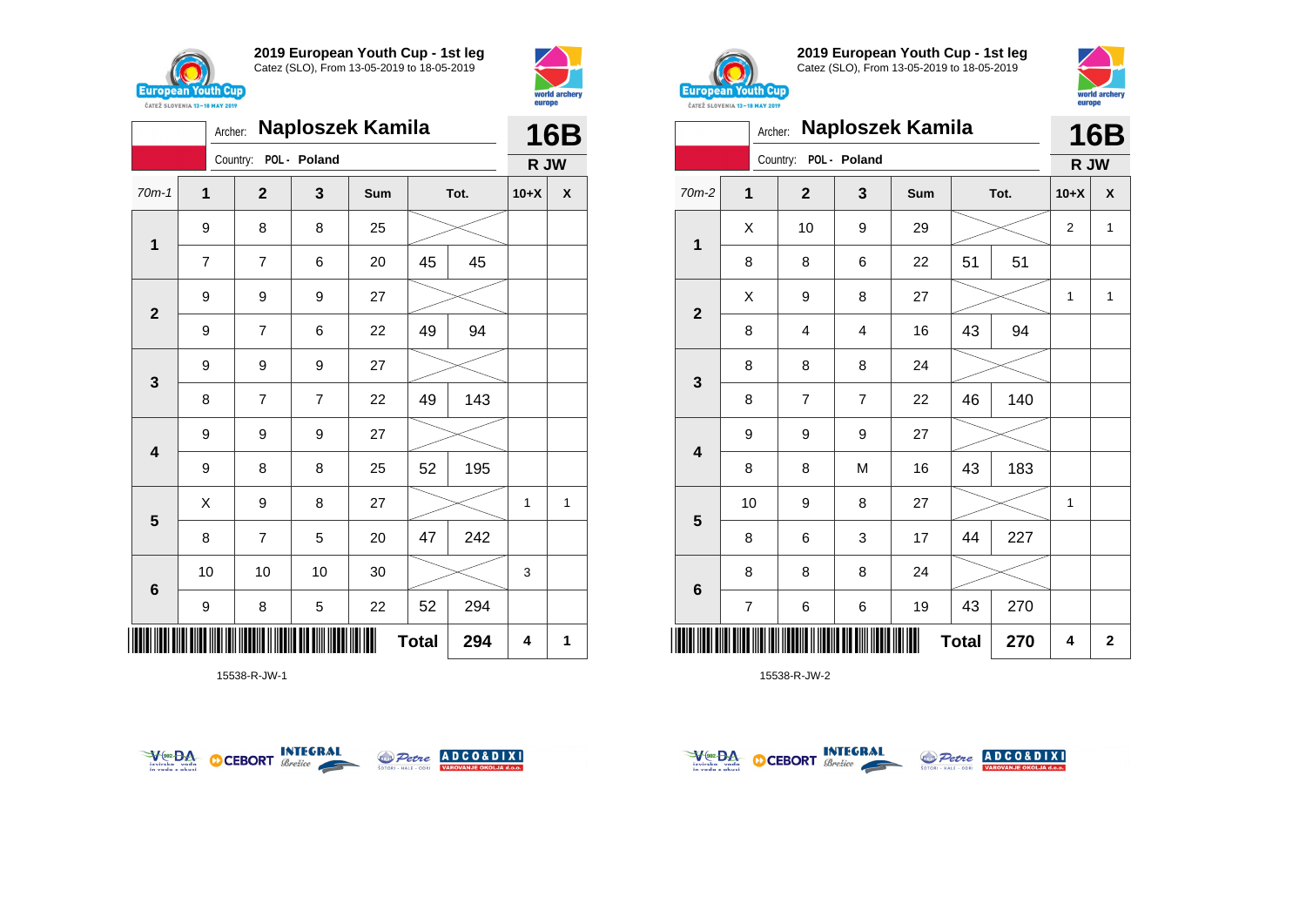



|                         | Naploszek Kamila<br>Archer: |              |                |     |              |      |        |   |
|-------------------------|-----------------------------|--------------|----------------|-----|--------------|------|--------|---|
|                         |                             | Country:     | POL - Poland   |     |              |      | R JW   |   |
| $70m-1$                 | $\mathbf{1}$                | $\mathbf{2}$ | 3              | Sum |              | Tot. | $10+X$ | X |
|                         | 9                           | 8            | 8              | 25  |              |      |        |   |
| $\mathbf 1$             | $\overline{7}$              | 7            | 6              | 20  | 45           | 45   |        |   |
| $\overline{\mathbf{2}}$ | 9                           | 9            | 9              | 27  |              |      |        |   |
|                         | 9                           | 7            | 6              | 22  | 49           | 94   |        |   |
| $\mathbf{3}$            | 9                           | 9            | 9              | 27  |              |      |        |   |
|                         | 8                           | 7            | $\overline{7}$ | 22  | 49           | 143  |        |   |
| 4                       | 9                           | 9            | 9              | 27  |              |      |        |   |
|                         | 9                           | 8            | 8              | 25  | 52           | 195  |        |   |
| $5\phantom{1}$          | X                           | 9            | 8              | 27  |              |      | 1      | 1 |
|                         | 8                           | 7            | 5              | 20  | 47           | 242  |        |   |
| $\bf 6$                 | 10                          | 10           | 10             | 30  |              |      | 3      |   |
|                         | 9                           | 8            | 5              | 22  | 52           | 294  |        |   |
|                         |                             |              |                |     | <b>Total</b> | 294  | 4      | 1 |

15538-R-JW-1





**2019 European Youth Cup - 1st leg** Catez (SLO), From 13-05-2019 to 18-05-2019



|                | <b>Naploszek Kamila</b><br>Archer: |                         |                |     |              |      |                |              |  |
|----------------|------------------------------------|-------------------------|----------------|-----|--------------|------|----------------|--------------|--|
|                |                                    | Country:                | POL - Poland   |     |              |      | R JW           | <b>16B</b>   |  |
| $70m-2$        | $\overline{1}$                     | $\overline{2}$          | 3              | Sum |              | Tot. | $10+X$         | X            |  |
| 1              | X                                  | 10                      | 9              | 29  |              |      | $\overline{2}$ | $\mathbf{1}$ |  |
|                | 8                                  | 8                       | 6              | 22  | 51           | 51   |                |              |  |
|                | Χ                                  | 9                       | 8              | 27  |              |      | 1              | 1            |  |
| $\mathbf{2}$   | 8                                  | $\overline{\mathbf{4}}$ | $\overline{4}$ | 16  | 43           | 94   |                |              |  |
|                | 8                                  | 8                       | 8              | 24  |              |      |                |              |  |
| 3              | 8                                  | 7                       | 7              | 22  | 46           | 140  |                |              |  |
| 4              | 9                                  | 9                       | 9              | 27  |              |      |                |              |  |
|                | 8                                  | 8                       | M              | 16  | 43           | 183  |                |              |  |
|                | 10                                 | 9                       | 8              | 27  |              |      | $\mathbf{1}$   |              |  |
| $5\phantom{1}$ | 8                                  | 6                       | 3              | 17  | 44           | 227  |                |              |  |
|                | 8                                  | 8                       | 8              | 24  |              |      |                |              |  |
| 6              | $\overline{7}$                     | 6                       | 6              | 19  | 43           | 270  |                |              |  |
| Ⅲ              |                                    |                         |                |     | <b>Total</b> | 270  | 4              | $\mathbf{2}$ |  |



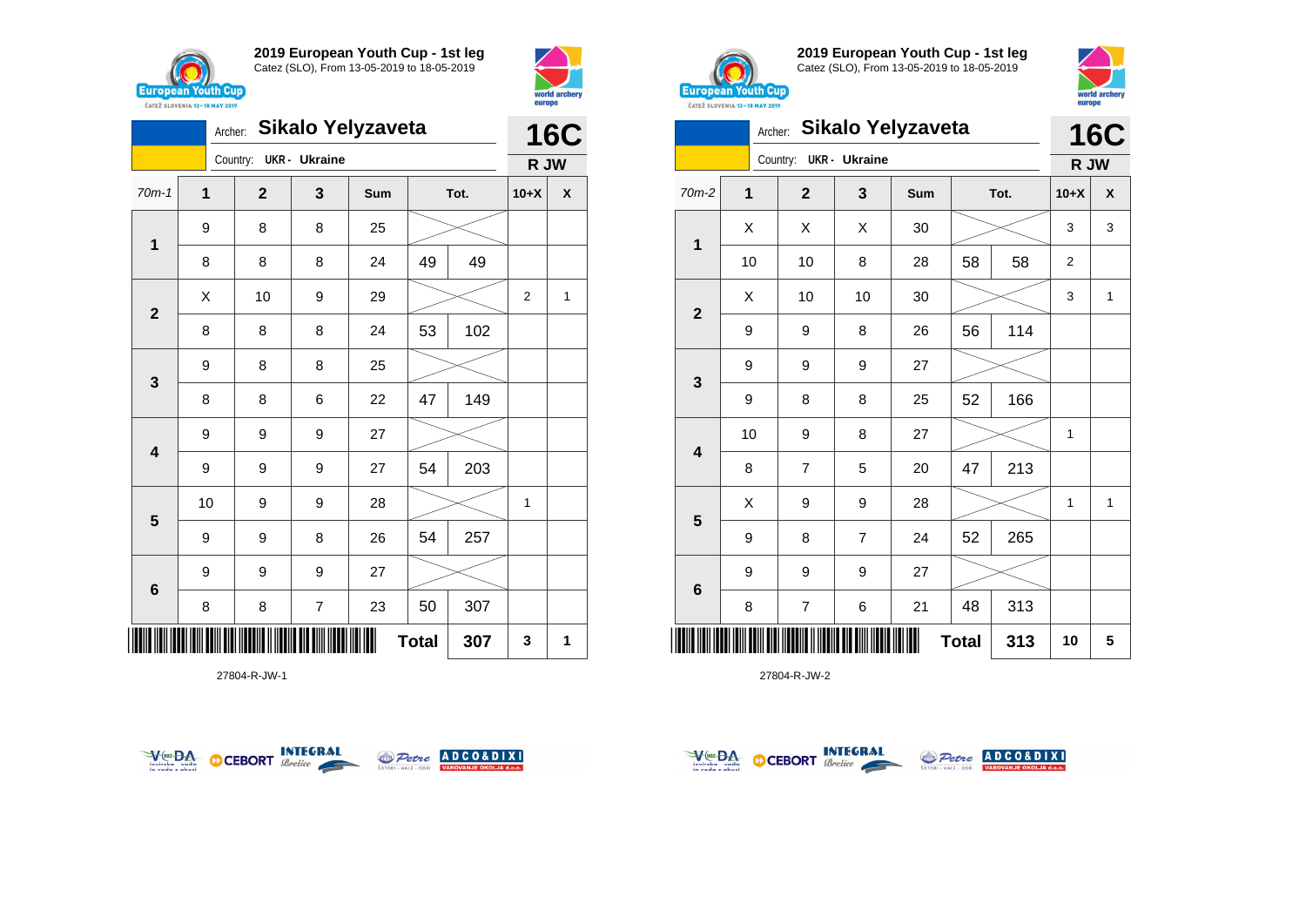



|                         | Sikalo Yelyzaveta<br>Archer: |  |             |                         |     |              |      |                |                    |
|-------------------------|------------------------------|--|-------------|-------------------------|-----|--------------|------|----------------|--------------------|
|                         |                              |  | Country:    | <b>UKR</b> - Ukraine    |     |              |      | R JW           |                    |
| $70m-1$                 | 1                            |  | $\mathbf 2$ | 3                       | Sum |              | Tot. | $10+X$         | $\pmb{\mathsf{X}}$ |
| $\mathbf{1}$            | 9                            |  | 8           | 8                       | 25  |              |      |                |                    |
|                         | 8                            |  | 8           | 8                       | 24  | 49           | 49   |                |                    |
| $\mathbf{2}$            | X                            |  | 10          | 9                       | 29  |              |      | $\overline{2}$ | 1                  |
|                         | 8                            |  | 8           | 8                       | 24  | 53           | 102  |                |                    |
| $\mathbf{3}$            | 9                            |  | 8           | 8                       | 25  |              |      |                |                    |
|                         | 8                            |  | 8           | 6                       | 22  | 47           | 149  |                |                    |
| $\overline{\mathbf{4}}$ | 9                            |  | 9           | 9                       | 27  |              |      |                |                    |
|                         | 9                            |  | 9           | 9                       | 27  | 54           | 203  |                |                    |
| $5\phantom{1}$          | 10                           |  | 9           | 9                       | 28  |              |      | 1              |                    |
|                         | 9                            |  | 9           | 8                       | 26  | 54           | 257  |                |                    |
| $\bf 6$                 | 9                            |  | 9           | 9                       | 27  |              |      |                |                    |
|                         | 8                            |  | 8           | $\overline{\mathbf{7}}$ | 23  | 50           | 307  |                |                    |
|                         |                              |  |             |                         |     | <b>Total</b> | 307  | 3              | 1                  |

27804-R-JW-1





**2019 European Youth Cup - 1st leg** Catez (SLO), From 13-05-2019 to 18-05-2019



| CATEZ SLOVENIA 13-18 MAY 2019 | ---- <b>---</b> |                |                      |                   |              |      |        |            |
|-------------------------------|-----------------|----------------|----------------------|-------------------|--------------|------|--------|------------|
|                               | Archer:         |                |                      | Sikalo Yelyzaveta |              |      |        | <b>16C</b> |
|                               |                 | Country:       | <b>UKR</b> - Ukraine |                   |              |      | R JW   |            |
| 70m-2                         | $\mathbf{1}$    | $\mathbf{2}$   | 3                    | Sum               |              | Tot. | $10+X$ | X          |
|                               | X               | X              | X                    | 30                |              |      | 3      | 3          |
| 1                             | 10              | 10             | 8                    | 28                | 58           | 58   | 2      |            |
|                               | Χ               | 10             | 10                   | 30                |              |      | 3      | 1          |
| $\mathbf{2}$                  | 9               | 9              | 8                    | 26                | 56           | 114  |        |            |
|                               | 9               | 9              | 9                    | 27                |              |      |        |            |
| 3                             | 9               | 8              | 8                    | 25                | 52           | 166  |        |            |
|                               | 10              | 9              | 8                    | 27                |              |      | 1      |            |
| $\overline{\mathbf{4}}$       | 8               | 7              | 5                    | 20                | 47           | 213  |        |            |
|                               | X               | 9              | 9                    | 28                |              |      | 1      | 1          |
| 5                             | 9               | 8              | $\overline{7}$       | 24                | 52           | 265  |        |            |
|                               | 9               | 9              | 9                    | 27                |              |      |        |            |
| 6                             | 8               | $\overline{7}$ | 6                    | 21                | 48           | 313  |        |            |
| Ш                             |                 |                |                      |                   | <b>Total</b> | 313  | 10     | 5          |



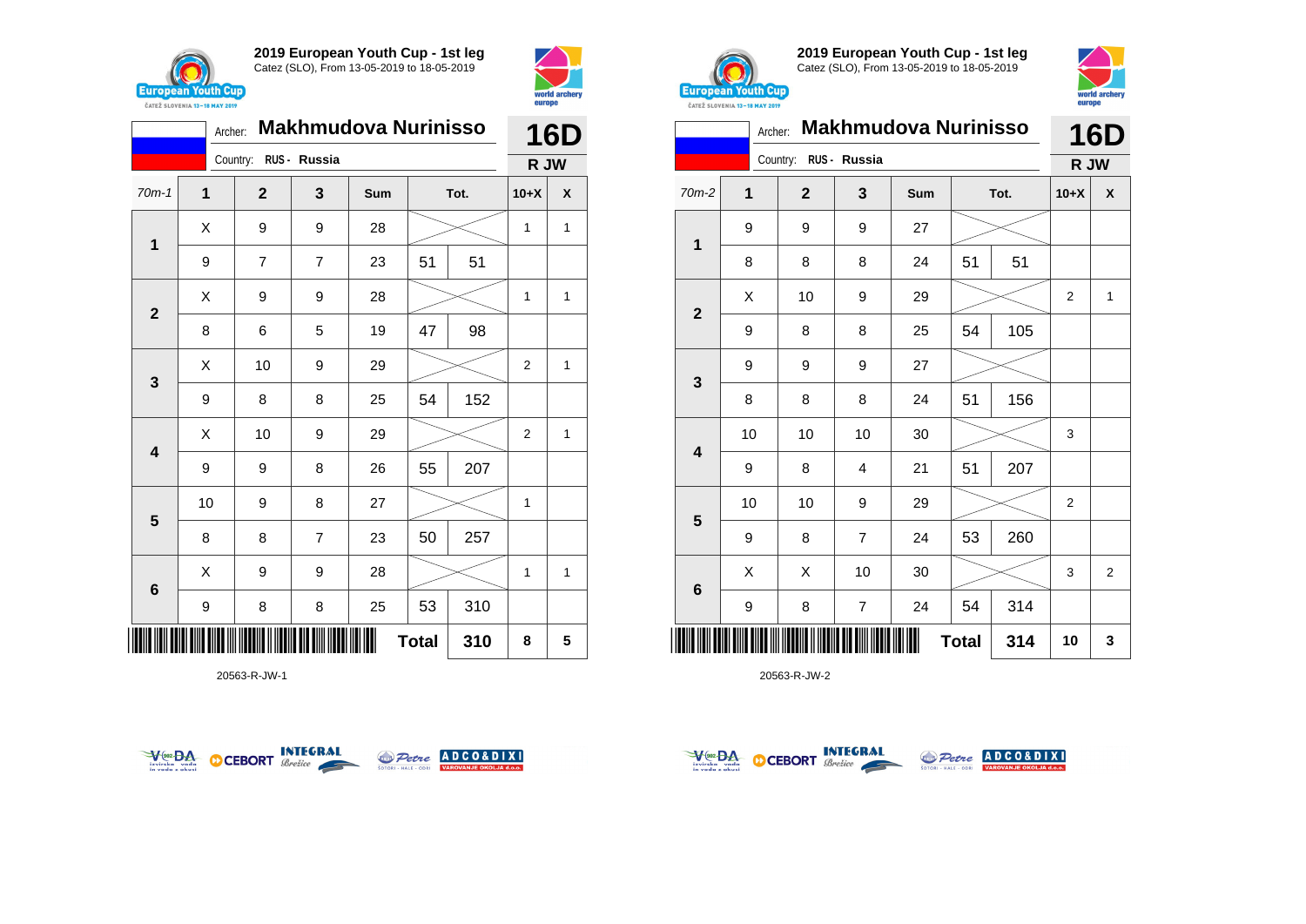



|                         | <b>Makhmudova Nurinisso</b> |                       | <b>16D</b>     |     |              |      |                |   |
|-------------------------|-----------------------------|-----------------------|----------------|-----|--------------|------|----------------|---|
|                         |                             | Country: RUS - Russia |                |     |              |      | R JW           |   |
| $70m-1$                 | 1                           | $\overline{2}$        | 3              | Sum |              | Tot. | $10+X$         | X |
| 1                       | Χ                           | 9                     | 9              | 28  |              |      | 1              | 1 |
|                         | 9                           | $\overline{7}$        | $\overline{7}$ | 23  | 51           | 51   |                |   |
| $\mathbf{2}$            | X                           | 9                     | 9              | 28  |              |      | 1              | 1 |
|                         | 8                           | 6                     | 5              | 19  | 47           | 98   |                |   |
| $\mathbf{3}$            | Χ                           | 10                    | 9              | 29  |              |      | $\overline{2}$ | 1 |
|                         | 9                           | 8                     | 8              | 25  | 54           | 152  |                |   |
| $\overline{\mathbf{4}}$ | X                           | 10                    | 9              | 29  |              |      | $\overline{2}$ | 1 |
|                         | 9                           | 9                     | 8              | 26  | 55           | 207  |                |   |
| $5\phantom{1}$          | 10                          | 9                     | 8              | 27  |              |      | 1              |   |
|                         | 8                           | 8                     | $\overline{7}$ | 23  | 50           | 257  |                |   |
| $6\phantom{1}$          | X                           | 9                     | 9              | 28  |              |      | 1              | 1 |
|                         | 9                           | 8                     | 8              | 25  | 53           | 310  |                |   |
| ║║║                     |                             |                       |                |     | <b>Total</b> | 310  | 8              | 5 |

20563-R-JW-1





**2019 European Youth Cup - 1st leg** Catez (SLO), From 13-05-2019 to 18-05-2019



| CATEZ SLOVENIA 13-18 MAY 2019 | <b>Makhmudova Nurinisso</b><br>Archer: |                       |                |     |    |      |                |                |
|-------------------------------|----------------------------------------|-----------------------|----------------|-----|----|------|----------------|----------------|
|                               |                                        | Country: RUS - Russia |                |     |    |      | R JW           | 16D            |
| $70m-2$                       | 1                                      | $\mathbf{2}$          | 3              | Sum |    | Tot. |                | X              |
|                               | 9                                      | 9                     | 9              | 27  |    |      |                |                |
| 1                             | 8                                      | 8                     | 8              | 24  | 51 | 51   |                |                |
|                               | X                                      | 10                    | 9              | 29  |    |      | 2              | $\mathbf{1}$   |
| $\overline{2}$                | 9                                      | 8                     | 8              | 25  | 54 | 105  |                |                |
|                               | 9                                      | 9                     | 9              | 27  |    |      |                |                |
| 3                             | 8                                      | 8                     | 8              | 24  | 51 | 156  |                |                |
| 4                             | 10                                     | 10                    | 10             | 30  |    |      | 3              |                |
|                               | 9                                      | 8                     | 4              | 21  | 51 | 207  |                |                |
|                               | 10                                     | 10                    | 9              | 29  |    |      | $\overline{2}$ |                |
| 5                             | 9                                      | 8                     | $\overline{7}$ | 24  | 53 | 260  |                |                |
|                               | X                                      | Χ                     | 10             | 30  |    |      | 3              | $\overline{2}$ |
| 6                             | 9                                      | 8                     | 7              | 24  | 54 | 314  |                |                |
|                               | 314<br><b>Total</b>                    |                       |                |     |    |      |                | 3              |



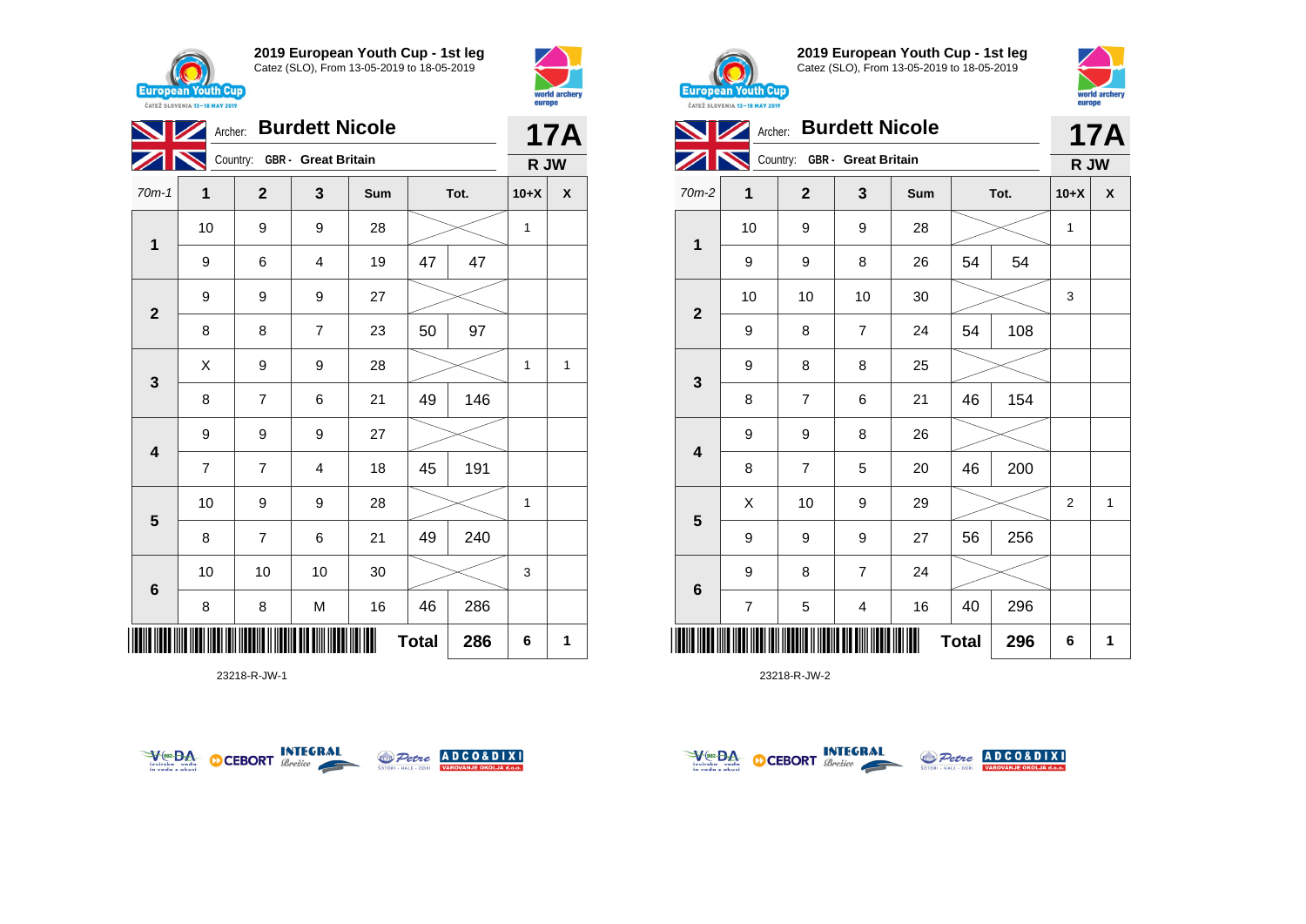





23218-R-JW-1





**2019 European Youth Cup - 1st leg** Catez (SLO), From 13-05-2019 to 18-05-2019



| CAILL SLUVENIA 13-18 MAY 2019 |                          |                              |                       |     |              |      |                |              |
|-------------------------------|--------------------------|------------------------------|-----------------------|-----|--------------|------|----------------|--------------|
|                               | Archer:                  |                              | <b>Burdett Nicole</b> |     |              |      |                | 17A          |
|                               |                          | Country: GBR - Great Britain |                       |     |              |      | R JW           |              |
| 70m-2                         | 1                        | $\overline{2}$               | 3                     | Sum |              | Tot. | $10+X$         | X            |
|                               | 10                       | 9                            | 9                     | 28  |              |      | 1              |              |
| 1                             | 9                        | 9                            | 8                     | 26  | 54           | 54   |                |              |
|                               | 10                       | 10                           | 10                    | 30  |              |      | 3              |              |
| $\mathbf{2}$                  | 9                        | 8                            | 7                     | 24  | 54           | 108  |                |              |
|                               | 9                        | 8                            | 8                     | 25  |              |      |                |              |
| 3                             | 8                        | $\overline{7}$               | 6                     | 21  | 46           | 154  |                |              |
| $\overline{\mathbf{4}}$       | 9                        | 9                            | 8                     | 26  |              |      |                |              |
|                               | 8                        | 7                            | 5                     | 20  | 46           | 200  |                |              |
|                               | X                        | 10                           | 9                     | 29  |              |      | $\overline{2}$ | $\mathbf{1}$ |
| 5                             | 9                        | 9                            | 9                     | 27  | 56           | 256  |                |              |
|                               | 9                        | 8                            | $\overline{7}$        | 24  |              |      |                |              |
| $\bf 6$                       | $\overline{\mathcal{I}}$ | 5                            | 4                     | 16  | 40           | 296  |                |              |
| ║║║                           |                          |                              |                       |     | <b>Total</b> | 296  | 6              | 1            |



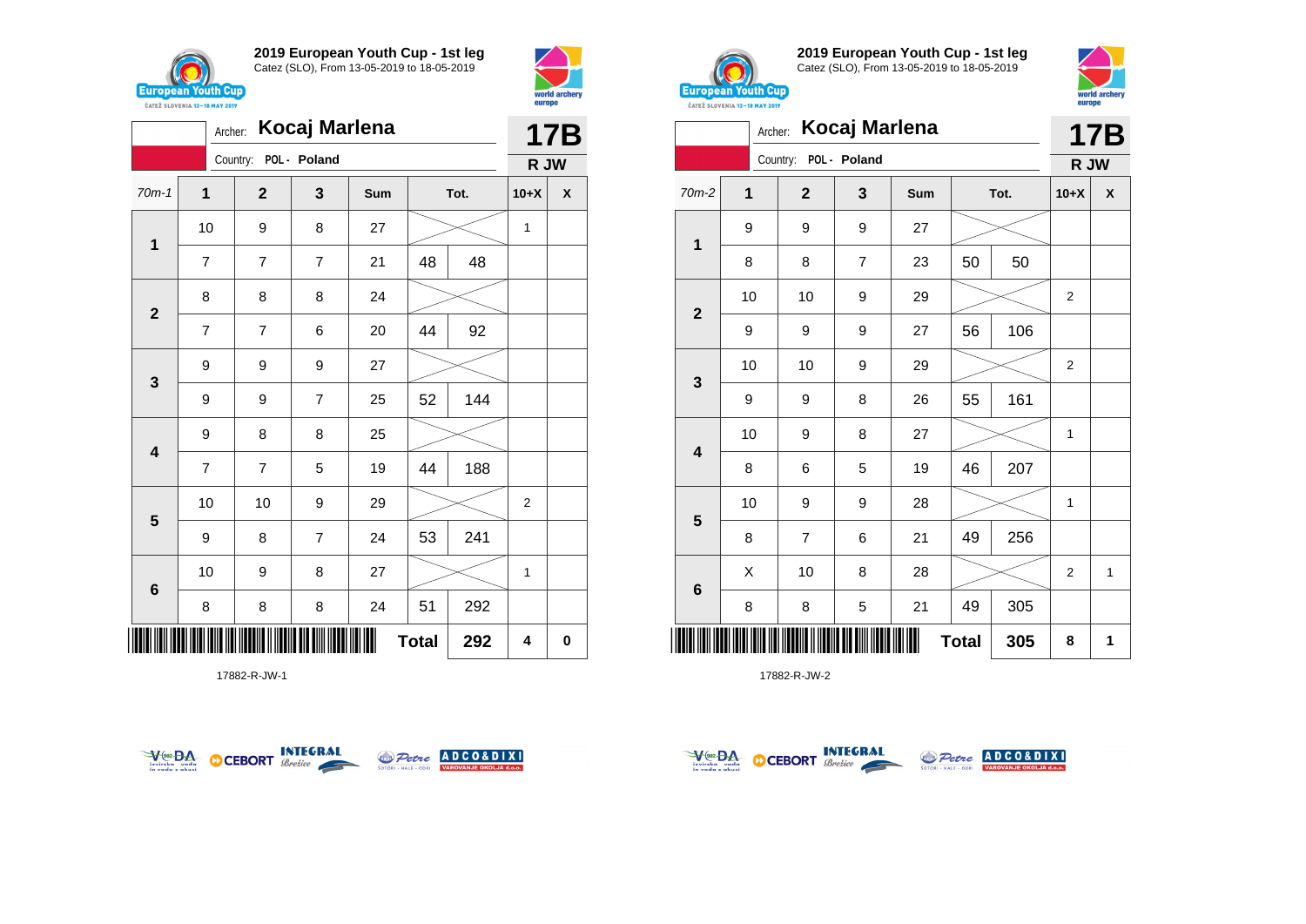





17882-R-JW-1





**2019 European Youth Cup - 1st leg** Catez (SLO), From 13-05-2019 to 18-05-2019



|                            | Kocaj Marlena<br>Archer: |                |                  |     |    |      |                |              |  |  |
|----------------------------|--------------------------|----------------|------------------|-----|----|------|----------------|--------------|--|--|
|                            |                          | Country:       | POL - Poland     |     |    |      | R JW           |              |  |  |
| $70m-2$                    | $\overline{1}$           | $\overline{2}$ | 3                | Sum |    | Tot. | $10+X$         | X            |  |  |
| 1                          | 9                        | 9              | $\boldsymbol{9}$ | 27  |    |      |                |              |  |  |
|                            | 8                        | 8              | $\overline{7}$   | 23  | 50 | 50   |                |              |  |  |
| $\overline{\mathbf{2}}$    | 10                       | 10             | 9                | 29  |    |      | $\overline{2}$ |              |  |  |
|                            | 9                        | 9              | $\boldsymbol{9}$ | 27  | 56 | 106  |                |              |  |  |
|                            | 10                       | 10             | 9                | 29  |    |      | $\overline{2}$ |              |  |  |
| 3                          | 9                        | 9              | 8                | 26  | 55 | 161  |                |              |  |  |
| 4                          | 10                       | 9              | 8                | 27  |    |      | $\mathbf{1}$   |              |  |  |
|                            | 8                        | 6              | 5                | 19  | 46 | 207  |                |              |  |  |
|                            | 10                       | 9              | 9                | 28  |    |      | 1              |              |  |  |
| 5                          | 8                        | $\overline{7}$ | 6                | 21  | 49 | 256  |                |              |  |  |
|                            | X                        | 10             | 8                | 28  |    |      | $\overline{2}$ | $\mathbf{1}$ |  |  |
| $6\phantom{1}6$            | 8                        | 8              | 5                | 21  | 49 | 305  |                |              |  |  |
| ║║║<br><b>Total</b><br>305 |                          |                |                  |     |    |      |                | 1            |  |  |



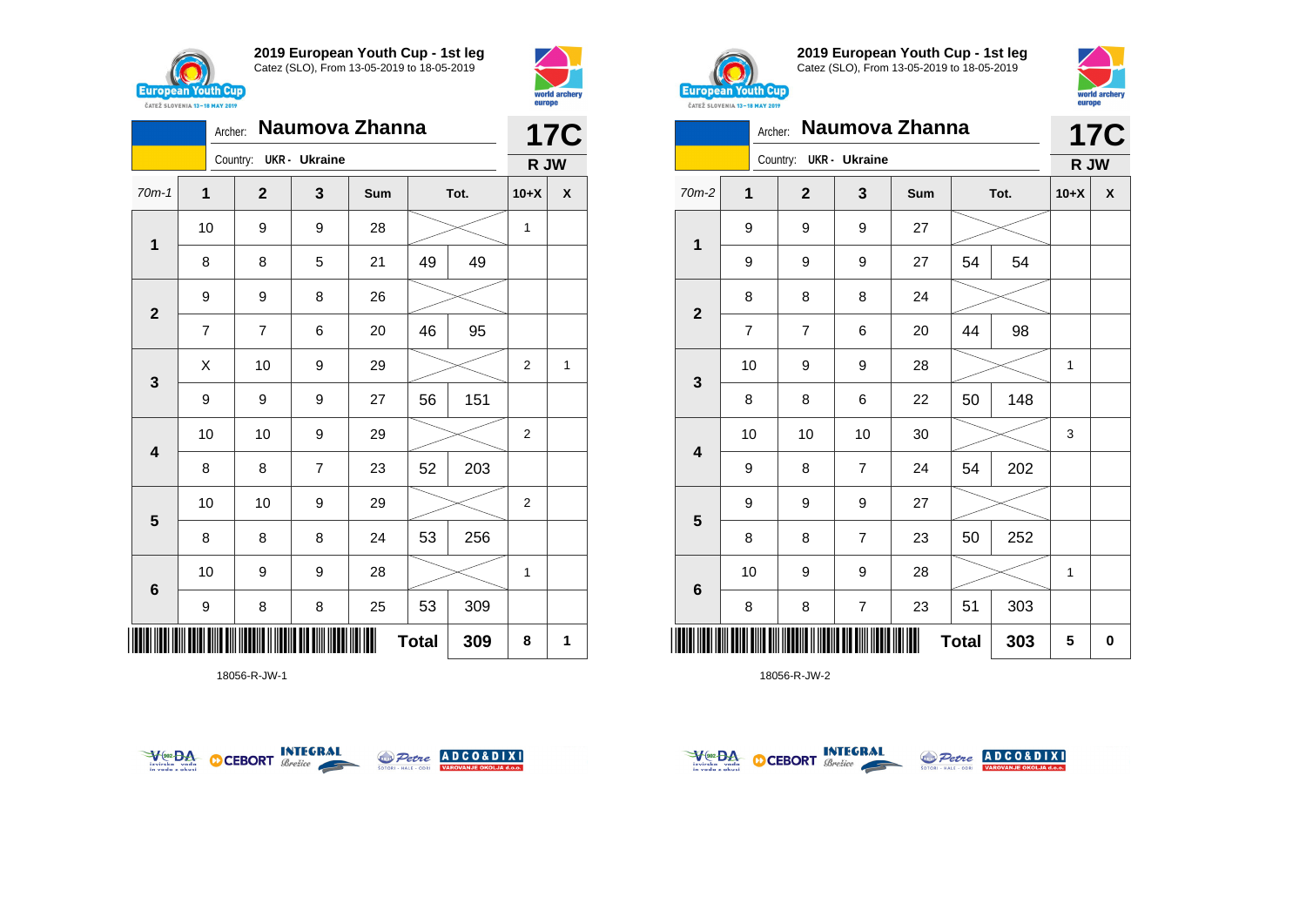



|                         | Naumova Zhanna<br>Archer: |                        |                |     |              |      |                |            |  |
|-------------------------|---------------------------|------------------------|----------------|-----|--------------|------|----------------|------------|--|
|                         |                           | Country: UKR - Ukraine |                |     |              |      | R JW           | <b>17C</b> |  |
| $70m-1$                 | 1                         | $\mathbf{2}$           | 3              | Sum |              | Tot. | $10+X$         | X          |  |
| 1                       | 10                        | 9                      | 9              | 28  |              |      | 1              |            |  |
|                         | 8                         | 8                      | 5              | 21  | 49           | 49   |                |            |  |
| $\mathbf{2}$            | 9                         | 9                      | 8              | 26  |              |      |                |            |  |
|                         | 7                         | 7                      | 6              | 20  | 46           | 95   |                |            |  |
|                         | X                         | 10                     | 9              | 29  |              |      | $\overline{2}$ | 1          |  |
| 3                       | 9                         | 9                      | 9              | 27  | 56           | 151  |                |            |  |
| $\overline{\mathbf{4}}$ | 10                        | 10                     | 9              | 29  |              |      | $\overline{2}$ |            |  |
|                         | 8                         | 8                      | $\overline{7}$ | 23  | 52           | 203  |                |            |  |
|                         | 10                        | 10                     | 9              | 29  |              |      | $\overline{2}$ |            |  |
| 5                       | 8                         | 8                      | 8              | 24  | 53           | 256  |                |            |  |
| $\bf 6$                 | 10                        | 9                      | 9              | 28  |              |      | 1              |            |  |
|                         | 9                         | 8                      | 8              | 25  | 53           | 309  |                |            |  |
| ║║║                     |                           |                        |                |     | <b>Total</b> | 309  | 8              | 1          |  |

18056-R-JW-1





**2019 European Youth Cup - 1st leg** Catez (SLO), From 13-05-2019 to 18-05-2019



| <b><i>UAILL SLUVERIA 13"10 MAT 4017</i></b> |                |                |                         |                |              |     |        |            |
|---------------------------------------------|----------------|----------------|-------------------------|----------------|--------------|-----|--------|------------|
|                                             | Archer:        |                |                         | Naumova Zhanna |              |     |        | <b>17C</b> |
|                                             |                | Country:       | <b>UKR- Ukraine</b>     |                |              |     | R JW   |            |
| 70m-2                                       | 1              | $\overline{2}$ | 3                       | Sum            | Tot.         |     | $10+X$ | X          |
|                                             | 9              | 9              | 9                       | 27             |              |     |        |            |
| 1                                           | 9              | 9              | 9                       | 27             | 54           | 54  |        |            |
|                                             | 8              | 8              | 8                       | 24             |              |     |        |            |
| $\mathbf{2}$                                | $\overline{7}$ | $\overline{7}$ | 6                       | 20             | 44           | 98  |        |            |
|                                             | 10             | 9              | 9                       | 28             |              |     | 1      |            |
| 3                                           | 8              | 8              | 6                       | 22             | 50           | 148 |        |            |
|                                             | 10             | 10             | 10                      | 30             |              |     | 3      |            |
| $\overline{\mathbf{4}}$                     | 9              | 8              | $\overline{7}$          | 24             | 54           | 202 |        |            |
|                                             | 9              | 9              | 9                       | 27             |              |     |        |            |
| 5                                           | 8              | 8              | $\overline{7}$          | 23             | 50           | 252 |        |            |
|                                             | 10             | 9              | 9                       | 28             |              |     | 1      |            |
| 6                                           | 8              | 8              | $\overline{\mathbf{7}}$ | 23             | 51           | 303 |        |            |
| ║                                           |                |                |                         | Ш              | <b>Total</b> | 303 | 5      | 0          |



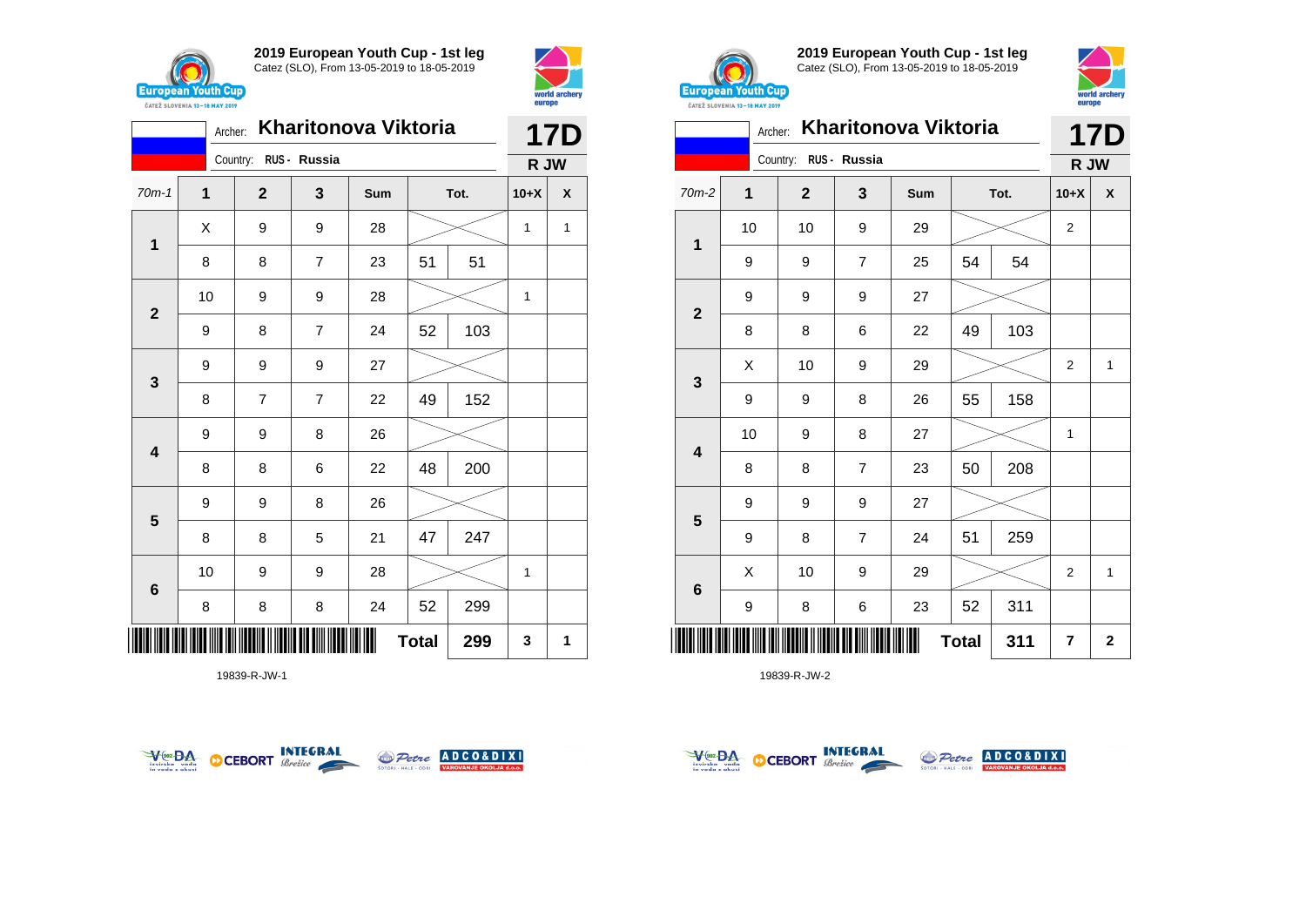



|                         |              | <b>17D</b>            |                |     |              |      |        |              |
|-------------------------|--------------|-----------------------|----------------|-----|--------------|------|--------|--------------|
|                         |              | Country: RUS - Russia |                |     |              |      | R JW   |              |
| $70m-1$                 | $\mathbf{1}$ | $\mathbf{2}$          | $\mathbf{3}$   | Sum |              | Tot. | $10+X$ | X            |
| $\mathbf{1}$            | X            | 9                     | 9              | 28  |              |      | 1      | $\mathbf{1}$ |
|                         | 8            | 8                     | $\overline{7}$ | 23  | 51           | 51   |        |              |
| $\overline{\mathbf{2}}$ | 10           | 9                     | 9              | 28  |              |      | 1      |              |
|                         | 9            | 8                     | $\overline{7}$ | 24  | 52           | 103  |        |              |
| $\mathbf{3}$            | 9            | 9                     | 9              | 27  |              |      |        |              |
|                         | 8            | $\overline{7}$        | $\overline{7}$ | 22  | 49           | 152  |        |              |
| $\overline{\mathbf{4}}$ | 9            | 9                     | 8              | 26  |              |      |        |              |
|                         | 8            | 8                     | 6              | 22  | 48           | 200  |        |              |
| 5                       | 9            | 9                     | 8              | 26  |              |      |        |              |
|                         | 8            | 8                     | 5              | 21  | 47           | 247  |        |              |
| $6\phantom{1}6$         | 10           | 9                     | 9              | 28  |              |      | 1      |              |
|                         | 8            | 8                     | 8              | 24  | 52           | 299  |        |              |
|                         |              |                       |                |     | <b>Total</b> | 299  | 3      | 1            |

19839-R-JW-1





**2019 European Youth Cup - 1st leg** Catez (SLO), From 13-05-2019 to 18-05-2019



|              | <b>CAILL SLUVENIA 13-18 MAY 2019</b><br>Archer: |                       |                | Kharitonova Viktoria |    |      | <b>17D</b>     |              |
|--------------|-------------------------------------------------|-----------------------|----------------|----------------------|----|------|----------------|--------------|
|              |                                                 | Country: RUS - Russia |                |                      |    |      | R JW           |              |
| 70m-2        | 1                                               | $\overline{2}$        | 3              | Sum                  |    | Tot. | $10+X$         | χ            |
|              | 10                                              | 10                    | 9              | 29                   |    |      | $\overline{2}$ |              |
| 1            | 9                                               | 9                     | $\overline{7}$ | 25                   | 54 | 54   |                |              |
|              | 9                                               | 9                     | 9              | 27                   |    |      |                |              |
| $\mathbf{2}$ | 8                                               | 8                     | 6              | 22                   | 49 | 103  |                |              |
|              | X                                               | 10                    | 9              | 29                   |    |      | $\overline{2}$ | $\mathbf{1}$ |
| 3            | 9                                               | 9                     | 8              | 26                   | 55 | 158  |                |              |
| 4            | 10                                              | 9                     | 8              | 27                   |    |      | $\mathbf{1}$   |              |
|              | 8                                               | 8                     | 7              | 23                   | 50 | 208  |                |              |
|              | 9                                               | 9                     | 9              | 27                   |    |      |                |              |
| 5            | 9                                               | 8                     | $\overline{7}$ | 24                   | 51 | 259  |                |              |
|              | X                                               | 10                    | 9              | 29                   |    |      | 2              | $\mathbf{1}$ |
| 6            | 9                                               | 8                     | 6              | 23                   | 52 | 311  |                |              |
| III          | <b>Total</b><br>311                             |                       |                |                      |    |      |                | $\mathbf{2}$ |



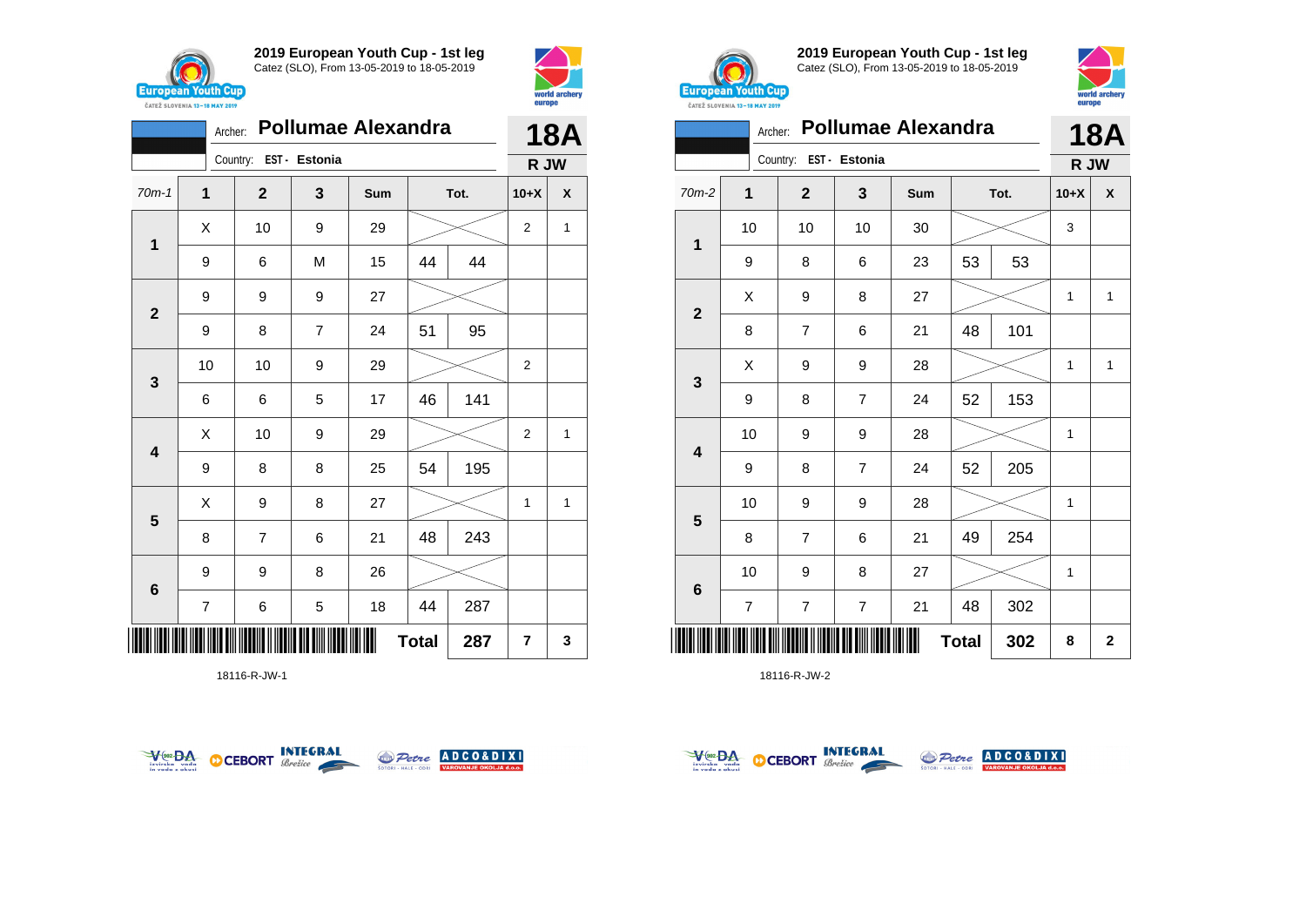



|              | Archer:                  |                        |                | <b>Pollumae Alexandra</b> |              |      |                | <b>18A</b><br>X<br>1 |  |
|--------------|--------------------------|------------------------|----------------|---------------------------|--------------|------|----------------|----------------------|--|
|              |                          | Country: EST - Estonia |                |                           |              |      | R JW           |                      |  |
| $70m-1$      | 1                        | $\mathbf{2}$           | 3              | Sum                       |              | Tot. | $10+X$         |                      |  |
|              | X                        | 10                     | 9              | 29                        |              |      | $\overline{2}$ |                      |  |
| 1            | 9                        | 6                      | M              | 15                        | 44           | 44   |                |                      |  |
| $\mathbf{2}$ | 9                        | 9                      | 9              | 27                        |              |      |                |                      |  |
|              | 9                        | 8                      | $\overline{7}$ | 24                        | 51           | 95   |                |                      |  |
| $\mathbf{3}$ | 10                       | 10                     | 9              | 29                        |              |      | $\overline{2}$ |                      |  |
|              | 6                        | 6                      | 5              | 17                        | 46           | 141  |                |                      |  |
| 4            | Χ                        | 10                     | 9              | 29                        |              |      | $\overline{2}$ | 1                    |  |
|              | 9                        | 8                      | 8              | 25                        | 54           | 195  |                |                      |  |
|              | Χ                        | 9                      | 8              | 27                        |              |      | 1              | 1                    |  |
| 5            | 8                        | $\overline{7}$         | 6              | 21                        | 48           | 243  |                |                      |  |
| $\bf 6$      | 9                        | 9                      | 8              | 26                        |              |      |                |                      |  |
|              | $\overline{\mathcal{I}}$ | 6                      | 5              | 18                        | 44           | 287  |                |                      |  |
|              |                          |                        |                |                           | <b>Total</b> | 287  | $\overline{7}$ | 3                    |  |

18116-R-JW-1





**2019 European Youth Cup - 1st leg** Catez (SLO), From 13-05-2019 to 18-05-2019



|                         | Archer:        |                        |                | <b>Pollumae Alexandra</b> |              |      |        | 18A            |
|-------------------------|----------------|------------------------|----------------|---------------------------|--------------|------|--------|----------------|
|                         |                | Country: EST - Estonia |                |                           |              |      | R JW   |                |
| $70m-2$                 | $\overline{1}$ | $\mathbf{2}$           | 3              | Sum                       |              | Tot. | $10+X$ | X              |
| 1                       | 10             | 10                     | 10             | 30                        |              |      | 3      |                |
|                         | 9              | 8                      | 6              | 23                        | 53           | 53   |        |                |
|                         | X              | 9                      | 8              | 27                        |              |      | 1      | $\mathbf{1}$   |
| $\overline{\mathbf{2}}$ | 8              | $\overline{7}$         | 6              | 21                        | 48           | 101  |        |                |
|                         | X              | 9                      | 9              | 28                        |              |      | 1      | $\mathbf{1}$   |
| 3                       | 9              | 8                      | $\overline{7}$ | 24                        | 52           | 153  |        |                |
| 4                       | 10             | 9                      | 9              | 28                        |              |      | 1      |                |
|                         | 9              | 8                      | $\overline{7}$ | 24                        | 52           | 205  |        |                |
|                         | 10             | 9                      | 9              | 28                        |              |      | 1      |                |
| 5                       | 8              | $\overline{7}$         | 6              | 21                        | 49           | 254  |        |                |
|                         | 10             | 9                      | 8              | 27                        |              |      | 1      |                |
| 6                       | $\overline{7}$ | $\overline{7}$         | $\overline{7}$ | 21                        | 48           | 302  |        |                |
|                         |                |                        |                |                           | <b>Total</b> | 302  | 8      | $\overline{2}$ |



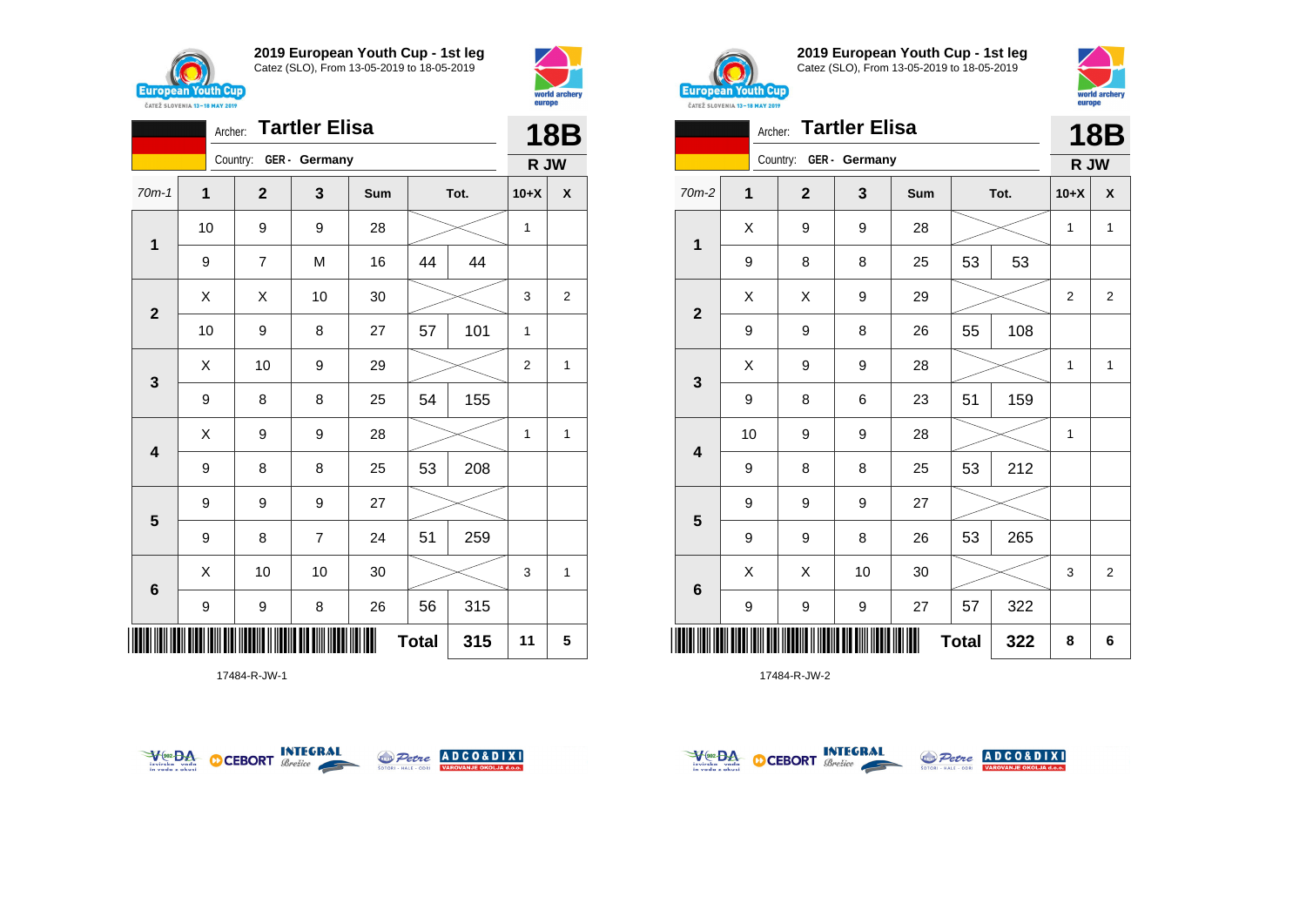



|                         |                  | Archer:                | <b>Tartler Elisa</b> |     |              |      |                | <b>18B</b> |
|-------------------------|------------------|------------------------|----------------------|-----|--------------|------|----------------|------------|
|                         |                  | Country: GER - Germany |                      |     |              |      | R JW           |            |
| $70m-1$                 | 1                | $\mathbf{2}$           | 3                    | Sum |              | Tot. | $10+X$         | X          |
| $\mathbf 1$             | 10               | 9                      | 9                    | 28  |              |      | 1              |            |
|                         | 9                | 7                      | M                    | 16  | 44           | 44   |                |            |
| $\mathbf{2}$            | X                | X                      | 10                   | 30  |              |      | 3              | 2          |
|                         | 10               | 9                      | 8                    | 27  | 57           | 101  | 1              |            |
| 3                       | Χ                | 10                     | 9                    | 29  |              |      | $\overline{2}$ | 1          |
|                         | $\boldsymbol{9}$ | 8                      | 8                    | 25  | 54           | 155  |                |            |
| $\overline{\mathbf{4}}$ | Χ                | 9                      | 9                    | 28  |              |      | 1              | 1          |
|                         | 9                | 8                      | 8                    | 25  | 53           | 208  |                |            |
| 5                       | 9                | 9                      | 9                    | 27  |              |      |                |            |
|                         | 9                | 8                      | $\overline{7}$       | 24  | 51           | 259  |                |            |
| $\bf 6$                 | X                | 10                     | 10                   | 30  |              |      | 3              | 1          |
|                         | 9                | 9                      | 8                    | 26  | 56           | 315  |                |            |
| ║║                      |                  |                        |                      |     | <b>Total</b> | 315  | 11             | 5          |

17484-R-JW-1





**2019 European Youth Cup - 1st leg** Catez (SLO), From 13-05-2019 to 18-05-2019





|                         |                | Archer:                | <b>Tartler Elisa</b> |     |              |      |              | <b>18B</b>         |
|-------------------------|----------------|------------------------|----------------------|-----|--------------|------|--------------|--------------------|
|                         |                | Country: GER - Germany |                      |     |              |      | R JW         |                    |
| 70m-2                   | $\overline{1}$ | $\mathbf{2}$           | $\mathbf{3}$         | Sum |              | Tot. | $10+X$       | $\pmb{\mathsf{X}}$ |
| 1                       | X              | 9                      | 9                    | 28  |              |      | $\mathbf{1}$ | $\mathbf{1}$       |
|                         | 9              | 8                      | 8                    | 25  | 53           | 53   |              |                    |
| $\mathbf{2}$            | Χ              | X                      | 9                    | 29  |              |      | 2            | 2                  |
|                         | 9              | 9                      | 8                    | 26  | 55           | 108  |              |                    |
| $\mathbf{3}$            | X              | 9                      | 9                    | 28  |              |      | 1            | $\mathbf{1}$       |
|                         | 9              | 8                      | 6                    | 23  | 51           | 159  |              |                    |
| $\overline{\mathbf{4}}$ | 10             | 9                      | 9                    | 28  |              |      | 1            |                    |
|                         | 9              | 8                      | 8                    | 25  | 53           | 212  |              |                    |
| $5\phantom{1}$          | 9              | 9                      | 9                    | 27  |              |      |              |                    |
|                         | 9              | 9                      | 8                    | 26  | 53           | 265  |              |                    |
| $6\phantom{1}$          | X              | Χ                      | 10                   | 30  |              |      | 3            | $\overline{2}$     |
|                         | 9              | 9                      | 9                    | 27  | 57           | 322  |              |                    |
| IIII                    |                |                        |                      |     | <b>Total</b> | 322  | 8            | 6                  |



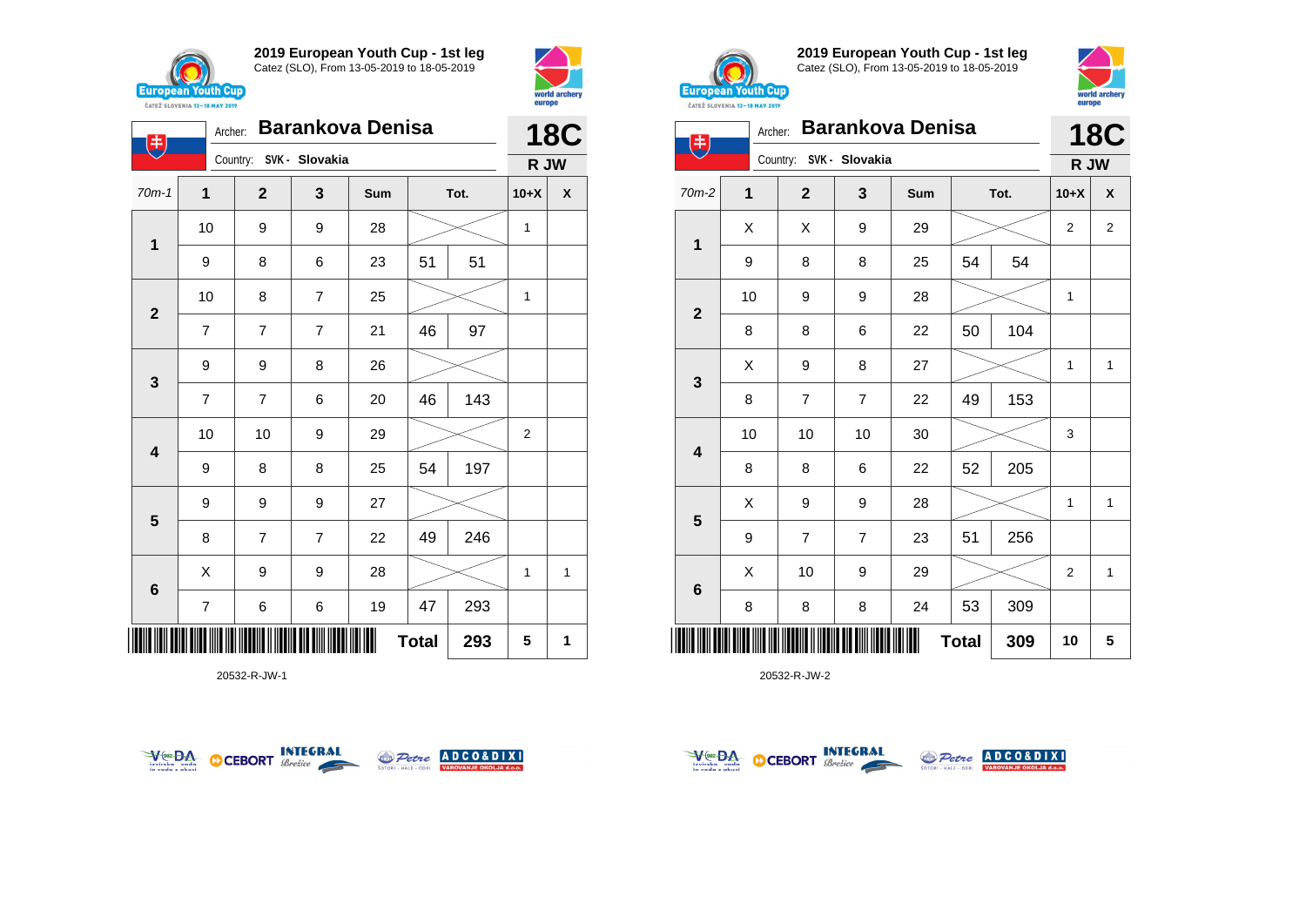

电

**2019 European Youth Cup - 1st leg** Catez (SLO), From 13-05-2019 to 18-05-2019



**18C**



**2019 European Youth Cup - 1st leg** Catez (SLO), From 13-05-2019 to 18-05-2019



| 主                       | Archer: | Country: SVK - Slovakia |                | <b>Barankova Denisa</b> |              |      |                | <b>18C</b>     |
|-------------------------|---------|-------------------------|----------------|-------------------------|--------------|------|----------------|----------------|
| $70m-2$                 | 1       | $\mathbf{2}$            | 3              | Sum                     |              | Tot. | R JW<br>$10+X$ | X              |
|                         | X       | Χ                       | 9              | 29                      |              |      | $\overline{2}$ | $\overline{2}$ |
| 1                       | 9       | 8                       | 8              | 25                      | 54           | 54   |                |                |
|                         | 10      | 9                       | 9              | 28                      |              |      | $\mathbf{1}$   |                |
| $\mathbf{2}$            | 8       | 8                       | 6              | 22                      | 50           | 104  |                |                |
| $\mathbf{3}$            | X       | 9                       | 8              | 27                      |              |      | $\mathbf{1}$   | $\mathbf{1}$   |
|                         | 8       | $\overline{7}$          | $\overline{7}$ | 22                      | 49           | 153  |                |                |
| $\overline{\mathbf{4}}$ | 10      | 10                      | 10             | 30                      |              |      | 3              |                |
|                         | 8       | 8                       | 6              | 22                      | 52           | 205  |                |                |
| $5\phantom{1}$          | Χ       | 9                       | 9              | 28                      |              |      | $\mathbf{1}$   | $\mathbf{1}$   |
|                         | 9       | $\overline{7}$          | $\overline{7}$ | 23                      | 51           | 256  |                |                |
| $\bf 6$                 | X       | 10                      | 9              | 29                      |              |      | $\overline{2}$ | 1              |
|                         | 8       | 8                       | 8              | 24                      | 53           | 309  |                |                |
|                         |         |                         |                |                         | <b>Total</b> | 309  | 10             | 5              |

20532-R-JW-2

|                         |                | Country:       | SVK - Slovakia |     |              |      | R JW             |              |
|-------------------------|----------------|----------------|----------------|-----|--------------|------|------------------|--------------|
| $70m-1$                 | $\mathbf 1$    | $\mathbf{2}$   | 3              | Sum |              | Tot. | $10+X$           | X            |
|                         | 10             | 9              | 9              | 28  |              |      | 1                |              |
| $\mathbf{1}$            | 9              | 8              | 6              | 23  | 51           | 51   |                  |              |
|                         | 10             | 8              | $\overline{7}$ | 25  |              |      | 1                |              |
| $\overline{\mathbf{2}}$ | $\overline{7}$ | $\overline{7}$ | $\overline{7}$ | 21  | 46           | 97   |                  |              |
|                         | 9              | 9              | 8              | 26  |              |      |                  |              |
| $\mathbf 3$             | $\overline{7}$ | $\overline{7}$ | 6              | 20  | 46           | 143  |                  |              |
|                         | 10             | 10             | 9              | 29  |              |      | $\boldsymbol{2}$ |              |
| $\overline{\mathbf{4}}$ | 9              | 8              | 8              | 25  | 54           | 197  |                  |              |
|                         | 9              | 9              | 9              | 27  |              |      |                  |              |
| 5                       | 8              | $\overline{7}$ | $\overline{7}$ | 22  | 49           | 246  |                  |              |
|                         | X              | 9              | 9              | 28  |              |      | 1                | $\mathbf{1}$ |
| $6\phantom{1}6$         | $\overline{7}$ | 6              | 6              | 19  | 47           | 293  |                  |              |
|                         |                |                |                | Ш   | <b>Total</b> | 293  | 5                | 1            |





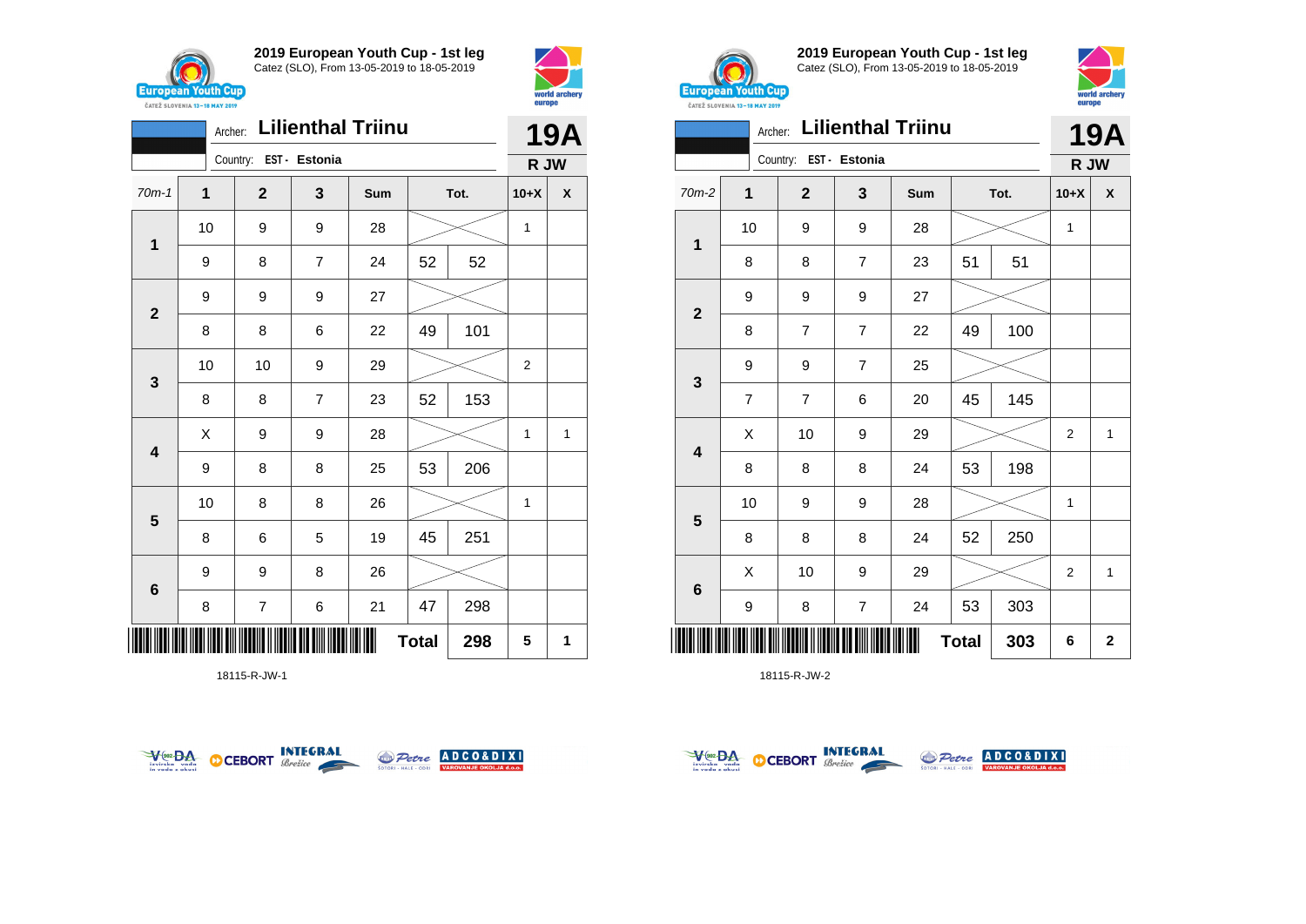



|                         | Archer: |                        |                | <b>Lilienthal Triinu</b> |              |      |                | <b>19A</b>   |
|-------------------------|---------|------------------------|----------------|--------------------------|--------------|------|----------------|--------------|
|                         |         | Country: EST - Estonia |                |                          |              |      | R JW           |              |
| $70m-1$                 | 1       | $\mathbf{2}$           | 3              | Sum                      |              | Tot. | $10+X$         | X            |
|                         | 10      | 9                      | 9              | 28                       |              |      | $\mathbf{1}$   |              |
| 1                       | 9       | 8                      | $\overline{7}$ | 24                       | 52           | 52   |                |              |
|                         | 9       | 9                      | 9              | 27                       |              |      |                |              |
| $\mathbf{2}$            | 8       | 8                      | 6              | 22                       | 49           | 101  |                |              |
| $\mathbf{3}$            | 10      | 10                     | 9              | 29                       |              |      | $\overline{2}$ |              |
|                         | 8       | 8                      | $\overline{7}$ | 23                       | 52           | 153  |                |              |
| $\overline{\mathbf{4}}$ | X       | 9                      | 9              | 28                       |              |      | 1              | $\mathbf{1}$ |
|                         | 9       | 8                      | 8              | 25                       | 53           | 206  |                |              |
| 5                       | 10      | 8                      | 8              | 26                       |              |      | 1              |              |
|                         | 8       | 6                      | 5              | 19                       | 45           | 251  |                |              |
| $6\phantom{1}$          | 9       | 9                      | 8              | 26                       |              |      |                |              |
|                         | 8       | 7                      | 6              | 21                       | 47           | 298  |                |              |
| ║║                      |         |                        |                |                          | <b>Total</b> | 298  | 5              | 1            |

18115-R-JW-1





**2019 European Youth Cup - 1st leg** Catez (SLO), From 13-05-2019 to 18-05-2019



|                         | Archer:        | Country:       | EST - Estonia    | <b>Lilienthal Triinu</b> |              |      |                  | <b>19A</b>   |
|-------------------------|----------------|----------------|------------------|--------------------------|--------------|------|------------------|--------------|
| $70m-2$                 | 1              | $\mathbf{2}$   | 3                | Sum                      |              | Tot. | R JW<br>$10+X$   | X            |
|                         | 10             | 9              | 9                | 28                       |              |      | 1                |              |
| 1                       | 8              | 8              | $\overline{7}$   | 23                       | 51           | 51   |                  |              |
| $\mathbf{2}$            | 9              | 9              | 9                | 27                       |              |      |                  |              |
|                         | 8              | 7              | $\overline{7}$   | 22                       | 49           | 100  |                  |              |
| 3                       | 9              | 9              | $\overline{7}$   | 25                       |              |      |                  |              |
|                         | $\overline{7}$ | $\overline{7}$ | 6                | 20                       | 45           | 145  |                  |              |
| $\overline{\mathbf{4}}$ | X              | 10             | 9                | 29                       |              |      | 2                | 1            |
|                         | 8              | 8              | 8                | 24                       | 53           | 198  |                  |              |
| $5\phantom{1}$          | 10             | 9              | 9                | 28                       |              |      | 1                |              |
|                         | 8              | 8              | 8                | 24                       | 52           | 250  |                  |              |
| 6                       | X              | 10             | 9                | 29                       |              |      | $\boldsymbol{2}$ | $\mathbf{1}$ |
|                         | 9              | 8              | $\boldsymbol{7}$ | 24                       | 53           | 303  |                  |              |
| Ⅲ                       |                |                |                  |                          | <b>Total</b> | 303  | 6                | $\mathbf{2}$ |



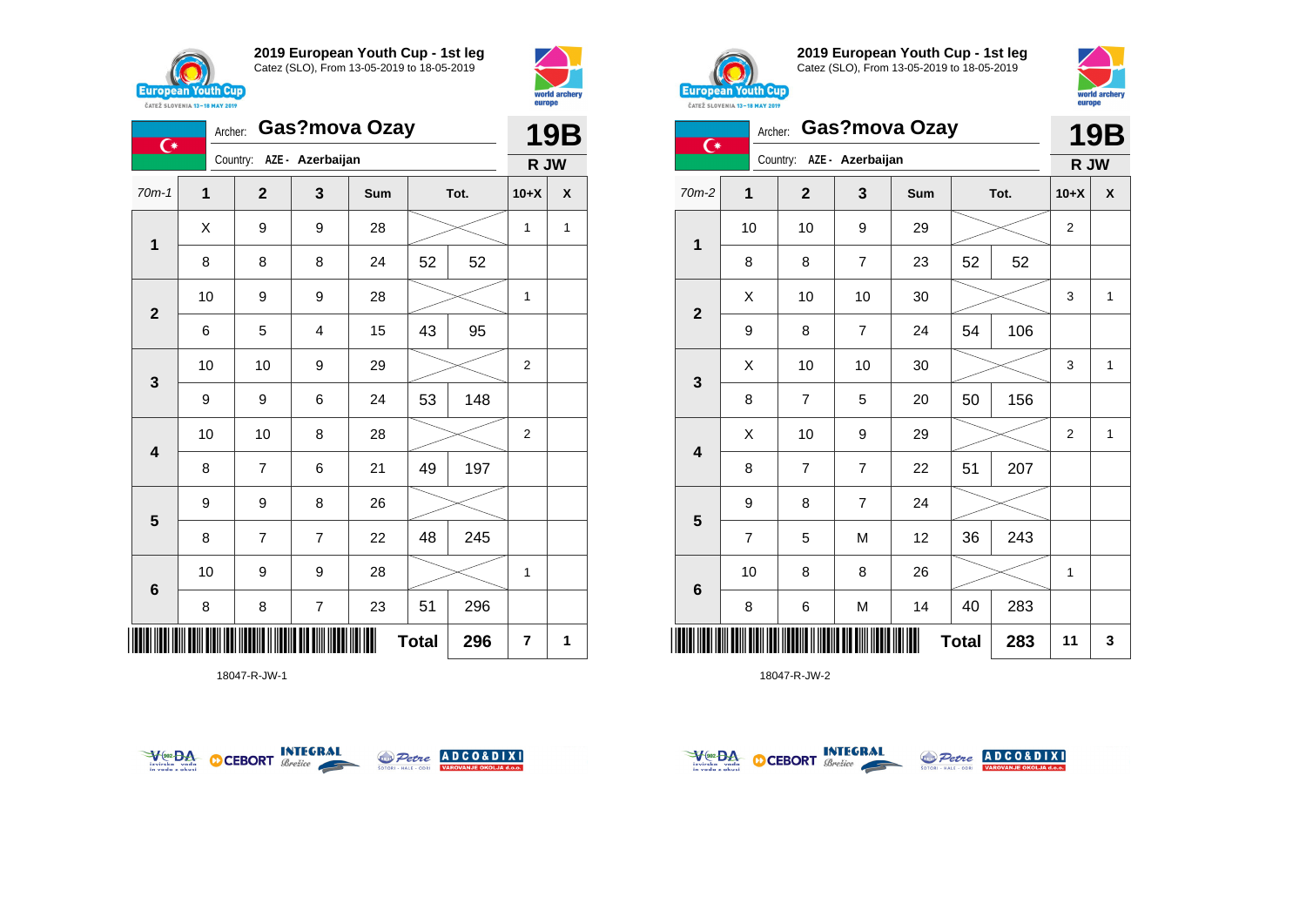

 $\overline{C^*}$ 

**1**

**2**

**3**

**2019 European Youth Cup - 1st leg** Catez (SLO), From 13-05-2019 to 18-05-2019

70m-1 **1 2 3 Sum Tot. 10+X X**

8 | 8 | 8 | 24 | 52 | 52

6 5 4 15 43 95

9 | 9 | 6 | 24 | 53 | 148

10 | 9 | 9 | 28 |  $\times$  | 1

10 | 10 | 9 | 29 |  $>$  | 2

10 | 10 | 8 | 28 |  $>$  | 2

 $X$  | 9 | 9 | 28 |  $>$  | 1 | 1

Archer: **Gas?mova Ozay**

Country: **AZE - Azerbaijan**



**19B R JW**



**2019 European Youth Cup - 1st leg** Catez (SLO), From 13-05-2019 to 18-05-2019



|                         | <b><i>UAILL SLUVERIA 13"10 MAT 2017</i></b> |                |                           |     |              |      |                |              |
|-------------------------|---------------------------------------------|----------------|---------------------------|-----|--------------|------|----------------|--------------|
| $\overline{C}$          | Archer:                                     |                | Gas?mova Ozay             |     |              |      |                | <b>19B</b>   |
|                         |                                             |                | Country: AZE - Azerbaijan |     |              |      | R JW           |              |
| $70m-2$                 | 1                                           | $\overline{2}$ | 3                         | Sum |              | Tot. | $10+X$         | X            |
|                         | 10                                          | 10             | 9                         | 29  |              |      | $\overline{c}$ |              |
| $\mathbf{1}$            | 8                                           | 8              | $\overline{7}$            | 23  | 52           | 52   |                |              |
|                         | X                                           | 10             | 10                        | 30  |              |      | 3              | 1            |
| $\mathbf 2$             | 9                                           | 8              | $\overline{7}$            | 24  | 54           | 106  |                |              |
| 3                       | X                                           | 10             | 10                        | 30  |              |      | 3              | 1            |
|                         | 8                                           | $\overline{7}$ | 5                         | 20  | 50           | 156  |                |              |
| $\overline{\mathbf{4}}$ | X                                           | 10             | 9                         | 29  |              |      | 2              | $\mathbf{1}$ |
|                         | 8                                           | $\overline{7}$ | 7                         | 22  | 51           | 207  |                |              |
|                         | 9                                           | 8              | $\overline{7}$            | 24  |              |      |                |              |
| 5                       | $\overline{7}$                              | 5              | M                         | 12  | 36           | 243  |                |              |
|                         | 10                                          | 8              | 8                         | 26  |              |      | 1              |              |
| 6                       | 8                                           | 6              | M                         | 14  | 40           | 283  |                |              |
|                         |                                             |                |                           |     | <b>Total</b> | 283  | 11             | 3            |







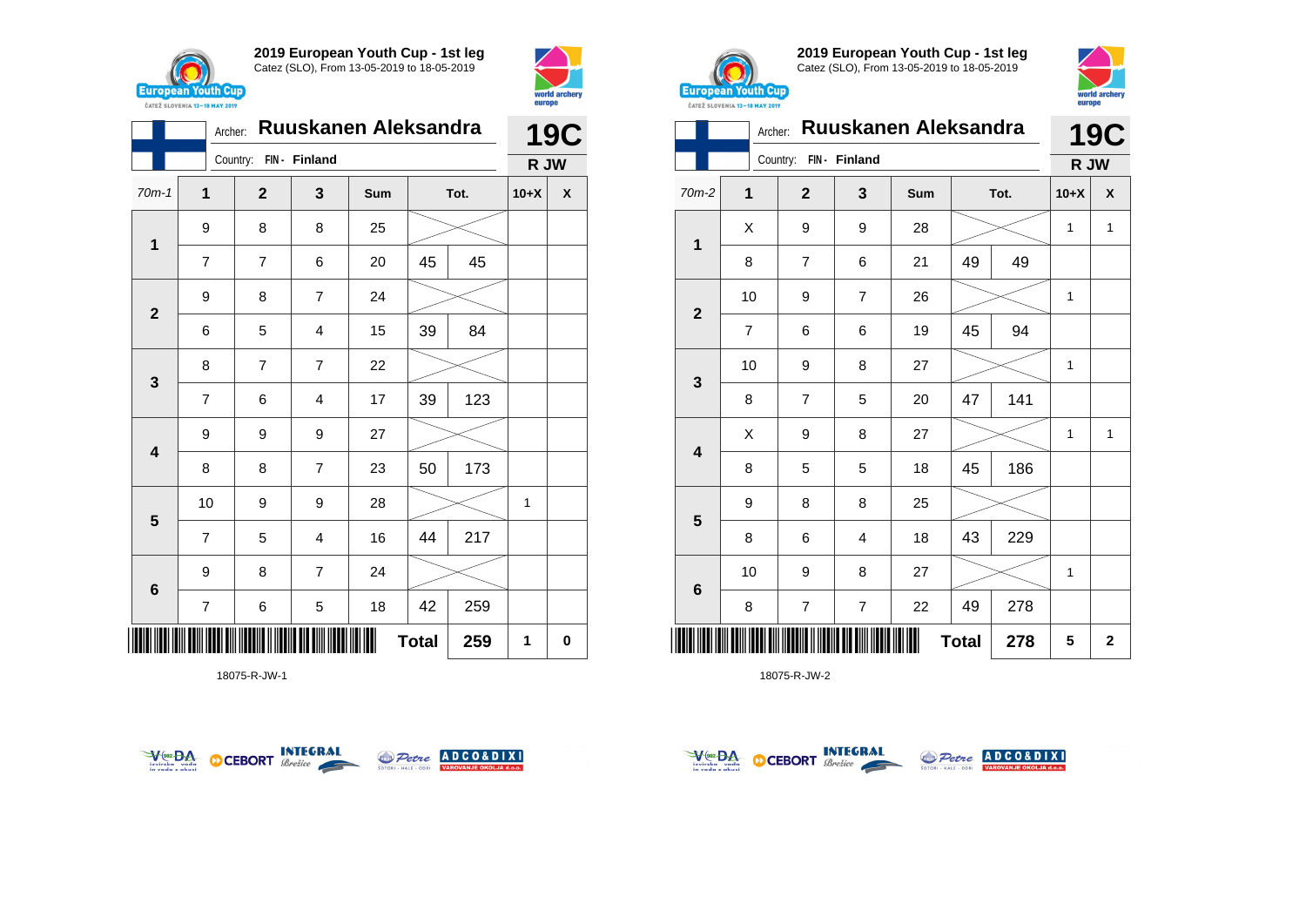



|                         | Archer:        |                        |                         | Ruuskanen Aleksandra |              |      |        | <b>19C</b> |
|-------------------------|----------------|------------------------|-------------------------|----------------------|--------------|------|--------|------------|
|                         |                | Country: FIN - Finland |                         |                      |              |      | R JW   |            |
| $70m-1$                 | 1              | $\mathbf{2}$           | 3                       | Sum                  |              | Tot. | $10+X$ | X          |
|                         | 9              | 8                      | 8                       | 25                   |              |      |        |            |
| 1                       | $\overline{7}$ | $\overline{7}$         | 6                       | 20                   | 45           | 45   |        |            |
| $\overline{\mathbf{2}}$ | 9              | 8                      | $\overline{7}$          | 24                   |              |      |        |            |
|                         | 6              | 5                      | 4                       | 15                   | 39           | 84   |        |            |
| $\mathbf{3}$            | 8              | $\overline{7}$         | $\overline{7}$          | 22                   |              |      |        |            |
|                         | $\overline{7}$ | 6                      | 4                       | 17                   | 39           | 123  |        |            |
| $\overline{\mathbf{4}}$ | 9              | 9                      | 9                       | 27                   |              |      |        |            |
|                         | 8              | 8                      | $\overline{7}$          | 23                   | 50           | 173  |        |            |
| 5                       | 10             | 9                      | 9                       | 28                   |              |      | 1      |            |
|                         | $\overline{7}$ | 5                      | $\overline{\mathbf{4}}$ | 16                   | 44           | 217  |        |            |
| $6\phantom{1}6$         | 9              | 8                      | $\overline{7}$          | 24                   |              |      |        |            |
|                         | $\overline{7}$ | 6                      | 5                       | 18                   | 42           | 259  |        |            |
|                         |                |                        |                         |                      | <b>Total</b> | 259  | 1      | 0          |

18075-R-JW-1





**2019 European Youth Cup - 1st leg** Catez (SLO), From 13-05-2019 to 18-05-2019



|                         | Archer:        |                          |                         | Ruuskanen Aleksandra |              |      |        | <b>19C</b>   |
|-------------------------|----------------|--------------------------|-------------------------|----------------------|--------------|------|--------|--------------|
|                         |                | Country:                 | FIN - Finland           |                      |              |      | R JW   |              |
| 70m-2                   | $\mathbf 1$    | $\mathbf{2}$             | 3                       | Sum                  |              | Tot. | $10+X$ | X            |
|                         | X              | 9                        | 9                       | 28                   |              |      | 1      | $\mathbf{1}$ |
| $\mathbf 1$             | 8              | $\overline{7}$           | 6                       | 21                   | 49           | 49   |        |              |
|                         | 10             | 9                        | 7                       | 26                   |              |      | 1      |              |
| $\mathbf{2}$            | $\overline{7}$ | 6                        | 6                       | 19                   | 45           | 94   |        |              |
| 3                       | 10             | 9                        | 8                       | 27                   |              |      | 1      |              |
|                         | 8              | $\overline{7}$           | 5                       | 20                   | 47           | 141  |        |              |
| $\overline{\mathbf{4}}$ | X              | 9                        | 8                       | 27                   |              |      | 1      | $\mathbf{1}$ |
|                         | 8              | 5                        | 5                       | 18                   | 45           | 186  |        |              |
|                         | 9              | 8                        | 8                       | 25                   |              |      |        |              |
| 5                       | 8              | 6                        | 4                       | 18                   | 43           | 229  |        |              |
|                         | 10             | 9                        | 8                       | 27                   |              |      | 1      |              |
| $\bf 6$                 | 8              | $\overline{\mathcal{I}}$ | $\overline{\mathbf{7}}$ | 22                   | 49           | 278  |        |              |
|                         |                |                          |                         |                      | <b>Total</b> | 278  | 5      | $\mathbf 2$  |



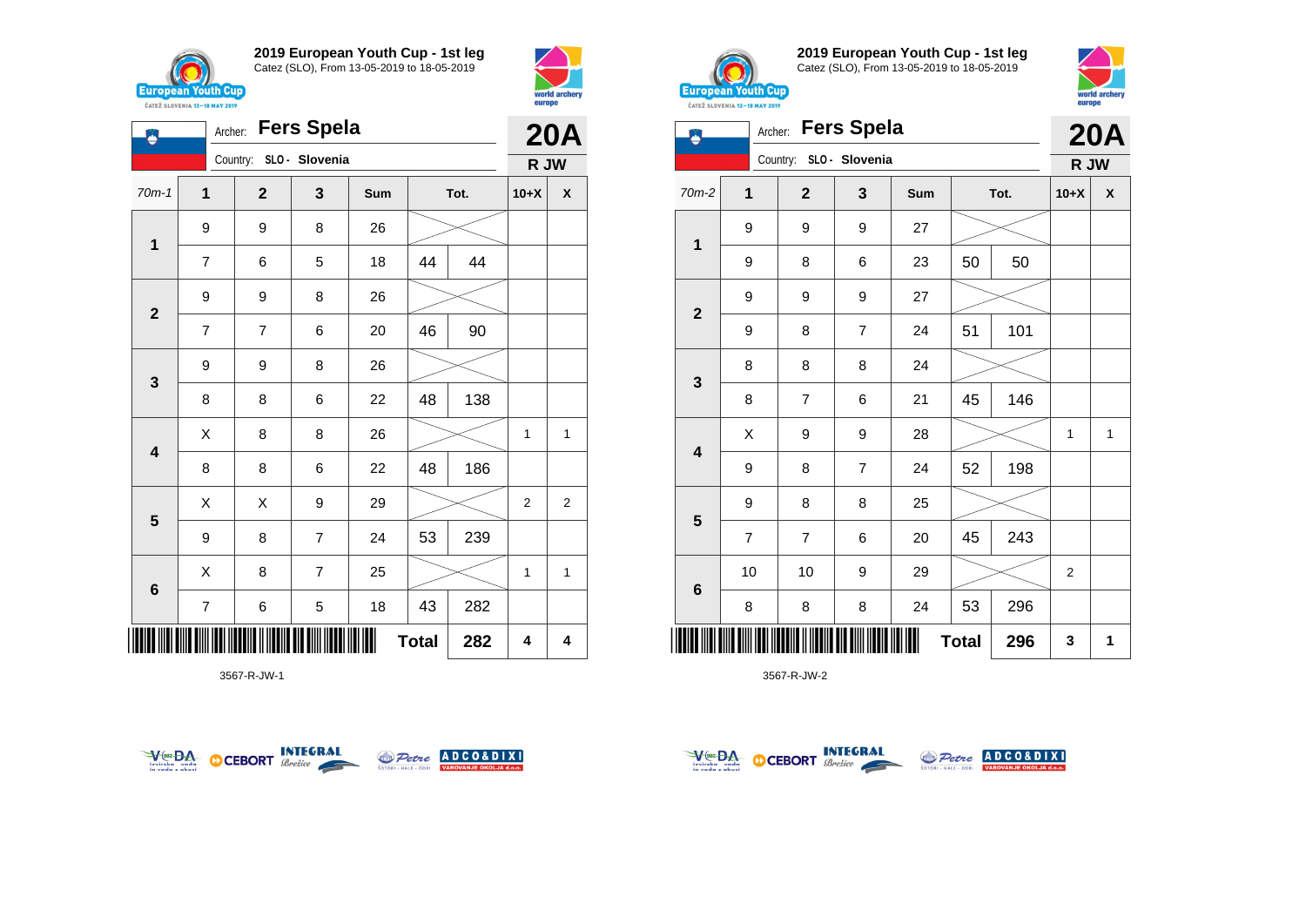

**1**

Ö

**2**

**3**

**4**

**5**

**6**

 $\overline{\phantom{a}}$ 

**2019 European Youth Cup - 1st leg** Catez (SLO), From 13-05-2019 to 18-05-2019

70m-1 **1 2 3 Sum Tot. 10+X X**

7 | 6 | 5 | 18 | 44 | 44

7 | 7 | 6 | 20 | 46 | 90

8 | 8 | 6 | 22 | 48 | 138

8 | 8 | 6 | 22 | 48 | 186

9 | 8 | 7 | 24 | 53 | 239

7 | 6 | 5 | 18 | 43 | 282

 $X$  | 8 | 8 | 26 |  $\gg$  | 1 | 1

 $\begin{array}{|c|c|c|c|c|}\hline \hspace{0.2cm}X & X & 9 & 29 & \nearrow \ \hline \end{array}$ 

 $X$  | 8 | 7 | 25 |  $\gg$  | 1 | 1

Archer: **Fers Spela**

Country: **SLO - Slovenia**

9 9 8 26

9 9 8 26

9 9 8 26



**20A R JW**



**2019 European Youth Cup - 1st leg** Catez (SLO), From 13-05-2019 to 18-05-2019



|                         | CATEZ SLOVENIA 13-18 MAY 2019 |                         |                   |     |              |      | <u>-----</u> |              |
|-------------------------|-------------------------------|-------------------------|-------------------|-----|--------------|------|--------------|--------------|
|                         | Archer:                       |                         | <b>Fers Spela</b> |     |              |      |              | <b>20A</b>   |
|                         |                               | Country: SLO - Slovenia |                   |     |              |      | R JW         |              |
| $70m-2$                 | 1                             | $\overline{\mathbf{2}}$ | 3                 | Sum |              | Tot. | $10+X$       | X            |
|                         | 9                             | 9                       | 9                 | 27  |              |      |              |              |
| $\mathbf{1}$            | 9                             | 8                       | 6                 | 23  | 50           | 50   |              |              |
|                         | 9                             | 9                       | 9                 | 27  |              |      |              |              |
| $\mathbf{2}$            | 9                             | 8                       | 7                 | 24  | 51           | 101  |              |              |
|                         | 8                             | 8                       | 8                 | 24  |              |      |              |              |
| $\mathbf{3}$            | 8                             | $\overline{7}$          | 6                 | 21  | 45           | 146  |              |              |
|                         | X                             | 9                       | 9                 | 28  |              |      | 1            | $\mathbf{1}$ |
| $\overline{\mathbf{4}}$ | 9                             | 8                       | $\overline{7}$    | 24  | 52           | 198  |              |              |
|                         | 9                             | 8                       | 8                 | 25  |              |      |              |              |
| $\overline{\mathbf{5}}$ | $\overline{7}$                | $\overline{7}$          | 6                 | 20  | 45           | 243  |              |              |
|                         | 10                            | 10                      | 9                 | 29  |              |      | 2            |              |
| $\bf 6$                 | 8                             | 8                       | 8                 | 24  | 53           | 296  |              |              |
|                         |                               |                         |                   | I   | <b>Total</b> | 296  | 3            | 1            |

3567-R-JW-2



3567-R-JW-1



**Total** 282  $\begin{array}{|c|c|c|c|} \hline \end{array}$  4  $\begin{array}{|c|c|c|c|} \hline \end{array}$ 



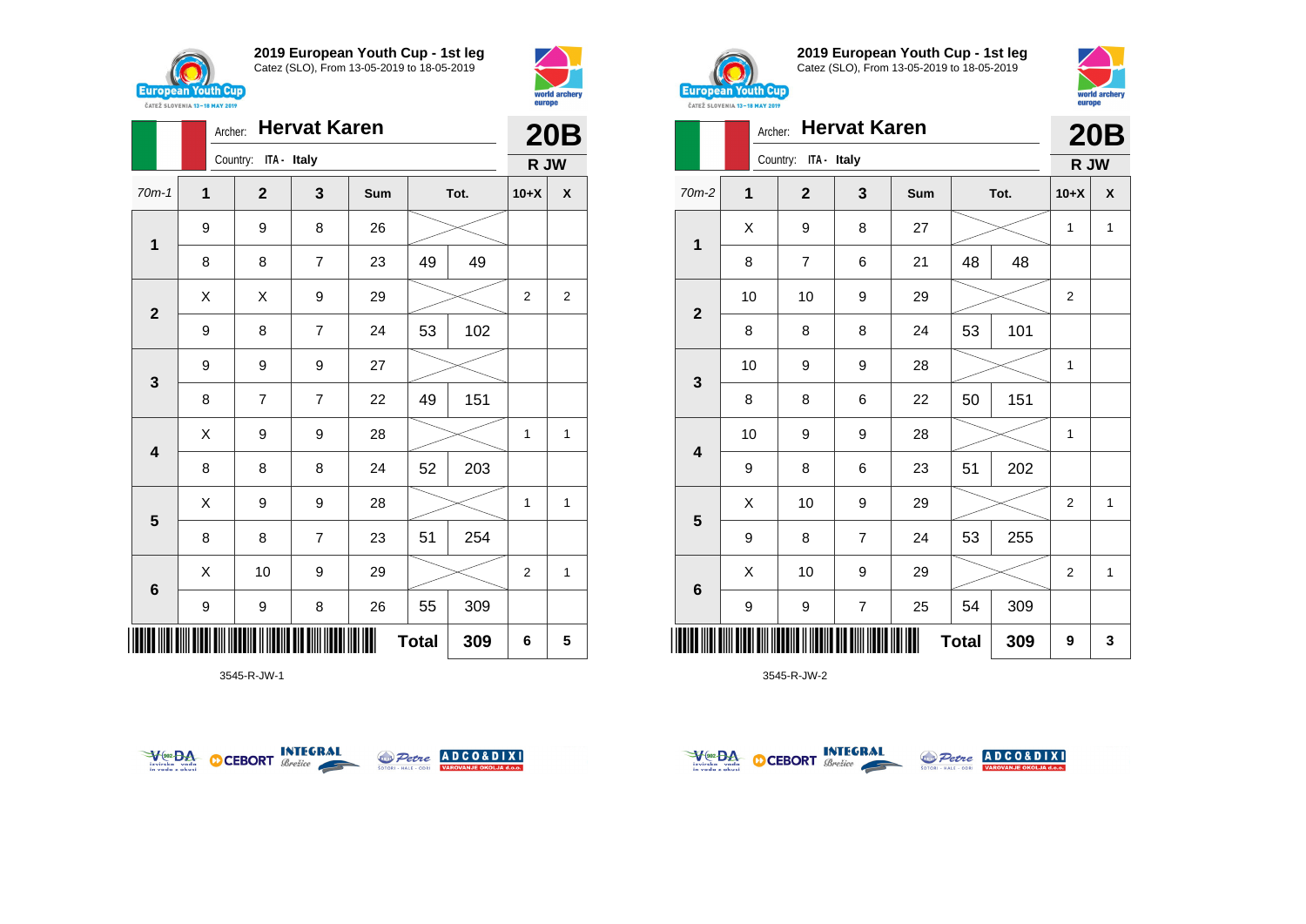

**2019 European Youth Cup - 1st leg** Catez (SLO), From 13-05-2019 to 18-05-2019



|                         |                  | <b>Hervat Karen</b><br>Archer: |                |     |              |      |                |                |
|-------------------------|------------------|--------------------------------|----------------|-----|--------------|------|----------------|----------------|
|                         |                  | Country: ITA - Italy           |                |     |              |      | R JW           | <b>20B</b>     |
| $70m-1$                 | 1                | $\mathbf{2}$                   | 3              | Sum |              | Tot. | $10+X$         | X              |
| $\mathbf 1$             | $\boldsymbol{9}$ | 9                              | 8              | 26  |              |      |                |                |
|                         | 8                | 8                              | $\overline{7}$ | 23  | 49           | 49   |                |                |
| $\mathbf{2}$            | Χ                | Χ                              | 9              | 29  |              |      | $\overline{2}$ | $\overline{2}$ |
|                         | 9                | 8                              | 7              | 24  | 53           | 102  |                |                |
| 3                       | 9                | 9                              | 9              | 27  |              |      |                |                |
|                         | 8                | $\overline{7}$                 | $\overline{7}$ | 22  | 49           | 151  |                |                |
| $\overline{\mathbf{4}}$ | Χ                | 9                              | 9              | 28  |              |      | 1              | 1              |
|                         | 8                | 8                              | 8              | 24  | 52           | 203  |                |                |
| $5\phantom{1}$          | X                | 9                              | 9              | 28  |              |      | 1              | 1              |
|                         | 8                | 8                              | $\overline{7}$ | 23  | 51           | 254  |                |                |
| 6                       | X                | 10                             | 9              | 29  |              |      | 2              | 1              |
|                         | 9                | 9                              | 8              | 26  | 55           | 309  |                |                |
|                         |                  |                                |                |     | <b>Total</b> | 309  | 6              | 5              |

3545-R-JW-1





**2019 European Youth Cup - 1st leg** Catez (SLO), From 13-05-2019 to 18-05-2019



|                         | <b>CAILL SLUTERIA 13-10 MAI 2017</b><br>Archer: |                      | <b>Hervat Karen</b>     |     |              |      |                | <b>20B</b>   |
|-------------------------|-------------------------------------------------|----------------------|-------------------------|-----|--------------|------|----------------|--------------|
|                         |                                                 | Country: ITA - Italy |                         |     |              |      | R JW           |              |
| 70m-2                   | 1                                               | $\mathbf{2}$         | 3                       | Sum |              | Tot. | $10+X$         | X            |
| 1                       | X                                               | 9                    | 8                       | 27  |              |      | 1              | 1            |
|                         | 8                                               | $\overline{7}$       | 6                       | 21  | 48           | 48   |                |              |
| $\mathbf{2}$            | 10                                              | 10                   | 9                       | 29  |              |      | $\overline{2}$ |              |
|                         | 8                                               | 8                    | 8                       | 24  | 53           | 101  |                |              |
| 3                       | 10                                              | 9                    | 9                       | 28  |              |      | 1              |              |
|                         | 8                                               | 8                    | 6                       | 22  | 50           | 151  |                |              |
| $\overline{\mathbf{4}}$ | 10                                              | 9                    | 9                       | 28  |              |      | 1              |              |
|                         | 9                                               | 8                    | 6                       | 23  | 51           | 202  |                |              |
| 5                       | X                                               | 10                   | 9                       | 29  |              |      | $\overline{2}$ | $\mathbf{1}$ |
|                         | 9                                               | 8                    | $\overline{7}$          | 24  | 53           | 255  |                |              |
| $\bf 6$                 | X                                               | 10                   | 9                       | 29  |              |      | $\overline{c}$ | 1            |
|                         | 9                                               | 9                    | $\overline{\mathbf{7}}$ | 25  | 54           | 309  |                |              |
|                         |                                                 |                      |                         |     | <b>Total</b> | 309  | 9              | 3            |



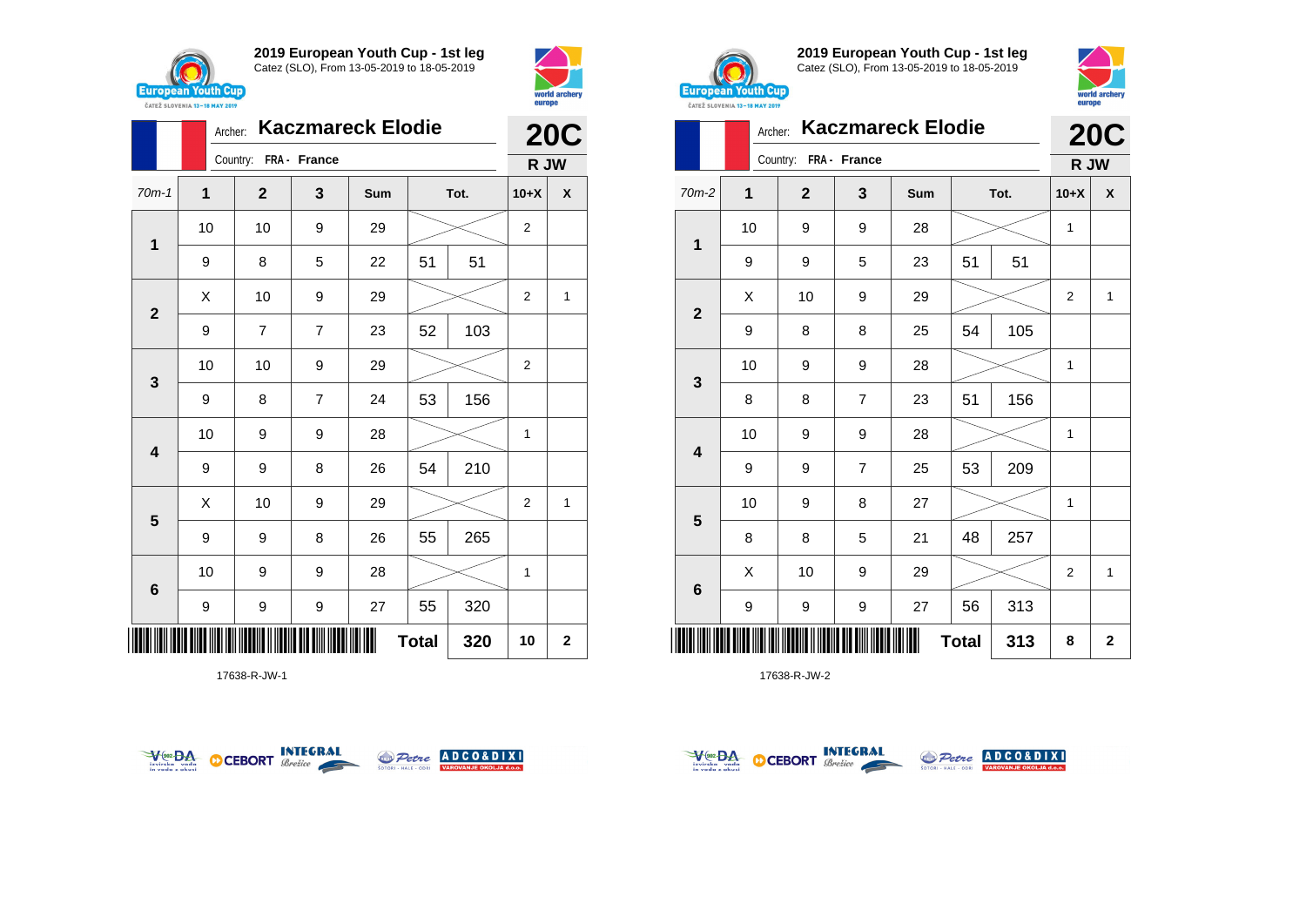



|              | Archer: |                       |                | <b>20C</b> |              |      |                |              |
|--------------|---------|-----------------------|----------------|------------|--------------|------|----------------|--------------|
|              |         | Country: FRA - France |                |            |              |      | R JW           |              |
| $70m-1$      | 1       | $\overline{2}$        | 3              | Sum        |              | Tot. | $10+X$         | X            |
| 1            | 10      | 10                    | 9              | 29         |              |      | 2              |              |
|              | 9       | 8                     | 5              | 22         | 51           | 51   |                |              |
| $\mathbf{2}$ | X       | 10                    | 9              | 29         |              |      | $\overline{2}$ | $\mathbf{1}$ |
|              | 9       | 7                     | $\overline{7}$ | 23         | 52           | 103  |                |              |
| 3            | 10      | 10                    | 9              | 29         |              |      | $\overline{2}$ |              |
|              | 9       | 8                     | $\overline{7}$ | 24         | 53           | 156  |                |              |
| 4            | 10      | 9                     | 9              | 28         |              |      | $\mathbf{1}$   |              |
|              | 9       | 9                     | 8              | 26         | 54           | 210  |                |              |
| 5            | X       | 10                    | 9              | 29         |              |      | 2              | 1            |
|              | 9       | 9                     | 8              | 26         | 55           | 265  |                |              |
| 6            | 10      | 9                     | 9              | 28         |              |      | 1              |              |
|              | 9       | 9                     | 9              | 27         | 55           | 320  |                |              |
|              |         |                       |                |            | <b>Total</b> | 320  | 10             | $\mathbf 2$  |

17638-R-JW-1





**2019 European Youth Cup - 1st leg** Catez (SLO), From 13-05-2019 to 18-05-2019



|                         | Archer:      |                       |                | <b>Kaczmareck Elodie</b> |              |      |                | <b>20C</b>         |
|-------------------------|--------------|-----------------------|----------------|--------------------------|--------------|------|----------------|--------------------|
|                         |              | Country: FRA - France |                |                          |              |      | R JW           |                    |
| $70m-2$                 | $\mathbf{1}$ | $\overline{2}$        | 3              | Sum                      |              | Tot. | $10+X$         | $\pmb{\mathsf{X}}$ |
| 1                       | 10           | 9                     | 9              | 28                       |              |      | 1              |                    |
|                         | 9            | 9                     | 5              | 23                       | 51           | 51   |                |                    |
| $\overline{2}$          | X            | 10                    | 9              | 29                       |              |      | $\overline{2}$ | 1                  |
|                         | 9            | 8                     | 8              | 25                       | 54           | 105  |                |                    |
| 3                       | 10           | 9                     | 9              | 28                       |              |      | 1              |                    |
|                         | 8            | 8                     | 7              | 23                       | 51           | 156  |                |                    |
| $\overline{\mathbf{4}}$ | 10           | 9                     | 9              | 28                       |              |      | 1              |                    |
|                         | 9            | 9                     | $\overline{7}$ | 25                       | 53           | 209  |                |                    |
|                         | 10           | 9                     | 8              | 27                       |              |      | 1              |                    |
| $\overline{\mathbf{5}}$ | 8            | 8                     | 5              | 21                       | 48           | 257  |                |                    |
| $6\phantom{1}6$         | X            | 10                    | 9              | 29                       |              |      | $\overline{2}$ | 1                  |
|                         | 9            | 9                     | 9              | 27                       | 56           | 313  |                |                    |
| Ⅲ                       |              |                       |                |                          | <b>Total</b> | 313  | 8              | $\mathbf 2$        |



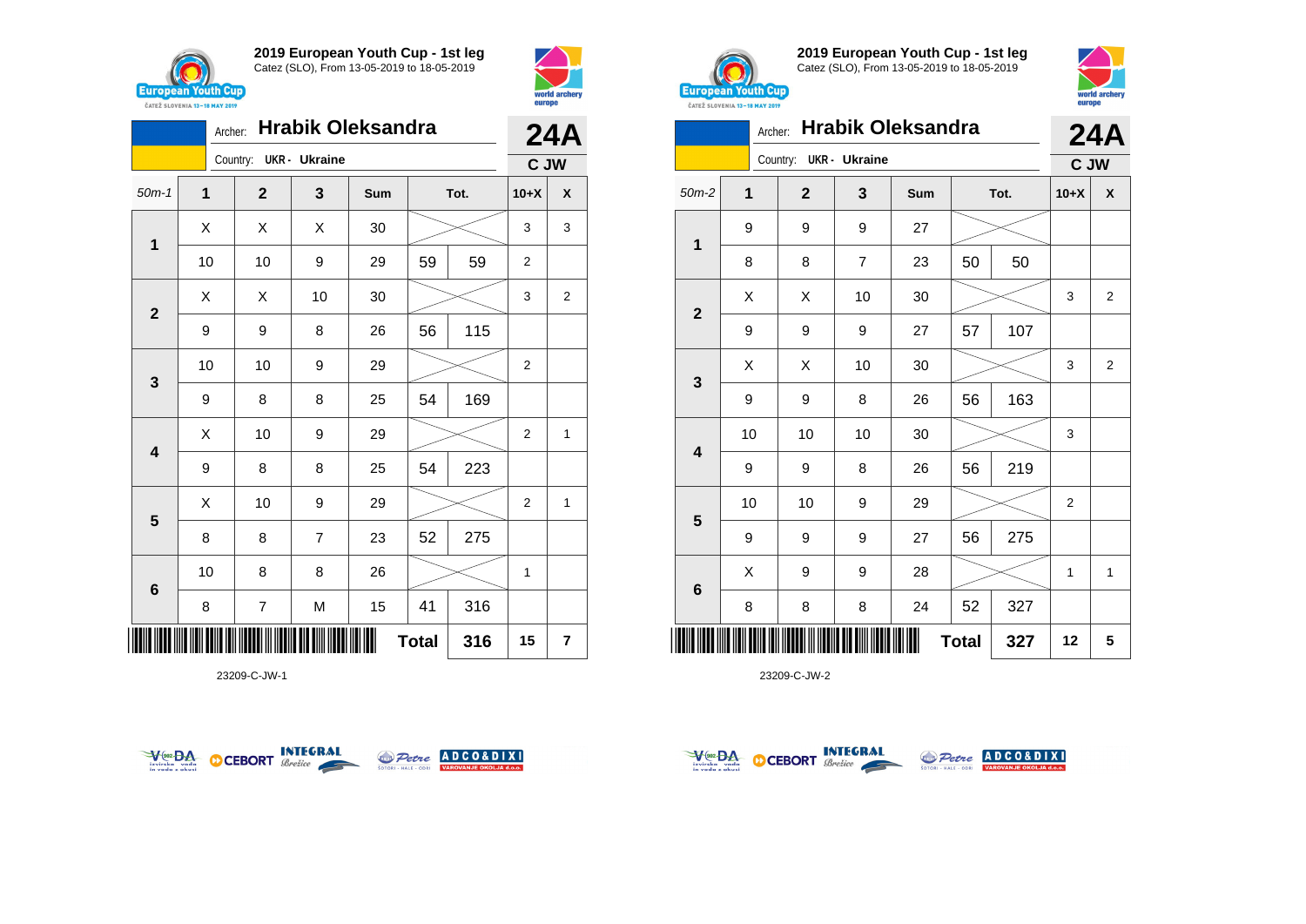



|                         | <b>Hrabik Oleksandra</b><br>Archer: |  |                |                      |     |              |      |                |                         |
|-------------------------|-------------------------------------|--|----------------|----------------------|-----|--------------|------|----------------|-------------------------|
|                         |                                     |  | Country:       | <b>UKR</b> - Ukraine |     |              |      | C JW           |                         |
| $50m-1$                 | $\overline{\mathbf{1}}$             |  | $\overline{2}$ | 3                    | Sum |              | Tot. | $10+X$         | X                       |
| $\mathbf{1}$            | X                                   |  | X              | X                    | 30  |              |      | 3              | 3                       |
|                         | 10                                  |  | 10             | 9                    | 29  | 59           | 59   | 2              |                         |
| $\overline{\mathbf{2}}$ | X                                   |  | X              | 10                   | 30  |              |      | 3              | $\overline{\mathbf{c}}$ |
|                         | 9                                   |  | 9              | 8                    | 26  | 56           | 115  |                |                         |
| 3                       | 10                                  |  | 10             | 9                    | 29  |              |      | $\overline{2}$ |                         |
|                         | 9                                   |  | 8              | 8                    | 25  | 54           | 169  |                |                         |
| $\overline{\mathbf{4}}$ | X                                   |  | 10             | 9                    | 29  |              |      | 2              | 1                       |
|                         | 9                                   |  | 8              | 8                    | 25  | 54           | 223  |                |                         |
| 5                       | X                                   |  | 10             | 9                    | 29  |              |      | $\overline{2}$ | 1                       |
|                         | 8                                   |  | 8              | $\overline{7}$       | 23  | 52           | 275  |                |                         |
| 6                       | 10                                  |  | 8              | 8                    | 26  |              |      | 1              |                         |
|                         | 8                                   |  | 7              | M                    | 15  | 41           | 316  |                |                         |
|                         |                                     |  |                |                      |     | <b>Total</b> | 316  | 15             | 7                       |

23209-C-JW-1





**2019 European Youth Cup - 1st leg** Catez (SLO), From 13-05-2019 to 18-05-2019



|                         | <b>Hrabik Oleksandra</b><br>Archer: |              |                      |     |              |      |                |                |
|-------------------------|-------------------------------------|--------------|----------------------|-----|--------------|------|----------------|----------------|
|                         |                                     | Country:     | <b>UKR</b> - Ukraine |     |              |      | C JW           | <b>24A</b>     |
| $50m-2$                 | 1                                   | $\mathbf{2}$ | 3                    | Sum |              | Tot. | $10+X$         | X              |
| 1                       | 9                                   | 9            | 9                    | 27  |              |      |                |                |
|                         | 8                                   | 8            | $\overline{7}$       | 23  | 50           | 50   |                |                |
| $\overline{2}$          | X                                   | Χ            | 10                   | 30  |              |      | 3              | 2              |
|                         | 9                                   | 9            | 9                    | 27  | 57           | 107  |                |                |
|                         | X                                   | Χ            | 10                   | 30  |              |      | 3              | $\overline{2}$ |
| 3                       | 9                                   | 9            | 8                    | 26  | 56           | 163  |                |                |
| $\overline{\mathbf{4}}$ | 10                                  | 10           | 10                   | 30  |              |      | 3              |                |
|                         | 9                                   | 9            | 8                    | 26  | 56           | 219  |                |                |
|                         | 10                                  | 10           | 9                    | 29  |              |      | $\overline{2}$ |                |
| 5                       | 9                                   | 9            | 9                    | 27  | 56           | 275  |                |                |
|                         | X                                   | 9            | 9                    | 28  |              |      | 1              | $\mathbf{1}$   |
| $\bf 6$                 | 8                                   | 8            | 8                    | 24  | 52           | 327  |                |                |
| ║                       |                                     |              |                      |     | <b>Total</b> | 327  | 12             | 5              |



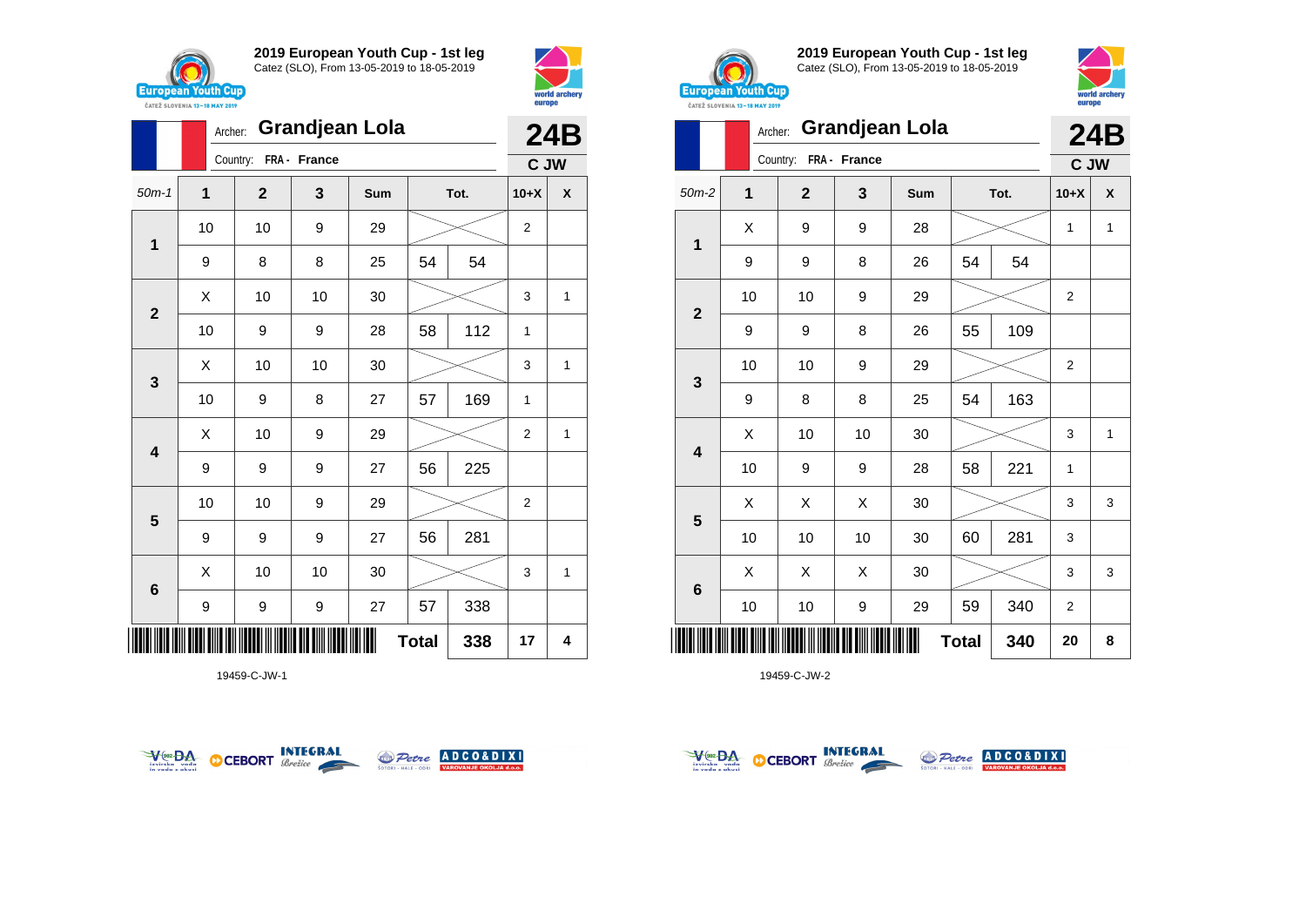



|              | <b>Grandjean Lola</b><br>Archer: |                       |    |     |              |      |                | 24B                |
|--------------|----------------------------------|-----------------------|----|-----|--------------|------|----------------|--------------------|
|              |                                  | Country: FRA - France |    |     |              |      | C JW           |                    |
| $50m-1$      | 1                                | $\mathbf{2}$          | 3  | Sum |              | Tot. | $10+X$         | $\pmb{\mathsf{X}}$ |
|              | 10                               | 10                    | 9  | 29  |              |      | $\overline{2}$ |                    |
| 1            | 9                                | 8                     | 8  | 25  | 54           | 54   |                |                    |
|              | X                                | 10                    | 10 | 30  |              |      | 3              | 1                  |
| $\mathbf{2}$ | 10                               | 9                     | 9  | 28  | 58           | 112  | 1              |                    |
|              | Χ                                | 10                    | 10 | 30  |              |      | 3              | 1                  |
| 3            | 10                               | 9                     | 8  | 27  | 57           | 169  | 1              |                    |
| 4            | Χ                                | 10                    | 9  | 29  |              |      | $\overline{2}$ | 1                  |
|              | 9                                | 9                     | 9  | 27  | 56           | 225  |                |                    |
|              | 10                               | 10                    | 9  | 29  |              |      | $\overline{2}$ |                    |
| 5            | 9                                | 9                     | 9  | 27  | 56           | 281  |                |                    |
|              | Χ                                | 10                    | 10 | 30  |              |      | 3              | 1                  |
| $\bf 6$      | 9                                | 9                     | 9  | 27  | 57           | 338  |                |                    |
| IIIII        |                                  |                       |    |     | <b>Total</b> | 338  | 17             | 4                  |

19459-C-JW-1





**2019 European Youth Cup - 1st leg** Catez (SLO), From 13-05-2019 to 18-05-2019



| <b><i>UAILL SLUVERIA 13"10 MAT 4017</i></b> |         |             |              |                       |              |      |                |              |
|---------------------------------------------|---------|-------------|--------------|-----------------------|--------------|------|----------------|--------------|
|                                             | Archer: |             |              | <b>Grandjean Lola</b> |              |      |                | <b>24B</b>   |
|                                             |         | Country:    | FRA - France |                       |              |      | C JW           |              |
| $50m-2$                                     | 1       | $\mathbf 2$ | 3            | Sum                   |              | Tot. | $10+X$         | X            |
| 1                                           | X       | 9           | 9            | 28                    |              |      | $\mathbf{1}$   | $\mathbf{1}$ |
|                                             | 9       | 9           | 8            | 26                    | 54           | 54   |                |              |
| $\mathbf{2}$                                | 10      | 10          | 9            | 29                    |              |      | $\overline{2}$ |              |
|                                             | 9       | 9           | 8            | 26                    | 55           | 109  |                |              |
| 3                                           | 10      | 10          | 9            | 29                    |              |      | 2              |              |
|                                             | 9       | 8           | 8            | 25                    | 54           | 163  |                |              |
| 4                                           | Χ       | 10          | 10           | 30                    |              |      | 3              | $\mathbf{1}$ |
|                                             | 10      | 9           | 9            | 28                    | 58           | 221  | 1              |              |
| 5                                           | Χ       | X           | Χ            | 30                    |              |      | 3              | 3            |
|                                             | 10      | 10          | 10           | 30                    | 60           | 281  | 3              |              |
| $6\phantom{1}$                              | X       | X           | Χ            | 30                    |              |      | 3              | 3            |
|                                             | 10      | 10          | 9            | 29                    | 59           | 340  | 2              |              |
|                                             |         |             |              |                       | <b>Total</b> | 340  | 20             | 8            |



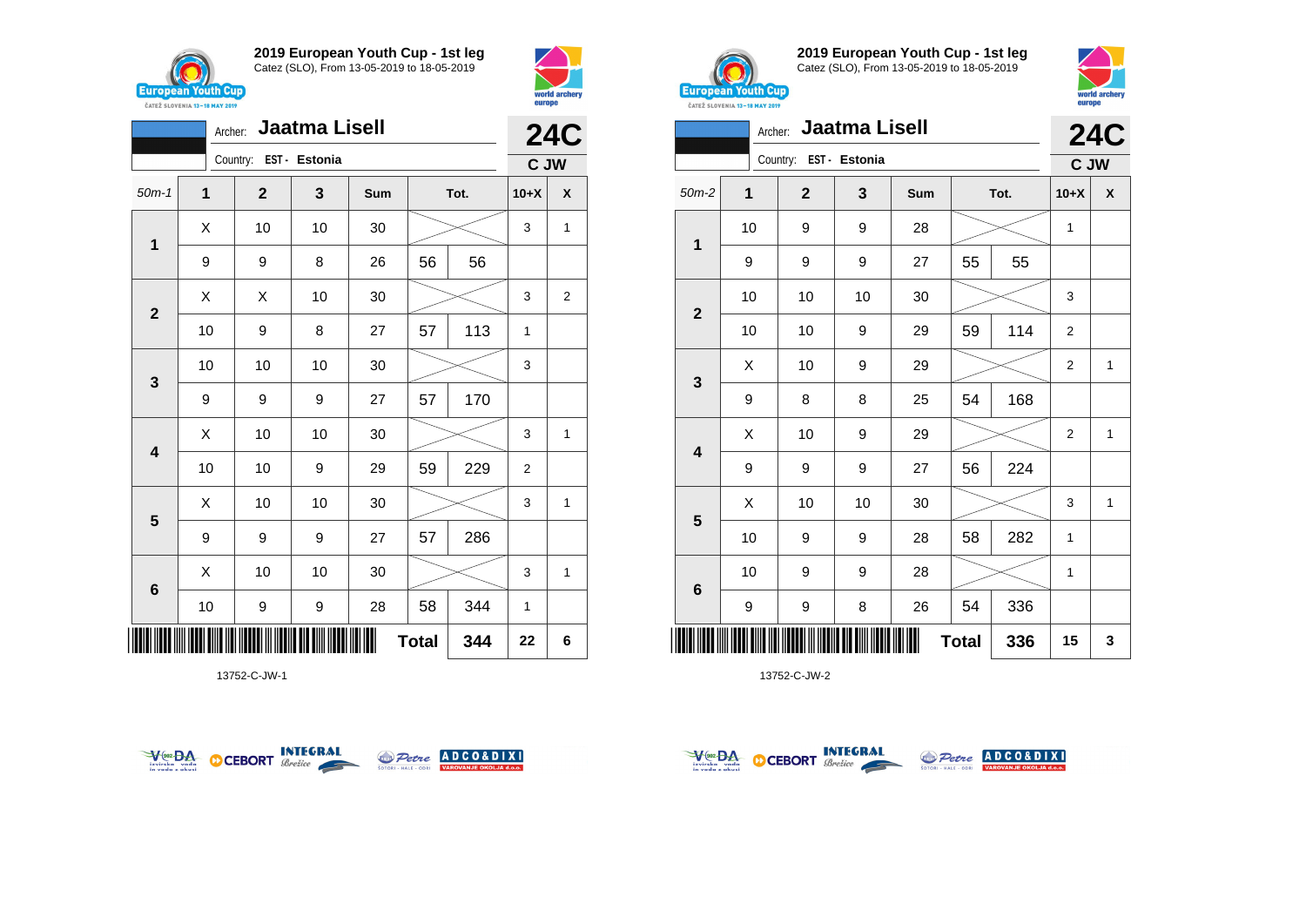

Archer: **Jaatma Lisell**



**24C**



**2019 European Youth Cup - 1st leg** Catez (SLO), From 13-05-2019 to 18-05-2019



|              | <b>Jaatma Lisell</b><br>Archer: |                        |    |        |              |      |                |            |
|--------------|---------------------------------|------------------------|----|--------|--------------|------|----------------|------------|
|              |                                 | Country: EST - Estonia |    |        |              |      | C JW           | <b>24C</b> |
| $50m-2$      | 1                               | $\overline{2}$         | 3  | Sum    |              | Tot. | $10+X$         | X          |
| 1            | 10                              | 9                      | 9  | 28     |              |      | 1              |            |
|              | 9                               | 9                      | 9  | 27     | 55           | 55   |                |            |
|              | 10                              | 10                     | 10 | 30     |              |      | 3              |            |
| $\mathbf{2}$ | 10                              | 10                     | 9  | 29     | 59           | 114  | $\overline{c}$ |            |
|              | X                               | 10                     | 9  | 29     |              |      | $\overline{2}$ | 1          |
| 3            | 9                               | 8                      | 8  | 25     | 54           | 168  |                |            |
| 4            | X                               | 10                     | 9  | 29     |              |      | $\overline{2}$ | 1          |
|              | 9                               | 9                      | 9  | 27     | 56           | 224  |                |            |
|              | Χ                               | 10                     | 10 | $30\,$ |              |      | 3              | 1          |
| 5            | 10                              | 9                      | 9  | 28     | 58           | 282  | 1              |            |
|              | 10                              | 9                      | 9  | 28     |              |      | 1              |            |
| 6            | 9                               | 9                      | 8  | 26     | 54           | 336  |                |            |
| ║            |                                 |                        |    |        | <b>Total</b> | 336  | 15             | 3          |

13752-C-JW-2







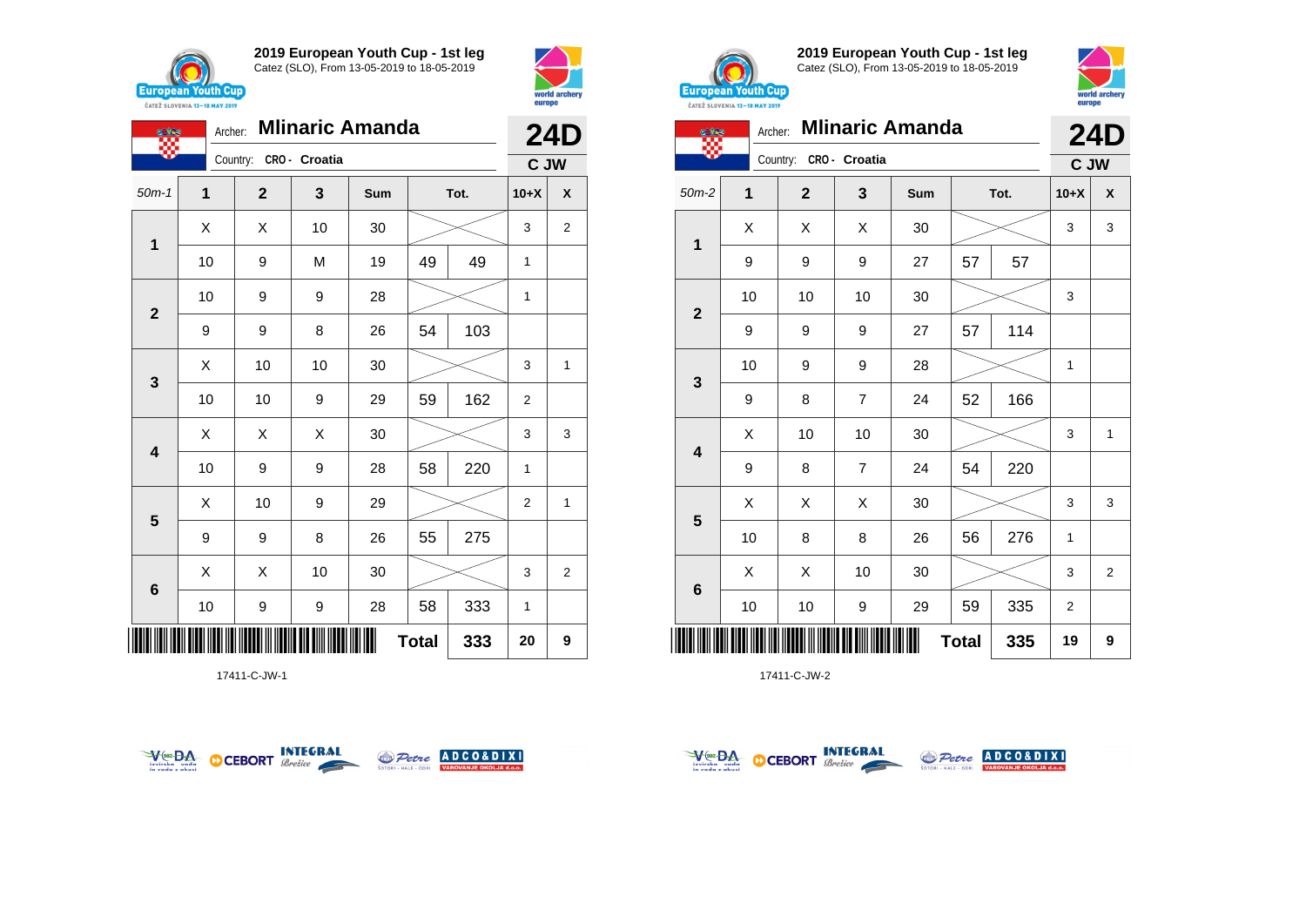



| <b>CERS</b>             | <b>Mlinaric Amanda</b><br>Archer: |                        |    |     |              |      | <b>24D</b>     |                    |
|-------------------------|-----------------------------------|------------------------|----|-----|--------------|------|----------------|--------------------|
|                         |                                   | Country: CRO - Croatia |    |     |              |      | C JW           |                    |
| $50m-1$                 | $\mathbf{1}$                      | $\mathbf{2}$           | 3  | Sum |              | Tot. | $10+X$         | $\pmb{\mathsf{X}}$ |
|                         | X                                 | X                      | 10 | 30  |              |      | 3              | $\overline{2}$     |
| 1                       | 10                                | 9                      | M  | 19  | 49           | 49   | 1              |                    |
|                         | 10                                | 9                      | 9  | 28  |              |      | 1              |                    |
| $\mathbf{2}$            | 9                                 | 9                      | 8  | 26  | 54           | 103  |                |                    |
|                         | Χ                                 | 10                     | 10 | 30  |              |      | 3              | 1                  |
| 3                       | 10                                | 10                     | 9  | 29  | 59           | 162  | $\overline{2}$ |                    |
|                         | Χ                                 | X                      | X  | 30  |              |      | 3              | 3                  |
| $\overline{\mathbf{4}}$ | 10                                | 9                      | 9  | 28  | 58           | 220  | $\mathbf{1}$   |                    |
|                         | X                                 | 10                     | 9  | 29  |              |      | $\overline{2}$ | 1                  |
| 5                       | 9                                 | 9                      | 8  | 26  | 55           | 275  |                |                    |
|                         | X                                 | X                      | 10 | 30  |              |      | 3              | $\overline{2}$     |
| $\bf 6$                 | 10                                | 9                      | 9  | 28  | 58           | 333  | $\mathbf{1}$   |                    |
| ║║║                     |                                   |                        |    | ∭   | <b>Total</b> | 333  | 20             | 9                  |

17411-C-JW-1





**2019 European Youth Cup - 1st leg** Catez (SLO), From 13-05-2019 to 18-05-2019



|              | <b>Mlinaric Amanda</b><br>Archer: |              |                |     |              |      |        |              |  |
|--------------|-----------------------------------|--------------|----------------|-----|--------------|------|--------|--------------|--|
|              |                                   | Country:     | CRO - Croatia  |     |              |      | C JW   | <b>24D</b>   |  |
| $50m-2$      | $\overline{1}$                    | $\mathbf{2}$ | 3              | Sum |              | Tot. | $10+X$ | X            |  |
| 1            | X                                 | X            | X              | 30  |              |      | 3      | 3            |  |
|              | 9                                 | 9            | 9              | 27  | 57           | 57   |        |              |  |
|              | 10                                | 10           | 10             | 30  |              |      | 3      |              |  |
| $\mathbf{2}$ | 9                                 | 9            | 9              | 27  | 57           | 114  |        |              |  |
|              | 10                                | 9            | 9              | 28  |              |      | 1      |              |  |
| 3            | 9                                 | 8            | $\overline{7}$ | 24  | 52           | 166  |        |              |  |
| 4            | X                                 | 10           | 10             | 30  |              |      | 3      | $\mathbf{1}$ |  |
|              | 9                                 | 8            | $\overline{7}$ | 24  | 54           | 220  |        |              |  |
| 5            | X                                 | Χ            | X              | 30  |              |      | 3      | 3            |  |
|              | 10                                | 8            | 8              | 26  | 56           | 276  | 1      |              |  |
| 6            | X                                 | X            | 10             | 30  |              |      | 3      | 2            |  |
|              | 10                                | 10           | 9              | 29  | 59           | 335  | 2      |              |  |
|              |                                   |              |                |     | <b>Total</b> | 335  | 19     | 9            |  |



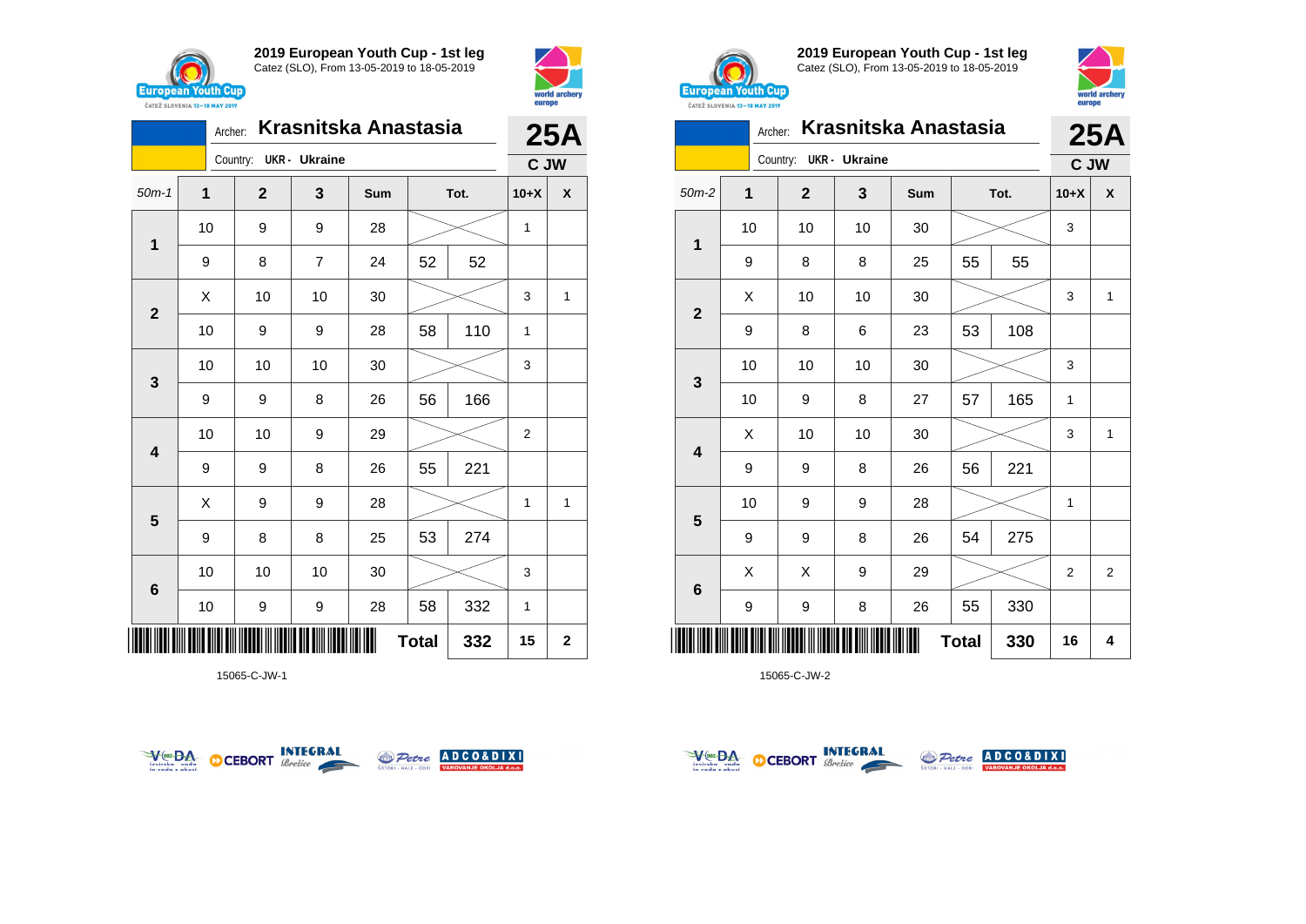





15065-C-JW-1





**2019 European Youth Cup - 1st leg** Catez (SLO), From 13-05-2019 to 18-05-2019



|                 |    | Archer: |                        |    | Krasnitska Anastasia |              |      |                | 25A            |
|-----------------|----|---------|------------------------|----|----------------------|--------------|------|----------------|----------------|
|                 |    |         | Country: UKR - Ukraine |    |                      |              |      | C JW           |                |
| $50m-2$         | 1  |         | $\mathbf{2}$           | 3  | Sum                  |              | Tot. | $10+X$         | X              |
| 1               | 10 |         | 10                     | 10 | 30                   |              |      | 3              |                |
|                 | 9  |         | 8                      | 8  | 25                   | 55           | 55   |                |                |
| $\overline{2}$  | X  |         | 10                     | 10 | 30                   |              |      | 3              | 1              |
|                 | 9  |         | 8                      | 6  | 23                   | 53           | 108  |                |                |
|                 | 10 |         | 10                     | 10 | 30                   |              |      | 3              |                |
| 3               | 10 |         | 9                      | 8  | 27                   | 57           | 165  | 1              |                |
| 4               | X  |         | 10                     | 10 | 30                   |              |      | 3              | $\mathbf{1}$   |
|                 | 9  |         | 9                      | 8  | 26                   | 56           | 221  |                |                |
| 5               | 10 |         | 9                      | 9  | 28                   |              |      | 1              |                |
|                 | 9  |         | 9                      | 8  | 26                   | 54           | 275  |                |                |
| $6\phantom{1}6$ | X  |         | X                      | 9  | 29                   |              |      | $\overline{2}$ | $\overline{2}$ |
|                 | 9  |         | 9                      | 8  | 26                   | 55           | 330  |                |                |
|                 |    |         |                        |    |                      | <b>Total</b> | 330  | 16             | 4              |



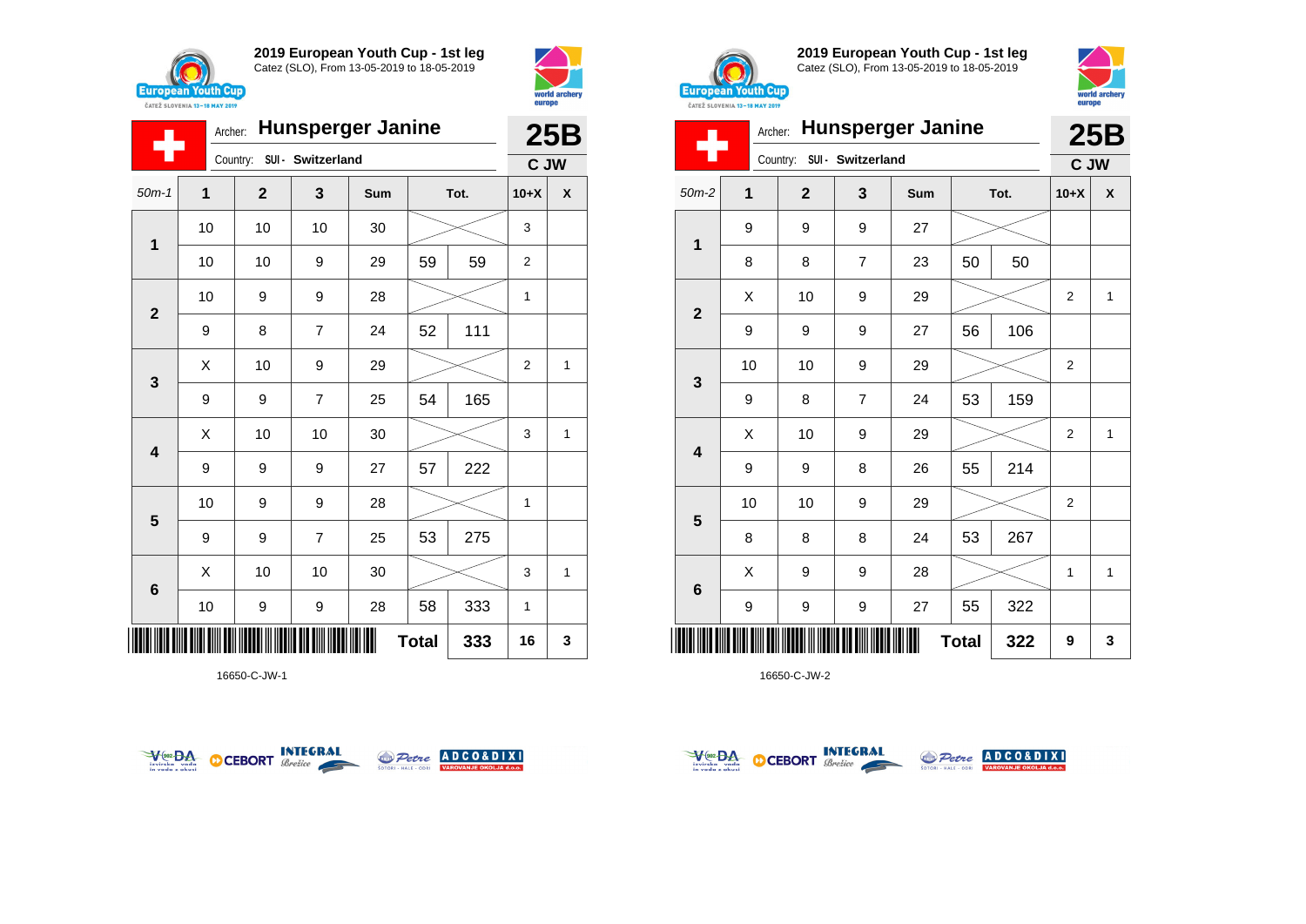





16650-C-JW-1





**2019 European Youth Cup - 1st leg** Catez (SLO), From 13-05-2019 to 18-05-2019



|                | Archer: |              | <b>Hunsperger Janine</b> |     |              |      |                | 25B          |
|----------------|---------|--------------|--------------------------|-----|--------------|------|----------------|--------------|
| ς,             |         | Country:     | SUI - Switzerland        |     |              |      | C JW           |              |
| $50m-2$        | 1       | $\mathbf{2}$ | 3                        | Sum |              | Tot. | $10+X$         | X            |
| 1              | 9       | 9            | 9                        | 27  |              |      |                |              |
|                | 8       | 8            | $\overline{7}$           | 23  | 50           | 50   |                |              |
| $\mathbf{2}$   | X       | 10           | 9                        | 29  |              |      | $\overline{2}$ | $\mathbf{1}$ |
|                | 9       | 9            | 9                        | 27  | 56           | 106  |                |              |
| 3              | 10      | 10           | 9                        | 29  |              |      | 2              |              |
|                | 9       | 8            | $\overline{7}$           | 24  | 53           | 159  |                |              |
| 4              | X       | 10           | 9                        | 29  |              |      | $\overline{2}$ | $\mathbf{1}$ |
|                | 9       | 9            | 8                        | 26  | 55           | 214  |                |              |
| 5              | 10      | 10           | 9                        | 29  |              |      | $\overline{2}$ |              |
|                | 8       | 8            | 8                        | 24  | 53           | 267  |                |              |
| $6\phantom{1}$ | X       | 9            | 9                        | 28  |              |      | 1              | 1            |
|                | 9       | 9            | 9                        | 27  | 55           | 322  |                |              |
|                |         |              |                          |     | <b>Total</b> | 322  | 9              | 3            |



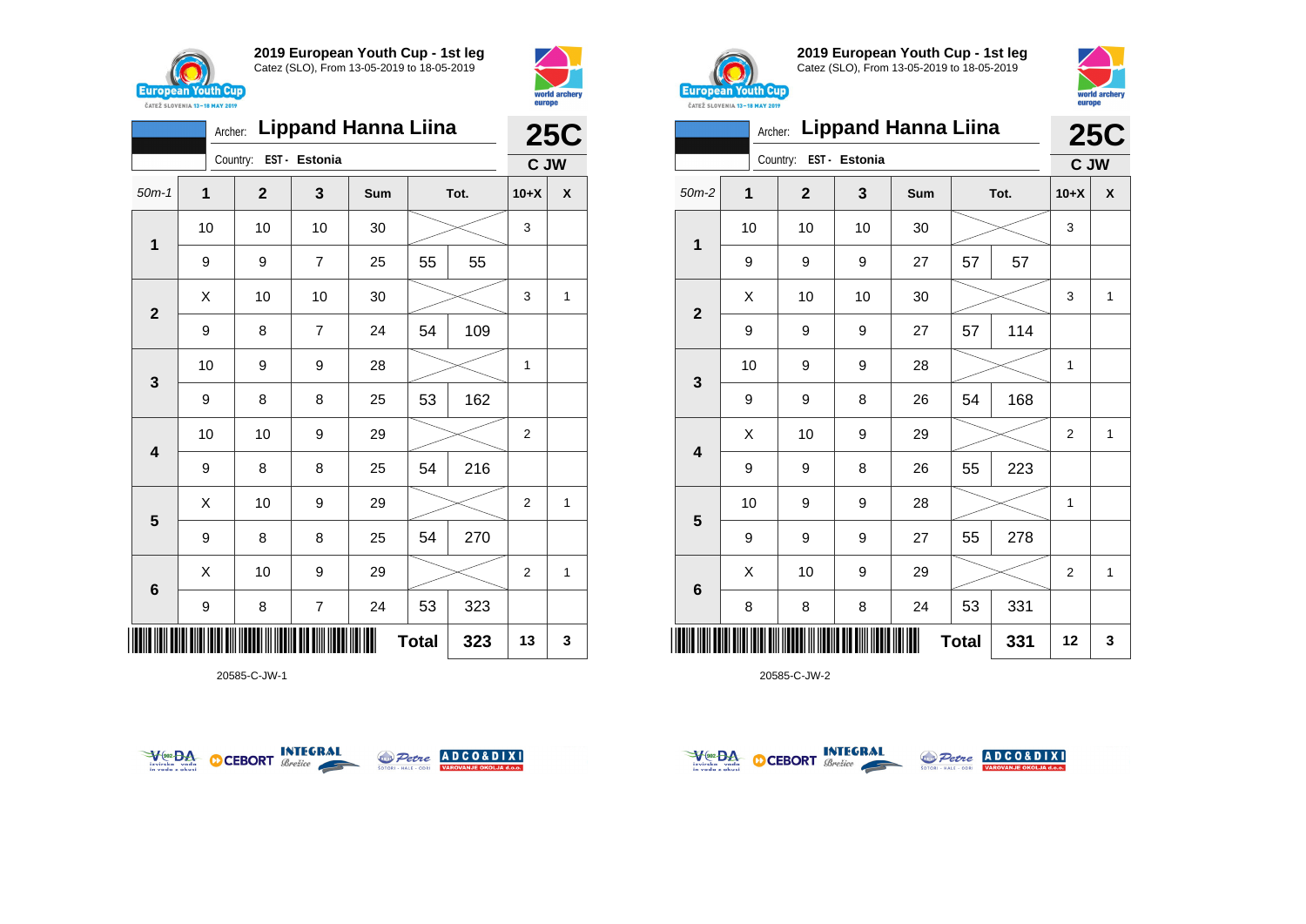



|                         | Archer: Lippand Hanna Liina |              |                |     |    |      |                |                  |  |
|-------------------------|-----------------------------|--------------|----------------|-----|----|------|----------------|------------------|--|
|                         |                             | Country:     | EST - Estonia  |     |    |      | C JW           |                  |  |
| $50m-1$                 | 1                           | $\mathbf{2}$ | 3              | Sum |    | Tot. | $10+X$         | $\boldsymbol{x}$ |  |
| 1                       | 10                          | 10           | 10             | 30  |    |      | 3              |                  |  |
|                         | 9                           | 9            | $\overline{7}$ | 25  | 55 | 55   |                |                  |  |
| $\overline{2}$          | Χ                           | 10           | 10             | 30  |    |      | 3              | 1                |  |
|                         | 9                           | 8            | $\overline{7}$ | 24  | 54 | 109  |                |                  |  |
| 3                       | 10                          | 9            | 9              | 28  |    |      | 1              |                  |  |
|                         | 9                           | 8            | 8              | 25  | 53 | 162  |                |                  |  |
| $\overline{\mathbf{4}}$ | 10                          | 10           | 9              | 29  |    |      | $\overline{2}$ |                  |  |
|                         | 9                           | 8            | 8              | 25  | 54 | 216  |                |                  |  |
| 5                       | Χ                           | 10           | 9              | 29  |    |      | $\overline{2}$ | 1                |  |
|                         | 9                           | 8            | 8              | 25  | 54 | 270  |                |                  |  |
|                         | Χ                           | 10           | 9              | 29  |    |      | $\overline{2}$ | 1                |  |
| $6\phantom{1}6$         | 9                           | 8            | $\overline{7}$ | 24  | 53 | 323  |                |                  |  |
| Ш                       | <b>Total</b><br>323         |              |                |     |    |      | 13             | 3                |  |

20585-C-JW-1





**2019 European Youth Cup - 1st leg** Catez (SLO), From 13-05-2019 to 18-05-2019



|                |                           |                        |    | Archer: Lippand Hanna Liina |      |     | <b>25C</b>     |              |
|----------------|---------------------------|------------------------|----|-----------------------------|------|-----|----------------|--------------|
|                |                           | Country: EST - Estonia |    |                             |      |     | C JW           |              |
| $50m-2$        | 1                         | $\mathbf{2}$           | 3  | Sum                         | Tot. |     | $10+X$         | X            |
| 1              | 10                        | 10                     | 10 | 30                          |      |     | 3              |              |
|                | 9                         | 9                      | 9  | 27                          | 57   | 57  |                |              |
| $\overline{2}$ | X                         | 10                     | 10 | 30                          |      |     | 3              | $\mathbf{1}$ |
|                | 9                         | 9                      | 9  | 27                          | 57   | 114 |                |              |
| 3              | 10                        | 9                      | 9  | 28                          |      |     | $\mathbf{1}$   |              |
|                | 9                         | 9                      | 8  | 26                          | 54   | 168 |                |              |
| 4              | X                         | 10                     | 9  | 29                          |      |     | $\overline{2}$ | 1            |
|                | 9                         | 9                      | 8  | 26                          | 55   | 223 |                |              |
| 5              | 10                        | 9                      | 9  | 28                          |      |     | 1              |              |
|                | 9                         | 9                      | 9  | 27                          | 55   | 278 |                |              |
| 6              | X                         | 10                     | 9  | 29                          |      |     | $\overline{2}$ | 1            |
|                | 8                         | 8                      | 8  | 24                          | 53   | 331 |                |              |
| IIII           | 331<br><b>Total</b><br>12 |                        |    |                             |      |     |                | 3            |



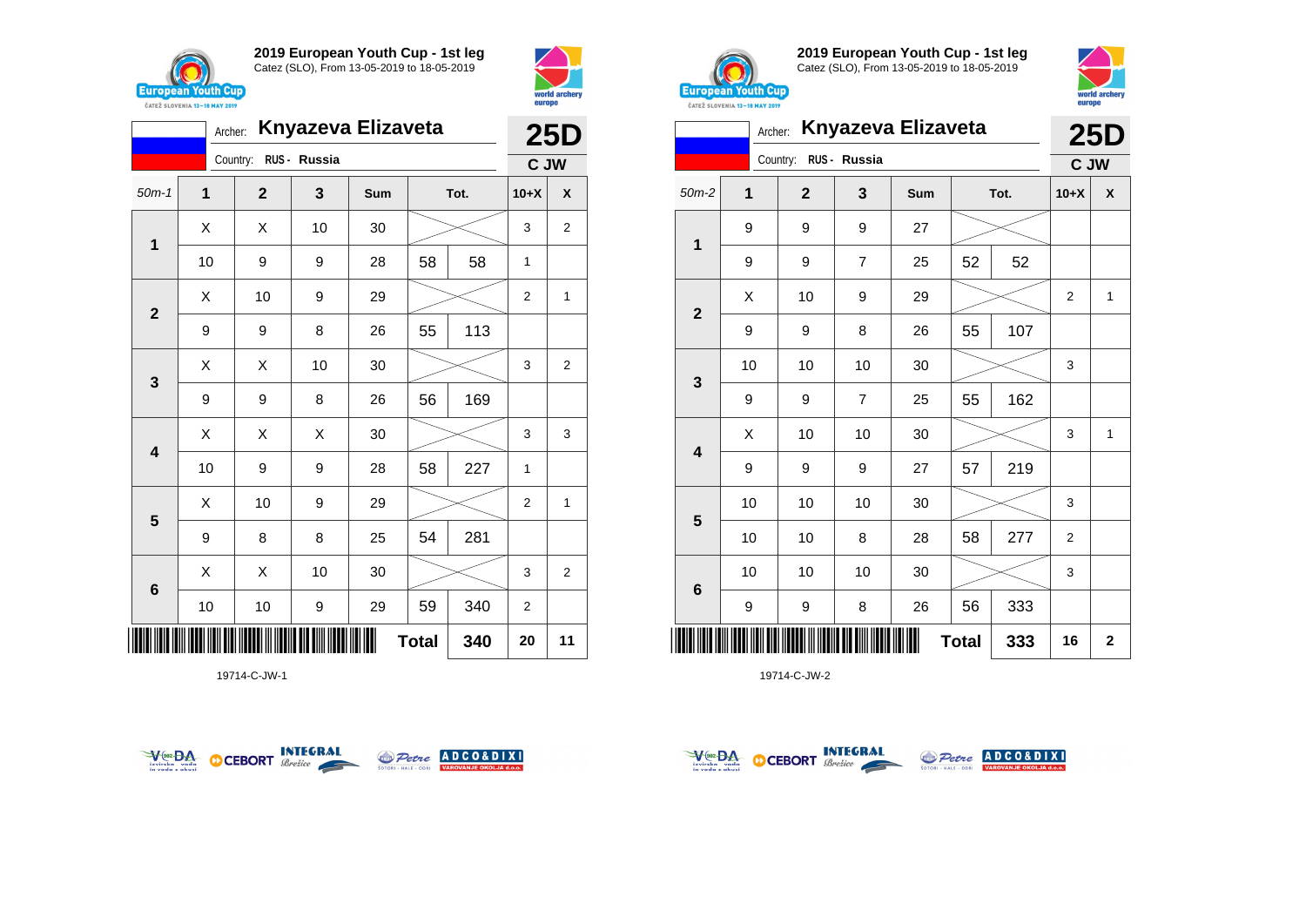



|                         | Archer: Knyazeva Elizaveta |                       |    |     |           |      |                |                |  |  |
|-------------------------|----------------------------|-----------------------|----|-----|-----------|------|----------------|----------------|--|--|
|                         |                            | Country: RUS - Russia |    |     |           |      | C JW           |                |  |  |
| $50m-1$                 | 1                          | $\mathbf{2}$          | 3  | Sum |           | Tot. | $10+X$         | X              |  |  |
| 1                       | X                          | X                     | 10 | 30  |           |      | 3              | $\overline{2}$ |  |  |
|                         | 10                         | 9                     | 9  | 28  | 58        | 58   | $\mathbf{1}$   |                |  |  |
|                         | X                          | 10                    | 9  | 29  |           |      | 2              | 1              |  |  |
| $\mathbf{2}$            | 9                          | 9                     | 8  | 26  | 113<br>55 |      |                |                |  |  |
|                         | X                          | X                     | 10 | 30  |           |      |                | $\overline{2}$ |  |  |
| 3                       | 9                          | 9                     | 8  | 26  | 56        | 169  |                |                |  |  |
| $\overline{\mathbf{4}}$ | X                          | X                     | X  | 30  |           |      | 3              | 3              |  |  |
|                         | 10                         | 9                     | 9  | 28  | 58        | 227  | 1              |                |  |  |
|                         | X                          | 10                    | 9  | 29  |           |      | $\overline{2}$ | $\mathbf{1}$   |  |  |
| 5                       | 9                          | 8                     | 8  | 25  | 54        | 281  |                |                |  |  |
|                         | X                          | X                     | 10 | 30  |           |      | 3              | 2              |  |  |
| $6\phantom{1}6$         | 10                         | 10                    | 9  | 29  | 59        | 340  | $\overline{2}$ |                |  |  |
| 340<br><b>Total</b>     |                            |                       |    |     |           |      | 20             | 11             |  |  |

19714-C-JW-1





**2019 European Youth Cup - 1st leg** Catez (SLO), From 13-05-2019 to 18-05-2019



|             |                |           |              |                    |                |              | <b>CAILL SLUVENIA 13-18 MAY 2019</b> |                                                                                       |
|-------------|----------------|-----------|--------------|--------------------|----------------|--------------|--------------------------------------|---------------------------------------------------------------------------------------|
| <b>25D</b>  |                |           |              | Knyazeva Elizaveta |                |              | Archer:                              |                                                                                       |
|             | C JW           |           |              |                    | RUS - Russia   | Country:     |                                      |                                                                                       |
| X           | $10+X$         | Tot.      |              | Sum                | 3              | $\mathbf{2}$ | $\mathbf{1}$                         | $50m-2$                                                                               |
|             |                |           |              | 27                 | 9              | 9            | 9                                    |                                                                                       |
|             |                | 52        | 52           | 25                 | $\overline{7}$ | 9            | 9                                    | 1                                                                                     |
| 1           | 2              |           |              | 29                 | 9              | 10           | Χ                                    |                                                                                       |
|             |                | 107       | 55           | 26                 | 8              | 9            | 9                                    | $\mathbf 2$                                                                           |
|             | 3              |           |              | 30                 | 10             | 10           | 10                                   |                                                                                       |
|             |                | 162       | 55           | 25                 | 7              | 9            | 9                                    |                                                                                       |
| 1           | 3              |           |              | 30                 | 10             | 10           | Χ                                    |                                                                                       |
|             |                | 219       | 57           | 27                 | 9              | 9            | 9                                    |                                                                                       |
|             | 3              |           |              | 30                 | 10             | 10           | 10                                   |                                                                                       |
|             | $\overline{2}$ | 277       | 58           | 28                 | 8              | 10           | 10                                   |                                                                                       |
|             | 3              |           |              | 30                 | 10             | 10           | 10                                   |                                                                                       |
|             |                | 333<br>56 |              | 26                 | 8              | 9            | 9                                    |                                                                                       |
| $\mathbf 2$ | 16             | 333       | <b>Total</b> |                    |                |              |                                      | ║║║                                                                                   |
|             |                |           |              |                    |                |              |                                      | $\mathbf{3}$<br>$\overline{\mathbf{4}}$<br>$\overline{\mathbf{5}}$<br>$6\phantom{1}6$ |



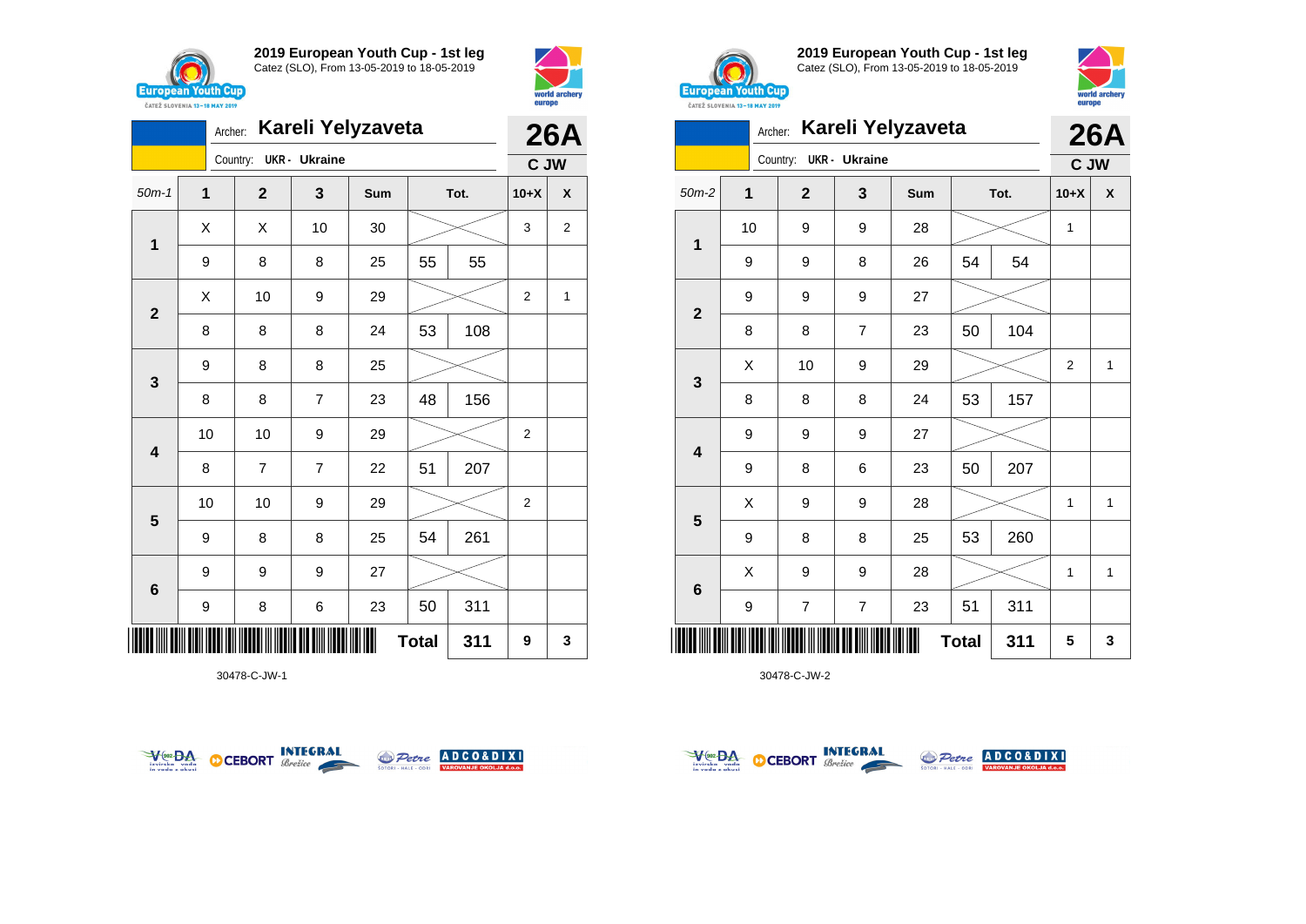



|              | Archer: |                        |                | Kareli Yelyzaveta |              |      |                | <b>26A</b>     |
|--------------|---------|------------------------|----------------|-------------------|--------------|------|----------------|----------------|
|              |         | Country: UKR - Ukraine |                |                   |              |      | C JW           |                |
| $50m-1$      | 1       | $\mathbf{2}$           | 3              | Sum               |              | Tot. | $10+X$         | X              |
| 1            | X       | X                      | 10             | 30                |              |      | 3              | $\overline{2}$ |
|              | 9       | 8                      | 8              | 25                | 55           | 55   |                |                |
| $\mathbf{2}$ | X       | 10                     | 9              | 29                |              |      | $\overline{2}$ | 1              |
|              | 8       | 8                      | 8              | 24                | 53           | 108  |                |                |
| $\mathbf{3}$ | 9       | 8                      | 8              | 25                |              |      |                |                |
|              | 8       | 8                      | $\overline{7}$ | 23                | 48           | 156  |                |                |
| 4            | 10      | 10                     | 9              | 29                |              |      | 2              |                |
|              | 8       | $\overline{7}$         | $\overline{7}$ | 22                | 51           | 207  |                |                |
| 5            | 10      | 10                     | 9              | 29                |              |      | $\overline{2}$ |                |
|              | 9       | 8                      | 8              | 25                | 54           | 261  |                |                |
| 6            | 9       | 9                      | 9              | 27                |              |      |                |                |
|              | 9       | 8                      | 6              | 23                | 50           | 311  |                |                |
| IIIII        |         |                        |                |                   | <b>Total</b> | 311  | 9              | 3              |

30478-C-JW-1





**2019 European Youth Cup - 1st leg** Catez (SLO), From 13-05-2019 to 18-05-2019



|                | <b><i>UAILL SLUVERIA 13"10 MAT 4017</i></b> |                         |                         |                   |              |      |             |            |
|----------------|---------------------------------------------|-------------------------|-------------------------|-------------------|--------------|------|-------------|------------|
|                | Archer:                                     |                         |                         | Kareli Yelyzaveta |              |      |             | <b>26A</b> |
|                |                                             | Country:                | <b>UKR</b> - Ukraine    |                   |              |      | C JW        |            |
| $50m-2$        | 1                                           | $\mathbf{2}$            | 3                       | Sum               |              | Tot. | $10+X$      | X          |
|                | 10                                          | 9                       | 9                       | 28                |              |      | 1           |            |
| 1              | 9                                           | 9                       | 8                       | 26                | 54           | 54   |             |            |
| $\overline{2}$ | 9                                           | 9                       | 9                       | 27                |              |      |             |            |
|                | 8                                           | 8                       | $\overline{7}$          | 23                | 50           | 104  |             |            |
| 3              | Χ                                           | 10                      | 9                       | 29                |              |      | $\mathbf 2$ | 1          |
|                | 8                                           | 8                       | 8                       | 24                | 53           | 157  |             |            |
| 4              | 9                                           | 9                       | 9                       | 27                |              |      |             |            |
|                | 9                                           | 8                       | 6                       | 23                | 50           | 207  |             |            |
|                | X                                           | 9                       | 9                       | 28                |              |      | 1           | 1          |
| 5              | 9                                           | 8                       | 8                       | 25                | 53           | 260  |             |            |
|                | X                                           | 9                       | 9                       | 28                |              |      | 1           | 1          |
| 6              | 9                                           | $\overline{\mathbf{7}}$ | $\overline{\mathbf{7}}$ | 23                | 51           | 311  |             |            |
| IIIII          |                                             |                         |                         | III               | <b>Total</b> | 311  | 5           | 3          |



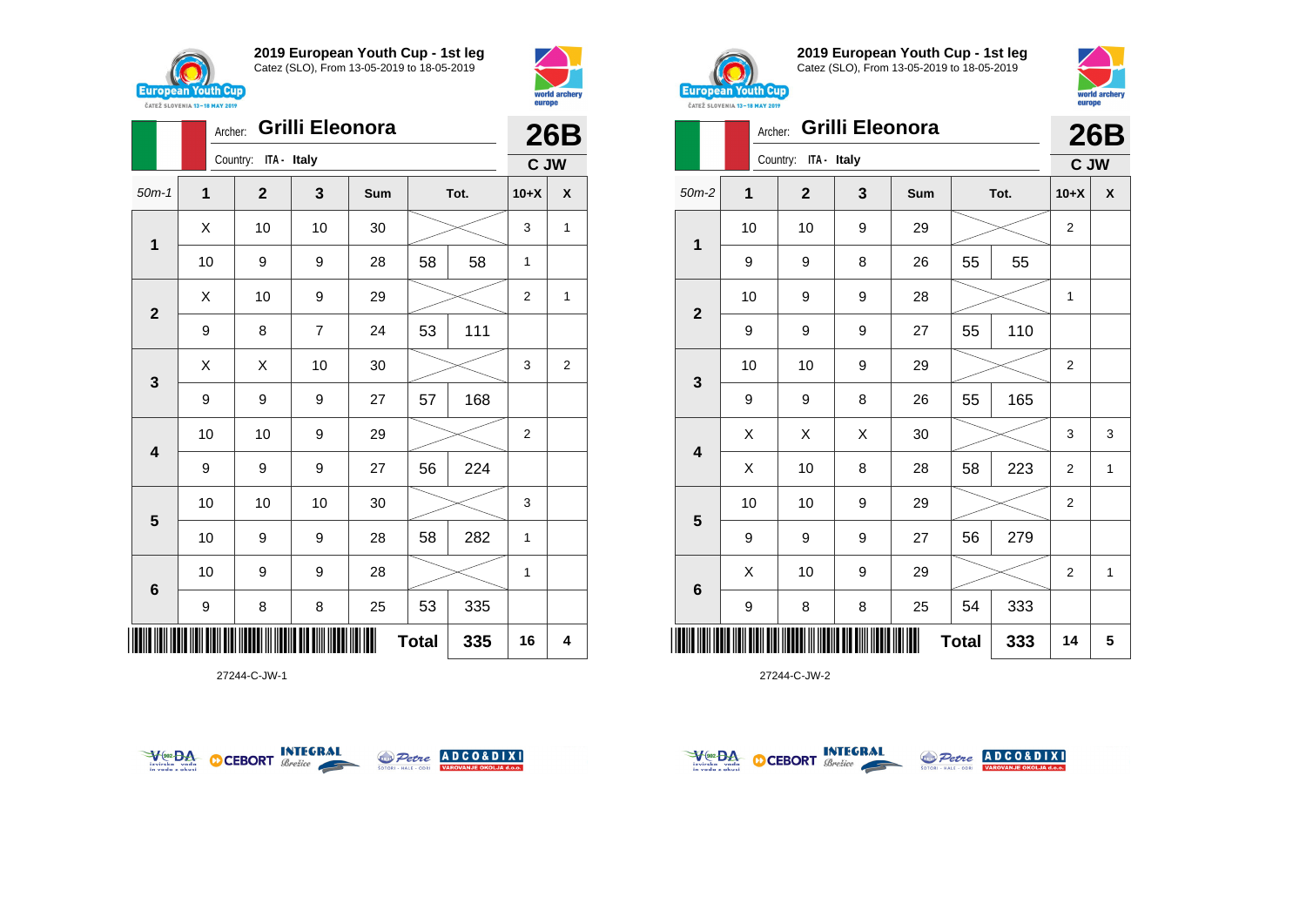

**2**

**2019 European Youth Cup - 1st leg** Catez (SLO), From 13-05-2019 to 18-05-2019

50m-1 **1 2 3 Sum Tot. 10+X X**

10 | 9 | 9 | 28 | 58 | 58 | 1

 $\begin{array}{|c|c|c|c|c|c|}\hline \hspace{.1cm}X & \hspace{.1cm} \text{ 10} & \hspace{.1cm} \text{ 10} & \hspace{.1cm} \text{ 30} & \hspace{.1cm} \end{array} \hspace{.2cm} \begin{array}{|c|c|c|c|c|c|}\hline \hspace{.1cm}X & \hspace{.1cm} \text{ 3} & \hspace{.1cm} \text{ 1} & \hspace{.1cm} \text{ 4} & \hspace{.1cm} \end{array}$ 

 $\begin{array}{|c|c|c|c|c|}\hline \hspace{.1cm}X & \hspace{.1cm} \text{10} & \hspace{.1cm} \text{9} & \hspace{.1cm} \text{29} & \hspace{.1cm} \text{20} & \hspace{.1cm} \text{21} & \hspace{.1cm} \text{22} & \hspace{.1cm} \text{23} & \hspace{.1cm} \text{24} & \hspace{.1cm} \text{25} & \hspace{.1cm} \text{26} & \hspace{.1cm} \text{27} & \hspace{.1cm} \text{28} & \hspace{.1cm} \text{2$ 

Archer: **Grilli Eleonora**

Country: **ITA - Italy**



**26B C JW**



**2019 European Youth Cup - 1st leg** Catez (SLO), From 13-05-2019 to 18-05-2019



**26B**

|  |  |  | <b>Archer: Grilli Eleonora</b> |  |
|--|--|--|--------------------------------|--|
|--|--|--|--------------------------------|--|

|                         |    |                         |   |     | ▴◡◡          |      |                |                    |
|-------------------------|----|-------------------------|---|-----|--------------|------|----------------|--------------------|
|                         |    | ITA - Italy<br>Country: |   |     |              |      | C JW           |                    |
| $50m-2$                 | 1  | $\mathbf{2}$            | 3 | Sum |              | Tot. | $10+X$         | $\pmb{\mathsf{X}}$ |
| 1                       | 10 | 10                      | 9 | 29  |              |      | $\overline{2}$ |                    |
|                         | 9  | 9                       | 8 | 26  | 55           | 55   |                |                    |
| $\mathbf{2}$            | 10 | 9                       | 9 | 28  |              |      | 1              |                    |
|                         | 9  | 9                       | 9 | 27  | 55           | 110  |                |                    |
|                         | 10 | 10                      | 9 | 29  |              |      | $\overline{2}$ |                    |
| $\mathbf{3}$            | 9  | 9                       | 8 | 26  | 55           | 165  |                |                    |
| $\overline{\mathbf{4}}$ | Χ  | Χ                       | Χ | 30  |              |      | 3              | 3                  |
|                         | Χ  | 10                      | 8 | 28  | 58           | 223  | $\overline{2}$ | 1                  |
| $5\phantom{1}$          | 10 | 10                      | 9 | 29  |              |      | $\overline{2}$ |                    |
|                         | 9  | 9                       | 9 | 27  | 56           | 279  |                |                    |
|                         | Χ  | 10                      | 9 | 29  |              |      | $\overline{2}$ | $\mathbf{1}$       |
| $\bf 6$                 | 9  | 8                       | 8 | 25  | 54           | 333  |                |                    |
|                         |    |                         |   |     | <b>Total</b> | 333  | 14             | 5                  |

27244-C-JW-2







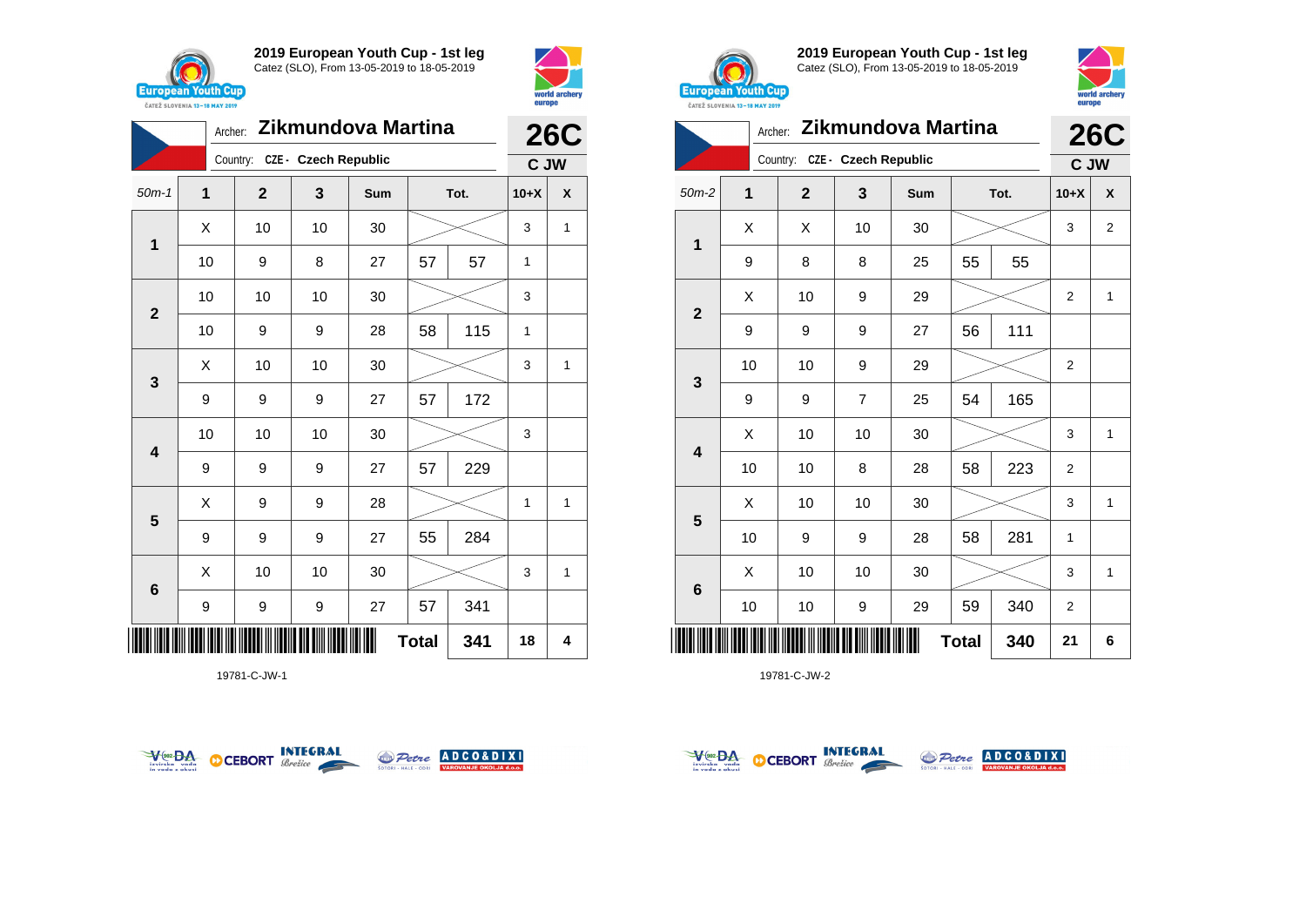



|                         | Archer: |                               |    | Zikmundova Martina |              |      |        | <b>26C</b>   |
|-------------------------|---------|-------------------------------|----|--------------------|--------------|------|--------|--------------|
|                         |         | Country: CZE - Czech Republic |    |                    |              |      | C JW   |              |
| $50m-1$                 | 1       | $\mathbf{2}$                  | 3  | Sum                |              | Tot. | $10+X$ | X            |
| 1                       | X       | 10                            | 10 | 30                 |              |      | 3      | 1            |
|                         | 10      | 9                             | 8  | 27                 | 57           | 57   | 1      |              |
| $\overline{2}$          | 10      | 10                            | 10 | 30                 |              |      | 3      |              |
|                         | 10      | 9                             | 9  | 28                 | 58           | 115  | 1      |              |
| 3                       | X       | 10                            | 10 | 30                 |              |      | 3      | $\mathbf{1}$ |
|                         | 9       | 9                             | 9  | 27                 | 57           | 172  |        |              |
| $\overline{\mathbf{4}}$ | 10      | 10                            | 10 | 30                 |              |      | 3      |              |
|                         | 9       | 9                             | 9  | 27                 | 57           | 229  |        |              |
|                         | X       | 9                             | 9  | 28                 |              |      | 1      | 1            |
| 5                       | 9       | 9                             | 9  | 27                 | 55           | 284  |        |              |
|                         | X       | 10                            | 10 | 30                 |              |      | 3      | $\mathbf{1}$ |
| $\bf 6$                 | 9       | 9                             | 9  | 27                 | 57           | 341  |        |              |
|                         |         |                               |    |                    | <b>Total</b> | 341  | 18     | 4            |

19781-C-JW-1





**2019 European Youth Cup - 1st leg** Catez (SLO), From 13-05-2019 to 18-05-2019



|                 | Archer: |              |                      | Zikmundova Martina |              |      |                | <b>26C</b>     |
|-----------------|---------|--------------|----------------------|--------------------|--------------|------|----------------|----------------|
|                 |         | Country:     | CZE - Czech Republic |                    |              |      | C JW           |                |
| $50m-2$         | 1       | $\mathbf{2}$ | 3                    | Sum                |              | Tot. | $10+X$         | X              |
| 1               | X       | X            | 10                   | 30                 |              |      | 3              | $\overline{2}$ |
|                 | 9       | 8            | 8                    | 25                 | 55           | 55   |                |                |
| $\overline{2}$  | X       | 10           | 9                    | 29                 |              |      | $\overline{2}$ | 1              |
|                 | 9       | 9            | 9                    | 27                 | 56           | 111  |                |                |
| 3               | 10      | 10           | 9                    | 29                 |              |      | $\overline{2}$ |                |
|                 | 9       | 9            | $\overline{7}$       | 25                 | 54           | 165  |                |                |
| 4               | X       | 10           | 10                   | 30                 |              |      | 3              | $\mathbf{1}$   |
|                 | 10      | 10           | 8                    | 28                 | 58           | 223  | $\overline{2}$ |                |
|                 | X       | 10           | 10                   | 30                 |              |      | 3              | 1              |
| 5               | 10      | 9            | 9                    | 28                 | 58           | 281  | $\mathbf{1}$   |                |
|                 | X       | 10           | 10                   | 30                 |              |      | 3              | $\mathbf{1}$   |
| $6\phantom{1}6$ | 10      | 10           | 9                    | 29                 | 59           | 340  | $\overline{2}$ |                |
| Ⅲ               |         |              |                      |                    | <b>Total</b> | 340  | 21             | 6              |



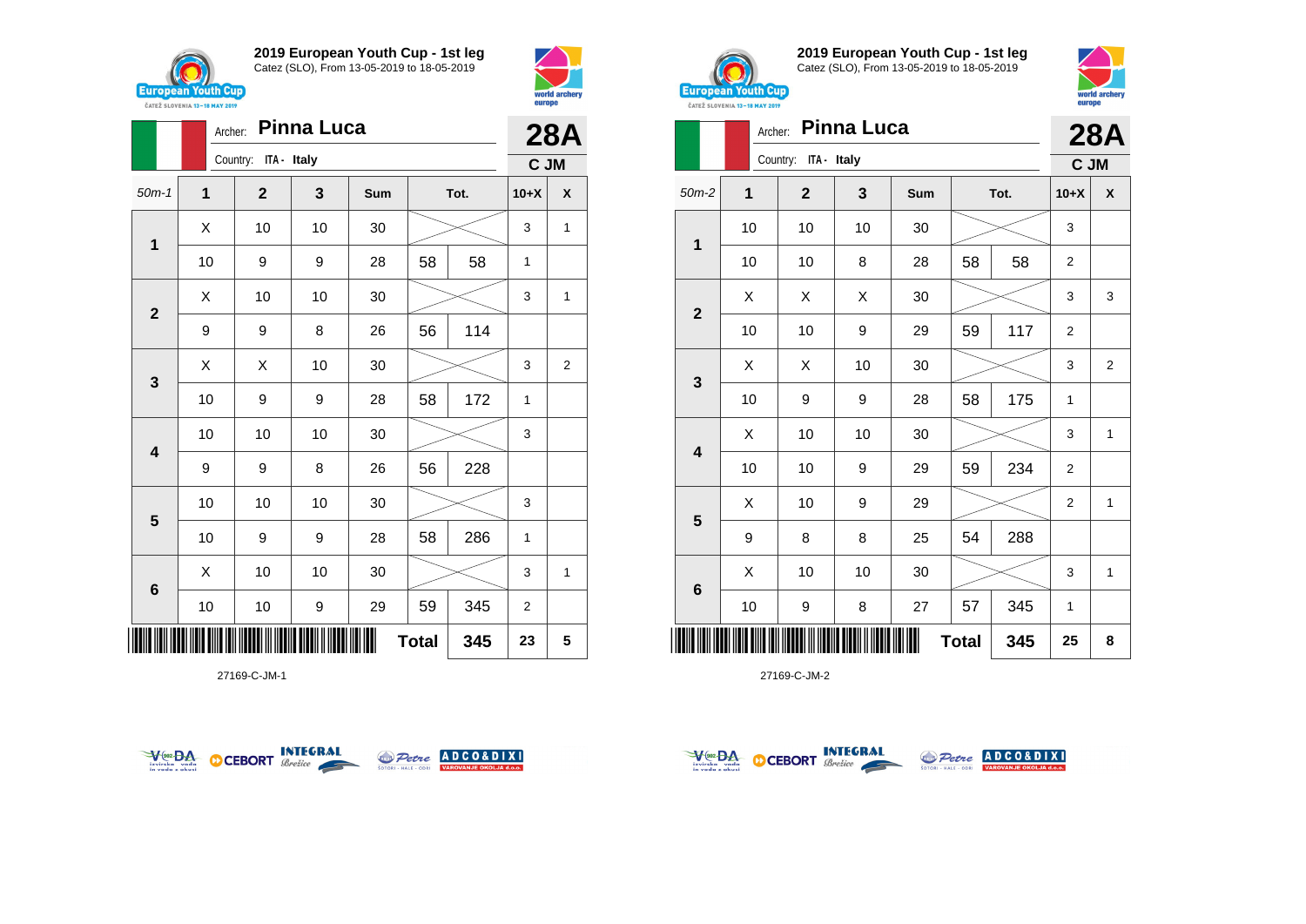



|                         | Archer:             | <b>Pinna Luca</b>       |    |     | <b>28A</b> |      |                |                |  |
|-------------------------|---------------------|-------------------------|----|-----|------------|------|----------------|----------------|--|
|                         |                     | Country:<br>ITA - Italy |    |     |            |      | C JM           |                |  |
| $50m-1$                 | 1                   | $\mathbf{2}$            | 3  | Sum |            | Tot. | $10+X$         | X              |  |
| $\mathbf 1$             | X                   | 10                      | 10 | 30  |            |      | 3              | 1              |  |
|                         | 10                  | 9                       | 9  | 28  | 58<br>58   |      | $\mathbf{1}$   |                |  |
| $\overline{2}$          | X                   | 10                      | 10 | 30  |            |      | 3              | 1              |  |
|                         | 9                   | 9                       | 8  | 26  | 56         | 114  |                |                |  |
|                         | X                   | X                       | 10 | 30  |            |      | 3              | $\overline{2}$ |  |
| $\mathbf{3}$            | 10                  | 9                       | 9  | 28  | 58         | 172  | $\mathbf{1}$   |                |  |
| $\overline{\mathbf{4}}$ | 10                  | 10                      | 10 | 30  |            |      | 3              |                |  |
|                         | 9                   | 9                       | 8  | 26  | 56         | 228  |                |                |  |
|                         | 10                  | 10                      | 10 | 30  |            |      | 3              |                |  |
| 5                       | 10                  | 9                       | 9  | 28  | 58         | 286  | 1              |                |  |
| $6\phantom{1}6$         | X                   | 10                      | 10 | 30  |            |      | 3              | 1              |  |
|                         | 10                  | 10                      | 9  | 29  | 59         | 345  | $\overline{2}$ |                |  |
| ║║║                     | <b>Total</b><br>345 |                         |    |     |            |      |                |                |  |

27169-C-JM-1





**2019 European Youth Cup - 1st leg** Catez (SLO), From 13-05-2019 to 18-05-2019



world arche

europe

|                         | Archer: |                         | <b>Pinna Luca</b> |     |              |     |                | <b>28A</b>     |
|-------------------------|---------|-------------------------|-------------------|-----|--------------|-----|----------------|----------------|
|                         |         | Country:<br>ITA - Italy |                   |     |              |     | C JM           |                |
| $50m-2$                 | 1       | $\mathbf{2}$            | 3                 | Sum | Tot.         |     | $10+X$         | X              |
|                         | 10      | 10                      | 10                | 30  |              |     | 3              |                |
| 1                       | 10      | 10                      | 8                 | 28  | 58           | 58  | 2              |                |
|                         | X       | X                       | X                 | 30  |              |     | 3              | 3              |
| $\mathbf{2}$            | 10      | 10                      | 9                 | 29  | 59           | 117 | $\overline{2}$ |                |
|                         | Χ       | X                       | 10                | 30  |              |     |                | $\overline{2}$ |
| 3                       | 10      | 9                       | 9                 | 28  | 58           | 175 | $\mathbf{1}$   |                |
|                         | X       | 10                      | 10                | 30  |              |     | 3              | 1              |
| $\overline{\mathbf{4}}$ | 10      | 10                      | 9                 | 29  | 59           | 234 | $\overline{2}$ |                |
|                         | Χ       | 10                      | 9                 | 29  |              |     | $\overline{2}$ | 1              |
| 5                       | 9       | 8                       | 8                 | 25  | 54           | 288 |                |                |
|                         | Χ       | 10                      | 10                | 30  |              |     | 3              | 1              |
| 6                       | 10      | 9                       | 8                 | 27  | 57           | 345 | $\mathbf{1}$   |                |
| Ⅲ                       |         |                         |                   |     | <b>Total</b> | 345 | 25             | 8              |



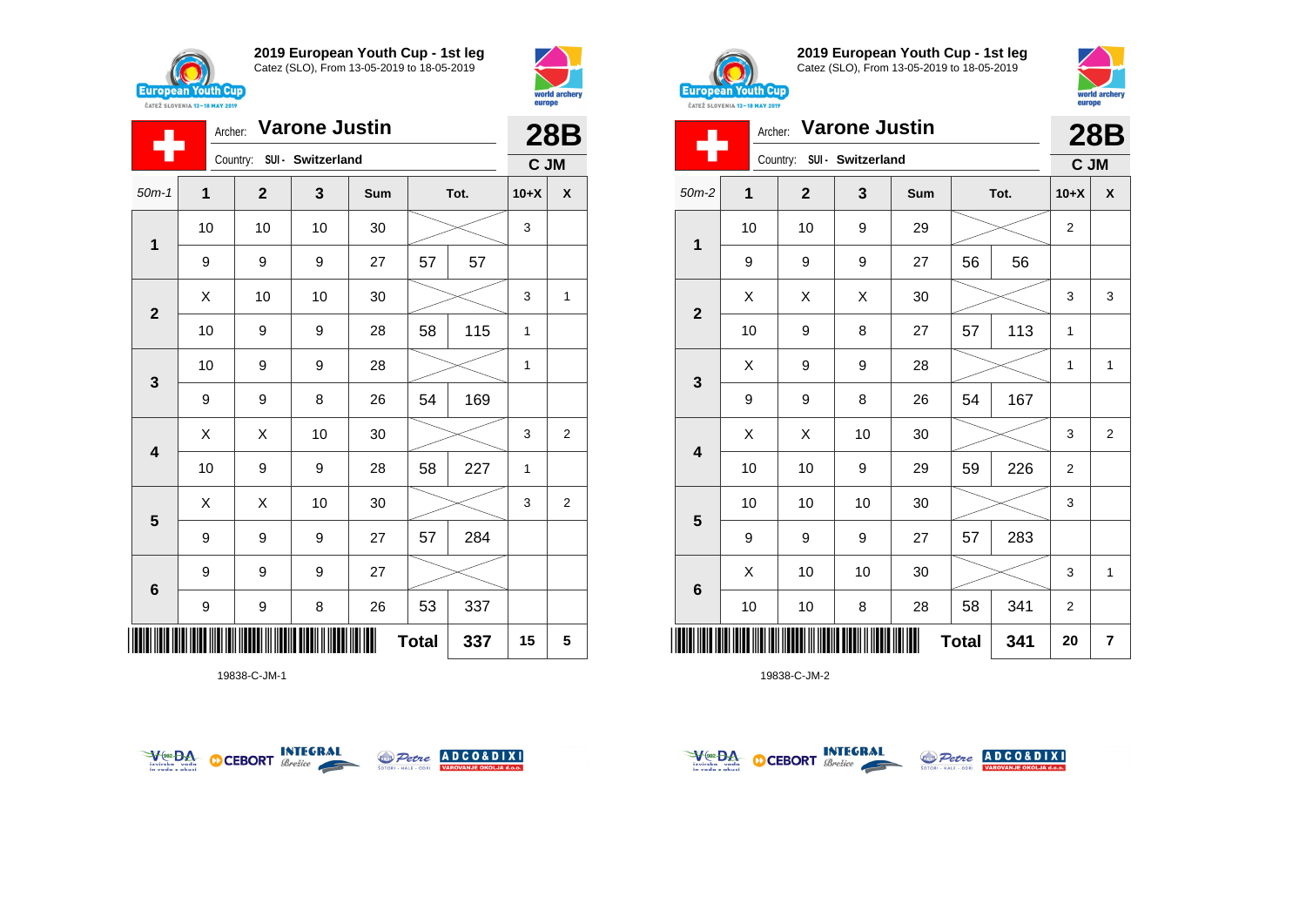

÷

**1**

**2**

**3**

**4**

**5**

**6**

**2019 European Youth Cup - 1st leg** Catez (SLO), From 13-05-2019 to 18-05-2019

50m-1 **1 2 3 Sum Tot. 10+X X**

9 | 9 | 27 | 57 | 57

10 10 10 30 3

10 | 9 | 9 | 28 | 58 | 115 | 1

10 | 9 | 9 | 28 |  $\!\!\!\!\!\!\times$  | 1

10 | 9 | 9 | 28 | 58 | 227 | 1

9 | 9 | 8 | 26 | 54 | 169

9 9 9 27 57 284

9 | 9 | 8 | 26 | 53 | 337

9 9 9 27

 $\begin{array}{|c|c|c|c|c|}\hline \text{X} & \text{10} & \text{10} & \text{30} & \text{\hspace{1em}}\hline \end{array} \hspace{.2cm} \begin{array}{|c|c|c|c|c|}\hline \text{3} & \text{15} & \text{36} & \text{47} & \text{58} & \text{58} & \text{58} & \text{58} & \text{58} & \text{58} & \text{58} & \text{58} & \text{58} & \text{58} & \text{58} & \text{58} & \text{58} & \text{58} & \text{58$ 

 $\begin{array}{|c|c|c|c|c|}\hline \hspace{.1cm}X & \hspace{.1cm} \hspace{.1cm}X & \hspace{.1cm} \hspace{.1cm}10 & \hspace{.1cm} \hspace{.1cm}30 & \hspace{.1cm}\hline \end{array} \hspace{.2cm} \begin{array}{c|c|c|c|c|c|c|c} \hline \hspace{.1cm}X & \hspace{.1cm} \hspace{.1cm}3 & \hspace{.1cm}2 & \hspace{.1cm}\hline \end{array}$ 

 $\begin{array}{|c|c|c|c|c|}\hline \hspace{.1cm}X & \hspace{.1cm} \hspace{.1cm}X & \hspace{.1cm} \hspace{.1cm}10 & \hspace{.1cm} \hspace{.1cm}30 & \hspace{.1cm}\hline \end{array} \hspace{.2cm} \begin{array}{c|c|c|c|c|c|c|c} \hline \hspace{.1cm}X & \hspace{.1cm} \hspace{.1cm}3 & \hspace{.1cm}2 & \hspace{.1cm}\hline \end{array}$ 

Archer: **Varone Justin**

Country: **SUI - Switzerland**



**28B C JM**



**2019 European Youth Cup - 1st leg** Catez (SLO), From 13-05-2019 to 18-05-2019



|                         | <b>Varone Justin</b><br>Archer: |              |                   |     |              |      |                |              |  |
|-------------------------|---------------------------------|--------------|-------------------|-----|--------------|------|----------------|--------------|--|
|                         |                                 | Country:     | SUI - Switzerland |     |              |      | C JM           |              |  |
| $50m-2$                 | 1                               | $\mathbf{2}$ | 3                 | Sum |              | Tot. | $10+X$         | X            |  |
| $\mathbf 1$             | 10                              | 10           | 9                 | 29  |              |      | $\overline{2}$ |              |  |
|                         | 9                               | 9            | 9                 | 27  | 56           | 56   |                |              |  |
| $\mathbf{2}$            | X                               | Χ            | X                 | 30  |              |      | 3              | 3            |  |
|                         | 10                              | 9            | 8                 | 27  | 57           | 113  | 1              |              |  |
| $\mathbf{3}$            | X                               | 9            | 9                 | 28  |              |      | $\mathbf{1}$   | $\mathbf{1}$ |  |
|                         | 9                               | 9            | 8                 | 26  | 54           | 167  |                |              |  |
| $\overline{\mathbf{4}}$ | Χ                               | X            | 10                | 30  |              |      | 3              | 2            |  |
|                         | 10                              | 10           | 9                 | 29  | 59           | 226  | 2              |              |  |
| 5                       | 10                              | 10           | 10                | 30  |              |      | 3              |              |  |
|                         | 9                               | 9            | 9                 | 27  | 57           | 283  |                |              |  |
| $6\phantom{1}6$         | X                               | 10           | 10                | 30  |              |      | 3              | 1            |  |
|                         | 10                              | 10           | 8                 | 28  | 58           | 341  | 2              |              |  |
|                         |                                 |              |                   |     | <b>Total</b> | 341  | 20             | 7            |  |

19838-C-JM-2



\*19838-C-JM-1\*





**Total 337 15 5**



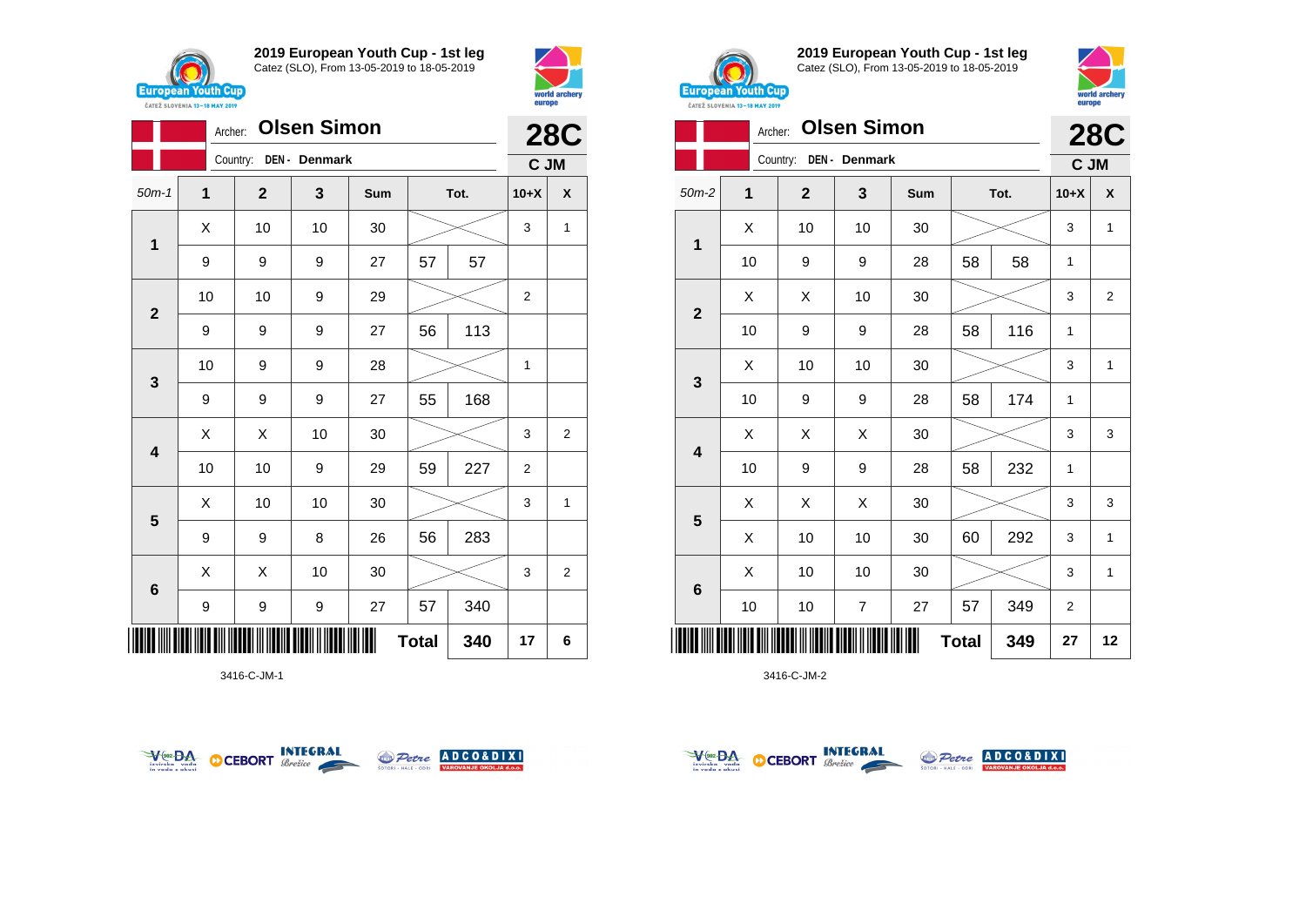





3416-C-JM-1





**2019 European Youth Cup - 1st leg** Catez (SLO), From 13-05-2019 to 18-05-2019



|                         | <b>Olsen Simon</b><br>Archer: |              |                |     |              |     |                |                |  |  |
|-------------------------|-------------------------------|--------------|----------------|-----|--------------|-----|----------------|----------------|--|--|
|                         |                               | Country:     | DEN - Denmark  |     |              |     | C JM           | <b>28C</b>     |  |  |
| $50m-2$                 | 1                             | $\mathbf{2}$ | 3              | Sum | Tot.         |     | $10+X$         | X              |  |  |
| 1                       | X                             | 10           | 10             | 30  |              |     | 3              | $\mathbf{1}$   |  |  |
|                         | 10                            | 9            | 9              | 28  | 58           | 58  | 1              |                |  |  |
| $\overline{2}$          | X                             | X            | 10             | 30  |              |     | 3              | $\overline{2}$ |  |  |
|                         | 10                            | 9            | 9              | 28  | 58           | 116 | 1              |                |  |  |
|                         | X                             | 10           | 10             | 30  |              |     | 3              | $\mathbf{1}$   |  |  |
| 3                       | 10                            | 9            | 9              | 28  | 58           | 174 | 1              |                |  |  |
| $\overline{\mathbf{4}}$ | X                             | X            | X              | 30  |              |     | 3              | 3              |  |  |
|                         | 10                            | 9            | 9              | 28  | 58           | 232 | 1              |                |  |  |
| $5\phantom{1}$          | X                             | X            | X              | 30  |              |     | 3              | 3              |  |  |
|                         | X                             | 10           | 10             | 30  | 60           | 292 | 3              | $\mathbf{1}$   |  |  |
|                         | X                             | 10           | 10             | 30  |              |     | 3              | $\mathbf{1}$   |  |  |
| $6\phantom{1}6$         | 10                            | 10           | $\overline{7}$ | 27  | 57           | 349 | $\overline{2}$ |                |  |  |
|                         |                               |              |                |     | <b>Total</b> | 349 | 27             | 12             |  |  |



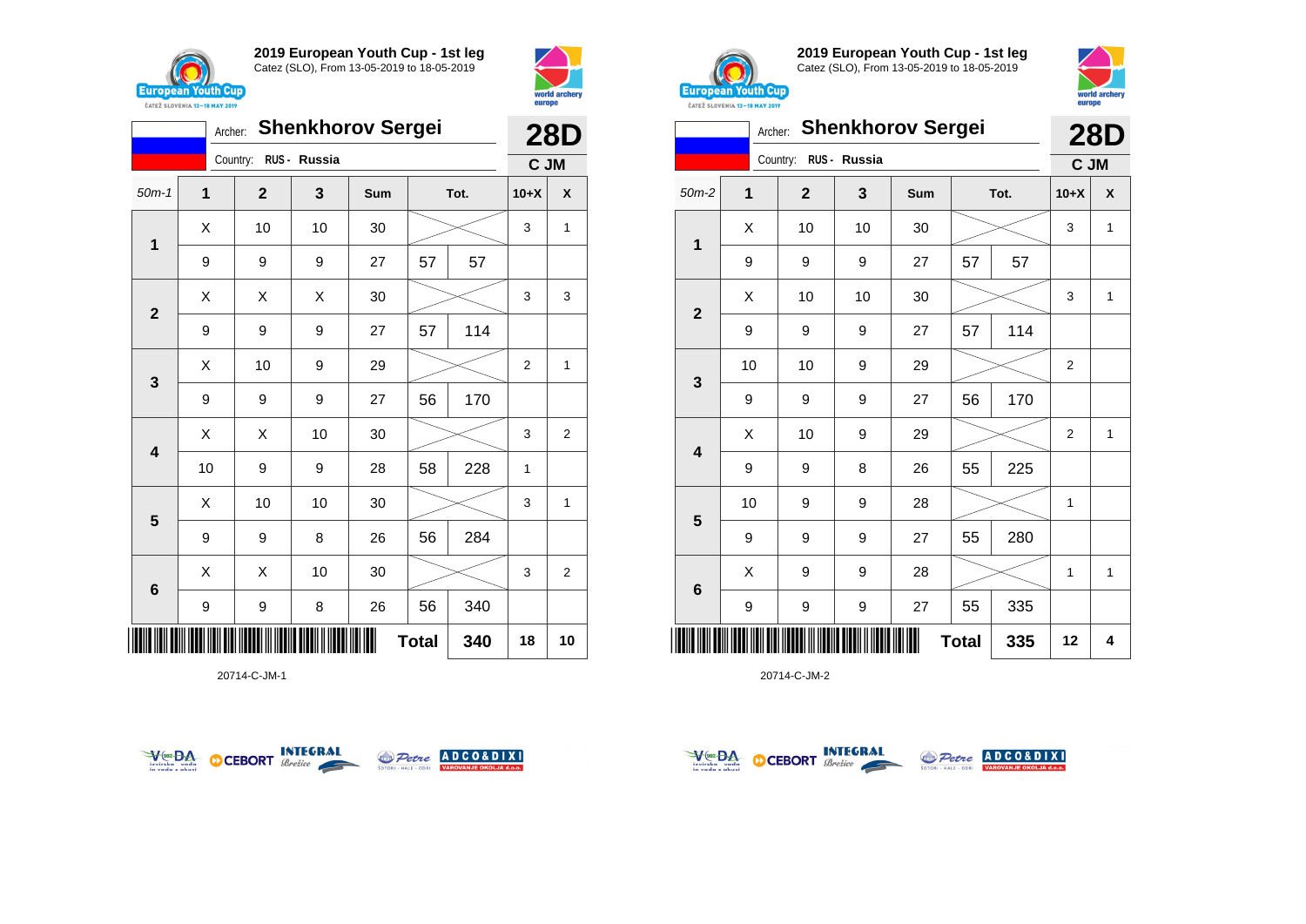





**2019 European Youth Cup - 1st leg** Catez (SLO), From 13-05-2019 to 18-05-2019



|                         | <b>CATEZ SLOVENIA 13-18 MAY 2019</b> |              |              |                          |              |     | <b>Curppo</b>  |              |
|-------------------------|--------------------------------------|--------------|--------------|--------------------------|--------------|-----|----------------|--------------|
|                         | Archer:                              |              |              | <b>Shenkhorov Sergei</b> |              |     |                | <b>28D</b>   |
|                         |                                      | Country:     | RUS - Russia |                          |              |     | C JM           |              |
| $50m-2$                 | $\mathbf 1$                          | $\mathbf{2}$ | 3            | Sum                      | Tot.         |     | $10+X$         | X            |
| $\mathbf{1}$            | X                                    | 10           | 10           | 30                       |              |     | 3              | $\mathbf{1}$ |
|                         | 9                                    | 9            | 9            | 27                       | 57           | 57  |                |              |
| $\mathbf{2}$            | X                                    | 10           | 10           | 30                       |              |     | 3              | $\mathbf{1}$ |
|                         | 9                                    | 9            | 9            | 27                       | 57           | 114 |                |              |
|                         | 10                                   | 10           | 9            | 29                       |              |     | 2              |              |
| $\mathbf{3}$            | 9                                    | 9            | 9            | 27                       | 56           | 170 |                |              |
| $\overline{\mathbf{4}}$ | X                                    | 10           | 9            | 29                       |              |     | $\overline{2}$ | $\mathbf{1}$ |
|                         | 9                                    | 9            | 8            | 26                       | 55           | 225 |                |              |
|                         | 10                                   | 9            | 9            | 28                       |              |     | 1              |              |
| 5                       | 9                                    | 9            | 9            | 27                       | 55           | 280 |                |              |
|                         | Χ                                    | 9            | 9            | 28                       |              |     | 1              | 1            |
| $\bf 6$                 | 9                                    | 9            | 9            | 27                       | 55           | 335 |                |              |
|                         |                                      |              |              |                          | <b>Total</b> | 335 | 12             | 4            |

20714-C-JM-2







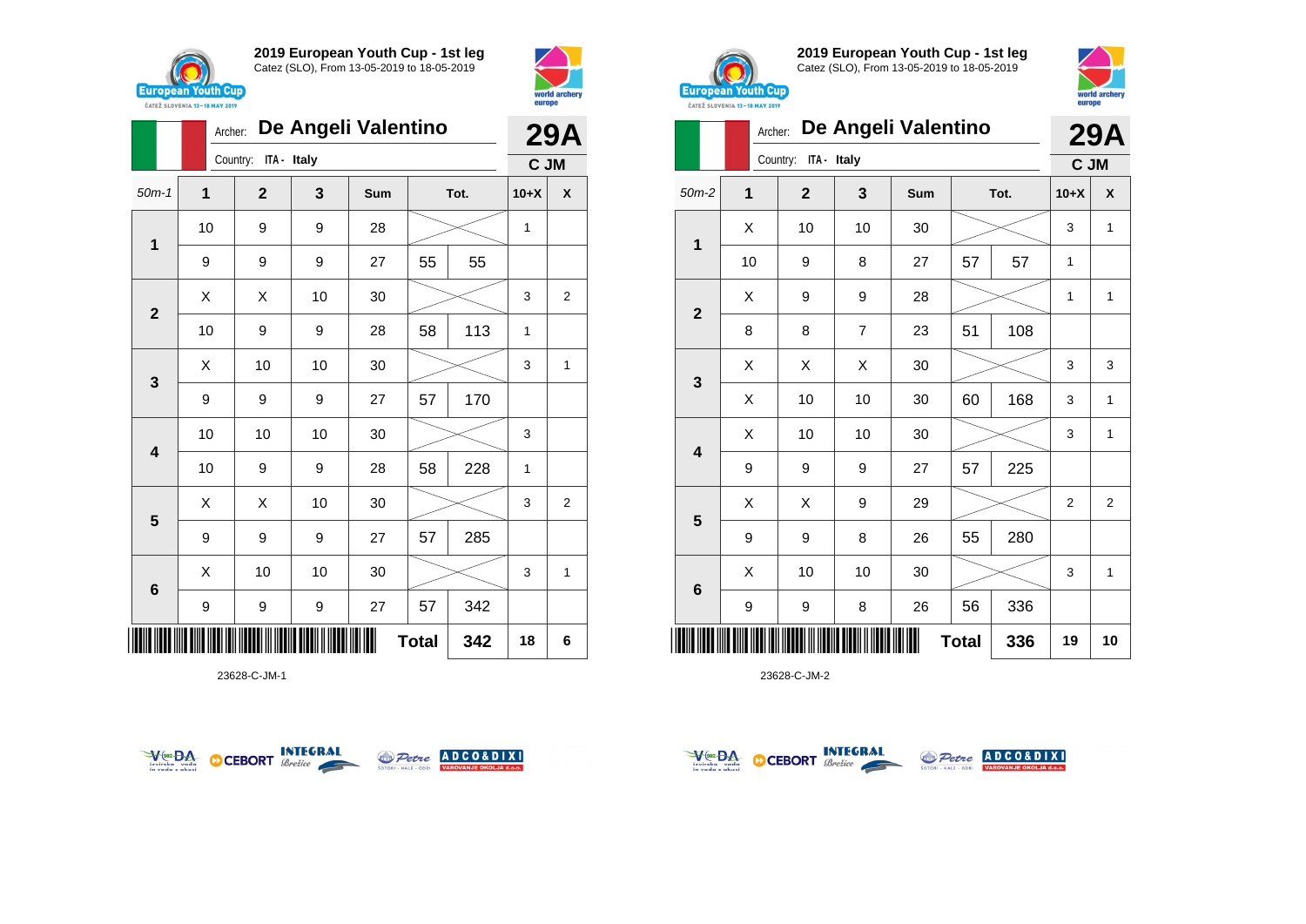



|                         |             | De Angeli Valentino<br>Archer: |    |     |              |      |        |   |
|-------------------------|-------------|--------------------------------|----|-----|--------------|------|--------|---|
|                         |             | ITA - Italy<br>Country:        |    |     |              |      | C JM   |   |
| $50m-1$                 | $\mathbf 1$ | $\mathbf{2}$                   | 3  | Sum |              | Tot. | $10+X$ | X |
| 1                       | 10          | 9                              | 9  | 28  |              |      | 1      |   |
|                         | 9           | 9                              | 9  | 27  | 55           | 55   |        |   |
| $\mathbf{2}$            | X           | X                              | 10 | 30  |              |      | 3      | 2 |
|                         | 10          | 9                              | 9  | 28  | 58           | 113  | 1      |   |
| $\mathbf{3}$            | X           | 10                             | 10 | 30  |              |      | 3      | 1 |
|                         | 9           | 9                              | 9  | 27  | 57           | 170  |        |   |
| $\overline{\mathbf{4}}$ | 10          | 10                             | 10 | 30  |              |      | 3      |   |
|                         | 10          | 9                              | 9  | 28  | 58           | 228  | 1      |   |
| 5                       | X           | Χ                              | 10 | 30  |              |      | 3      | 2 |
|                         | 9           | 9                              | 9  | 27  | 57           | 285  |        |   |
| 6                       | X           | 10                             | 10 | 30  |              |      | 3      | 1 |
|                         | 9           | 9                              | 9  | 27  | 57           | 342  |        |   |
| IIIII                   |             |                                |    |     | <b>Total</b> | 342  | 18     | 6 |

23628-C-JM-1





**2019 European Youth Cup - 1st leg** Catez (SLO), From 13-05-2019 to 18-05-2019



|                | <b>CAILL SLUVENIA 13-18 MAY 2019</b> | De Angeli Valentino<br>Archer: |                |     |              |      |                |              |  |  |
|----------------|--------------------------------------|--------------------------------|----------------|-----|--------------|------|----------------|--------------|--|--|
|                |                                      | ITA - Italy<br>Country:        |                |     |              |      | C JM           | 29A          |  |  |
| $50m-2$        | 1                                    | $\mathbf{2}$                   | 3              | Sum |              | Tot. | $10+X$         | X            |  |  |
|                | X                                    | 10                             | 10             | 30  |              |      | 3              | 1            |  |  |
| 1              | 10                                   | 9                              | 8              | 27  | 57           | 57   | 1              |              |  |  |
|                | X                                    | 9                              | 9              | 28  |              |      | 1              | $\mathbf{1}$ |  |  |
| $\mathbf 2$    | 8                                    | 8                              | $\overline{7}$ | 23  | 51           | 108  |                |              |  |  |
|                | X                                    | Χ                              | X              | 30  |              |      |                | 3            |  |  |
| 3              | X                                    | 10                             | 10             | 30  | 60           | 168  | 3              | 1            |  |  |
|                | X                                    | 10                             | 10             | 30  |              |      | 3              | 1            |  |  |
| 4              | 9                                    | 9                              | 9              | 27  | 57           | 225  |                |              |  |  |
|                | X                                    | X                              | 9              | 29  |              |      | $\overline{2}$ | 2            |  |  |
| 5              | 9                                    | 9                              | 8              | 26  | 55           | 280  |                |              |  |  |
|                | X                                    | 10                             | 10             | 30  |              |      | 3              | 1            |  |  |
| $6\phantom{1}$ | 9                                    | 9                              | 8              | 26  | 56           | 336  |                |              |  |  |
| Ⅲ              |                                      |                                |                |     | <b>Total</b> | 336  | 19             | 10           |  |  |



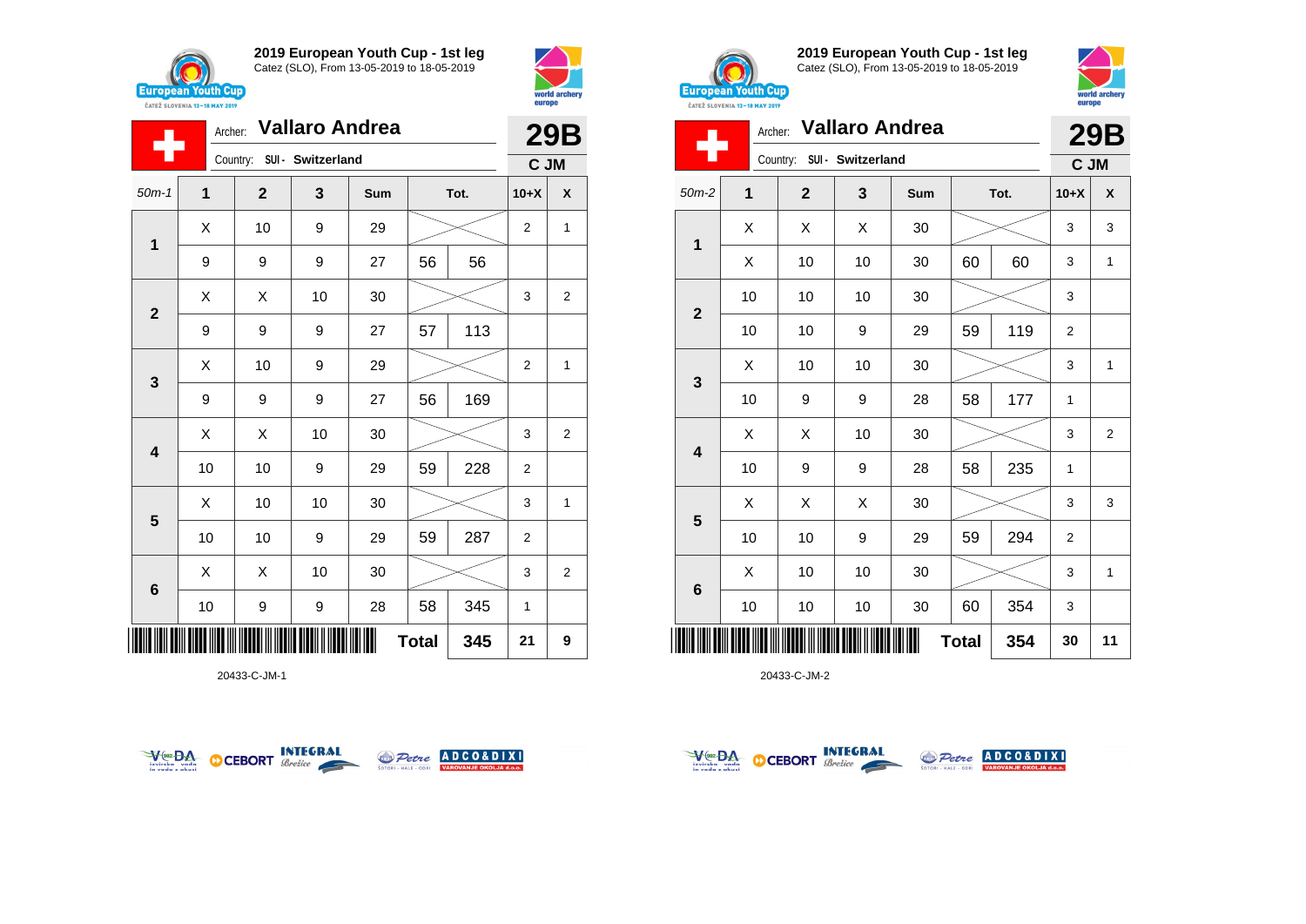



|                         |    | Archer: Vallaro Andrea |                            | <b>29B</b> |              |      |                |                           |
|-------------------------|----|------------------------|----------------------------|------------|--------------|------|----------------|---------------------------|
|                         |    |                        | Country: SUI - Switzerland |            |              |      | C JM           |                           |
| $50m-1$                 | 1  | $\mathbf{2}$           | 3                          | Sum        |              | Tot. | $10+X$         | $\boldsymbol{\mathsf{x}}$ |
| 1                       | X  | 10                     | 9                          | 29         |              |      | $\overline{2}$ | $\mathbf{1}$              |
|                         | 9  | 9                      | 9                          | 27         | 56           | 56   |                |                           |
| $\mathbf{2}$            | X  | Χ                      | 10                         | 30         |              |      | 3              | 2                         |
|                         | 9  | 9                      | 9                          | 27         | 57           | 113  |                |                           |
| $\mathbf{3}$            | X  | 10                     | 9                          | 29         |              |      | $\overline{2}$ | 1                         |
|                         | 9  | 9                      | 9                          | 27         | 56           | 169  |                |                           |
| $\overline{\mathbf{4}}$ | Χ  | X                      | 10                         | 30         |              |      | 3              | $\overline{2}$            |
|                         | 10 | 10                     | 9                          | 29         | 59           | 228  | $\overline{2}$ |                           |
| 5                       | Χ  | 10                     | 10                         | 30         |              |      | 3              | $\mathbf{1}$              |
|                         | 10 | 10                     | 9                          | 29         | 59           | 287  | $\overline{2}$ |                           |
| $6\phantom{1}$          | Χ  | X                      | 10                         | 30         |              |      | 3              | $\overline{2}$            |
|                         | 10 | 9                      | 9                          | 28         | 58           | 345  | 1              |                           |
|                         |    |                        |                            |            | <b>Total</b> | 345  | 21             | 9                         |

20433-C-JM-1





**2019 European Youth Cup - 1st leg** Catez (SLO), From 13-05-2019 to 18-05-2019



|                | Archer: Vallaro Andrea |                            |    | 29B |              |      |                |                |
|----------------|------------------------|----------------------------|----|-----|--------------|------|----------------|----------------|
|                |                        | Country: SUI - Switzerland |    |     |              |      | C JM           |                |
| $50m-2$        | $\mathbf 1$            | $\mathbf{2}$               | 3  | Sum |              | Tot. | $10+X$         | X              |
| 1              | X                      | Χ                          | X  | 30  |              |      | 3              | 3              |
|                | X                      | 10                         | 10 | 30  | 60           | 60   | 3              | 1              |
| $\overline{2}$ | 10                     | 10                         | 10 | 30  |              |      | 3              |                |
|                | 10                     | 10                         | 9  | 29  | 59           | 119  | $\overline{2}$ |                |
| 3              | X                      | 10                         | 10 | 30  |              |      | 3              | $\mathbf{1}$   |
|                | 10                     | 9                          | 9  | 28  | 58           | 177  | $\mathbf{1}$   |                |
| 4              | X                      | X                          | 10 | 30  |              |      | 3              | $\overline{2}$ |
|                | 10                     | 9                          | 9  | 28  | 58           | 235  | 1              |                |
| 5              | X                      | X                          | X  | 30  |              |      | 3              | 3              |
|                | 10                     | 10                         | 9  | 29  | 59           | 294  | $\overline{2}$ |                |
|                | X                      | 10                         | 10 | 30  |              |      | 3              | 1              |
| $\bf 6$        | 10                     | 10                         | 10 | 30  | 60           | 354  | 3              |                |
| ║║║            |                        |                            |    |     | <b>Total</b> | 354  | 30             | 11             |



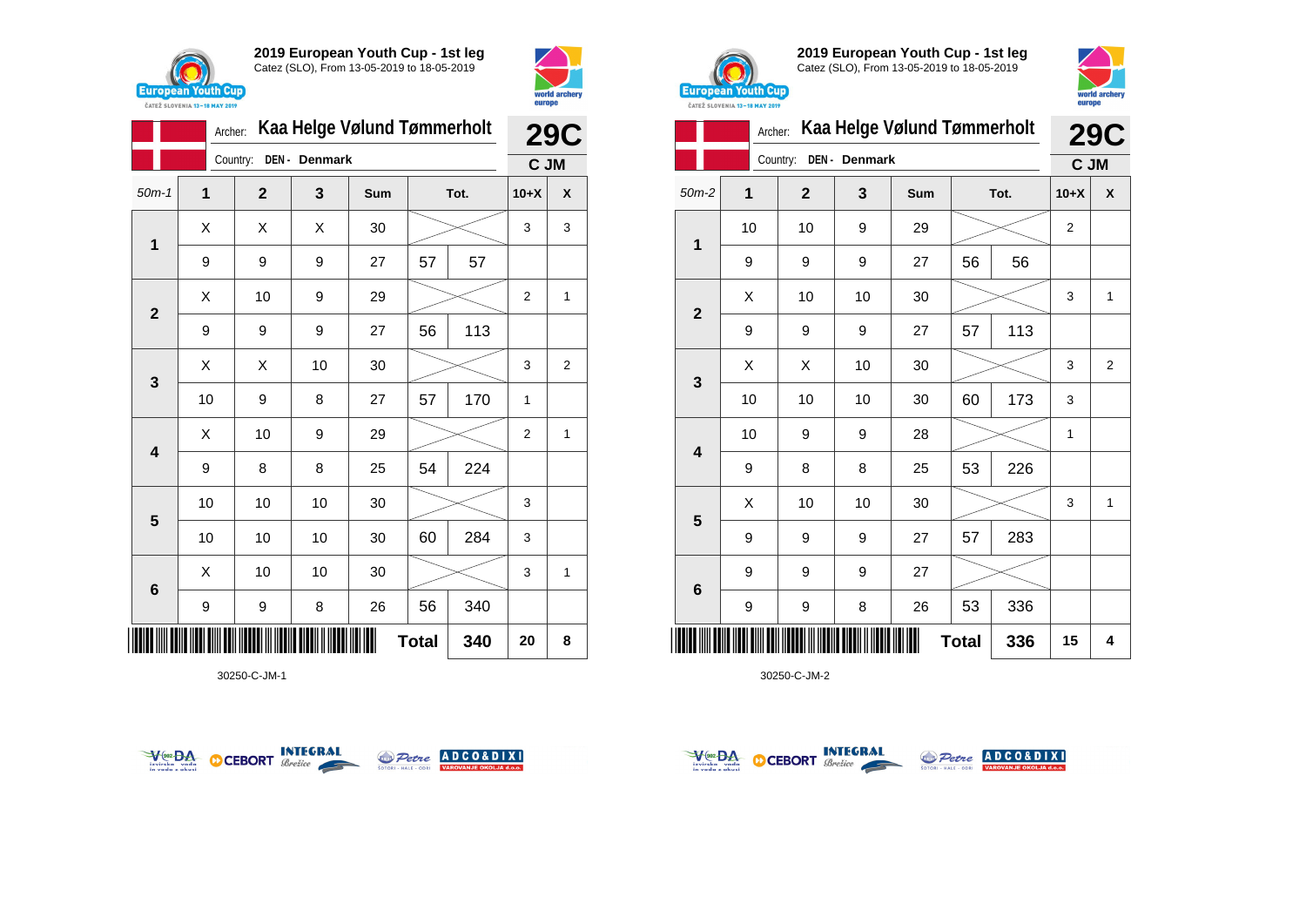



|                         | Archer: | Kaa Helge Vølund Tømmerholt | <b>29C</b>   |            |              |      |                |   |
|-------------------------|---------|-----------------------------|--------------|------------|--------------|------|----------------|---|
|                         |         | Country:                    | DEN- Denmark |            |              |      | C JM           |   |
| $50m-1$                 | 1       | $\mathbf{2}$                | 3            | <b>Sum</b> |              | Tot. | $10+X$         | X |
| 1                       | X       | X                           | X            | 30         |              |      | 3              | 3 |
|                         | 9       | 9                           | 9            | 27         | 57           | 57   |                |   |
| $\mathbf{2}$            | X       | 10                          | 9            | 29         |              |      | $\overline{2}$ | 1 |
|                         | 9       | 9                           | 9            | 27         | 56           | 113  |                |   |
| 3                       | X       | X                           | 10           | 30         |              |      | 3              | 2 |
|                         | 10      | 9                           | 8            | 27         | 57           | 170  | 1              |   |
| $\overline{\mathbf{4}}$ | Χ       | 10                          | 9            | 29         |              |      | $\overline{2}$ | 1 |
|                         | 9       | 8                           | 8            | 25         | 54           | 224  |                |   |
| 5                       | 10      | 10                          | 10           | 30         |              |      | 3              |   |
|                         | 10      | 10                          | 10           | 30         | 60           | 284  | 3              |   |
| $\bf 6$                 | X       | 10                          | 10           | 30         |              |      |                | 1 |
|                         | 9       | 9                           | 8            | 26         | 56           | 340  |                |   |
| I IIII II               |         |                             |              |            | <b>Total</b> | 340  | 20             | 8 |

30250-C-JM-1





**2019 European Youth Cup - 1st leg** Catez (SLO), From 13-05-2019 to 18-05-2019



|                | Kaa Helge Vølund Tømmerholt | <b>29C</b>              |                  |     |              |     |                |                |
|----------------|-----------------------------|-------------------------|------------------|-----|--------------|-----|----------------|----------------|
|                |                             | Country:                | DEN - Denmark    |     |              |     | C JM           |                |
| $50m-2$        | 1                           | $\overline{\mathbf{2}}$ | 3                | Sum | Tot.         |     | $10+X$         | X              |
|                | 10                          | 10                      | 9                | 29  |              |     | $\overline{2}$ |                |
| 1              | 9                           | 9                       | 9                | 27  | 56           | 56  |                |                |
| $\overline{2}$ | Χ                           | 10                      | 10               | 30  |              |     | 3              | 1              |
|                | 9                           | 9                       | 9                | 27  | 57           | 113 |                |                |
|                | X                           | X                       | 10               | 30  |              |     | 3              | $\overline{2}$ |
| 3              | 10                          | 10                      | 10               | 30  | 60           | 173 | 3              |                |
| 4              | 10                          | 9                       | 9                | 28  |              |     | 1              |                |
|                | 9                           | 8                       | 8                | 25  | 53           | 226 |                |                |
|                | X                           | 10                      | 10               | 30  |              |     | 3              | 1              |
| 5              | 9                           | 9                       | $\boldsymbol{9}$ | 27  | 57           | 283 |                |                |
|                | 9                           | 9                       | 9                | 27  |              |     |                |                |
| 6              | 9                           | 9                       | 8                | 26  | 53           | 336 |                |                |
| Ш              |                             |                         |                  |     | <b>Total</b> | 336 | 15             | 4              |



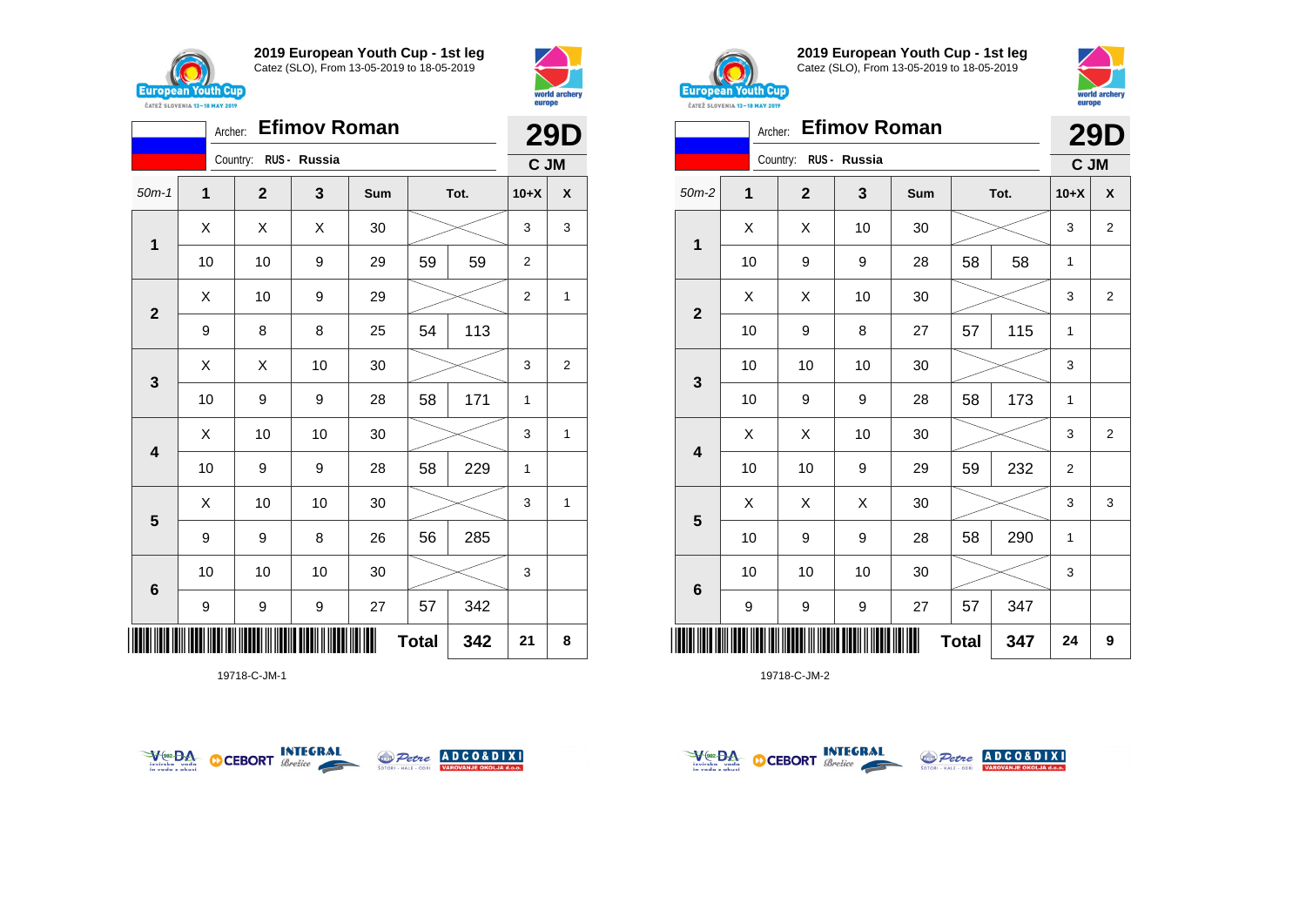





19718-C-JM-1





**2019 European Youth Cup - 1st leg** Catez (SLO), From 13-05-2019 to 18-05-2019



|              |         | <b>CAILL SLUVENIA 13-18 MAY ZUIY</b> |                     |     |              |      |        |                         |  |
|--------------|---------|--------------------------------------|---------------------|-----|--------------|------|--------|-------------------------|--|
|              | Archer: |                                      | <b>Efimov Roman</b> |     |              |      |        | <b>29D</b>              |  |
|              |         | Country: RUS - Russia                |                     |     |              |      | C JM   |                         |  |
| $50m-2$      | 1       | $\mathbf{2}$                         | 3                   | Sum |              | Tot. | $10+X$ | X                       |  |
|              | X       | X                                    | 10                  | 30  |              |      | 3      | $\overline{\mathbf{c}}$ |  |
| 1            | 10      | 9                                    | 9                   | 28  | 58           | 58   | 1      |                         |  |
|              | Χ       | Χ                                    | 10                  | 30  |              |      | 3      | $\overline{\mathbf{c}}$ |  |
| $\mathbf{2}$ | 10      | 9                                    | 8                   | 27  | 57           | 115  | 1      |                         |  |
|              | 10      | 10                                   | 10                  | 30  |              |      | 3      |                         |  |
| 3            | 10      | 9                                    | 9                   | 28  | 58           | 173  | 1      |                         |  |
|              | X       | X                                    | 10                  | 30  |              |      | 3      | $\overline{2}$          |  |
| 4            | 10      | 10                                   | 9                   | 29  | 59           | 232  | 2      |                         |  |
|              | Χ       | X                                    | X                   | 30  |              |      | 3      | 3                       |  |
| 5            | 10      | 9                                    | 9                   | 28  | 58           | 290  | 1      |                         |  |
|              | 10      | 10                                   | 10                  | 30  |              |      | 3      |                         |  |
| 6            | 9       | 9                                    | 9                   | 27  | 57           | 347  |        |                         |  |
|              |         |                                      |                     |     | <b>Total</b> | 347  | 24     | 9                       |  |



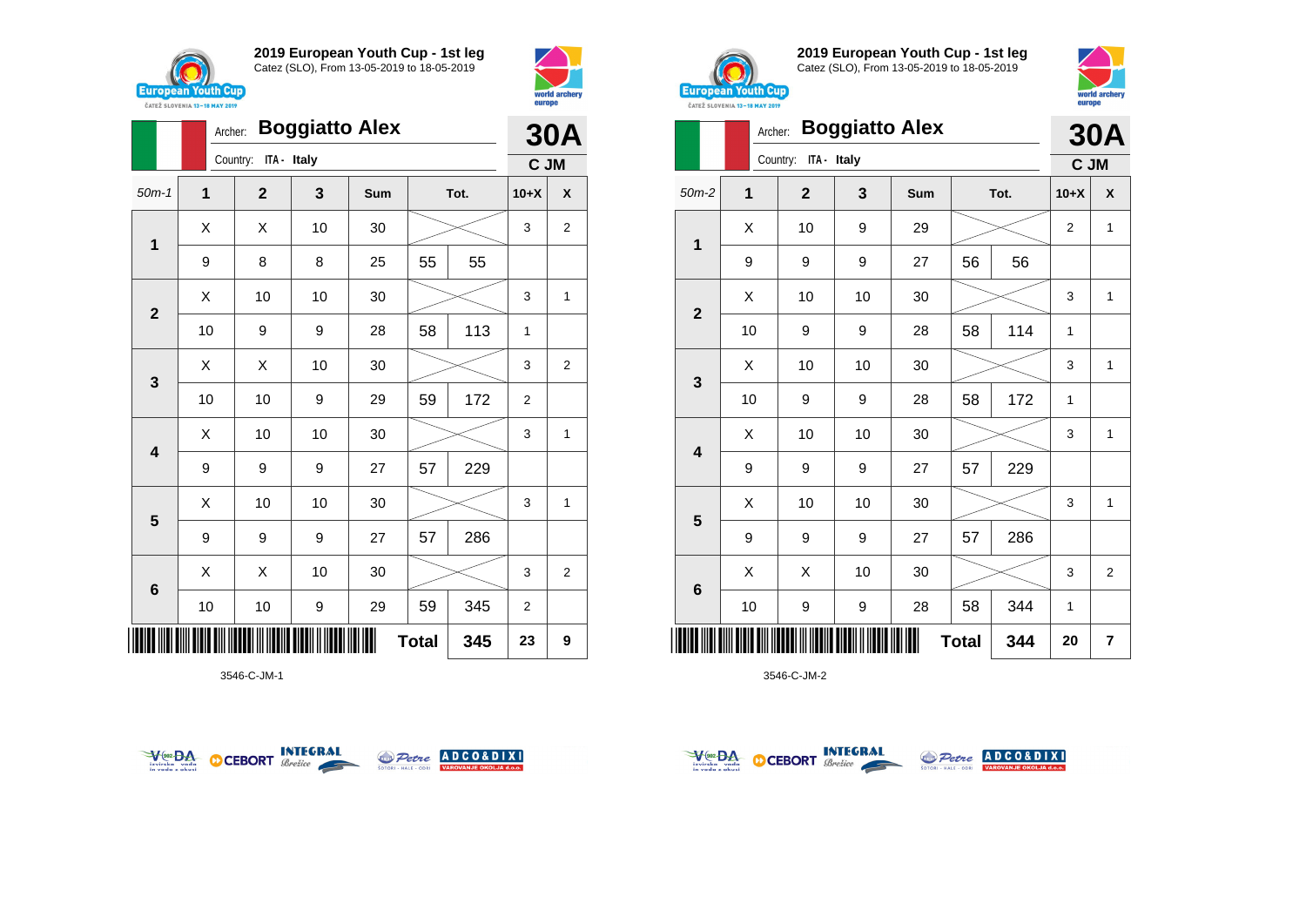

**2**

**2019 European Youth Cup - 1st leg** Catez (SLO), From 13-05-2019 to 18-05-2019

50m-1 **1 2 3 Sum Tot. 10+X X**

9 | 8 | 8 | 25 | 55 | 55

 $\begin{array}{|c|c|c|c|c|}\hline \hspace{0.8cm}X & X & 10 & 30 & \nearrow & \ \hline \end{array} \hspace{0.2cm} \begin{array}{|c|c|c|c|c|}\hline \hspace{0.8cm}3 & 3 & 2 \end{array}$ 

 $\begin{array}{|c|c|c|c|c|}\hline \text{X} & \text{10} & \text{10} & \text{30} & \text{\hspace{1em}}\hline \end{array} \hspace{.2cm} \begin{array}{|c|c|c|c|c|}\hline \text{3} & \text{15} & \text{36} & \text{47} & \text{58} & \text{58} & \text{58} & \text{58} & \text{58} & \text{58} & \text{58} & \text{58} & \text{58} & \text{58} & \text{58} & \text{58} & \text{58} & \text{58} & \text{58$ 

10 | 9 | 9 | 28 | 58 | 113 | 1

Archer: **Boggiatto Alex**

Country: **ITA - Italy**



**30A C JM**

**ANJE OKOLJA d.o.o.** 



**2019 European Youth Cup - 1st leg** Catez (SLO), From 13-05-2019 to 18-05-2019



|                         | CATEZ SLOVENIA 13-18 MAY 2019 |                      |                       |     |              |      | $-$            |                |
|-------------------------|-------------------------------|----------------------|-----------------------|-----|--------------|------|----------------|----------------|
|                         |                               | Archer:              | <b>Boggiatto Alex</b> |     |              |      |                | <b>30A</b>     |
|                         |                               | Country: ITA - Italy |                       |     |              |      | C JM           |                |
| $50m-2$                 | 1                             | $\mathbf{2}$         | 3                     | Sum |              | Tot. | $10+X$         | X              |
|                         | X                             | 10                   | 9                     | 29  |              |      | $\overline{2}$ | $\mathbf{1}$   |
| $\overline{\mathbf{1}}$ | 9                             | 9                    | 9                     | 27  | 56           | 56   |                |                |
|                         | X                             | 10                   | 10                    | 30  |              |      | 3              | 1              |
| $\mathbf{2}$            | 10                            | 9                    | 9                     | 28  | 58           | 114  | 1              |                |
|                         | Χ                             | 10                   | 10                    | 30  |              |      | 3              | 1              |
| 3                       | 10                            | 9                    | 9                     | 28  | 58           | 172  | 1              |                |
|                         | X                             | 10                   | 10                    | 30  |              |      | 3              | $\mathbf{1}$   |
| $\overline{\mathbf{4}}$ | 9                             | 9                    | 9                     | 27  | 57           | 229  |                |                |
|                         | Χ                             | 10                   | 10                    | 30  |              |      | 3              | $\mathbf{1}$   |
| $5\phantom{1}$          | 9                             | 9                    | 9                     | 27  | 57           | 286  |                |                |
|                         | X                             | Χ                    | 10                    | 30  |              |      | 3              | $\overline{2}$ |
| $6\phantom{1}$          | 10                            | 9                    | 9                     | 28  | 58           | 344  | 1              |                |
|                         |                               |                      |                       |     | <b>Total</b> | 344  | 20             | $\overline{7}$ |

3546-C-JM-2

|                | $\mathbf{3}$            | Χ  | X  | 10               | 30 |    |     | 3                | $\sqrt{2}$       |
|----------------|-------------------------|----|----|------------------|----|----|-----|------------------|------------------|
|                |                         | 10 | 10 | $\boldsymbol{9}$ | 29 | 59 | 172 | $\boldsymbol{2}$ |                  |
|                | $\overline{\mathbf{4}}$ | Χ  | 10 | 10               | 30 |    |     | 3                | $\mathbf{1}$     |
|                |                         | 9  | 9  | $\boldsymbol{9}$ | 27 | 57 | 229 |                  |                  |
|                |                         | X  | 10 | 10               | 30 |    |     | 3                | $\mathbf{1}$     |
| $5\phantom{1}$ |                         | 9  | 9  | $\boldsymbol{9}$ | 27 | 57 | 286 |                  |                  |
|                |                         | X  | Χ  | 10               | 30 |    |     | 3                | $\boldsymbol{2}$ |
|                | $\bf 6$                 | 10 | 10 | 9                | 29 | 59 | 345 | $\overline{2}$   |                  |
| <b>Total</b>   |                         |    |    |                  |    |    | 345 | 23               | $\boldsymbol{9}$ |
|                |                         |    |    |                  |    |    |     |                  |                  |





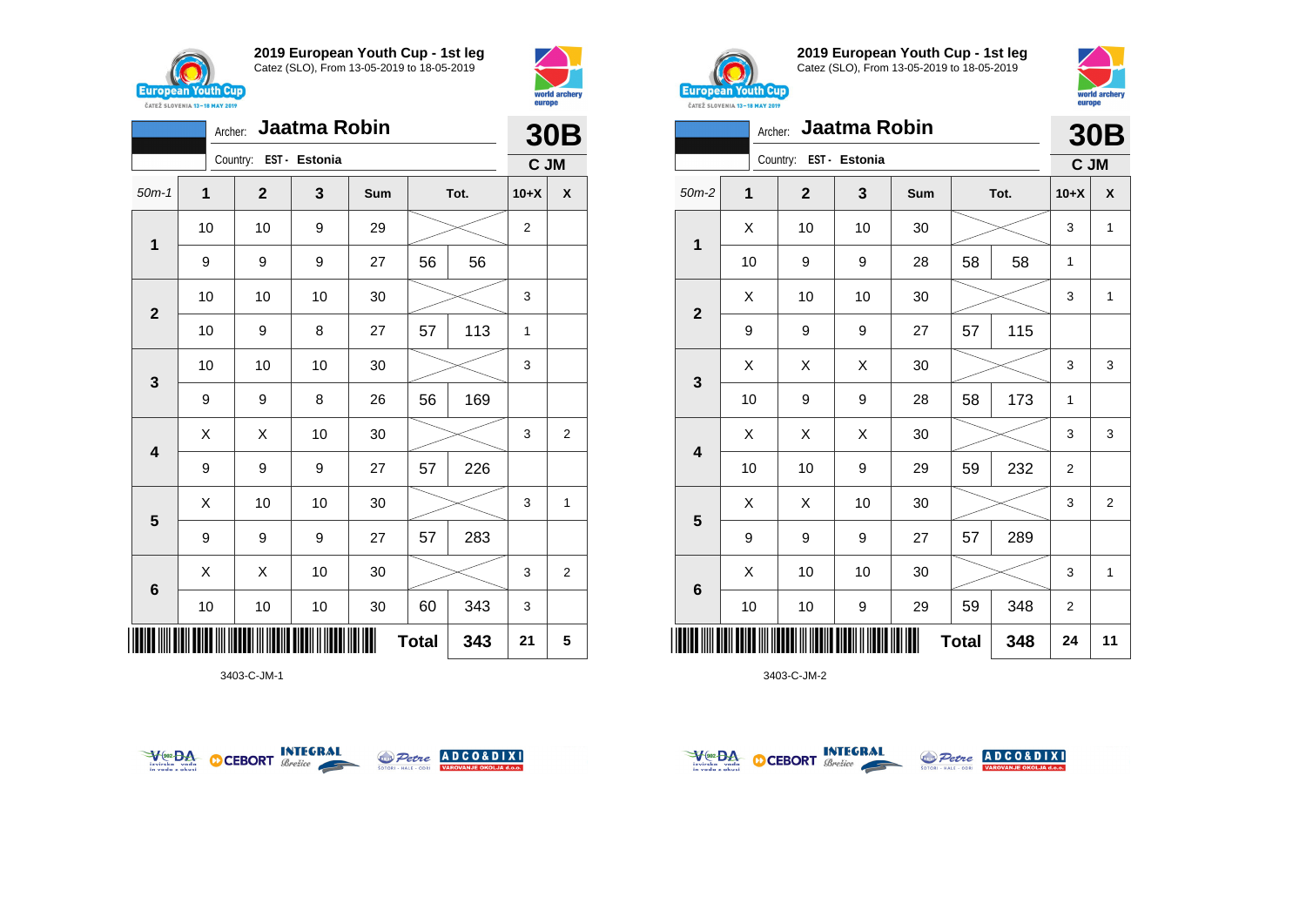

**2019 European Youth Cup - 1st leg** Catez (SLO), From 13-05-2019 to 18-05-2019

50m-1 **1 2 3 Sum Tot. 10+X X**

9 9 9 27 56 56

10 | 10 | 9 | 29 |  $>$  | 2

Archer: **Jaatma Robin**

Country: **EST - Estonia**



**30B C JM**



**2019 European Youth Cup - 1st leg** Catez (SLO), From 13-05-2019 to 18-05-2019



| Jaatma Robin<br>Archer: |    |                           |    |     |      |     |                | <b>30B</b>     |  |  |
|-------------------------|----|---------------------------|----|-----|------|-----|----------------|----------------|--|--|
|                         |    | Country:<br>EST - Estonia |    |     |      |     | C JM           |                |  |  |
| $50m-2$                 | 1  | $\mathbf{2}$              | 3  | Sum | Tot. |     | $10+X$         | X              |  |  |
| 1                       | X  | 10                        | 10 | 30  |      |     | 3              | 1              |  |  |
|                         | 10 | 9                         | 9  | 28  | 58   | 58  | 1              |                |  |  |
| $\overline{2}$          | X  | 10                        | 10 | 30  |      |     |                | 1              |  |  |
|                         | 9  | 9                         | 9  | 27  | 57   | 115 |                |                |  |  |
|                         | X  | X                         | X  | 30  |      |     | 3              | 3              |  |  |
| 3                       | 10 | 9                         | 9  | 28  | 58   | 173 | 1              |                |  |  |
| $\overline{\mathbf{4}}$ | X  | X                         | X  | 30  |      |     | 3              | 3              |  |  |
|                         | 10 | 10                        | 9  | 29  | 59   | 232 | $\overline{2}$ |                |  |  |
|                         | X  | X                         | 10 | 30  |      |     | 3              | $\overline{2}$ |  |  |
| 5                       | 9  | 9                         | 9  | 27  | 57   | 289 |                |                |  |  |
|                         | X  | 10                        | 10 | 30  |      |     | 3              | 1              |  |  |
| $\bf 6$                 | 10 | 10                        | 9  | 29  | 59   | 348 | $\overline{2}$ |                |  |  |
| <b>Total</b><br>348     |    |                           |    |     |      | 24  | 11             |                |  |  |

3403-C-JM-2







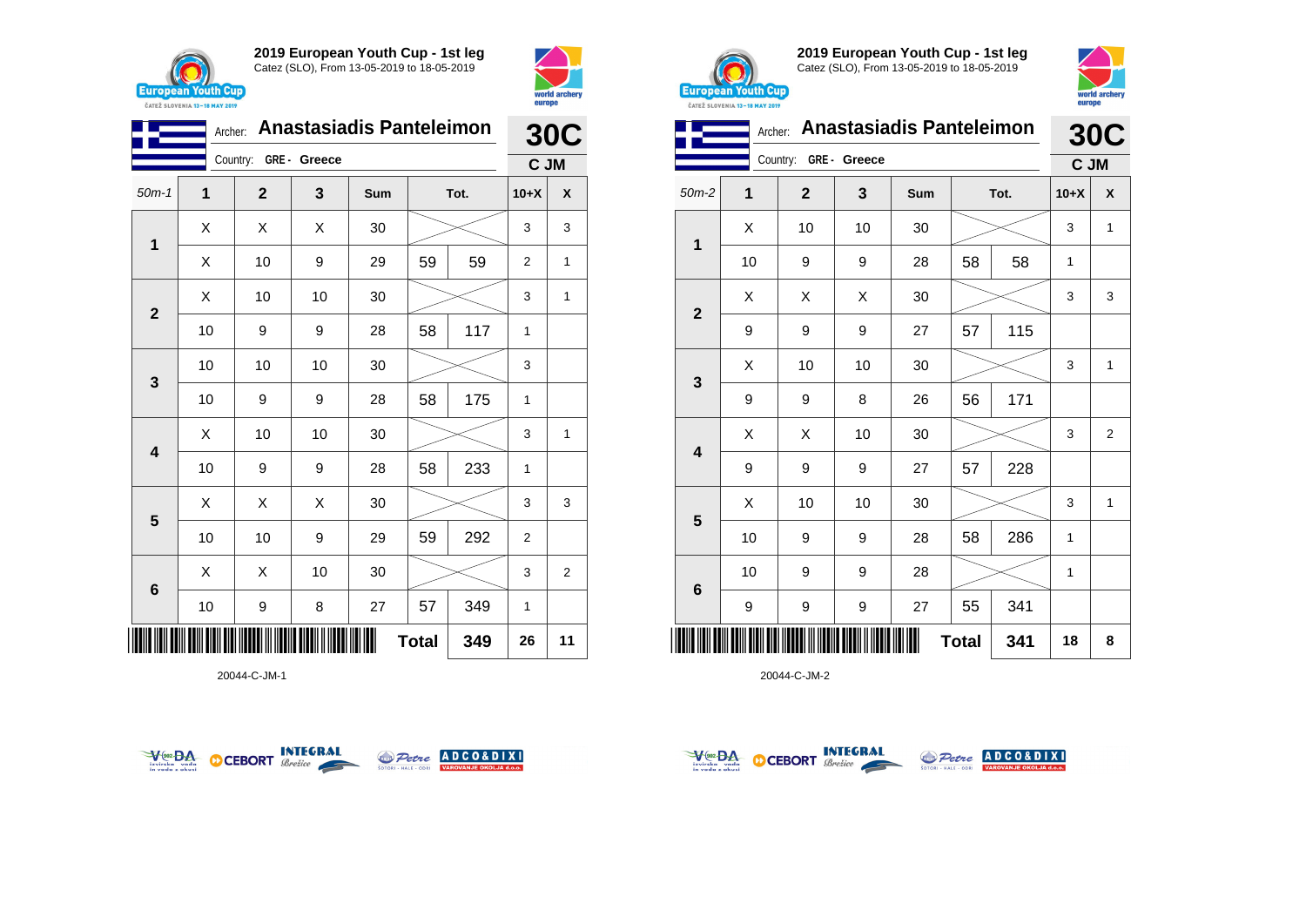



|                         | <b>Anastasiadis Panteleimon</b><br>Archer: |              |    |     |      |      |                | <b>30C</b>     |  |  |
|-------------------------|--------------------------------------------|--------------|----|-----|------|------|----------------|----------------|--|--|
|                         | GRE- Greece<br>Country:                    |              |    |     |      | C JM |                |                |  |  |
| $50m-1$                 | 1                                          | $\mathbf{2}$ | 3  | Sum | Tot. |      | $10+X$         | X              |  |  |
| 1                       | X                                          | Χ            | Χ  | 30  |      |      |                | 3              |  |  |
|                         | Χ                                          | 10           | 9  | 29  | 59   | 59   | $\overline{2}$ | 1              |  |  |
|                         | X                                          | 10           | 10 | 30  |      |      | 3              | 1              |  |  |
| $\mathbf{2}$            | 10                                         | 9            | 9  | 28  | 58   | 117  | 1              |                |  |  |
| $\mathbf{3}$            | 10                                         | 10           | 10 | 30  |      |      | 3              |                |  |  |
|                         | 10                                         | 9            | 9  | 28  | 58   | 175  | 1              |                |  |  |
| $\overline{\mathbf{4}}$ | X                                          | 10           | 10 | 30  |      |      | 3              | 1              |  |  |
|                         | 10                                         | 9            | 9  | 28  | 58   | 233  | 1              |                |  |  |
|                         | X                                          | Χ            | Χ  | 30  |      |      | 3              | 3              |  |  |
| $\overline{\mathbf{5}}$ | 10                                         | 10           | 9  | 29  | 59   | 292  | $\overline{2}$ |                |  |  |
| $\bf 6$                 | Χ                                          | Χ            | 10 | 30  |      |      | 3              | $\overline{2}$ |  |  |
|                         | 10                                         | 9            | 8  | 27  | 57   | 349  | 1              |                |  |  |
| <b>Total</b><br>349     |                                            |              |    |     |      |      |                | 11             |  |  |

20044-C-JM-1





**2019 European Youth Cup - 1st leg** Catez (SLO), From 13-05-2019 to 18-05-2019



|                         | Archer: | <b>Anastasiadis Panteleimon</b> |                  |            |      |     |        | <b>30C</b>     |  |
|-------------------------|---------|---------------------------------|------------------|------------|------|-----|--------|----------------|--|
|                         |         | GRE- Greece<br>Country:         |                  |            |      |     | C JM   |                |  |
| $50m-2$                 | 1       | $\overline{2}$                  | 3                | <b>Sum</b> | Tot. |     | $10+X$ | X              |  |
|                         | X       | 10                              | 10               | 30         |      |     | 3      | 1              |  |
| 1                       | 10      | 9                               | $\boldsymbol{9}$ | 28         | 58   | 58  | 1      |                |  |
| $\overline{2}$          | х       | х                               | X                | 30         |      |     | 3      | 3              |  |
|                         | 9       | 9                               | 9                | 27         | 57   | 115 |        |                |  |
|                         | X       | 10                              | 10               | 30         |      |     | 3      | 1              |  |
| 3                       | 9       | 9                               | 8                | 26         | 56   | 171 |        |                |  |
| $\overline{\mathbf{4}}$ | X       | X                               | 10               | 30         |      |     | 3      | $\overline{2}$ |  |
|                         | 9       | 9                               | 9                | 27         | 57   | 228 |        |                |  |
|                         | X       | 10                              | 10               | 30         |      |     |        | 1              |  |
| 5                       | 10      | 9                               | 9                | 28         | 58   | 286 | 1      |                |  |
| 6                       | 10      | 9                               | 9                | 28         |      |     | 1      |                |  |
|                         | 9       | 9                               | 9                | 27         | 55   | 341 |        |                |  |
| <b>Total</b><br>341     |         |                                 |                  |            |      | 18  | 8      |                |  |